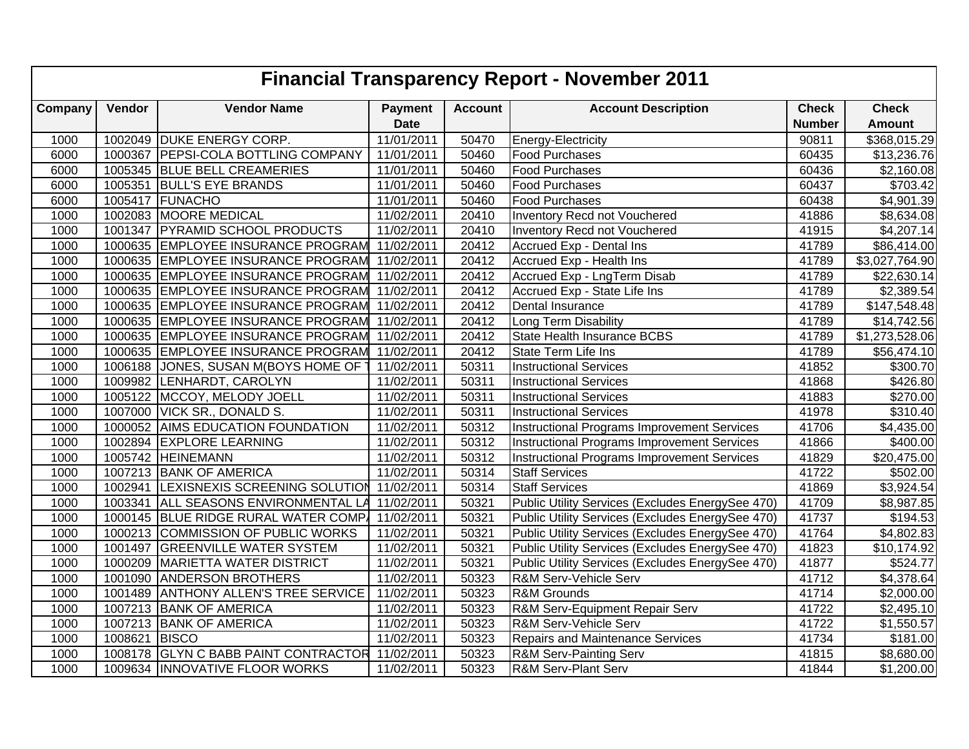|         | <b>Financial Transparency Report - November 2011</b> |                                       |                |                |                                                    |               |                      |  |  |  |  |  |
|---------|------------------------------------------------------|---------------------------------------|----------------|----------------|----------------------------------------------------|---------------|----------------------|--|--|--|--|--|
| Company | Vendor                                               | <b>Vendor Name</b>                    | <b>Payment</b> | <b>Account</b> | <b>Account Description</b>                         | <b>Check</b>  | <b>Check</b>         |  |  |  |  |  |
|         |                                                      |                                       | <b>Date</b>    |                |                                                    | <b>Number</b> | <b>Amount</b>        |  |  |  |  |  |
| 1000    | 1002049                                              | <b>DUKE ENERGY CORP.</b>              | 11/01/2011     | 50470          | Energy-Electricity                                 | 90811         | \$368,015.29         |  |  |  |  |  |
| 6000    | 1000367                                              | PEPSI-COLA BOTTLING COMPANY           | 11/01/2011     | 50460          | Food Purchases                                     | 60435         | \$13,236.76          |  |  |  |  |  |
| 6000    |                                                      | 1005345 BLUE BELL CREAMERIES          | 11/01/2011     | 50460          | <b>Food Purchases</b>                              | 60436         | \$2,160.08           |  |  |  |  |  |
| 6000    |                                                      | 1005351 BULL'S EYE BRANDS             | 11/01/2011     | 50460          | <b>Food Purchases</b>                              | 60437         | \$703.42             |  |  |  |  |  |
| 6000    | 1005417                                              | FUNACHO                               | 11/01/2011     | 50460          | Food Purchases                                     | 60438         | \$4,901.39           |  |  |  |  |  |
| 1000    | 1002083                                              | <b>MOORE MEDICAL</b>                  | 11/02/2011     | 20410          | Inventory Recd not Vouchered                       | 41886         | \$8,634.08           |  |  |  |  |  |
| 1000    | 1001347                                              | <b>PYRAMID SCHOOL PRODUCTS</b>        | 11/02/2011     | 20410          | Inventory Recd not Vouchered                       | 41915         | \$4,207.14           |  |  |  |  |  |
| 1000    | 1000635                                              | <b>EMPLOYEE INSURANCE PROGRAM</b>     | 11/02/2011     | 20412          | Accrued Exp - Dental Ins                           | 41789         | \$86,414.00          |  |  |  |  |  |
| 1000    |                                                      | 1000635 EMPLOYEE INSURANCE PROGRAM    | 11/02/2011     | 20412          | Accrued Exp - Health Ins                           | 41789         | \$3,027,764.90       |  |  |  |  |  |
| 1000    |                                                      | 1000635 EMPLOYEE INSURANCE PROGRAM    | 11/02/2011     | 20412          | Accrued Exp - LngTerm Disab                        | 41789         | \$22,630.14          |  |  |  |  |  |
| 1000    | 1000635                                              | <b>EMPLOYEE INSURANCE PROGRAM</b>     | 11/02/2011     | 20412          | Accrued Exp - State Life Ins                       | 41789         | \$2,389.54           |  |  |  |  |  |
| 1000    | 1000635                                              | <b>EMPLOYEE INSURANCE PROGRAM</b>     | 11/02/2011     | 20412          | Dental Insurance                                   | 41789         | \$147,548.48         |  |  |  |  |  |
| 1000    | 1000635                                              | <b>EMPLOYEE INSURANCE PROGRAM</b>     | 11/02/2011     | 20412          | Long Term Disability                               | 41789         | \$14,742.56          |  |  |  |  |  |
| 1000    | 1000635                                              | <b>EMPLOYEE INSURANCE PROGRAM</b>     | 11/02/2011     | 20412          | <b>State Health Insurance BCBS</b>                 | 41789         | \$1,273,528.06       |  |  |  |  |  |
| 1000    |                                                      | 1000635 EMPLOYEE INSURANCE PROGRAM    | 11/02/2011     | 20412          | State Term Life Ins                                | 41789         | \$56,474.10          |  |  |  |  |  |
| 1000    | 1006188                                              | JONES, SUSAN M(BOYS HOME OF           | 11/02/2011     | 50311          | <b>Instructional Services</b>                      | 41852         | \$300.70             |  |  |  |  |  |
| 1000    |                                                      | 1009982 LENHARDT, CAROLYN             | 11/02/2011     | 50311          | <b>Instructional Services</b>                      | 41868         | \$426.80             |  |  |  |  |  |
| 1000    | 1005122                                              | MCCOY, MELODY JOELL                   | 11/02/2011     | 50311          | <b>Instructional Services</b>                      | 41883         | $\sqrt{$270.00}$     |  |  |  |  |  |
| 1000    | 1007000                                              | VICK SR., DONALD S.                   | 11/02/2011     | 50311          | <b>Instructional Services</b>                      | 41978         | $\overline{$}310.40$ |  |  |  |  |  |
| 1000    | 1000052                                              | <b>AIMS EDUCATION FOUNDATION</b>      | 11/02/2011     | 50312          | <b>Instructional Programs Improvement Services</b> | 41706         | \$4,435.00           |  |  |  |  |  |
| 1000    | 1002894                                              | <b>EXPLORE LEARNING</b>               | 11/02/2011     | 50312          | <b>Instructional Programs Improvement Services</b> | 41866         | \$400.00             |  |  |  |  |  |
| 1000    | 1005742                                              | <b>HEINEMANN</b>                      | 11/02/2011     | 50312          | <b>Instructional Programs Improvement Services</b> | 41829         | \$20,475.00          |  |  |  |  |  |
| 1000    |                                                      | 1007213 BANK OF AMERICA               | 11/02/2011     | 50314          | <b>Staff Services</b>                              | 41722         | \$502.00             |  |  |  |  |  |
| 1000    |                                                      | 1002941 LEXISNEXIS SCREENING SOLUTION | 11/02/2011     | 50314          | <b>Staff Services</b>                              | 41869         | \$3,924.54           |  |  |  |  |  |
| 1000    | 1003341                                              | ALL SEASONS ENVIRONMENTAL LA          | 11/02/2011     | 50321          | Public Utility Services (Excludes EnergySee 470)   | 41709         | \$8,987.85           |  |  |  |  |  |
| 1000    | 1000145                                              | BLUE RIDGE RURAL WATER COMP           | 11/02/2011     | 50321          | Public Utility Services (Excludes EnergySee 470)   | 41737         | \$194.53             |  |  |  |  |  |
| 1000    | 1000213                                              | COMMISSION OF PUBLIC WORKS            | 11/02/2011     | 50321          | Public Utility Services (Excludes EnergySee 470)   | 41764         | \$4,802.83           |  |  |  |  |  |
| 1000    | 1001497                                              | <b>GREENVILLE WATER SYSTEM</b>        | 11/02/2011     | 50321          | Public Utility Services (Excludes EnergySee 470)   | 41823         | \$10,174.92          |  |  |  |  |  |
| 1000    | 1000209                                              | MARIETTA WATER DISTRICT               | 11/02/2011     | 50321          | Public Utility Services (Excludes EnergySee 470)   | 41877         | \$524.77             |  |  |  |  |  |
| 1000    | 1001090                                              | <b>ANDERSON BROTHERS</b>              | 11/02/2011     | 50323          | R&M Serv-Vehicle Serv                              | 41712         | \$4,378.64           |  |  |  |  |  |
| 1000    | 1001489                                              | <b>ANTHONY ALLEN'S TREE SERVICE</b>   | 11/02/2011     | 50323          | R&M Grounds                                        | 41714         | \$2,000.00           |  |  |  |  |  |
| 1000    | 1007213                                              | <b>BANK OF AMERICA</b>                | 11/02/2011     | 50323          | R&M Serv-Equipment Repair Serv                     | 41722         | \$2,495.10           |  |  |  |  |  |
| 1000    | 1007213                                              | <b>BANK OF AMERICA</b>                | 11/02/2011     | 50323          | R&M Serv-Vehicle Serv                              | 41722         | \$1,550.57           |  |  |  |  |  |
| 1000    | 1008621                                              | <b>BISCO</b>                          | 11/02/2011     | 50323          | Repairs and Maintenance Services                   | 41734         | \$181.00             |  |  |  |  |  |
| 1000    | 1008178                                              | <b>GLYN C BABB PAINT CONTRACTOR</b>   | 11/02/2011     | 50323          | R&M Serv-Painting Serv                             | 41815         | \$8,680.00           |  |  |  |  |  |
| 1000    |                                                      | 1009634 INNOVATIVE FLOOR WORKS        | 11/02/2011     | 50323          | <b>R&amp;M Serv-Plant Serv</b>                     | 41844         | \$1,200.00           |  |  |  |  |  |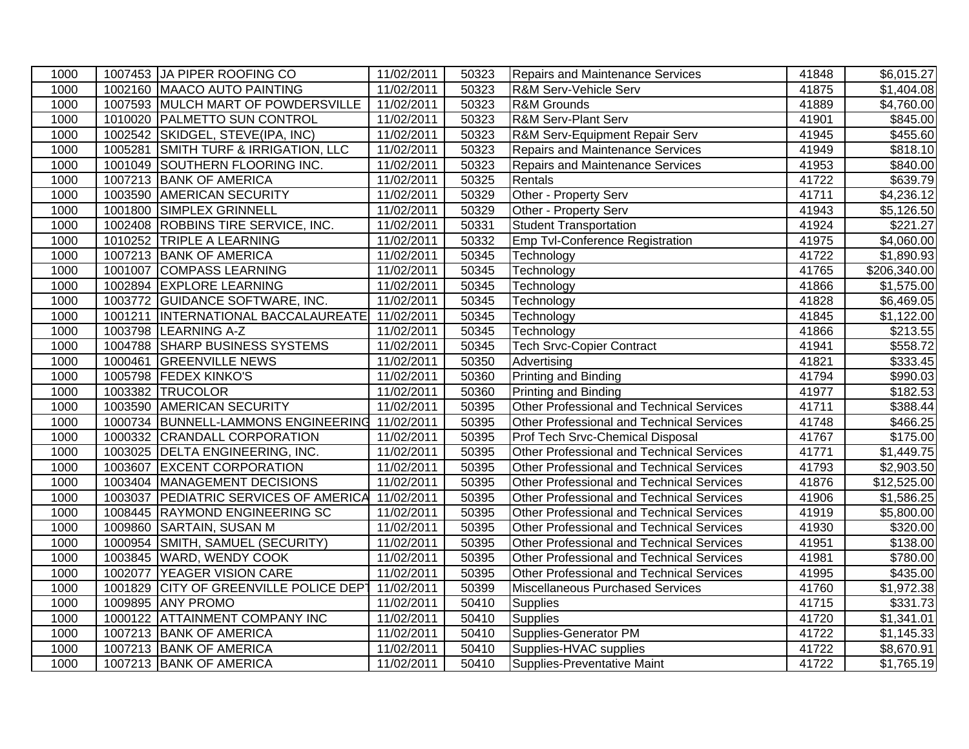| 1000 |         | 1007453 JA PIPER ROOFING CO                     | 11/02/2011 | 50323 | <b>Repairs and Maintenance Services</b>          | 41848 | \$6,015.27             |
|------|---------|-------------------------------------------------|------------|-------|--------------------------------------------------|-------|------------------------|
| 1000 |         | 1002160 MAACO AUTO PAINTING                     | 11/02/2011 | 50323 | R&M Serv-Vehicle Serv                            | 41875 | \$1,404.08             |
| 1000 |         | 1007593 MULCH MART OF POWDERSVILLE              | 11/02/2011 | 50323 | <b>R&amp;M</b> Grounds                           | 41889 | \$4,760.00             |
| 1000 |         | 1010020 PALMETTO SUN CONTROL                    | 11/02/2011 | 50323 | <b>R&amp;M Serv-Plant Serv</b>                   | 41901 | \$845.00               |
| 1000 |         | 1002542 SKIDGEL, STEVE(IPA, INC)                | 11/02/2011 | 50323 | R&M Serv-Equipment Repair Serv                   | 41945 | \$455.60               |
| 1000 |         | 1005281 SMITH TURF & IRRIGATION, LLC            | 11/02/2011 | 50323 | <b>Repairs and Maintenance Services</b>          | 41949 | \$818.10               |
| 1000 |         | 1001049 SOUTHERN FLOORING INC.                  | 11/02/2011 | 50323 | Repairs and Maintenance Services                 | 41953 | \$840.00               |
| 1000 |         | 1007213 BANK OF AMERICA                         | 11/02/2011 | 50325 | Rentals                                          | 41722 | \$639.79               |
| 1000 |         | 1003590 AMERICAN SECURITY                       | 11/02/2011 | 50329 | Other - Property Serv                            | 41711 | \$4,236.12             |
| 1000 |         | 1001800 SIMPLEX GRINNELL                        | 11/02/2011 | 50329 | Other - Property Serv                            | 41943 | $\overline{$}5,126.50$ |
| 1000 |         | 1002408 ROBBINS TIRE SERVICE, INC.              | 11/02/2011 | 50331 | Student Transportation                           | 41924 | $\overline{$}221.27$   |
| 1000 |         | 1010252 TRIPLE A LEARNING                       | 11/02/2011 | 50332 | Emp Tvl-Conference Registration                  | 41975 | \$4,060.00             |
| 1000 |         | 1007213 BANK OF AMERICA                         | 11/02/2011 | 50345 | Technology                                       | 41722 | \$1,890.93             |
| 1000 |         | 1001007 COMPASS LEARNING                        | 11/02/2011 | 50345 | Technology                                       | 41765 | \$206,340.00           |
| 1000 |         | 1002894 EXPLORE LEARNING                        | 11/02/2011 | 50345 | Technology                                       | 41866 | \$1,575.00             |
| 1000 |         | 1003772 GUIDANCE SOFTWARE, INC.                 | 11/02/2011 | 50345 | Technology                                       | 41828 | \$6,469.05             |
| 1000 |         | 1001211  INTERNATIONAL BACCALAUREATE 11/02/2011 |            | 50345 | Technology                                       | 41845 | \$1,122.00             |
| 1000 |         | 1003798 LEARNING A-Z                            | 11/02/2011 | 50345 | Technology                                       | 41866 | \$213.55               |
| 1000 |         | 1004788 SHARP BUSINESS SYSTEMS                  | 11/02/2011 | 50345 | <b>Tech Srvc-Copier Contract</b>                 | 41941 | \$558.72               |
| 1000 |         | 1000461 GREENVILLE NEWS                         | 11/02/2011 | 50350 | Advertising                                      | 41821 | 333.45                 |
| 1000 |         | 1005798 FEDEX KINKO'S                           | 11/02/2011 | 50360 | <b>Printing and Binding</b>                      | 41794 | \$990.03               |
| 1000 |         | 1003382 TRUCOLOR                                | 11/02/2011 | 50360 | <b>Printing and Binding</b>                      | 41977 | \$182.53               |
| 1000 |         | 1003590 AMERICAN SECURITY                       | 11/02/2011 | 50395 | Other Professional and Technical Services        | 41711 | \$388.44               |
| 1000 |         | 1000734 BUNNELL-LAMMONS ENGINEERING 11/02/2011  |            | 50395 | Other Professional and Technical Services        | 41748 | \$466.25               |
| 1000 |         | 1000332 CRANDALL CORPORATION                    | 11/02/2011 | 50395 | Prof Tech Srvc-Chemical Disposal                 | 41767 | \$175.00               |
| 1000 |         | 1003025 DELTA ENGINEERING, INC.                 | 11/02/2011 | 50395 | <b>Other Professional and Technical Services</b> | 41771 | \$1,449.75             |
| 1000 |         | 1003607 EXCENT CORPORATION                      | 11/02/2011 | 50395 | Other Professional and Technical Services        | 41793 | \$2,903.50             |
| 1000 |         | 1003404 MANAGEMENT DECISIONS                    | 11/02/2011 | 50395 | Other Professional and Technical Services        | 41876 | \$12,525.00            |
| 1000 | 1003037 | <b>PEDIATRIC SERVICES OF AMERICA 11/02/2011</b> |            | 50395 | Other Professional and Technical Services        | 41906 | $\overline{$1,586.25}$ |
| 1000 |         | 1008445 RAYMOND ENGINEERING SC                  | 11/02/2011 | 50395 | Other Professional and Technical Services        | 41919 | \$5,800.00             |
| 1000 |         | 1009860 SARTAIN, SUSAN M                        | 11/02/2011 | 50395 | Other Professional and Technical Services        | 41930 | \$320.00               |
| 1000 |         | 1000954 SMITH, SAMUEL (SECURITY)                | 11/02/2011 | 50395 | Other Professional and Technical Services        | 41951 | \$138.00               |
| 1000 |         | 1003845 WARD, WENDY COOK                        | 11/02/2011 | 50395 | Other Professional and Technical Services        | 41981 | \$780.00               |
| 1000 | 1002077 | YEAGER VISION CARE                              | 11/02/2011 | 50395 | Other Professional and Technical Services        | 41995 | \$435.00               |
| 1000 | 1001829 | CITY OF GREENVILLE POLICE DEPT                  | 11/02/2011 | 50399 | Miscellaneous Purchased Services                 | 41760 | \$1,972.38             |
| 1000 |         | 1009895 ANY PROMO                               | 11/02/2011 | 50410 | <b>Supplies</b>                                  | 41715 | \$331.73               |
| 1000 |         | 1000122 ATTAINMENT COMPANY INC                  | 11/02/2011 | 50410 | <b>Supplies</b>                                  | 41720 | \$1,341.01             |
| 1000 |         | 1007213 BANK OF AMERICA                         | 11/02/2011 | 50410 | Supplies-Generator PM                            | 41722 | \$1,145.33             |
| 1000 |         | 1007213 BANK OF AMERICA                         | 11/02/2011 | 50410 | Supplies-HVAC supplies                           | 41722 | \$8,670.91             |
| 1000 |         | 1007213 BANK OF AMERICA                         | 11/02/2011 | 50410 | Supplies-Preventative Maint                      | 41722 | \$1,765.19             |
|      |         |                                                 |            |       |                                                  |       |                        |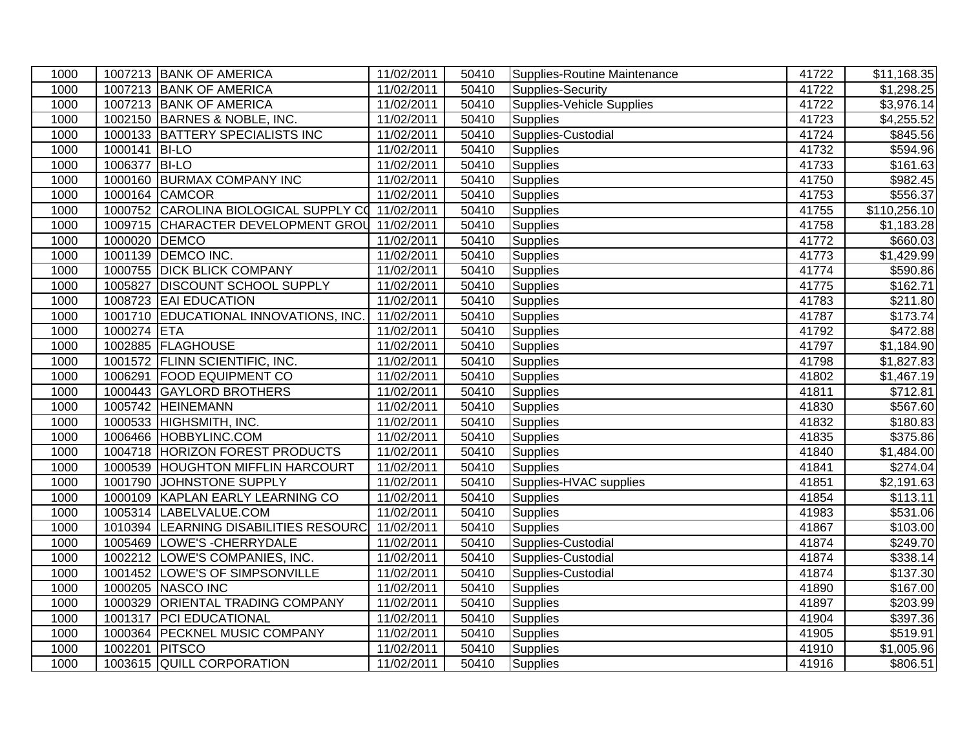| 1000 |                | 1007213 BANK OF AMERICA                          | 11/02/2011 | 50410 | Supplies-Routine Maintenance     | 41722 | \$11,168.35            |
|------|----------------|--------------------------------------------------|------------|-------|----------------------------------|-------|------------------------|
| 1000 |                | 1007213 BANK OF AMERICA                          | 11/02/2011 | 50410 | Supplies-Security                | 41722 | \$1,298.25             |
| 1000 |                | 1007213 BANK OF AMERICA                          | 11/02/2011 | 50410 | <b>Supplies-Vehicle Supplies</b> | 41722 | \$3,976.14             |
| 1000 |                | 1002150 BARNES & NOBLE, INC.                     | 11/02/2011 | 50410 | <b>Supplies</b>                  | 41723 | \$4,255.52             |
| 1000 |                | 1000133 BATTERY SPECIALISTS INC                  | 11/02/2011 | 50410 | Supplies-Custodial               | 41724 | \$845.56               |
| 1000 | 1000141 BI-LO  |                                                  | 11/02/2011 | 50410 | Supplies                         | 41732 | \$594.96               |
| 1000 | 1006377 BI-LO  |                                                  | 11/02/2011 | 50410 | Supplies                         | 41733 | \$161.63               |
| 1000 |                | 1000160 BURMAX COMPANY INC                       | 11/02/2011 | 50410 | Supplies                         | 41750 | \$982.45               |
| 1000 |                | 1000164 CAMCOR                                   | 11/02/2011 | 50410 | <b>Supplies</b>                  | 41753 | \$556.37               |
| 1000 |                | 1000752 CAROLINA BIOLOGICAL SUPPLY CO 11/02/2011 |            | 50410 | Supplies                         | 41755 | \$110,256.10           |
| 1000 |                | 1009715 CHARACTER DEVELOPMENT GROU 11/02/2011    |            | 50410 | Supplies                         | 41758 | \$1,183.28             |
| 1000 | 1000020 DEMCO  |                                                  | 11/02/2011 | 50410 | Supplies                         | 41772 | \$660.03               |
| 1000 |                | 1001139 DEMCO INC.                               | 11/02/2011 | 50410 | <b>Supplies</b>                  | 41773 | \$1,429.99             |
| 1000 |                | 1000755 DICK BLICK COMPANY                       | 11/02/2011 | 50410 | <b>Supplies</b>                  | 41774 | \$590.86               |
| 1000 | 1005827        | <b>DISCOUNT SCHOOL SUPPLY</b>                    | 11/02/2011 | 50410 | Supplies                         | 41775 | \$162.71               |
| 1000 |                | 1008723 EAI EDUCATION                            | 11/02/2011 | 50410 | <b>Supplies</b>                  | 41783 | \$211.80               |
| 1000 |                | 1001710 EDUCATIONAL INNOVATIONS, INC.            | 11/02/2011 | 50410 | <b>Supplies</b>                  | 41787 | \$173.74               |
| 1000 | 1000274 ETA    |                                                  | 11/02/2011 | 50410 | <b>Supplies</b>                  | 41792 | \$472.88               |
| 1000 |                | 1002885 FLAGHOUSE                                | 11/02/2011 | 50410 | <b>Supplies</b>                  | 41797 | \$1,184.90             |
| 1000 |                | 1001572 FLINN SCIENTIFIC, INC.                   | 11/02/2011 | 50410 | <b>Supplies</b>                  | 41798 | $\overline{$1,827.83}$ |
| 1000 |                | 1006291 FOOD EQUIPMENT CO                        | 11/02/2011 | 50410 | <b>Supplies</b>                  | 41802 | \$1,467.19             |
| 1000 |                | 1000443 GAYLORD BROTHERS                         | 11/02/2011 | 50410 | Supplies                         | 41811 | \$712.81               |
| 1000 |                | 1005742 HEINEMANN                                | 11/02/2011 | 50410 | Supplies                         | 41830 | \$567.60               |
| 1000 |                | 1000533 HIGHSMITH, INC.                          | 11/02/2011 | 50410 | <b>Supplies</b>                  | 41832 | \$180.83               |
| 1000 |                | 1006466 HOBBYLINC.COM                            | 11/02/2011 | 50410 | <b>Supplies</b>                  | 41835 | \$375.86               |
| 1000 |                | 1004718 HORIZON FOREST PRODUCTS                  | 11/02/2011 | 50410 | Supplies                         | 41840 | \$1,484.00             |
| 1000 |                | 1000539 HOUGHTON MIFFLIN HARCOURT                | 11/02/2011 | 50410 | <b>Supplies</b>                  | 41841 | \$274.04               |
| 1000 |                | 1001790 JOHNSTONE SUPPLY                         | 11/02/2011 | 50410 | Supplies-HVAC supplies           | 41851 | $\overline{$2,191.63}$ |
| 1000 |                | 1000109 KAPLAN EARLY LEARNING CO                 | 11/02/2011 | 50410 | <b>Supplies</b>                  | 41854 | \$113.11               |
| 1000 |                | 1005314 LABELVALUE.COM                           | 11/02/2011 | 50410 | Supplies                         | 41983 | \$531.06               |
| 1000 |                | 1010394 LEARNING DISABILITIES RESOURC 11/02/2011 |            | 50410 | <b>Supplies</b>                  | 41867 | \$103.00               |
| 1000 |                | 1005469 LOWE'S - CHERRYDALE                      | 11/02/2011 | 50410 | Supplies-Custodial               | 41874 | 3249.70                |
| 1000 |                | 1002212 LOWE'S COMPANIES, INC.                   | 11/02/2011 | 50410 | Supplies-Custodial               | 41874 | \$338.14               |
| 1000 |                | 1001452 LOWE'S OF SIMPSONVILLE                   | 11/02/2011 | 50410 | Supplies-Custodial               | 41874 | \$137.30               |
| 1000 |                | 1000205 NASCO INC                                | 11/02/2011 | 50410 | <b>Supplies</b>                  | 41890 | \$167.00               |
| 1000 | 1000329        | <b>ORIENTAL TRADING COMPANY</b>                  | 11/02/2011 | 50410 | Supplies                         | 41897 | \$203.99               |
| 1000 |                | 1001317 PCI EDUCATIONAL                          | 11/02/2011 | 50410 | Supplies                         | 41904 | \$397.36               |
| 1000 |                | 1000364 PECKNEL MUSIC COMPANY                    | 11/02/2011 | 50410 | Supplies                         | 41905 | $\overline{$}519.91$   |
| 1000 | 1002201 PITSCO |                                                  | 11/02/2011 | 50410 | <b>Supplies</b>                  | 41910 | \$1,005.96             |
| 1000 |                | 1003615 QUILL CORPORATION                        | 11/02/2011 | 50410 | <b>Supplies</b>                  | 41916 | \$806.51               |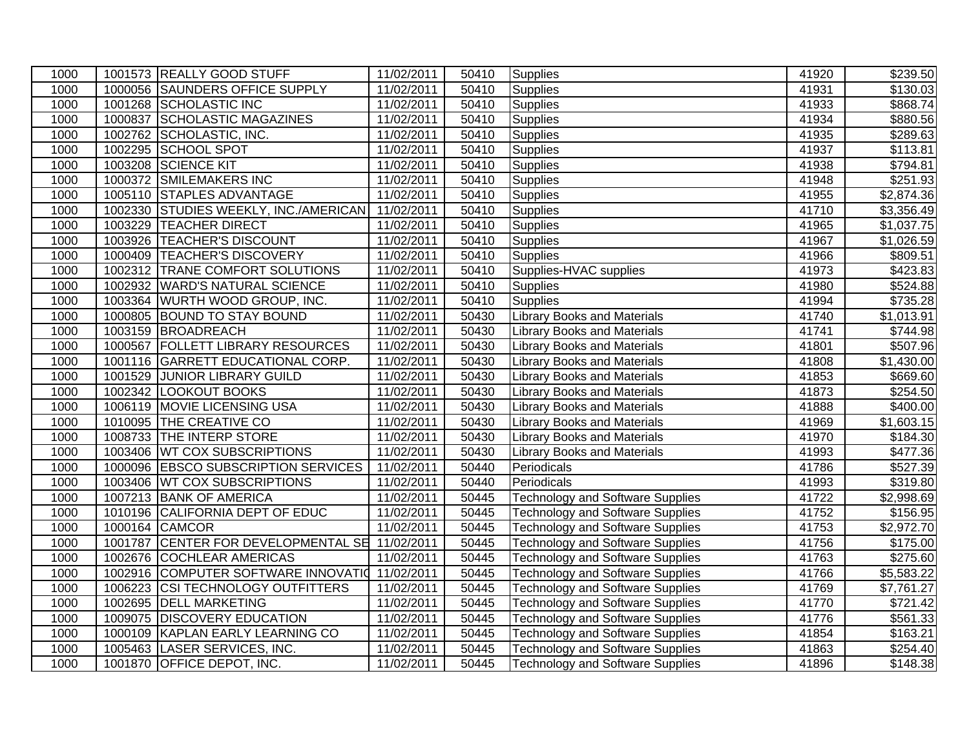| 1000 |         | 1001573 REALLY GOOD STUFF                      | 11/02/2011 | 50410 | <b>Supplies</b>                         | 41920 | \$239.50               |
|------|---------|------------------------------------------------|------------|-------|-----------------------------------------|-------|------------------------|
| 1000 |         | 1000056 SAUNDERS OFFICE SUPPLY                 | 11/02/2011 | 50410 | <b>Supplies</b>                         | 41931 | $\overline{$}130.03$   |
| 1000 |         | 1001268 SCHOLASTIC INC                         | 11/02/2011 | 50410 | <b>Supplies</b>                         | 41933 | \$868.74               |
| 1000 |         | 1000837 SCHOLASTIC MAGAZINES                   | 11/02/2011 | 50410 | Supplies                                | 41934 | \$880.56               |
| 1000 |         | 1002762 SCHOLASTIC, INC.                       | 11/02/2011 | 50410 | <b>Supplies</b>                         | 41935 | \$289.63               |
| 1000 |         | 1002295 SCHOOL SPOT                            | 11/02/2011 | 50410 | <b>Supplies</b>                         | 41937 | \$113.81               |
| 1000 |         | 1003208 SCIENCE KIT                            | 11/02/2011 | 50410 | Supplies                                | 41938 | \$794.81               |
| 1000 |         | 1000372 SMILEMAKERS INC                        | 11/02/2011 | 50410 | Supplies                                | 41948 | \$251.93               |
| 1000 |         | 1005110 STAPLES ADVANTAGE                      | 11/02/2011 | 50410 | Supplies                                | 41955 | \$2,874.36             |
| 1000 |         | 1002330 STUDIES WEEKLY, INC./AMERICAN          | 11/02/2011 | 50410 | Supplies                                | 41710 | \$3,356.49             |
| 1000 |         | 1003229 TEACHER DIRECT                         | 11/02/2011 | 50410 | Supplies                                | 41965 | \$1,037.75             |
| 1000 |         | 1003926 TEACHER'S DISCOUNT                     | 11/02/2011 | 50410 | Supplies                                | 41967 | \$1,026.59             |
| 1000 |         | 1000409 TEACHER'S DISCOVERY                    | 11/02/2011 | 50410 | <b>Supplies</b>                         | 41966 | \$809.51               |
| 1000 |         | 1002312 TRANE COMFORT SOLUTIONS                | 11/02/2011 | 50410 | Supplies-HVAC supplies                  | 41973 | \$423.83               |
| 1000 |         | 1002932 WARD'S NATURAL SCIENCE                 | 11/02/2011 | 50410 | <b>Supplies</b>                         | 41980 | \$524.88               |
| 1000 |         | 1003364 WURTH WOOD GROUP, INC.                 | 11/02/2011 | 50410 | <b>Supplies</b>                         | 41994 | \$735.28               |
| 1000 |         | 1000805 BOUND TO STAY BOUND                    | 11/02/2011 | 50430 | <b>Library Books and Materials</b>      | 41740 | \$1,013.91             |
| 1000 |         | 1003159 BROADREACH                             | 11/02/2011 | 50430 | <b>Library Books and Materials</b>      | 41741 | \$744.98               |
| 1000 |         | 1000567 FOLLETT LIBRARY RESOURCES              | 11/02/2011 | 50430 | <b>Library Books and Materials</b>      | 41801 | \$507.96               |
| 1000 |         | 1001116 GARRETT EDUCATIONAL CORP.              | 11/02/2011 | 50430 | <b>Library Books and Materials</b>      | 41808 | \$1,430.00             |
| 1000 | 1001529 | <b>JUNIOR LIBRARY GUILD</b>                    | 11/02/2011 | 50430 | <b>Library Books and Materials</b>      | 41853 | \$669.60               |
| 1000 |         | 1002342 LOOKOUT BOOKS                          | 11/02/2011 | 50430 | <b>Library Books and Materials</b>      | 41873 | \$254.50               |
| 1000 | 1006119 | MOVIE LICENSING USA                            | 11/02/2011 | 50430 | <b>Library Books and Materials</b>      | 41888 | $\sqrt{2400.00}$       |
| 1000 |         | 1010095 THE CREATIVE CO                        | 11/02/2011 | 50430 | <b>Library Books and Materials</b>      | 41969 | \$1,603.15             |
| 1000 |         | 1008733 THE INTERP STORE                       | 11/02/2011 | 50430 | <b>Library Books and Materials</b>      | 41970 | \$184.30               |
| 1000 |         | 1003406 WT COX SUBSCRIPTIONS                   | 11/02/2011 | 50430 | <b>Library Books and Materials</b>      | 41993 | \$477.36               |
| 1000 |         | 1000096 EBSCO SUBSCRIPTION SERVICES            | 11/02/2011 | 50440 | Periodicals                             | 41786 | \$527.39               |
| 1000 |         | 1003406 WT COX SUBSCRIPTIONS                   | 11/02/2011 | 50440 | Periodicals                             | 41993 | \$319.80               |
| 1000 |         | 1007213 BANK OF AMERICA                        | 11/02/2011 | 50445 | <b>Technology and Software Supplies</b> | 41722 | \$2,998.69             |
| 1000 |         | 1010196 CALIFORNIA DEPT OF EDUC                | 11/02/2011 | 50445 | <b>Technology and Software Supplies</b> | 41752 | \$156.95               |
| 1000 |         | 1000164 CAMCOR                                 | 11/02/2011 | 50445 | <b>Technology and Software Supplies</b> | 41753 | \$2,972.70             |
| 1000 |         | 1001787 CENTER FOR DEVELOPMENTAL SE 11/02/2011 |            | 50445 | <b>Technology and Software Supplies</b> | 41756 | \$175.00               |
| 1000 |         | 1002676 COCHLEAR AMERICAS                      | 11/02/2011 | 50445 | <b>Technology and Software Supplies</b> | 41763 | \$275.60               |
| 1000 |         | 1002916 COMPUTER SOFTWARE INNOVATIO 11/02/2011 |            | 50445 | <b>Technology and Software Supplies</b> | 41766 | $\overline{$}5,583.22$ |
| 1000 |         | 1006223 CSI TECHNOLOGY OUTFITTERS              | 11/02/2011 | 50445 | <b>Technology and Software Supplies</b> | 41769 | \$7,761.27             |
| 1000 | 1002695 | <b>DELL MARKETING</b>                          | 11/02/2011 | 50445 | <b>Technology and Software Supplies</b> | 41770 | \$721.42               |
| 1000 |         | 1009075 DISCOVERY EDUCATION                    | 11/02/2011 | 50445 | <b>Technology and Software Supplies</b> | 41776 | \$561.33               |
| 1000 |         | 1000109 KAPLAN EARLY LEARNING CO               | 11/02/2011 | 50445 | <b>Technology and Software Supplies</b> | 41854 | \$163.21               |
| 1000 |         | 1005463 LASER SERVICES, INC.                   | 11/02/2011 | 50445 | <b>Technology and Software Supplies</b> | 41863 | \$254.40               |
| 1000 |         | 1001870 OFFICE DEPOT, INC.                     | 11/02/2011 | 50445 | <b>Technology and Software Supplies</b> | 41896 | \$148.38               |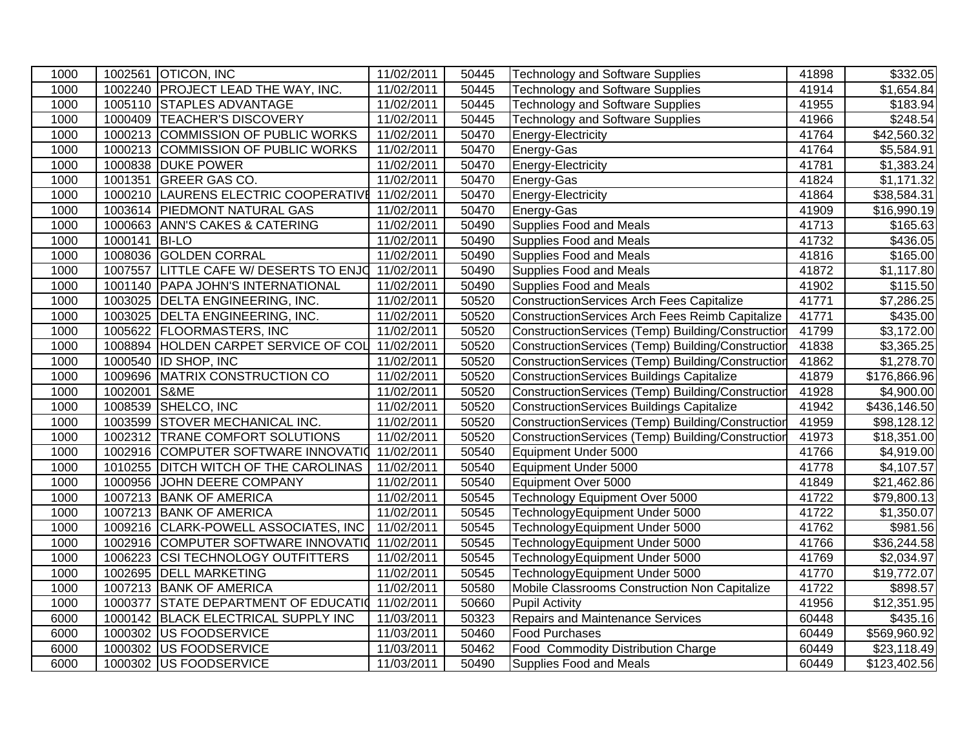| 1000 |               | 1002561 OTICON, INC                  | 11/02/2011 | 50445 | Technology and Software Supplies                  | 41898 | \$332.05                |
|------|---------------|--------------------------------------|------------|-------|---------------------------------------------------|-------|-------------------------|
| 1000 |               | 1002240 PROJECT LEAD THE WAY, INC.   | 11/02/2011 | 50445 | <b>Technology and Software Supplies</b>           | 41914 | $\overline{\$1,654.84}$ |
| 1000 |               | 1005110 STAPLES ADVANTAGE            | 11/02/2011 | 50445 | <b>Technology and Software Supplies</b>           | 41955 | \$183.94                |
| 1000 | 1000409       | <b>TEACHER'S DISCOVERY</b>           | 11/02/2011 | 50445 | <b>Technology and Software Supplies</b>           | 41966 | \$248.54                |
| 1000 |               | 1000213 COMMISSION OF PUBLIC WORKS   | 11/02/2011 | 50470 | Energy-Electricity                                | 41764 | \$42,560.32             |
| 1000 | 1000213       | COMMISSION OF PUBLIC WORKS           | 11/02/2011 | 50470 | Energy-Gas                                        | 41764 | \$5,584.91              |
| 1000 | 1000838       | <b>DUKE POWER</b>                    | 11/02/2011 | 50470 | Energy-Electricity                                | 41781 | \$1,383.24              |
| 1000 | 1001351       | <b>GREER GAS CO.</b>                 | 11/02/2011 | 50470 | Energy-Gas                                        | 41824 | $\overline{$1,171.32}$  |
| 1000 | 1000210       | LAURENS ELECTRIC COOPERATIVE         | 11/02/2011 | 50470 | Energy-Electricity                                | 41864 | \$38,584.31             |
| 1000 | 1003614       | <b>PIEDMONT NATURAL GAS</b>          | 11/02/2011 | 50470 | Energy-Gas                                        | 41909 | \$16,990.19             |
| 1000 |               | 1000663 ANN'S CAKES & CATERING       | 11/02/2011 | 50490 | Supplies Food and Meals                           | 41713 | \$165.63                |
| 1000 | 1000141 BI-LO |                                      | 11/02/2011 | 50490 | Supplies Food and Meals                           | 41732 | \$436.05                |
| 1000 |               | 1008036 GOLDEN CORRAL                | 11/02/2011 | 50490 | Supplies Food and Meals                           | 41816 | \$165.00                |
| 1000 | 1007557       | LITTLE CAFE W/ DESERTS TO ENJO       | 11/02/2011 | 50490 | Supplies Food and Meals                           | 41872 | \$1,117.80              |
| 1000 |               | 1001140 PAPA JOHN'S INTERNATIONAL    | 11/02/2011 | 50490 | Supplies Food and Meals                           | 41902 | \$115.50                |
| 1000 | 1003025       | DELTA ENGINEERING, INC.              | 11/02/2011 | 50520 | ConstructionServices Arch Fees Capitalize         | 41771 | $\overline{$}7,286.25$  |
| 1000 | 1003025       | DELTA ENGINEERING, INC.              | 11/02/2011 | 50520 | ConstructionServices Arch Fees Reimb Capitalize   | 41771 | \$435.00                |
| 1000 |               | 1005622 FLOORMASTERS, INC            | 11/02/2011 | 50520 | ConstructionServices (Temp) Building/Construction | 41799 | \$3,172.00              |
| 1000 | 1008894       | HOLDEN CARPET SERVICE OF COL         | 11/02/2011 | 50520 | ConstructionServices (Temp) Building/Construction | 41838 | \$3,365.25              |
| 1000 |               | 1000540 ID SHOP, INC                 | 11/02/2011 | 50520 | ConstructionServices (Temp) Building/Construction | 41862 | \$1,278.70              |
| 1000 | 1009696       | MATRIX CONSTRUCTION CO               | 11/02/2011 | 50520 | ConstructionServices Buildings Capitalize         | 41879 | \$176,866.96            |
| 1000 | 1002001       | S&ME                                 | 11/02/2011 | 50520 | ConstructionServices (Temp) Building/Construction | 41928 | \$4,900.00              |
| 1000 | 1008539       | SHELCO, INC                          | 11/02/2011 | 50520 | <b>ConstructionServices Buildings Capitalize</b>  | 41942 | \$436,146.50            |
| 1000 | 1003599       | <b>STOVER MECHANICAL INC.</b>        | 11/02/2011 | 50520 | ConstructionServices (Temp) Building/Construction | 41959 | \$98,128.12             |
| 1000 | 1002312       | <b>TRANE COMFORT SOLUTIONS</b>       | 11/02/2011 | 50520 | ConstructionServices (Temp) Building/Construction | 41973 | \$18,351.00             |
| 1000 | 1002916       | COMPUTER SOFTWARE INNOVATIO          | 11/02/2011 | 50540 | Equipment Under 5000                              | 41766 | \$4,919.00              |
| 1000 | 1010255       | DITCH WITCH OF THE CAROLINAS         | 11/02/2011 | 50540 | Equipment Under 5000                              | 41778 | \$4,107.57              |
| 1000 | 1000956       | JOHN DEERE COMPANY                   | 11/02/2011 | 50540 | Equipment Over 5000                               | 41849 | \$21,462.86             |
| 1000 | 1007213       | <b>BANK OF AMERICA</b>               | 11/02/2011 | 50545 | Technology Equipment Over 5000                    | 41722 | \$79,800.13             |
| 1000 |               | 1007213 BANK OF AMERICA              | 11/02/2011 | 50545 | TechnologyEquipment Under 5000                    | 41722 | \$1,350.07              |
| 1000 |               | 1009216 CLARK-POWELL ASSOCIATES, INC | 11/02/2011 | 50545 | TechnologyEquipment Under 5000                    | 41762 | $\overline{$}981.56$    |
| 1000 | 1002916       | COMPUTER SOFTWARE INNOVATIO          | 11/02/2011 | 50545 | TechnologyEquipment Under 5000                    | 41766 | \$36,244.58             |
| 1000 |               | 1006223 CSI TECHNOLOGY OUTFITTERS    | 11/02/2011 | 50545 | TechnologyEquipment Under 5000                    | 41769 | \$2,034.97              |
| 1000 | 1002695       | <b>DELL MARKETING</b>                | 11/02/2011 | 50545 | TechnologyEquipment Under 5000                    | 41770 | \$19,772.07             |
| 1000 |               | 1007213 BANK OF AMERICA              | 11/02/2011 | 50580 | Mobile Classrooms Construction Non Capitalize     | 41722 | \$898.57                |
| 1000 | 1000377       | <b>STATE DEPARTMENT OF EDUCATION</b> | 11/02/2011 | 50660 | <b>Pupil Activity</b>                             | 41956 | \$12,351.95             |
| 6000 | 1000142       | <b>BLACK ELECTRICAL SUPPLY INC</b>   | 11/03/2011 | 50323 | <b>Repairs and Maintenance Services</b>           | 60448 | \$435.16                |
| 6000 | 1000302       | US FOODSERVICE                       | 11/03/2011 | 50460 | <b>Food Purchases</b>                             | 60449 | \$569,960.92            |
| 6000 | 1000302       | US FOODSERVICE                       | 11/03/2011 | 50462 | <b>Food Commodity Distribution Charge</b>         | 60449 | \$23,118.49             |
| 6000 |               | 1000302 US FOODSERVICE               | 11/03/2011 | 50490 | Supplies Food and Meals                           | 60449 | \$123,402.56            |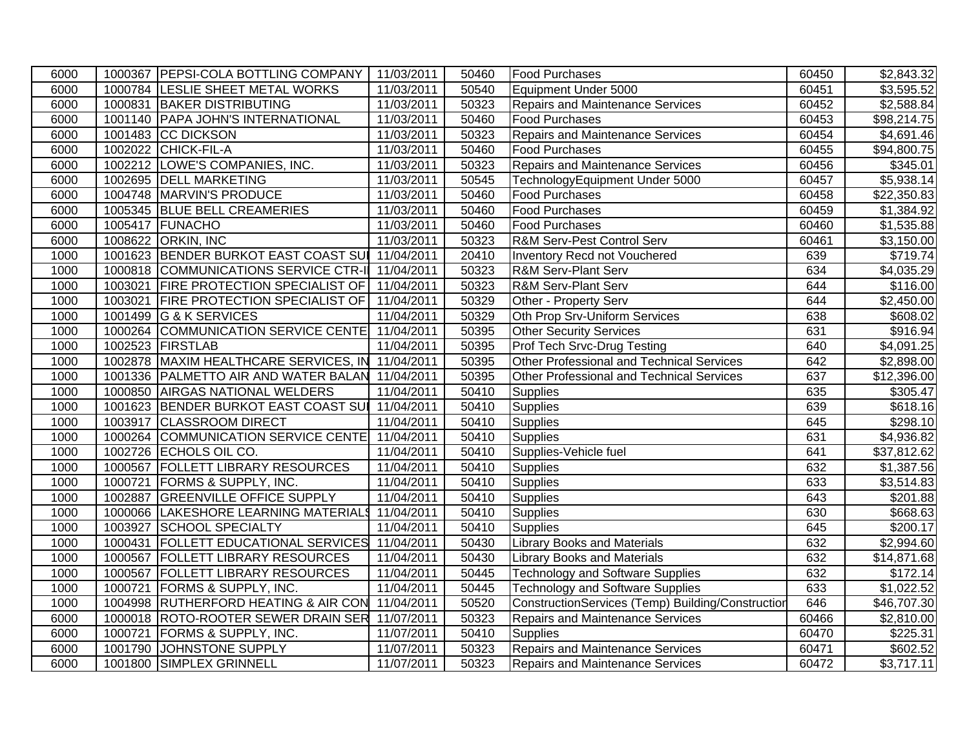| 6000 |         | 1000367 PEPSI-COLA BOTTLING COMPANY              | 11/03/2011 | 50460 | <b>Food Purchases</b>                             | 60450 | $\overline{$2,843.32}$ |
|------|---------|--------------------------------------------------|------------|-------|---------------------------------------------------|-------|------------------------|
| 6000 |         | 1000784 LESLIE SHEET METAL WORKS                 | 11/03/2011 | 50540 | Equipment Under 5000                              | 60451 | \$3,595.52             |
| 6000 |         | 1000831 BAKER DISTRIBUTING                       | 11/03/2011 | 50323 | Repairs and Maintenance Services                  | 60452 | \$2,588.84             |
| 6000 |         | 1001140 PAPA JOHN'S INTERNATIONAL                | 11/03/2011 | 50460 | <b>Food Purchases</b>                             | 60453 | \$98,214.75            |
| 6000 |         | 1001483 CC DICKSON                               | 11/03/2011 | 50323 | Repairs and Maintenance Services                  | 60454 | \$4,691.46             |
| 6000 | 1002022 | CHICK-FIL-A                                      | 11/03/2011 | 50460 | <b>Food Purchases</b>                             | 60455 | \$94,800.75            |
| 6000 |         | 1002212 LOWE'S COMPANIES, INC.                   | 11/03/2011 | 50323 | Repairs and Maintenance Services                  | 60456 | \$345.01               |
| 6000 |         | 1002695 DELL MARKETING                           | 11/03/2011 | 50545 | TechnologyEquipment Under 5000                    | 60457 | \$5,938.14             |
| 6000 |         | 1004748 MARVIN'S PRODUCE                         | 11/03/2011 | 50460 | <b>Food Purchases</b>                             | 60458 | \$22,350.83            |
| 6000 |         | 1005345 BLUE BELL CREAMERIES                     | 11/03/2011 | 50460 | <b>Food Purchases</b>                             | 60459 | \$1,384.92             |
| 6000 |         | 1005417 FUNACHO                                  | 11/03/2011 | 50460 | <b>Food Purchases</b>                             | 60460 | \$1,535.88             |
| 6000 |         | 1008622 ORKIN, INC                               | 11/03/2011 | 50323 | R&M Serv-Pest Control Serv                        | 60461 | \$3,150.00             |
| 1000 |         | 1001623 BENDER BURKOT EAST COAST SUI 11/04/2011  |            | 20410 | Inventory Recd not Vouchered                      | 639   | \$719.74               |
| 1000 |         | 1000818 COMMUNICATIONS SERVICE CTR-II 11/04/2011 |            | 50323 | <b>R&amp;M Serv-Plant Serv</b>                    | 634   | \$4,035.29             |
| 1000 |         | 1003021 FIRE PROTECTION SPECIALIST OF 11/04/2011 |            | 50323 | R&M Serv-Plant Serv                               | 644   | \$116.00               |
| 1000 |         | 1003021 FIRE PROTECTION SPECIALIST OF 11/04/2011 |            | 50329 | Other - Property Serv                             | 644   | $\overline{$}2,450.00$ |
| 1000 |         | 1001499 G & K SERVICES                           | 11/04/2011 | 50329 | Oth Prop Srv-Uniform Services                     | 638   | \$608.02               |
| 1000 |         | 1000264 COMMUNICATION SERVICE CENTE 11/04/2011   |            | 50395 | <b>Other Security Services</b>                    | 631   | \$916.94               |
| 1000 |         | 1002523 FIRSTLAB                                 | 11/04/2011 | 50395 | Prof Tech Srvc-Drug Testing                       | 640   | \$4,091.25             |
| 1000 |         | 1002878 MAXIM HEALTHCARE SERVICES, IN            | 11/04/2011 | 50395 | Other Professional and Technical Services         | 642   | \$2,898.00             |
| 1000 |         | 1001336 PALMETTO AIR AND WATER BALAN             | 11/04/2011 | 50395 | <b>Other Professional and Technical Services</b>  | 637   | \$12,396.00            |
| 1000 |         | 1000850 AIRGAS NATIONAL WELDERS                  | 11/04/2011 | 50410 | Supplies                                          | 635   | \$305.47               |
| 1000 |         | 1001623 BENDER BURKOT EAST COAST SUI             | 11/04/2011 | 50410 | <b>Supplies</b>                                   | 639   | \$618.16               |
| 1000 |         | 1003917 CLASSROOM DIRECT                         | 11/04/2011 | 50410 | <b>Supplies</b>                                   | 645   | \$298.10               |
| 1000 |         | 1000264 COMMUNICATION SERVICE CENTE              | 11/04/2011 | 50410 | <b>Supplies</b>                                   | 631   | \$4,936.82             |
| 1000 |         | 1002726 ECHOLS OIL CO.                           | 11/04/2011 | 50410 | Supplies-Vehicle fuel                             | 641   | \$37,812.62            |
| 1000 |         | 1000567 FOLLETT LIBRARY RESOURCES                | 11/04/2011 | 50410 | Supplies                                          | 632   | \$1,387.56             |
| 1000 | 1000721 | <b>FORMS &amp; SUPPLY, INC.</b>                  | 11/04/2011 | 50410 | <b>Supplies</b>                                   | 633   | \$3,514.83             |
| 1000 | 1002887 | <b>GREENVILLE OFFICE SUPPLY</b>                  | 11/04/2011 | 50410 | <b>Supplies</b>                                   | 643   | \$201.88               |
| 1000 | 1000066 | LAKESHORE LEARNING MATERIALS                     | 11/04/2011 | 50410 | <b>Supplies</b>                                   | 630   | \$668.63               |
| 1000 | 1003927 | SCHOOL SPECIALTY                                 | 11/04/2011 | 50410 | <b>Supplies</b>                                   | 645   | \$200.17               |
| 1000 |         | 1000431   FOLLETT EDUCATIONAL SERVICES           | 11/04/2011 | 50430 | <b>Library Books and Materials</b>                | 632   | \$2,994.60             |
| 1000 | 1000567 | <b>FOLLETT LIBRARY RESOURCES</b>                 | 11/04/2011 | 50430 | <b>Library Books and Materials</b>                | 632   | \$14,871.68            |
| 1000 | 1000567 | <b>FOLLETT LIBRARY RESOURCES</b>                 | 11/04/2011 | 50445 | Technology and Software Supplies                  | 632   | \$172.14               |
| 1000 | 1000721 | FORMS & SUPPLY, INC.                             | 11/04/2011 | 50445 | <b>Technology and Software Supplies</b>           | 633   | \$1,022.52             |
| 1000 |         | 1004998 RUTHERFORD HEATING & AIR CON             | 11/04/2011 | 50520 | ConstructionServices (Temp) Building/Construction | 646   | \$46,707.30            |
| 6000 |         | 1000018 ROTO-ROOTER SEWER DRAIN SER              | 11/07/2011 | 50323 | Repairs and Maintenance Services                  | 60466 | \$2,810.00             |
| 6000 | 1000721 | <b>FORMS &amp; SUPPLY, INC.</b>                  | 11/07/2011 | 50410 | <b>Supplies</b>                                   | 60470 | \$225.31               |
| 6000 |         | 1001790 JOHNSTONE SUPPLY                         | 11/07/2011 | 50323 | <b>Repairs and Maintenance Services</b>           | 60471 | \$602.52               |
| 6000 |         | 1001800 SIMPLEX GRINNELL                         | 11/07/2011 | 50323 | <b>Repairs and Maintenance Services</b>           | 60472 | \$3,717.11             |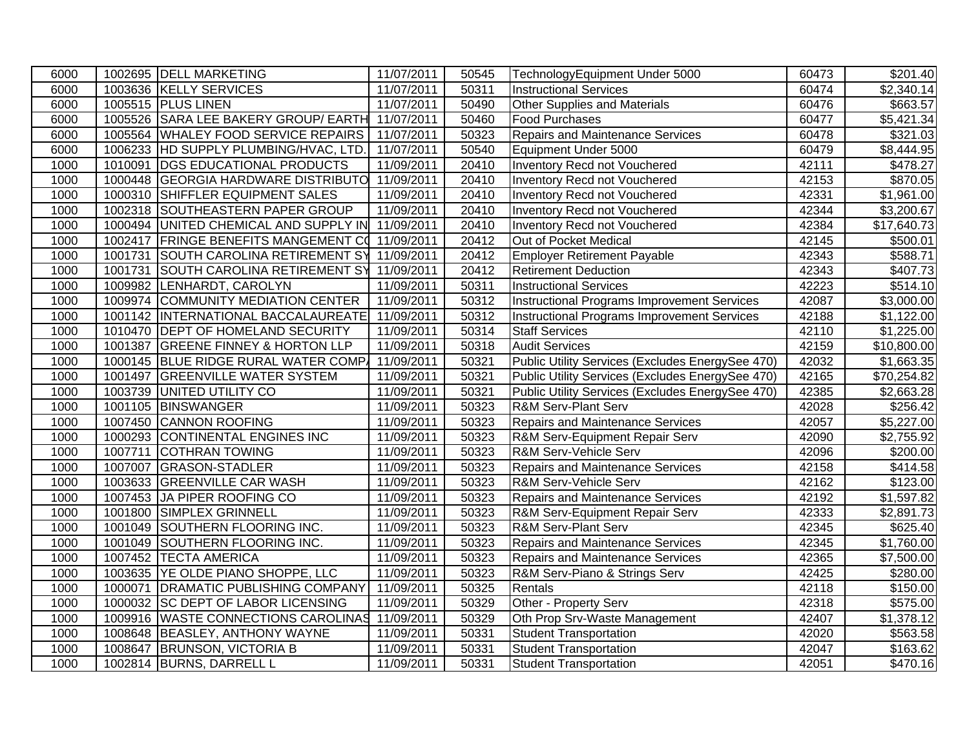| 6000 |         | 1002695 DELL MARKETING                  | 11/07/2011 | 50545 | TechnologyEquipment Under 5000                   | 60473 | \$201.40               |
|------|---------|-----------------------------------------|------------|-------|--------------------------------------------------|-------|------------------------|
| 6000 |         | 1003636 KELLY SERVICES                  | 11/07/2011 | 50311 | <b>Instructional Services</b>                    | 60474 | $\overline{$2,340.14}$ |
| 6000 |         | 1005515 PLUS LINEN                      | 11/07/2011 | 50490 | Other Supplies and Materials                     | 60476 | \$663.57               |
| 6000 |         | 1005526 SARA LEE BAKERY GROUP/ EARTH    | 11/07/2011 | 50460 | <b>Food Purchases</b>                            | 60477 | $\overline{$5,421.34}$ |
| 6000 |         | 1005564 WHALEY FOOD SERVICE REPAIRS     | 11/07/2011 | 50323 | Repairs and Maintenance Services                 | 60478 | \$321.03               |
| 6000 |         | 1006233 HD SUPPLY PLUMBING/HVAC, LTD.   | 11/07/2011 | 50540 | Equipment Under 5000                             | 60479 | \$8,444.95             |
| 1000 | 1010091 | <b>DGS EDUCATIONAL PRODUCTS</b>         | 11/09/2011 | 20410 | Inventory Recd not Vouchered                     | 42111 | \$478.27               |
| 1000 |         | 1000448 GEORGIA HARDWARE DISTRIBUTO     | 11/09/2011 | 20410 | Inventory Recd not Vouchered                     | 42153 | \$870.05               |
| 1000 |         | 1000310 SHIFFLER EQUIPMENT SALES        | 11/09/2011 | 20410 | Inventory Recd not Vouchered                     | 42331 | \$1,961.00             |
| 1000 |         | 1002318 SOUTHEASTERN PAPER GROUP        | 11/09/2011 | 20410 | <b>Inventory Recd not Vouchered</b>              | 42344 | \$3,200.67             |
| 1000 |         | 1000494 UNITED CHEMICAL AND SUPPLY IN   | 11/09/2011 | 20410 | Inventory Recd not Vouchered                     | 42384 | \$17,640.73            |
| 1000 | 1002417 | FRINGE BENEFITS MANGEMENT CO 11/09/2011 |            | 20412 | Out of Pocket Medical                            | 42145 | \$500.01               |
| 1000 |         | 1001731 SOUTH CAROLINA RETIREMENT SY    | 11/09/2011 | 20412 | <b>Employer Retirement Payable</b>               | 42343 | \$588.71               |
| 1000 |         | 1001731 SOUTH CAROLINA RETIREMENT SY    | 11/09/2011 | 20412 | <b>Retirement Deduction</b>                      | 42343 | \$407.73               |
| 1000 |         | 1009982 LENHARDT, CAROLYN               | 11/09/2011 | 50311 | <b>Instructional Services</b>                    | 42223 | \$514.10               |
| 1000 |         | 1009974 COMMUNITY MEDIATION CENTER      | 11/09/2011 | 50312 | Instructional Programs Improvement Services      | 42087 | \$3,000.00             |
| 1000 |         | 1001142  INTERNATIONAL BACCALAUREATE    | 11/09/2011 | 50312 | Instructional Programs Improvement Services      | 42188 | \$1,122.00             |
| 1000 |         | 1010470 DEPT OF HOMELAND SECURITY       | 11/09/2011 | 50314 | <b>Staff Services</b>                            | 42110 | \$1,225.00             |
| 1000 | 1001387 | <b>GREENE FINNEY &amp; HORTON LLP</b>   | 11/09/2011 | 50318 | <b>Audit Services</b>                            | 42159 | \$10,800.00            |
| 1000 | 1000145 | BLUE RIDGE RURAL WATER COMP.            | 11/09/2011 | 50321 | Public Utility Services (Excludes EnergySee 470) | 42032 | \$1,663.35             |
| 1000 | 1001497 | <b>GREENVILLE WATER SYSTEM</b>          | 11/09/2011 | 50321 | Public Utility Services (Excludes EnergySee 470) | 42165 | \$70,254.82            |
| 1000 | 1003739 | UNITED UTILITY CO                       | 11/09/2011 | 50321 | Public Utility Services (Excludes EnergySee 470) | 42385 | \$2,663.28             |
| 1000 | 1001105 | <b>BINSWANGER</b>                       | 11/09/2011 | 50323 | <b>R&amp;M Serv-Plant Serv</b>                   | 42028 | \$256.42               |
| 1000 |         | 1007450 CANNON ROOFING                  | 11/09/2011 | 50323 | <b>Repairs and Maintenance Services</b>          | 42057 | \$5,227.00             |
| 1000 |         | 1000293 CONTINENTAL ENGINES INC         | 11/09/2011 | 50323 | R&M Serv-Equipment Repair Serv                   | 42090 | \$2,755.92             |
| 1000 | 1007711 | <b>COTHRAN TOWING</b>                   | 11/09/2011 | 50323 | R&M Serv-Vehicle Serv                            | 42096 | \$200.00               |
| 1000 | 1007007 | <b>GRASON-STADLER</b>                   | 11/09/2011 | 50323 | Repairs and Maintenance Services                 | 42158 | $\sqrt{3414.58}$       |
| 1000 |         | 1003633 GREENVILLE CAR WASH             | 11/09/2011 | 50323 | R&M Serv-Vehicle Serv                            | 42162 | \$123.00               |
| 1000 |         | 1007453 JA PIPER ROOFING CO             | 11/09/2011 | 50323 | <b>Repairs and Maintenance Services</b>          | 42192 | \$1,597.82             |
| 1000 |         | 1001800 SIMPLEX GRINNELL                | 11/09/2011 | 50323 | R&M Serv-Equipment Repair Serv                   | 42333 | $\overline{$2,891.73}$ |
| 1000 |         | 1001049 SOUTHERN FLOORING INC.          | 11/09/2011 | 50323 | <b>R&amp;M Serv-Plant Serv</b>                   | 42345 | \$625.40               |
| 1000 |         | 1001049 SOUTHERN FLOORING INC.          | 11/09/2011 | 50323 | Repairs and Maintenance Services                 | 42345 | \$1,760.00             |
| 1000 |         | 1007452 TECTA AMERICA                   | 11/09/2011 | 50323 | <b>Repairs and Maintenance Services</b>          | 42365 | $\overline{$}7,500.00$ |
| 1000 |         | 1003635 YE OLDE PIANO SHOPPE, LLC       | 11/09/2011 | 50323 | R&M Serv-Piano & Strings Serv                    | 42425 | \$280.00               |
| 1000 | 1000071 | DRAMATIC PUBLISHING COMPANY             | 11/09/2011 | 50325 | Rentals                                          | 42118 | \$150.00               |
| 1000 |         | 1000032 SC DEPT OF LABOR LICENSING      | 11/09/2011 | 50329 | Other - Property Serv                            | 42318 | \$575.00               |
| 1000 |         | 1009916 WASTE CONNECTIONS CAROLINAS     | 11/09/2011 | 50329 | Oth Prop Srv-Waste Management                    | 42407 | \$1,378.12             |
| 1000 |         | 1008648 BEASLEY, ANTHONY WAYNE          | 11/09/2011 | 50331 | <b>Student Transportation</b>                    | 42020 | \$563.58               |
| 1000 |         | 1008647 BRUNSON, VICTORIA B             | 11/09/2011 | 50331 | <b>Student Transportation</b>                    | 42047 | \$163.62               |
| 1000 |         | 1002814 BURNS, DARRELL L                | 11/09/2011 | 50331 | <b>Student Transportation</b>                    | 42051 | \$470.16               |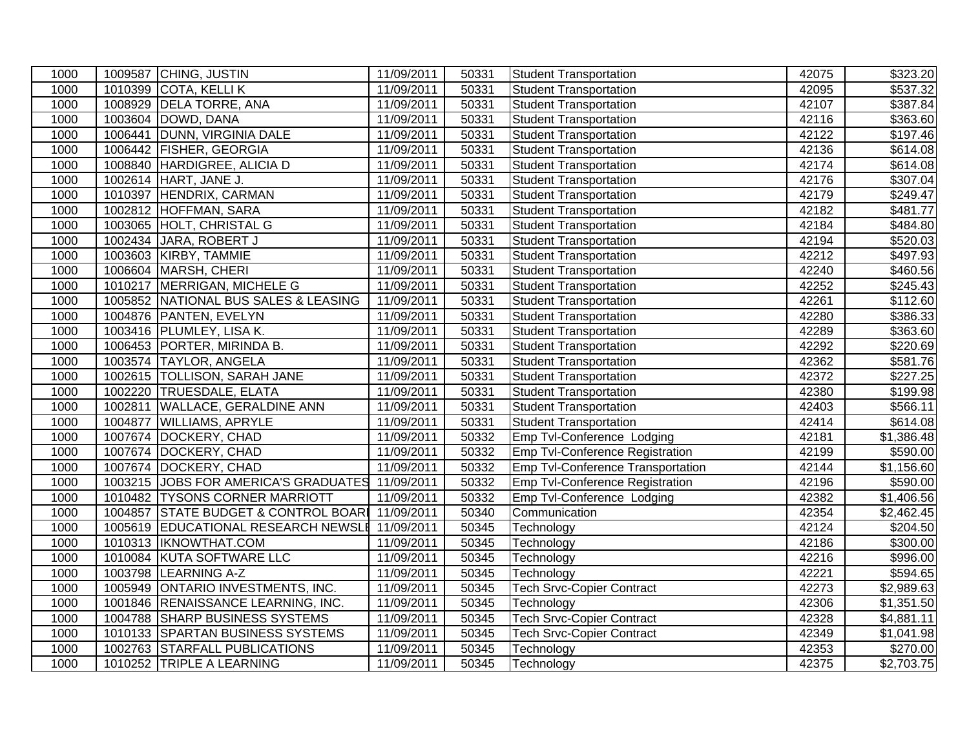| 1000 |         | 1009587 CHING, JUSTIN                | 11/09/2011 | 50331 | <b>Student Transportation</b>     | 42075 | \$323.20               |
|------|---------|--------------------------------------|------------|-------|-----------------------------------|-------|------------------------|
| 1000 |         | 1010399 COTA, KELLI K                | 11/09/2011 | 50331 | <b>Student Transportation</b>     | 42095 | \$537.32               |
| 1000 |         | 1008929 DELA TORRE, ANA              | 11/09/2011 | 50331 | <b>Student Transportation</b>     | 42107 | \$387.84               |
| 1000 |         | 1003604 DOWD, DANA                   | 11/09/2011 | 50331 | <b>Student Transportation</b>     | 42116 | \$363.60               |
| 1000 | 1006441 | DUNN, VIRGINIA DALE                  | 11/09/2011 | 50331 | <b>Student Transportation</b>     | 42122 | \$197.46               |
| 1000 | 1006442 | <b>FISHER, GEORGIA</b>               | 11/09/2011 | 50331 | <b>Student Transportation</b>     | 42136 | \$614.08               |
| 1000 | 1008840 | HARDIGREE, ALICIA D                  | 11/09/2011 | 50331 | <b>Student Transportation</b>     | 42174 | \$614.08               |
| 1000 |         | 1002614 HART, JANE J.                | 11/09/2011 | 50331 | <b>Student Transportation</b>     | 42176 | $\overline{$}307.04$   |
| 1000 | 1010397 | HENDRIX, CARMAN                      | 11/09/2011 | 50331 | <b>Student Transportation</b>     | 42179 | \$249.47               |
| 1000 | 1002812 | HOFFMAN, SARA                        | 11/09/2011 | 50331 | <b>Student Transportation</b>     | 42182 | \$481.77               |
| 1000 |         | 1003065 HOLT, CHRISTAL G             | 11/09/2011 | 50331 | <b>Student Transportation</b>     | 42184 | \$484.80               |
| 1000 |         | 1002434 JARA, ROBERT J               | 11/09/2011 | 50331 | <b>Student Transportation</b>     | 42194 | $\overline{$}520.03$   |
| 1000 |         | 1003603 KIRBY, TAMMIE                | 11/09/2011 | 50331 | <b>Student Transportation</b>     | 42212 | \$497.93               |
| 1000 |         | 1006604 MARSH, CHERI                 | 11/09/2011 | 50331 | <b>Student Transportation</b>     | 42240 | \$460.56               |
| 1000 | 1010217 | MERRIGAN, MICHELE G                  | 11/09/2011 | 50331 | Student Transportation            | 42252 | \$245.43               |
| 1000 |         | 1005852 NATIONAL BUS SALES & LEASING | 11/09/2011 | 50331 | <b>Student Transportation</b>     | 42261 | \$112.60               |
| 1000 | 1004876 | PANTEN, EVELYN                       | 11/09/2011 | 50331 | <b>Student Transportation</b>     | 42280 | \$386.33               |
| 1000 |         | 1003416 PLUMLEY, LISA K.             | 11/09/2011 | 50331 | <b>Student Transportation</b>     | 42289 | \$363.60               |
| 1000 |         | 1006453 PORTER, MIRINDA B.           | 11/09/2011 | 50331 | <b>Student Transportation</b>     | 42292 | \$220.69               |
| 1000 |         | 1003574 TAYLOR, ANGELA               | 11/09/2011 | 50331 | <b>Student Transportation</b>     | 42362 | \$581.76               |
| 1000 | 1002615 | <b>TOLLISON, SARAH JANE</b>          | 11/09/2011 | 50331 | <b>Student Transportation</b>     | 42372 | \$227.25               |
| 1000 |         | 1002220 TRUESDALE, ELATA             | 11/09/2011 | 50331 | Student Transportation            | 42380 | \$199.98               |
| 1000 | 1002811 | <b>WALLACE, GERALDINE ANN</b>        | 11/09/2011 | 50331 | <b>Student Transportation</b>     | 42403 | $\overline{$}566.11$   |
| 1000 | 1004877 | <b>WILLIAMS, APRYLE</b>              | 11/09/2011 | 50331 | <b>Student Transportation</b>     | 42414 | \$614.08               |
| 1000 | 1007674 | DOCKERY, CHAD                        | 11/09/2011 | 50332 | Emp Tvl-Conference Lodging        | 42181 | \$1,386.48             |
| 1000 |         | 1007674 DOCKERY, CHAD                | 11/09/2011 | 50332 | Emp Tvl-Conference Registration   | 42199 | \$590.00               |
| 1000 |         | 1007674 DOCKERY, CHAD                | 11/09/2011 | 50332 | Emp Tvl-Conference Transportation | 42144 | \$1,156.60             |
| 1000 |         | 1003215 JOBS FOR AMERICA'S GRADUATES | 11/09/2011 | 50332 | Emp Tvl-Conference Registration   | 42196 | \$590.00               |
| 1000 |         | 1010482 TYSONS CORNER MARRIOTT       | 11/09/2011 | 50332 | Emp Tvl-Conference Lodging        | 42382 | \$1,406.56             |
| 1000 | 1004857 | STATE BUDGET & CONTROL BOAR          | 11/09/2011 | 50340 | Communication                     | 42354 | $\overline{$2,462.45}$ |
| 1000 |         | 1005619 EDUCATIONAL RESEARCH NEWSLE  | 11/09/2011 | 50345 | Technology                        | 42124 | $\overline{$}204.50$   |
| 1000 |         | 1010313 IKNOWTHAT.COM                | 11/09/2011 | 50345 | Technology                        | 42186 | \$300.00               |
| 1000 |         | 1010084 KUTA SOFTWARE LLC            | 11/09/2011 | 50345 | Technology                        | 42216 | \$996.00               |
| 1000 |         | 1003798 LEARNING A-Z                 | 11/09/2011 | 50345 | Technology                        | 42221 | \$594.65               |
| 1000 |         | 1005949 ONTARIO INVESTMENTS, INC.    | 11/09/2011 | 50345 | <b>Tech Srvc-Copier Contract</b>  | 42273 | \$2,989.63             |
| 1000 |         | 1001846 RENAISSANCE LEARNING, INC.   | 11/09/2011 | 50345 | Technology                        | 42306 | \$1,351.50             |
| 1000 | 1004788 | <b>SHARP BUSINESS SYSTEMS</b>        | 11/09/2011 | 50345 | <b>Tech Srvc-Copier Contract</b>  | 42328 | \$4,881.11             |
| 1000 |         | 1010133 SPARTAN BUSINESS SYSTEMS     | 11/09/2011 | 50345 | <b>Tech Srvc-Copier Contract</b>  | 42349 | \$1,041.98             |
| 1000 |         | 1002763 STARFALL PUBLICATIONS        | 11/09/2011 | 50345 | Technology                        | 42353 | \$270.00               |
| 1000 |         | 1010252 TRIPLE A LEARNING            | 11/09/2011 | 50345 | Technology                        | 42375 | \$2,703.75             |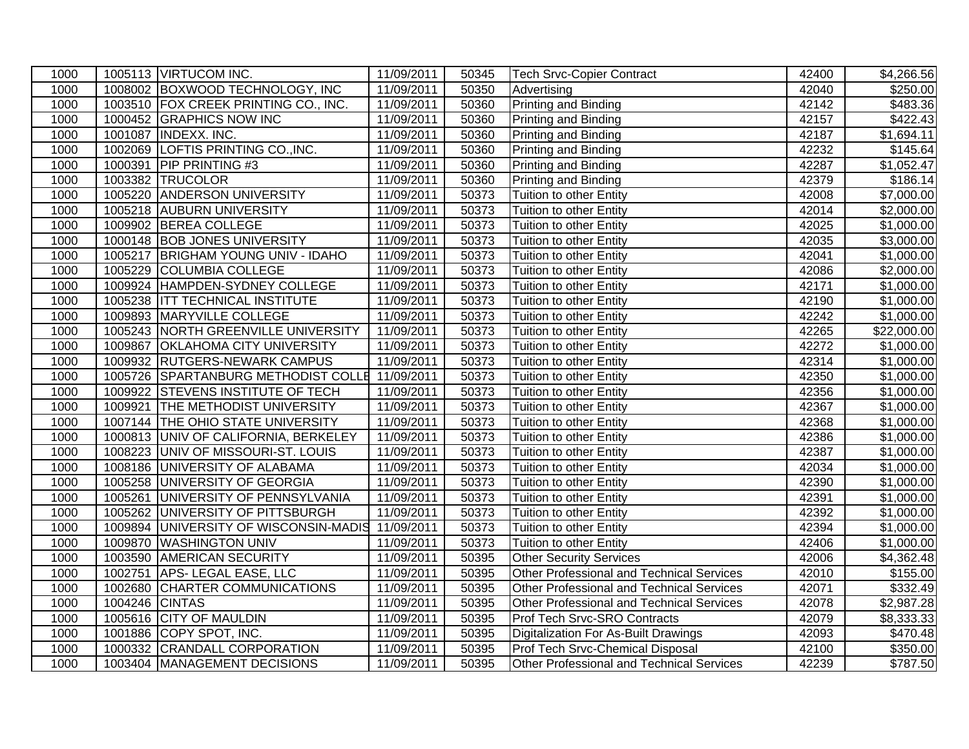| 1000 |                | 1005113 VIRTUCOM INC.                            | 11/09/2011 | 50345 | <b>Tech Srvc-Copier Contract</b>          | 42400 | \$4,266.56           |
|------|----------------|--------------------------------------------------|------------|-------|-------------------------------------------|-------|----------------------|
| 1000 |                | 1008002 BOXWOOD TECHNOLOGY, INC                  | 11/09/2011 | 50350 | Advertising                               | 42040 | $\overline{$}250.00$ |
| 1000 |                | 1003510 FOX CREEK PRINTING CO., INC.             | 11/09/2011 | 50360 | <b>Printing and Binding</b>               | 42142 | \$483.36             |
| 1000 |                | 1000452 GRAPHICS NOW INC                         | 11/09/2011 | 50360 | <b>Printing and Binding</b>               | 42157 | \$422.43             |
| 1000 |                | 1001087 INDEXX. INC.                             | 11/09/2011 | 50360 | Printing and Binding                      | 42187 | \$1,694.11           |
| 1000 |                | 1002069 LOFTIS PRINTING CO., INC.                | 11/09/2011 | 50360 | Printing and Binding                      | 42232 | $\overline{$}145.64$ |
| 1000 |                | 1000391 PIP PRINTING #3                          | 11/09/2011 | 50360 | Printing and Binding                      | 42287 | \$1,052.47           |
| 1000 |                | 1003382 TRUCOLOR                                 | 11/09/2011 | 50360 | <b>Printing and Binding</b>               | 42379 | \$186.14             |
| 1000 |                | 1005220 ANDERSON UNIVERSITY                      | 11/09/2011 | 50373 | Tuition to other Entity                   | 42008 | \$7,000.00           |
| 1000 |                | 1005218 AUBURN UNIVERSITY                        | 11/09/2011 | 50373 | Tuition to other Entity                   | 42014 | \$2,000.00           |
| 1000 |                | 1009902 BEREA COLLEGE                            | 11/09/2011 | 50373 | Tuition to other Entity                   | 42025 | \$1,000.00           |
| 1000 |                | 1000148 BOB JONES UNIVERSITY                     | 11/09/2011 | 50373 | Tuition to other Entity                   | 42035 | \$3,000.00           |
| 1000 |                | 1005217 BRIGHAM YOUNG UNIV - IDAHO               | 11/09/2011 | 50373 | Tuition to other Entity                   | 42041 | \$1,000.00           |
| 1000 |                | 1005229 COLUMBIA COLLEGE                         | 11/09/2011 | 50373 | Tuition to other Entity                   | 42086 | \$2,000.00           |
| 1000 |                | 1009924 HAMPDEN-SYDNEY COLLEGE                   | 11/09/2011 | 50373 | Tuition to other Entity                   | 42171 | \$1,000.00           |
| 1000 |                | 1005238 ITT TECHNICAL INSTITUTE                  | 11/09/2011 | 50373 | Tuition to other Entity                   | 42190 | \$1,000.00           |
| 1000 |                | 1009893 MARYVILLE COLLEGE                        | 11/09/2011 | 50373 | Tuition to other Entity                   | 42242 | \$1,000.00           |
| 1000 |                | 1005243 NORTH GREENVILLE UNIVERSITY              | 11/09/2011 | 50373 | Tuition to other Entity                   | 42265 | \$22,000.00          |
| 1000 |                | 1009867 OKLAHOMA CITY UNIVERSITY                 | 11/09/2011 | 50373 | Tuition to other Entity                   | 42272 | \$1,000.00           |
| 1000 |                | 1009932 RUTGERS-NEWARK CAMPUS                    | 11/09/2011 | 50373 | Tuition to other Entity                   | 42314 | \$1,000.00           |
| 1000 |                | 1005726 SPARTANBURG METHODIST COLLE 11/09/2011   |            | 50373 | Tuition to other Entity                   | 42350 | \$1,000.00           |
| 1000 |                | 1009922 STEVENS INSTITUTE OF TECH                | 11/09/2011 | 50373 | Tuition to other Entity                   | 42356 | \$1,000.00           |
| 1000 |                | 1009921 THE METHODIST UNIVERSITY                 | 11/09/2011 | 50373 | Tuition to other Entity                   | 42367 | \$1,000.00           |
| 1000 |                | 1007144 THE OHIO STATE UNIVERSITY                | 11/09/2011 | 50373 | Tuition to other Entity                   | 42368 | \$1,000.00           |
| 1000 |                | 1000813 UNIV OF CALIFORNIA, BERKELEY             | 11/09/2011 | 50373 | Tuition to other Entity                   | 42386 | \$1,000.00           |
| 1000 |                | 1008223 UNIV OF MISSOURI-ST. LOUIS               | 11/09/2011 | 50373 | Tuition to other Entity                   | 42387 | \$1,000.00           |
| 1000 |                | 1008186 UNIVERSITY OF ALABAMA                    | 11/09/2011 | 50373 | Tuition to other Entity                   | 42034 | \$1,000.00           |
| 1000 |                | 1005258 UNIVERSITY OF GEORGIA                    | 11/09/2011 | 50373 | Tuition to other Entity                   | 42390 | \$1,000.00           |
| 1000 |                | 1005261 UNIVERSITY OF PENNSYLVANIA               | 11/09/2011 | 50373 | Tuition to other Entity                   | 42391 | \$1,000.00           |
| 1000 |                | 1005262 UNIVERSITY OF PITTSBURGH                 | 11/09/2011 | 50373 | Tuition to other Entity                   | 42392 | \$1,000.00           |
| 1000 |                | 1009894 UNIVERSITY OF WISCONSIN-MADIS 11/09/2011 |            | 50373 | Tuition to other Entity                   | 42394 | \$1,000.00           |
| 1000 |                | 1009870 WASHINGTON UNIV                          | 11/09/2011 | 50373 | Tuition to other Entity                   | 42406 | \$1,000.00           |
| 1000 |                | 1003590 AMERICAN SECURITY                        | 11/09/2011 | 50395 | <b>Other Security Services</b>            | 42006 | \$4,362.48           |
| 1000 |                | 1002751 APS-LEGAL EASE, LLC                      | 11/09/2011 | 50395 | Other Professional and Technical Services | 42010 | \$155.00             |
| 1000 |                | 1002680 CHARTER COMMUNICATIONS                   | 11/09/2011 | 50395 | Other Professional and Technical Services | 42071 | \$332.49             |
| 1000 | 1004246 CINTAS |                                                  | 11/09/2011 | 50395 | Other Professional and Technical Services | 42078 | \$2,987.28           |
| 1000 |                | 1005616 CITY OF MAULDIN                          | 11/09/2011 | 50395 | Prof Tech Srvc-SRO Contracts              | 42079 | \$8,333.33           |
| 1000 |                | 1001886 COPY SPOT, INC.                          | 11/09/2011 | 50395 | Digitalization For As-Built Drawings      | 42093 | \$470.48             |
| 1000 |                | 1000332 CRANDALL CORPORATION                     | 11/09/2011 | 50395 | Prof Tech Srvc-Chemical Disposal          | 42100 | \$350.00             |
| 1000 |                | 1003404 MANAGEMENT DECISIONS                     | 11/09/2011 | 50395 | Other Professional and Technical Services | 42239 | \$787.50             |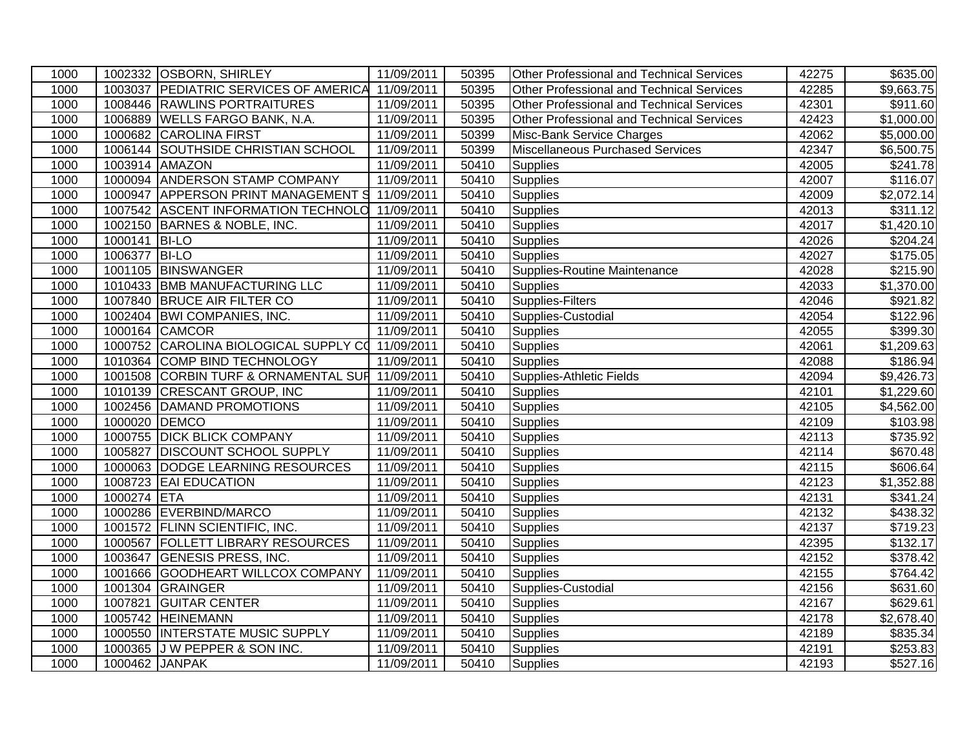| 1000 |                | 1002332 OSBORN, SHIRLEY                          | 11/09/2011 | 50395 | <b>Other Professional and Technical Services</b> | 42275 | \$635.00   |
|------|----------------|--------------------------------------------------|------------|-------|--------------------------------------------------|-------|------------|
| 1000 |                | 1003037 PEDIATRIC SERVICES OF AMERICA 11/09/2011 |            | 50395 | <b>Other Professional and Technical Services</b> | 42285 | \$9,663.75 |
| 1000 |                | 1008446 RAWLINS PORTRAITURES                     | 11/09/2011 | 50395 | <b>Other Professional and Technical Services</b> | 42301 | \$911.60   |
| 1000 |                | 1006889 WELLS FARGO BANK, N.A.                   | 11/09/2011 | 50395 | <b>Other Professional and Technical Services</b> | 42423 | \$1,000.00 |
| 1000 |                | 1000682 CAROLINA FIRST                           | 11/09/2011 | 50399 | Misc-Bank Service Charges                        | 42062 | \$5,000.00 |
| 1000 |                | 1006144 SOUTHSIDE CHRISTIAN SCHOOL               | 11/09/2011 | 50399 | Miscellaneous Purchased Services                 | 42347 | \$6,500.75 |
| 1000 |                | 1003914 AMAZON                                   | 11/09/2011 | 50410 | <b>Supplies</b>                                  | 42005 | \$241.78   |
| 1000 |                | 1000094 ANDERSON STAMP COMPANY                   | 11/09/2011 | 50410 | Supplies                                         | 42007 | \$116.07   |
| 1000 |                | 1000947 APPERSON PRINT MANAGEMENT S 11/09/2011   |            | 50410 | <b>Supplies</b>                                  | 42009 | \$2,072.14 |
| 1000 |                | 1007542 ASCENT INFORMATION TECHNOLO 11/09/2011   |            | 50410 | <b>Supplies</b>                                  | 42013 | \$311.12   |
| 1000 |                | 1002150 BARNES & NOBLE, INC.                     | 11/09/2011 | 50410 | Supplies                                         | 42017 | \$1,420.10 |
| 1000 | 1000141 BI-LO  |                                                  | 11/09/2011 | 50410 | Supplies                                         | 42026 | \$204.24   |
| 1000 | 1006377        | <b>BI-LO</b>                                     | 11/09/2011 | 50410 | Supplies                                         | 42027 | \$175.05   |
| 1000 |                | 1001105 BINSWANGER                               | 11/09/2011 | 50410 | Supplies-Routine Maintenance                     | 42028 | \$215.90   |
| 1000 |                | 1010433 BMB MANUFACTURING LLC                    | 11/09/2011 | 50410 | <b>Supplies</b>                                  | 42033 | \$1,370.00 |
| 1000 |                | 1007840 BRUCE AIR FILTER CO                      | 11/09/2011 | 50410 | Supplies-Filters                                 | 42046 | \$921.82   |
| 1000 |                | 1002404 BWI COMPANIES, INC.                      | 11/09/2011 | 50410 | Supplies-Custodial                               | 42054 | \$122.96   |
| 1000 |                | 1000164 CAMCOR                                   | 11/09/2011 | 50410 | <b>Supplies</b>                                  | 42055 | \$399.30   |
| 1000 |                | 1000752 CAROLINA BIOLOGICAL SUPPLY CO 11/09/2011 |            | 50410 | Supplies                                         | 42061 | \$1,209.63 |
| 1000 |                | 1010364 COMP BIND TECHNOLOGY                     | 11/09/2011 | 50410 | <b>Supplies</b>                                  | 42088 | \$186.94   |
| 1000 | 1001508        | CORBIN TURF & ORNAMENTAL SUF 11/09/2011          |            | 50410 | Supplies-Athletic Fields                         | 42094 | \$9,426.73 |
| 1000 | 1010139        | <b>CRESCANT GROUP, INC</b>                       | 11/09/2011 | 50410 | <b>Supplies</b>                                  | 42101 | \$1,229.60 |
| 1000 |                | 1002456 DAMAND PROMOTIONS                        | 11/09/2011 | 50410 | Supplies                                         | 42105 | \$4,562.00 |
| 1000 | 1000020 DEMCO  |                                                  | 11/09/2011 | 50410 | <b>Supplies</b>                                  | 42109 | \$103.98   |
| 1000 |                | 1000755 DICK BLICK COMPANY                       | 11/09/2011 | 50410 | Supplies                                         | 42113 | \$735.92   |
| 1000 |                | 1005827 DISCOUNT SCHOOL SUPPLY                   | 11/09/2011 | 50410 | Supplies                                         | 42114 | \$670.48   |
| 1000 |                | 1000063 DODGE LEARNING RESOURCES                 | 11/09/2011 | 50410 | Supplies                                         | 42115 | \$606.64   |
| 1000 |                | 1008723 EAI EDUCATION                            | 11/09/2011 | 50410 | Supplies                                         | 42123 | \$1,352.88 |
| 1000 | 1000274        | <b>ETA</b>                                       | 11/09/2011 | 50410 | <b>Supplies</b>                                  | 42131 | \$341.24   |
| 1000 |                | 1000286 EVERBIND/MARCO                           | 11/09/2011 | 50410 | <b>Supplies</b>                                  | 42132 | \$438.32   |
| 1000 |                | 1001572 FLINN SCIENTIFIC, INC.                   | 11/09/2011 | 50410 | Supplies                                         | 42137 | \$719.23   |
| 1000 |                | 1000567 FOLLETT LIBRARY RESOURCES                | 11/09/2011 | 50410 | Supplies                                         | 42395 | \$132.17   |
| 1000 |                | 1003647 GENESIS PRESS, INC.                      | 11/09/2011 | 50410 | <b>Supplies</b>                                  | 42152 | \$378.42   |
| 1000 |                | 1001666 GOODHEART WILLCOX COMPANY                | 11/09/2011 | 50410 | <b>Supplies</b>                                  | 42155 | \$764.42   |
| 1000 |                | 1001304 GRAINGER                                 | 11/09/2011 | 50410 | Supplies-Custodial                               | 42156 | \$631.60   |
| 1000 | 1007821        | <b>GUITAR CENTER</b>                             | 11/09/2011 | 50410 | <b>Supplies</b>                                  | 42167 | \$629.61   |
| 1000 |                | 1005742 HEINEMANN                                | 11/09/2011 | 50410 | <b>Supplies</b>                                  | 42178 | \$2,678.40 |
| 1000 |                | 1000550 INTERSTATE MUSIC SUPPLY                  | 11/09/2011 | 50410 | <b>Supplies</b>                                  | 42189 | \$835.34   |
| 1000 |                | 1000365 J W PEPPER & SON INC.                    | 11/09/2011 | 50410 | <b>Supplies</b>                                  | 42191 | \$253.83   |
| 1000 | 1000462 JANPAK |                                                  | 11/09/2011 | 50410 | Supplies                                         | 42193 | \$527.16   |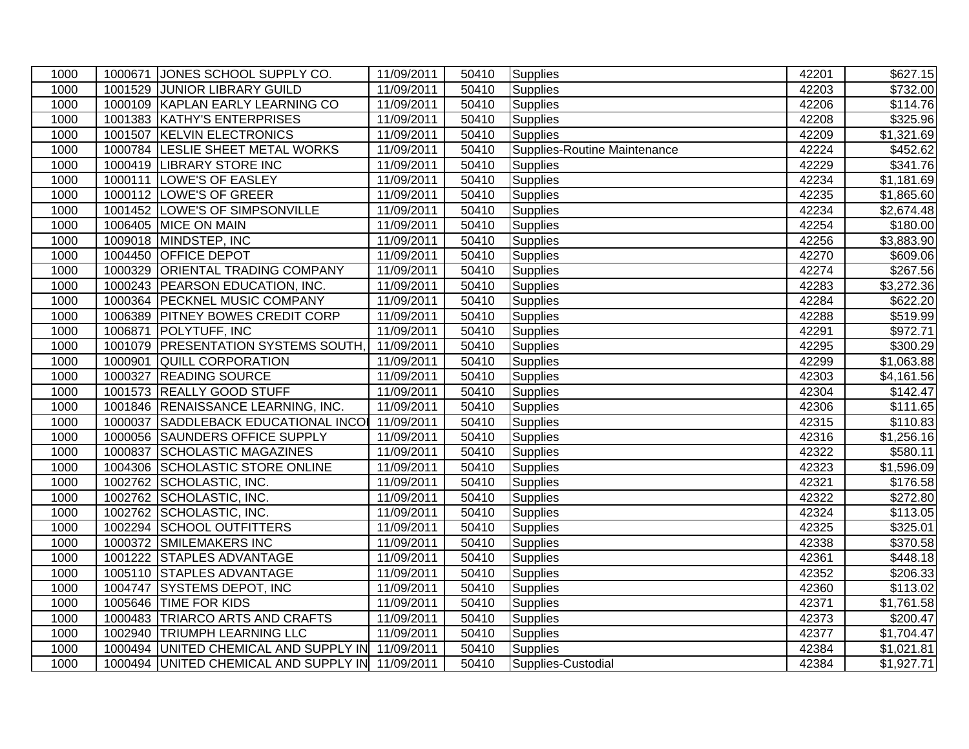| 1000 |         | 1000671 JONES SCHOOL SUPPLY CO.                  | 11/09/2011 | 50410 | Supplies                     | 42201 | \$627.15                |
|------|---------|--------------------------------------------------|------------|-------|------------------------------|-------|-------------------------|
| 1000 | 1001529 | <b>JUNIOR LIBRARY GUILD</b>                      | 11/09/2011 | 50410 | <b>Supplies</b>              | 42203 | \$732.00                |
| 1000 |         | 1000109 KAPLAN EARLY LEARNING CO                 | 11/09/2011 | 50410 | Supplies                     | 42206 | \$114.76                |
| 1000 |         | 1001383 KATHY'S ENTERPRISES                      | 11/09/2011 | 50410 | Supplies                     | 42208 | \$325.96                |
| 1000 |         | 1001507 KELVIN ELECTRONICS                       | 11/09/2011 | 50410 | Supplies                     | 42209 | \$1,321.69              |
| 1000 | 1000784 | <b>LESLIE SHEET METAL WORKS</b>                  | 11/09/2011 | 50410 | Supplies-Routine Maintenance | 42224 | \$452.62                |
| 1000 | 1000419 | <b>LIBRARY STORE INC</b>                         | 11/09/2011 | 50410 | <b>Supplies</b>              | 42229 | \$341.76                |
| 1000 |         | 1000111 LOWE'S OF EASLEY                         | 11/09/2011 | 50410 | <b>Supplies</b>              | 42234 | $\overline{$}1,181.69$  |
| 1000 | 1000112 | LOWE'S OF GREER                                  | 11/09/2011 | 50410 | Supplies                     | 42235 | \$1,865.60              |
| 1000 |         | 1001452 LOWE'S OF SIMPSONVILLE                   | 11/09/2011 | 50410 | <b>Supplies</b>              | 42234 | \$2,674.48              |
| 1000 |         | 1006405 MICE ON MAIN                             | 11/09/2011 | 50410 | Supplies                     | 42254 | $\overline{$}180.00$    |
| 1000 |         | 1009018 MINDSTEP, INC                            | 11/09/2011 | 50410 | <b>Supplies</b>              | 42256 | \$3,883.90              |
| 1000 |         | 1004450 OFFICE DEPOT                             | 11/09/2011 | 50410 | <b>Supplies</b>              | 42270 | \$609.06                |
| 1000 | 1000329 | <b>ORIENTAL TRADING COMPANY</b>                  | 11/09/2011 | 50410 | <b>Supplies</b>              | 42274 | \$267.56                |
| 1000 |         | 1000243 PEARSON EDUCATION, INC.                  | 11/09/2011 | 50410 | <b>Supplies</b>              | 42283 | \$3,272.36              |
| 1000 |         | 1000364 PECKNEL MUSIC COMPANY                    | 11/09/2011 | 50410 | <b>Supplies</b>              | 42284 | \$622.20                |
| 1000 |         | 1006389 PITNEY BOWES CREDIT CORP                 | 11/09/2011 | 50410 | <b>Supplies</b>              | 42288 | \$519.99                |
| 1000 | 1006871 | POLYTUFF, INC                                    | 11/09/2011 | 50410 | <b>Supplies</b>              | 42291 | \$972.71                |
| 1000 |         | 1001079 PRESENTATION SYSTEMS SOUTH,              | 11/09/2011 | 50410 | <b>Supplies</b>              | 42295 | \$300.29                |
| 1000 | 1000901 | <b>QUILL CORPORATION</b>                         | 11/09/2011 | 50410 | <b>Supplies</b>              | 42299 | \$1,063.88              |
| 1000 | 1000327 | <b>READING SOURCE</b>                            | 11/09/2011 | 50410 | <b>Supplies</b>              | 42303 | \$4,161.56              |
| 1000 | 1001573 | <b>REALLY GOOD STUFF</b>                         | 11/09/2011 | 50410 | Supplies                     | 42304 | \$142.47                |
| 1000 |         | 1001846 RENAISSANCE LEARNING, INC.               | 11/09/2011 | 50410 | <b>Supplies</b>              | 42306 | \$111.65                |
| 1000 |         | 1000037 SADDLEBACK EDUCATIONAL INCOL             | 11/09/2011 | 50410 | Supplies                     | 42315 | \$110.83                |
| 1000 |         | 1000056 SAUNDERS OFFICE SUPPLY                   | 11/09/2011 | 50410 | Supplies                     | 42316 | \$1,256.16              |
| 1000 |         | 1000837 SCHOLASTIC MAGAZINES                     | 11/09/2011 | 50410 | Supplies                     | 42322 | \$580.11                |
| 1000 |         | 1004306 SCHOLASTIC STORE ONLINE                  | 11/09/2011 | 50410 | Supplies                     | 42323 | $\overline{\$1,596.09}$ |
| 1000 |         | 1002762 SCHOLASTIC, INC.                         | 11/09/2011 | 50410 | Supplies                     | 42321 | \$176.58                |
| 1000 |         | 1002762 SCHOLASTIC, INC.                         | 11/09/2011 | 50410 | <b>Supplies</b>              | 42322 | \$272.80                |
| 1000 |         | 1002762 SCHOLASTIC, INC.                         | 11/09/2011 | 50410 | <b>Supplies</b>              | 42324 | \$113.05                |
| 1000 |         | 1002294 SCHOOL OUTFITTERS                        | 11/09/2011 | 50410 | <b>Supplies</b>              | 42325 | \$325.01                |
| 1000 |         | 1000372 SMILEMAKERS INC                          | 11/09/2011 | 50410 | <b>Supplies</b>              | 42338 | 370.58                  |
| 1000 |         | 1001222 STAPLES ADVANTAGE                        | 11/09/2011 | 50410 | <b>Supplies</b>              | 42361 | \$448.18                |
| 1000 |         | 1005110 STAPLES ADVANTAGE                        | 11/09/2011 | 50410 | Supplies                     | 42352 | \$206.33                |
| 1000 | 1004747 | <b>SYSTEMS DEPOT, INC</b>                        | 11/09/2011 | 50410 | Supplies                     | 42360 | \$113.02                |
| 1000 |         | 1005646 TIME FOR KIDS                            | 11/09/2011 | 50410 | <b>Supplies</b>              | 42371 | \$1,761.58              |
| 1000 |         | 1000483 TRIARCO ARTS AND CRAFTS                  | 11/09/2011 | 50410 | <b>Supplies</b>              | 42373 | \$200.47                |
| 1000 |         | 1002940 TRIUMPH LEARNING LLC                     | 11/09/2011 | 50410 | <b>Supplies</b>              | 42377 | \$1,704.47              |
| 1000 |         | 1000494 UNITED CHEMICAL AND SUPPLY IN 11/09/2011 |            | 50410 | <b>Supplies</b>              | 42384 | \$1,021.81              |
| 1000 |         | 1000494 UNITED CHEMICAL AND SUPPLY IN 11/09/2011 |            | 50410 | Supplies-Custodial           | 42384 | \$1,927.71              |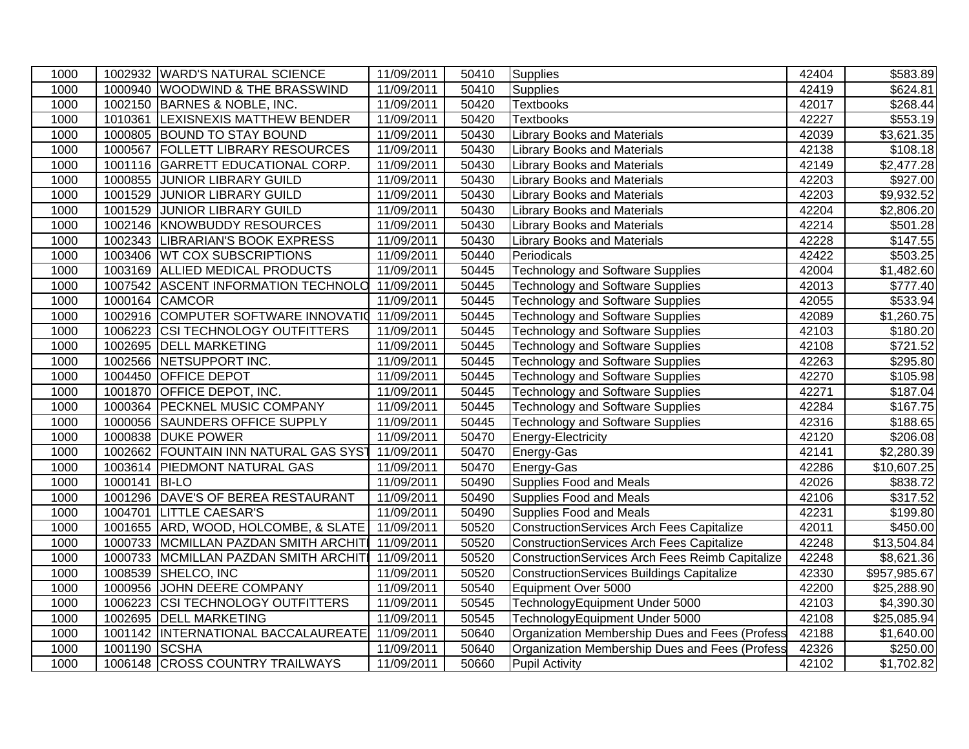| 1000 |               | 1002932 WARD'S NATURAL SCIENCE        | 11/09/2011 | 50410 | Supplies                                         | 42404 | \$583.89     |
|------|---------------|---------------------------------------|------------|-------|--------------------------------------------------|-------|--------------|
| 1000 |               | 1000940 WOODWIND & THE BRASSWIND      | 11/09/2011 | 50410 | <b>Supplies</b>                                  | 42419 | \$624.81     |
| 1000 |               | 1002150 BARNES & NOBLE, INC.          | 11/09/2011 | 50420 | <b>Textbooks</b>                                 | 42017 | \$268.44     |
| 1000 |               | 1010361 LEXISNEXIS MATTHEW BENDER     | 11/09/2011 | 50420 | <b>Textbooks</b>                                 | 42227 | \$553.19     |
| 1000 |               | 1000805 BOUND TO STAY BOUND           | 11/09/2011 | 50430 | <b>Library Books and Materials</b>               | 42039 | \$3,621.35   |
| 1000 | 1000567       | <b>FOLLETT LIBRARY RESOURCES</b>      | 11/09/2011 | 50430 | <b>Library Books and Materials</b>               | 42138 | \$108.18     |
| 1000 | 1001116       | GARRETT EDUCATIONAL CORP.             | 11/09/2011 | 50430 | <b>Library Books and Materials</b>               | 42149 | \$2,477.28   |
| 1000 | 1000855       | <b>JUNIOR LIBRARY GUILD</b>           | 11/09/2011 | 50430 | <b>Library Books and Materials</b>               | 42203 | \$927.00     |
| 1000 | 1001529       | <b>JUNIOR LIBRARY GUILD</b>           | 11/09/2011 | 50430 | <b>Library Books and Materials</b>               | 42203 | \$9,932.52   |
| 1000 |               | 1001529 JUNIOR LIBRARY GUILD          | 11/09/2011 | 50430 | <b>Library Books and Materials</b>               | 42204 | \$2,806.20   |
| 1000 |               | 1002146 KNOWBUDDY RESOURCES           | 11/09/2011 | 50430 | <b>Library Books and Materials</b>               | 42214 | \$501.28     |
| 1000 |               | 1002343 LIBRARIAN'S BOOK EXPRESS      | 11/09/2011 | 50430 | <b>Library Books and Materials</b>               | 42228 | \$147.55     |
| 1000 |               | 1003406 WT COX SUBSCRIPTIONS          | 11/09/2011 | 50440 | Periodicals                                      | 42422 | \$503.25     |
| 1000 |               | 1003169 ALLIED MEDICAL PRODUCTS       | 11/09/2011 | 50445 | <b>Technology and Software Supplies</b>          | 42004 | \$1,482.60   |
| 1000 |               | 1007542 ASCENT INFORMATION TECHNOLO   | 11/09/2011 | 50445 | <b>Technology and Software Supplies</b>          | 42013 | \$777.40     |
| 1000 |               | 1000164 CAMCOR                        | 11/09/2011 | 50445 | <b>Technology and Software Supplies</b>          | 42055 | \$533.94     |
| 1000 |               | 1002916 COMPUTER SOFTWARE INNOVATIO   | 11/09/2011 | 50445 | <b>Technology and Software Supplies</b>          | 42089 | \$1,260.75   |
| 1000 |               | 1006223 CSI TECHNOLOGY OUTFITTERS     | 11/09/2011 | 50445 | <b>Technology and Software Supplies</b>          | 42103 | \$180.20     |
| 1000 |               | 1002695 DELL MARKETING                | 11/09/2011 | 50445 | <b>Technology and Software Supplies</b>          | 42108 | \$721.52     |
| 1000 |               | 1002566 NETSUPPORT INC.               | 11/09/2011 | 50445 | <b>Technology and Software Supplies</b>          | 42263 | \$295.80     |
| 1000 | 1004450       | <b>OFFICE DEPOT</b>                   | 11/09/2011 | 50445 | <b>Technology and Software Supplies</b>          | 42270 | \$105.98     |
| 1000 | 1001870       | <b>OFFICE DEPOT, INC.</b>             | 11/09/2011 | 50445 | <b>Technology and Software Supplies</b>          | 42271 | \$187.04     |
| 1000 | 1000364       | <b>PECKNEL MUSIC COMPANY</b>          | 11/09/2011 | 50445 | <b>Technology and Software Supplies</b>          | 42284 | \$167.75     |
| 1000 | 1000056       | <b>SAUNDERS OFFICE SUPPLY</b>         | 11/09/2011 | 50445 | <b>Technology and Software Supplies</b>          | 42316 | \$188.65     |
| 1000 |               | 1000838 DUKE POWER                    | 11/09/2011 | 50470 | Energy-Electricity                               | 42120 | \$206.08     |
| 1000 |               | 1002662 FOUNTAIN INN NATURAL GAS SYST | 11/09/2011 | 50470 | Energy-Gas                                       | 42141 | \$2,280.39   |
| 1000 |               | 1003614 PIEDMONT NATURAL GAS          | 11/09/2011 | 50470 | Energy-Gas                                       | 42286 | \$10,607.25  |
| 1000 | 1000141 BI-LO |                                       | 11/09/2011 | 50490 | Supplies Food and Meals                          | 42026 | \$838.72     |
| 1000 |               | 1001296 DAVE'S OF BEREA RESTAURANT    | 11/09/2011 | 50490 | <b>Supplies Food and Meals</b>                   | 42106 | \$317.52     |
| 1000 | 1004701       | <b>LITTLE CAESAR'S</b>                | 11/09/2011 | 50490 | <b>Supplies Food and Meals</b>                   | 42231 | \$199.80     |
| 1000 |               | 1001655 ARD, WOOD, HOLCOMBE, & SLATE  | 11/09/2011 | 50520 | <b>ConstructionServices Arch Fees Capitalize</b> | 42011 | \$450.00     |
| 1000 |               | 1000733 MCMILLAN PAZDAN SMITH ARCHIT  | 11/09/2011 | 50520 | <b>ConstructionServices Arch Fees Capitalize</b> | 42248 | \$13,504.84  |
| 1000 |               | 1000733 MCMILLAN PAZDAN SMITH ARCHITI | 11/09/2011 | 50520 | ConstructionServices Arch Fees Reimb Capitalize  | 42248 | \$8,621.36   |
| 1000 | 1008539       | SHELCO, INC                           | 11/09/2011 | 50520 | ConstructionServices Buildings Capitalize        | 42330 | \$957,985.67 |
| 1000 | 1000956       | JOHN DEERE COMPANY                    | 11/09/2011 | 50540 | Equipment Over 5000                              | 42200 | \$25,288.90  |
| 1000 | 1006223       | <b>CSI TECHNOLOGY OUTFITTERS</b>      | 11/09/2011 | 50545 | TechnologyEquipment Under 5000                   | 42103 | \$4,390.30   |
| 1000 | 1002695       | <b>DELL MARKETING</b>                 | 11/09/2011 | 50545 | TechnologyEquipment Under 5000                   | 42108 | \$25,085.94  |
| 1000 |               | 1001142  INTERNATIONAL BACCALAUREATE  | 11/09/2011 | 50640 | Organization Membership Dues and Fees (Profess   | 42188 | \$1,640.00   |
| 1000 | 1001190 SCSHA |                                       | 11/09/2011 | 50640 | Organization Membership Dues and Fees (Profess   | 42326 | \$250.00     |
| 1000 |               | 1006148 CROSS COUNTRY TRAILWAYS       | 11/09/2011 | 50660 | Pupil Activity                                   | 42102 | \$1,702.82   |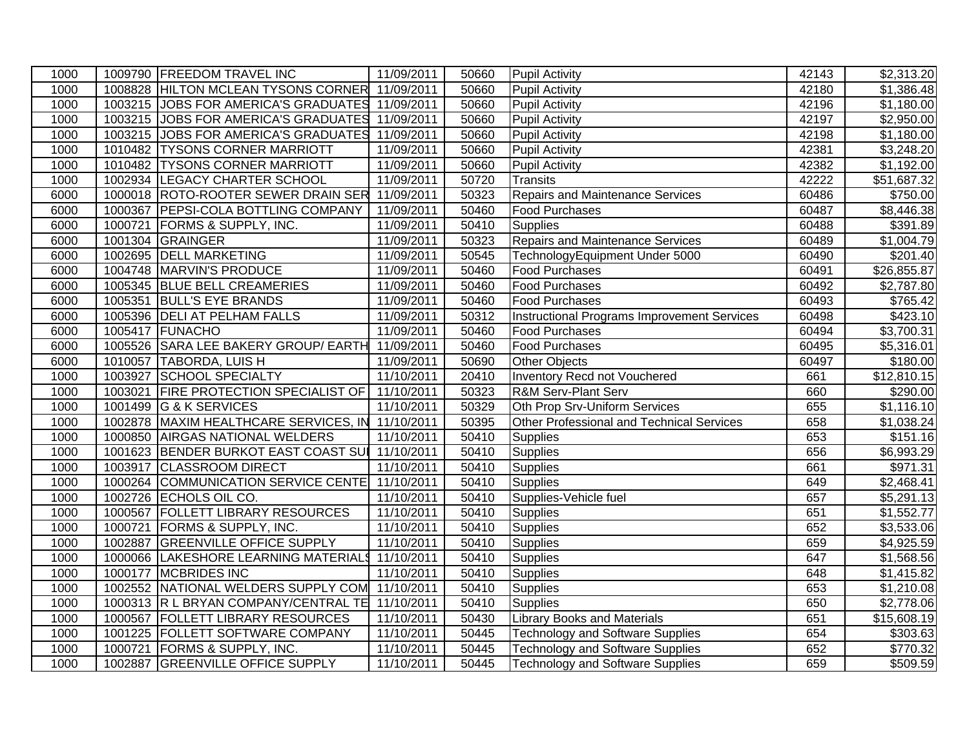| 1000 |         | 1009790 FREEDOM TRAVEL INC                       | 11/09/2011 | 50660 | <b>Pupil Activity</b>                       | 42143 | $\overline{$2,313.20}$  |
|------|---------|--------------------------------------------------|------------|-------|---------------------------------------------|-------|-------------------------|
| 1000 |         | 1008828 HILTON MCLEAN TYSONS CORNER 11/09/2011   |            | 50660 | <b>Pupil Activity</b>                       | 42180 | \$1,386.48              |
| 1000 |         | 1003215 JOBS FOR AMERICA'S GRADUATES 11/09/2011  |            | 50660 | <b>Pupil Activity</b>                       | 42196 | \$1,180.00              |
| 1000 |         | 1003215 JOBS FOR AMERICA'S GRADUATES 11/09/2011  |            | 50660 | Pupil Activity                              | 42197 | \$2,950.00              |
| 1000 |         | 1003215 JOBS FOR AMERICA'S GRADUATES 11/09/2011  |            | 50660 | <b>Pupil Activity</b>                       | 42198 | \$1,180.00              |
| 1000 |         | 1010482 TYSONS CORNER MARRIOTT                   | 11/09/2011 | 50660 | <b>Pupil Activity</b>                       | 42381 | \$3,248.20              |
| 1000 |         | 1010482 TYSONS CORNER MARRIOTT                   | 11/09/2011 | 50660 | Pupil Activity                              | 42382 | \$1,192.00              |
| 1000 |         | 1002934 LEGACY CHARTER SCHOOL                    | 11/09/2011 | 50720 | <b>Transits</b>                             | 42222 | \$51,687.32             |
| 6000 |         | 1000018 ROTO-ROOTER SEWER DRAIN SER 11/09/2011   |            | 50323 | <b>Repairs and Maintenance Services</b>     | 60486 | \$750.00                |
| 6000 |         | 1000367 PEPSI-COLA BOTTLING COMPANY              | 11/09/2011 | 50460 | Food Purchases                              | 60487 | \$8,446.38              |
| 6000 |         | 1000721 FORMS & SUPPLY, INC.                     | 11/09/2011 | 50410 | Supplies                                    | 60488 | \$391.89                |
| 6000 |         | 1001304 GRAINGER                                 | 11/09/2011 | 50323 | <b>Repairs and Maintenance Services</b>     | 60489 | \$1,004.79              |
| 6000 | 1002695 | <b>DELL MARKETING</b>                            | 11/09/2011 | 50545 | TechnologyEquipment Under 5000              | 60490 | $\overline{$}201.40$    |
| 6000 |         | 1004748 MARVIN'S PRODUCE                         | 11/09/2011 | 50460 | <b>Food Purchases</b>                       | 60491 | $\overline{$}26,855.87$ |
| 6000 |         | 1005345 BLUE BELL CREAMERIES                     | 11/09/2011 | 50460 | Food Purchases                              | 60492 | \$2,787.80              |
| 6000 |         | 1005351 BULL'S EYE BRANDS                        | 11/09/2011 | 50460 | <b>Food Purchases</b>                       | 60493 | \$765.42                |
| 6000 |         | 1005396 DELI AT PELHAM FALLS                     | 11/09/2011 | 50312 | Instructional Programs Improvement Services | 60498 | \$423.10                |
| 6000 |         | 1005417 FUNACHO                                  | 11/09/2011 | 50460 | Food Purchases                              | 60494 | \$3,700.31              |
| 6000 |         | 1005526 SARA LEE BAKERY GROUP/ EARTH             | 11/09/2011 | 50460 | <b>Food Purchases</b>                       | 60495 | \$5,316.01              |
| 6000 |         | 1010057 TABORDA, LUIS H                          | 11/09/2011 | 50690 | <b>Other Objects</b>                        | 60497 | $\overline{$}180.00$    |
| 1000 | 1003927 | <b>SCHOOL SPECIALTY</b>                          | 11/10/2011 | 20410 | <b>Inventory Recd not Vouchered</b>         | 661   | \$12,810.15             |
| 1000 | 1003021 | <b>FIRE PROTECTION SPECIALIST OF</b>             | 11/10/2011 | 50323 | <b>R&amp;M Serv-Plant Serv</b>              | 660   | \$290.00                |
| 1000 | 1001499 | G & K SERVICES                                   | 11/10/2011 | 50329 | Oth Prop Srv-Uniform Services               | 655   | \$1,116.10              |
| 1000 |         | 1002878 MAXIM HEALTHCARE SERVICES, IN 11/10/2011 |            | 50395 | Other Professional and Technical Services   | 658   | \$1,038.24              |
| 1000 |         | 1000850 AIRGAS NATIONAL WELDERS                  | 11/10/2011 | 50410 | <b>Supplies</b>                             | 653   | \$151.16                |
| 1000 |         | 1001623 BENDER BURKOT EAST COAST SUI 11/10/2011  |            | 50410 | Supplies                                    | 656   | \$6,993.29              |
| 1000 |         | 1003917 CLASSROOM DIRECT                         | 11/10/2011 | 50410 | Supplies                                    | 661   | \$971.31                |
| 1000 |         | 1000264 COMMUNICATION SERVICE CENTE 11/10/2011   |            | 50410 | <b>Supplies</b>                             | 649   | \$2,468.41              |
| 1000 |         | 1002726 ECHOLS OIL CO.                           | 11/10/2011 | 50410 | Supplies-Vehicle fuel                       | 657   | \$5,291.13              |
| 1000 |         | 1000567 FOLLETT LIBRARY RESOURCES                | 11/10/2011 | 50410 | Supplies                                    | 651   | \$1,552.77              |
| 1000 |         | 1000721 FORMS & SUPPLY, INC.                     | 11/10/2011 | 50410 | Supplies                                    | 652   | \$3,533.06              |
| 1000 | 1002887 | <b>GREENVILLE OFFICE SUPPLY</b>                  | 11/10/2011 | 50410 | <b>Supplies</b>                             | 659   | \$4,925.59              |
| 1000 |         | 1000066 LAKESHORE LEARNING MATERIALS             | 11/10/2011 | 50410 | <b>Supplies</b>                             | 647   | \$1,568.56              |
| 1000 | 1000177 | <b>MCBRIDES INC</b>                              | 11/10/2011 | 50410 | Supplies                                    | 648   | \$1,415.82              |
| 1000 |         | 1002552 NATIONAL WELDERS SUPPLY COM              | 11/10/2011 | 50410 | <b>Supplies</b>                             | 653   | \$1,210.08              |
| 1000 |         | 1000313 R L BRYAN COMPANY/CENTRAL TE 11/10/2011  |            | 50410 | <b>Supplies</b>                             | 650   | \$2,778.06              |
| 1000 | 1000567 | <b>FOLLETT LIBRARY RESOURCES</b>                 | 11/10/2011 | 50430 | <b>Library Books and Materials</b>          | 651   | \$15,608.19             |
| 1000 | 1001225 | <b>FOLLETT SOFTWARE COMPANY</b>                  | 11/10/2011 | 50445 | <b>Technology and Software Supplies</b>     | 654   | \$303.63                |
| 1000 | 1000721 | <b>FORMS &amp; SUPPLY, INC.</b>                  | 11/10/2011 | 50445 | <b>Technology and Software Supplies</b>     | 652   | \$770.32                |
| 1000 |         | 1002887 GREENVILLE OFFICE SUPPLY                 | 11/10/2011 | 50445 | Technology and Software Supplies            | 659   | \$509.59                |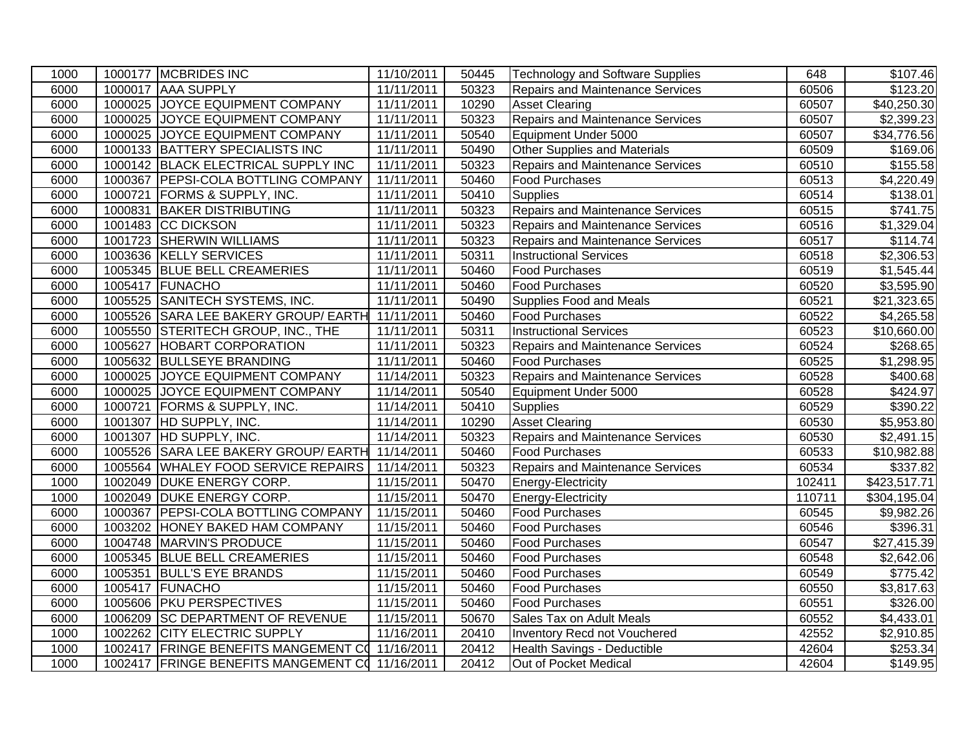| 1000 | 1000177 MCBRIDES INC                            | 11/10/2011 | 50445 | Technology and Software Supplies        | 648    | \$107.46                |
|------|-------------------------------------------------|------------|-------|-----------------------------------------|--------|-------------------------|
| 6000 | 1000017 AAA SUPPLY                              | 11/11/2011 | 50323 | Repairs and Maintenance Services        | 60506  | \$123.20                |
| 6000 | 1000025 JOYCE EQUIPMENT COMPANY                 | 11/11/2011 | 10290 | <b>Asset Clearing</b>                   | 60507  | $\overline{$40,250.30}$ |
| 6000 | 1000025 JOYCE EQUIPMENT COMPANY                 | 11/11/2011 | 50323 | <b>Repairs and Maintenance Services</b> | 60507  | \$2,399.23              |
| 6000 | 1000025 JOYCE EQUIPMENT COMPANY                 | 11/11/2011 | 50540 | Equipment Under 5000                    | 60507  | \$34,776.56             |
| 6000 | 1000133 BATTERY SPECIALISTS INC                 | 11/11/2011 | 50490 | Other Supplies and Materials            | 60509  | \$169.06                |
| 6000 | 1000142 BLACK ELECTRICAL SUPPLY INC             | 11/11/2011 | 50323 | <b>Repairs and Maintenance Services</b> | 60510  | \$155.58                |
| 6000 | 1000367 PEPSI-COLA BOTTLING COMPANY             | 11/11/2011 | 50460 | <b>Food Purchases</b>                   | 60513  | \$4,220.49              |
| 6000 | 1000721 FORMS & SUPPLY, INC.                    | 11/11/2011 | 50410 | <b>Supplies</b>                         | 60514  | \$138.01                |
| 6000 | 1000831 BAKER DISTRIBUTING                      | 11/11/2011 | 50323 | <b>Repairs and Maintenance Services</b> | 60515  | \$741.75                |
| 6000 | 1001483 CC DICKSON                              | 11/11/2011 | 50323 | <b>Repairs and Maintenance Services</b> | 60516  | \$1,329.04              |
| 6000 | 1001723 SHERWIN WILLIAMS                        | 11/11/2011 | 50323 | <b>Repairs and Maintenance Services</b> | 60517  | \$114.74                |
| 6000 | 1003636 KELLY SERVICES                          | 11/11/2011 | 50311 | <b>Instructional Services</b>           | 60518  | \$2,306.53              |
| 6000 | 1005345 BLUE BELL CREAMERIES                    | 11/11/2011 | 50460 | Food Purchases                          | 60519  | \$1,545.44              |
| 6000 | 1005417 FUNACHO                                 | 11/11/2011 | 50460 | <b>Food Purchases</b>                   | 60520  | \$3,595.90              |
| 6000 | 1005525 SANITECH SYSTEMS, INC.                  | 11/11/2011 | 50490 | Supplies Food and Meals                 | 60521  | \$21,323.65             |
| 6000 | 1005526 SARA LEE BAKERY GROUP/ EARTH            | 11/11/2011 | 50460 | Food Purchases                          | 60522  | \$4,265.58              |
| 6000 | 1005550 STERITECH GROUP, INC., THE              | 11/11/2011 | 50311 | <b>Instructional Services</b>           | 60523  | \$10,660.00             |
| 6000 | 1005627 HOBART CORPORATION                      | 11/11/2011 | 50323 | <b>Repairs and Maintenance Services</b> | 60524  | \$268.65                |
| 6000 | 1005632 BULLSEYE BRANDING                       | 11/11/2011 | 50460 | <b>Food Purchases</b>                   | 60525  | \$1,298.95              |
| 6000 | 1000025 JOYCE EQUIPMENT COMPANY                 | 11/14/2011 | 50323 | Repairs and Maintenance Services        | 60528  | \$400.68                |
| 6000 | 1000025 JOYCE EQUIPMENT COMPANY                 | 11/14/2011 | 50540 | Equipment Under 5000                    | 60528  | \$424.97                |
| 6000 | 1000721 FORMS & SUPPLY, INC.                    | 11/14/2011 | 50410 | <b>Supplies</b>                         | 60529  | \$390.22                |
| 6000 | 1001307 HD SUPPLY, INC.                         | 11/14/2011 | 10290 | <b>Asset Clearing</b>                   | 60530  | \$5,953.80              |
| 6000 | 1001307 HD SUPPLY, INC.                         | 11/14/2011 | 50323 | <b>Repairs and Maintenance Services</b> | 60530  | \$2,491.15              |
| 6000 | 1005526 SARA LEE BAKERY GROUP/ EARTH            | 11/14/2011 | 50460 | <b>Food Purchases</b>                   | 60533  | \$10,982.88             |
| 6000 | 1005564 WHALEY FOOD SERVICE REPAIRS             | 11/14/2011 | 50323 | Repairs and Maintenance Services        | 60534  | $\overline{$}337.82$    |
| 1000 | 1002049 DUKE ENERGY CORP.                       | 11/15/2011 | 50470 | Energy-Electricity                      | 102411 | \$423,517.71            |
| 1000 | 1002049 DUKE ENERGY CORP.                       | 11/15/2011 | 50470 | Energy-Electricity                      | 110711 | \$304,195.04            |
| 6000 | 1000367 PEPSI-COLA BOTTLING COMPANY             | 11/15/2011 | 50460 | <b>Food Purchases</b>                   | 60545  | $\overline{$9,982.26}$  |
| 6000 | 1003202 HONEY BAKED HAM COMPANY                 | 11/15/2011 | 50460 | <b>Food Purchases</b>                   | 60546  | \$396.31                |
| 6000 | 1004748 MARVIN'S PRODUCE                        | 11/15/2011 | 50460 | <b>Food Purchases</b>                   | 60547  | \$27,415.39             |
| 6000 | 1005345 BLUE BELL CREAMERIES                    | 11/15/2011 | 50460 | Food Purchases                          | 60548  | \$2,642.06              |
| 6000 | 1005351 BULL'S EYE BRANDS                       | 11/15/2011 | 50460 | <b>Food Purchases</b>                   | 60549  | \$775.42                |
| 6000 | 1005417 FUNACHO                                 | 11/15/2011 | 50460 | <b>Food Purchases</b>                   | 60550  | \$3,817.63              |
| 6000 | 1005606 PKU PERSPECTIVES                        | 11/15/2011 | 50460 | <b>Food Purchases</b>                   | 60551  | \$326.00                |
| 6000 | 1006209 SC DEPARTMENT OF REVENUE                | 11/15/2011 | 50670 | Sales Tax on Adult Meals                | 60552  | \$4,433.01              |
| 1000 | 1002262 CITY ELECTRIC SUPPLY                    | 11/16/2011 | 20410 | Inventory Recd not Vouchered            | 42552  | \$2,910.85              |
| 1000 | 1002417 FRINGE BENEFITS MANGEMENT CO 11/16/2011 |            | 20412 | Health Savings - Deductible             | 42604  | \$253.34                |
| 1000 | 1002417 FRINGE BENEFITS MANGEMENT CO 11/16/2011 |            | 20412 | Out of Pocket Medical                   | 42604  | \$149.95                |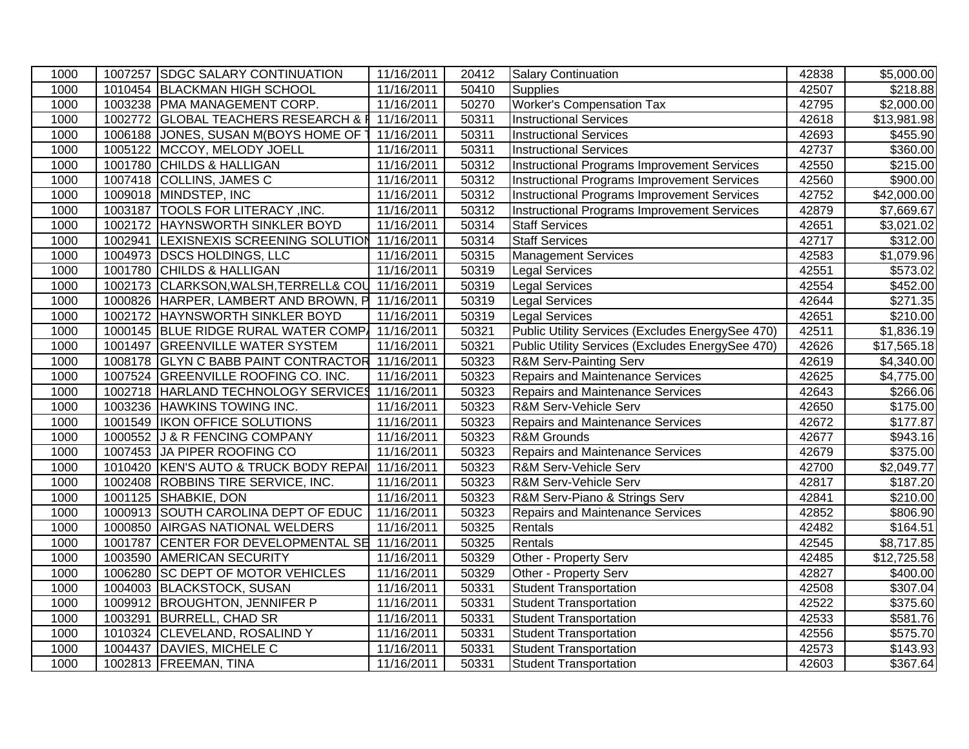| 1000 |         | 1007257 SDGC SALARY CONTINUATION                 | 11/16/2011              | 20412 | <b>Salary Continuation</b>                         | 42838 | \$5,000.00             |
|------|---------|--------------------------------------------------|-------------------------|-------|----------------------------------------------------|-------|------------------------|
| 1000 |         | 1010454 BLACKMAN HIGH SCHOOL                     | 11/16/2011              | 50410 | <b>Supplies</b>                                    | 42507 | \$218.88               |
| 1000 |         | 1003238 PMA MANAGEMENT CORP.                     | 11/16/2011              | 50270 | <b>Worker's Compensation Tax</b>                   | 42795 | $\overline{$2,000.00}$ |
| 1000 | 1002772 | GLOBAL TEACHERS RESEARCH & F 11/16/2011          |                         | 50311 | <b>Instructional Services</b>                      | 42618 | \$13,981.98            |
| 1000 |         | 1006188 JONES, SUSAN M(BOYS HOME OF 1            | 11/16/2011              | 50311 | <b>Instructional Services</b>                      | 42693 | \$455.90               |
| 1000 |         | 1005122 MCCOY, MELODY JOELL                      | 11/16/2011              | 50311 | <b>Instructional Services</b>                      | 42737 | \$360.00               |
| 1000 |         | 1001780 CHILDS & HALLIGAN                        | 11/16/2011              | 50312 | <b>Instructional Programs Improvement Services</b> | 42550 | \$215.00               |
| 1000 |         | 1007418 COLLINS, JAMES C                         | 11/16/2011              | 50312 | Instructional Programs Improvement Services        | 42560 | \$900.00               |
| 1000 |         | 1009018 MINDSTEP, INC                            | 11/16/2011              | 50312 | Instructional Programs Improvement Services        | 42752 | \$42,000.00            |
| 1000 |         | 1003187  TOOLS FOR LITERACY, INC.                | 11/16/2011              | 50312 | Instructional Programs Improvement Services        | 42879 | \$7,669.67             |
| 1000 |         | 1002172 HAYNSWORTH SINKLER BOYD                  | 11/16/2011              | 50314 | Staff Services                                     | 42651 | \$3,021.02             |
| 1000 |         | 1002941 LEXISNEXIS SCREENING SOLUTION            | $\overline{11/16/2011}$ | 50314 | <b>Staff Services</b>                              | 42717 | \$312.00               |
| 1000 | 1004973 | <b>DSCS HOLDINGS, LLC</b>                        | 11/16/2011              | 50315 | <b>Management Services</b>                         | 42583 | \$1,079.96             |
| 1000 |         | 1001780 CHILDS & HALLIGAN                        | 11/16/2011              | 50319 | Legal Services                                     | 42551 | \$573.02               |
| 1000 |         | 1002173 CLARKSON, WALSH, TERRELL& COU 11/16/2011 |                         | 50319 | <b>Legal Services</b>                              | 42554 | \$452.00               |
| 1000 |         | 1000826 HARPER, LAMBERT AND BROWN, P             | 11/16/2011              | 50319 | Legal Services                                     | 42644 | \$271.35               |
| 1000 |         | 1002172 HAYNSWORTH SINKLER BOYD                  | 11/16/2011              | 50319 | <b>Legal Services</b>                              | 42651 | \$210.00               |
| 1000 |         | 1000145 BLUE RIDGE RURAL WATER COMP 11/16/2011   |                         | 50321 | Public Utility Services (Excludes EnergySee 470)   | 42511 | \$1,836.19             |
| 1000 |         | 1001497 GREENVILLE WATER SYSTEM                  | 11/16/2011              | 50321 | Public Utility Services (Excludes EnergySee 470)   | 42626 | \$17,565.18            |
| 1000 |         | 1008178 GLYN C BABB PAINT CONTRACTOR 11/16/2011  |                         | 50323 | R&M Serv-Painting Serv                             | 42619 | \$4,340.00             |
| 1000 |         | 1007524 GREENVILLE ROOFING CO. INC.              | 11/16/2011              | 50323 | Repairs and Maintenance Services                   | 42625 | \$4,775.00             |
| 1000 |         | 1002718 HARLAND TECHNOLOGY SERVICES              | 11/16/2011              | 50323 | <b>Repairs and Maintenance Services</b>            | 42643 | \$266.06               |
| 1000 |         | 1003236 HAWKINS TOWING INC.                      | 11/16/2011              | 50323 | R&M Serv-Vehicle Serv                              | 42650 | $\overline{$}175.00$   |
| 1000 |         | 1001549   IKON OFFICE SOLUTIONS                  | 11/16/2011              | 50323 | <b>Repairs and Maintenance Services</b>            | 42672 | \$177.87               |
| 1000 |         | 1000552 J & R FENCING COMPANY                    | 11/16/2011              | 50323 | R&M Grounds                                        | 42677 | \$943.16               |
| 1000 |         | 1007453 JA PIPER ROOFING CO                      | 11/16/2011              | 50323 | Repairs and Maintenance Services                   | 42679 | \$375.00               |
| 1000 |         | 1010420 KEN'S AUTO & TRUCK BODY REPAI            | 11/16/2011              | 50323 | R&M Serv-Vehicle Serv                              | 42700 | \$2,049.77             |
| 1000 |         | 1002408 ROBBINS TIRE SERVICE, INC.               | 11/16/2011              | 50323 | R&M Serv-Vehicle Serv                              | 42817 | \$187.20               |
| 1000 |         | 1001125 SHABKIE, DON                             | 11/16/2011              | 50323 | R&M Serv-Piano & Strings Serv                      | 42841 | \$210.00               |
| 1000 |         | 1000913 SOUTH CAROLINA DEPT OF EDUC              | 11/16/2011              | 50323 | Repairs and Maintenance Services                   | 42852 | \$806.90               |
| 1000 |         | 1000850 AIRGAS NATIONAL WELDERS                  | 11/16/2011              | 50325 | Rentals                                            | 42482 | \$164.51               |
| 1000 |         | 1001787 CENTER FOR DEVELOPMENTAL SE 11/16/2011   |                         | 50325 | Rentals                                            | 42545 | $\overline{$8,717.85}$ |
| 1000 |         | 1003590 AMERICAN SECURITY                        | 11/16/2011              | 50329 | Other - Property Serv                              | 42485 | \$12,725.58            |
| 1000 |         | 1006280 SC DEPT OF MOTOR VEHICLES                | 11/16/2011              | 50329 | Other - Property Serv                              | 42827 | \$400.00               |
| 1000 |         | 1004003 BLACKSTOCK, SUSAN                        | 11/16/2011              | 50331 | <b>Student Transportation</b>                      | 42508 | \$307.04               |
| 1000 |         | 1009912 BROUGHTON, JENNIFER P                    | 11/16/2011              | 50331 | <b>Student Transportation</b>                      | 42522 | \$375.60               |
| 1000 |         | 1003291 BURRELL, CHAD SR                         | 11/16/2011              | 50331 | <b>Student Transportation</b>                      | 42533 | \$581.76               |
| 1000 |         | 1010324 CLEVELAND, ROSALIND Y                    | 11/16/2011              | 50331 | <b>Student Transportation</b>                      | 42556 | \$575.70               |
| 1000 |         | 1004437 DAVIES, MICHELE C                        | 11/16/2011              | 50331 | <b>Student Transportation</b>                      | 42573 | \$143.93               |
| 1000 |         | 1002813 FREEMAN, TINA                            | 11/16/2011              | 50331 | <b>Student Transportation</b>                      | 42603 | $\overline{$}367.64$   |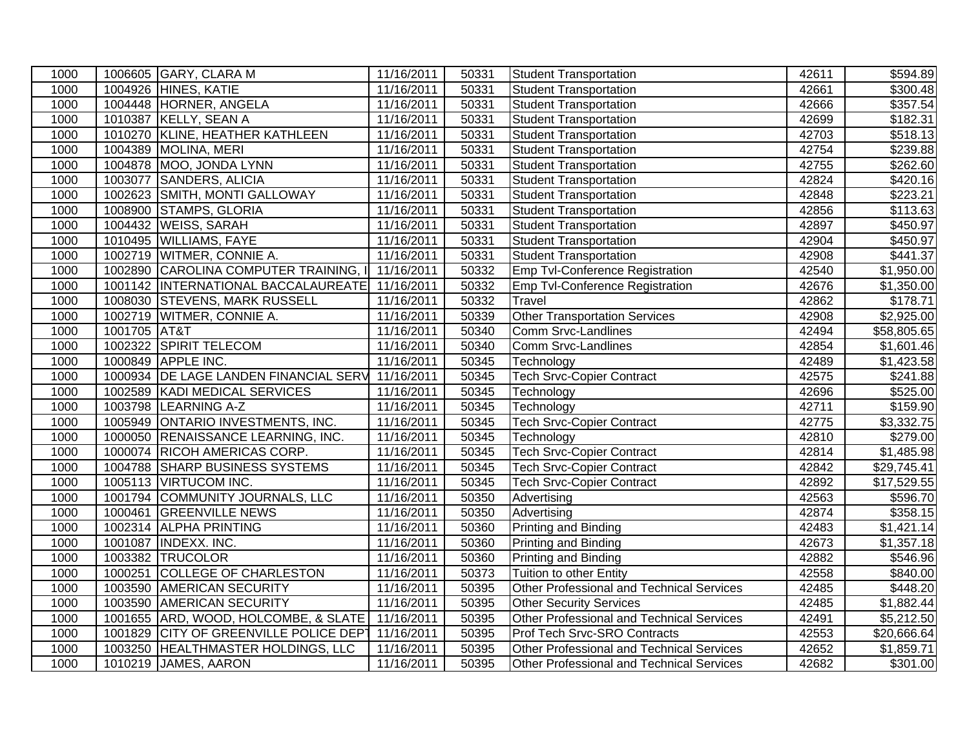| 1000 |              | 1006605 GARY, CLARA M                  | 11/16/2011 | 50331 | <b>Student Transportation</b>                    | 42611 | \$594.89               |
|------|--------------|----------------------------------------|------------|-------|--------------------------------------------------|-------|------------------------|
| 1000 |              | 1004926 HINES, KATIE                   | 11/16/2011 | 50331 | <b>Student Transportation</b>                    | 42661 | $\overline{$}300.48$   |
| 1000 |              | 1004448 HORNER, ANGELA                 | 11/16/2011 | 50331 | <b>Student Transportation</b>                    | 42666 | \$357.54               |
| 1000 |              | 1010387 KELLY, SEAN A                  | 11/16/2011 | 50331 | <b>Student Transportation</b>                    | 42699 | \$182.31               |
| 1000 |              | 1010270 KLINE, HEATHER KATHLEEN        | 11/16/2011 | 50331 | <b>Student Transportation</b>                    | 42703 | \$518.13               |
| 1000 | 1004389      | <b>MOLINA, MERI</b>                    | 11/16/2011 | 50331 | <b>Student Transportation</b>                    | 42754 | \$239.88               |
| 1000 | 1004878      | MOO, JONDA LYNN                        | 11/16/2011 | 50331 | <b>Student Transportation</b>                    | 42755 | \$262.60               |
| 1000 | 1003077      | <b>SANDERS, ALICIA</b>                 | 11/16/2011 | 50331 | Student Transportation                           | 42824 | \$420.16               |
| 1000 |              | 1002623 SMITH, MONTI GALLOWAY          | 11/16/2011 | 50331 | <b>Student Transportation</b>                    | 42848 | \$223.21               |
| 1000 |              | 1008900 STAMPS, GLORIA                 | 11/16/2011 | 50331 | <b>Student Transportation</b>                    | 42856 | \$113.63               |
| 1000 |              | 1004432 WEISS, SARAH                   | 11/16/2011 | 50331 | <b>Student Transportation</b>                    | 42897 | \$450.97               |
| 1000 |              | 1010495 WILLIAMS, FAYE                 | 11/16/2011 | 50331 | <b>Student Transportation</b>                    | 42904 | $\overline{$}450.97$   |
| 1000 |              | 1002719 WITMER, CONNIE A.              | 11/16/2011 | 50331 | <b>Student Transportation</b>                    | 42908 | \$441.37               |
| 1000 |              | 1002890 CAROLINA COMPUTER TRAINING, II | 11/16/2011 | 50332 | Emp Tvl-Conference Registration                  | 42540 | \$1,950.00             |
| 1000 |              | 1001142  INTERNATIONAL BACCALAUREATE   | 11/16/2011 | 50332 | Emp Tvl-Conference Registration                  | 42676 | \$1,350.00             |
| 1000 |              | 1008030 STEVENS, MARK RUSSELL          | 11/16/2011 | 50332 | Travel                                           | 42862 | \$178.71               |
| 1000 | 1002719      | WITMER, CONNIE A.                      | 11/16/2011 | 50339 | <b>Other Transportation Services</b>             | 42908 | \$2,925.00             |
| 1000 | 1001705 AT&T |                                        | 11/16/2011 | 50340 | Comm Srvc-Landlines                              | 42494 | \$58,805.65            |
| 1000 | 1002322      | <b>SPIRIT TELECOM</b>                  | 11/16/2011 | 50340 | Comm Srvc-Landlines                              | 42854 | $\overline{$1,601.46}$ |
| 1000 |              | 1000849 APPLE INC.                     | 11/16/2011 | 50345 | Technology                                       | 42489 | $\overline{$1,423.58}$ |
| 1000 |              | 1000934 DE LAGE LANDEN FINANCIAL SERV  | 11/16/2011 | 50345 | <b>Tech Srvc-Copier Contract</b>                 | 42575 | \$241.88               |
| 1000 | 1002589      | <b>KADI MEDICAL SERVICES</b>           | 11/16/2011 | 50345 | Technology                                       | 42696 | \$525.00               |
| 1000 | 1003798      | <b>LEARNING A-Z</b>                    | 11/16/2011 | 50345 | Technology                                       | 42711 | \$159.90               |
| 1000 | 1005949      | <b>ONTARIO INVESTMENTS, INC.</b>       | 11/16/2011 | 50345 | <b>Tech Srvc-Copier Contract</b>                 | 42775 | \$3,332.75             |
| 1000 |              | 1000050 RENAISSANCE LEARNING, INC.     | 11/16/2011 | 50345 | Technology                                       | 42810 | \$279.00               |
| 1000 |              | 1000074 RICOH AMERICAS CORP.           | 11/16/2011 | 50345 | <b>Tech Srvc-Copier Contract</b>                 | 42814 | \$1,485.98             |
| 1000 |              | 1004788 SHARP BUSINESS SYSTEMS         | 11/16/2011 | 50345 | <b>Tech Srvc-Copier Contract</b>                 | 42842 | \$29,745.41            |
| 1000 |              | 1005113 VIRTUCOM INC.                  | 11/16/2011 | 50345 | <b>Tech Srvc-Copier Contract</b>                 | 42892 | \$17,529.55            |
| 1000 |              | 1001794 COMMUNITY JOURNALS, LLC        | 11/16/2011 | 50350 | Advertising                                      | 42563 | \$596.70               |
| 1000 | 1000461      | <b>GREENVILLE NEWS</b>                 | 11/16/2011 | 50350 | Advertising                                      | 42874 | \$358.15               |
| 1000 |              | 1002314 ALPHA PRINTING                 | 11/16/2011 | 50360 | Printing and Binding                             | 42483 | \$1,421.14             |
| 1000 |              | 1001087 INDEXX. INC.                   | 11/16/2011 | 50360 | Printing and Binding                             | 42673 | \$1,357.18             |
| 1000 |              | 1003382 TRUCOLOR                       | 11/16/2011 | 50360 | Printing and Binding                             | 42882 | \$546.96               |
| 1000 |              | 1000251 COLLEGE OF CHARLESTON          | 11/16/2011 | 50373 | Tuition to other Entity                          | 42558 | \$840.00               |
| 1000 |              | 1003590 AMERICAN SECURITY              | 11/16/2011 | 50395 | Other Professional and Technical Services        | 42485 | \$448.20               |
| 1000 | 1003590      | <b>AMERICAN SECURITY</b>               | 11/16/2011 | 50395 | <b>Other Security Services</b>                   | 42485 | \$1,882.44             |
| 1000 |              | 1001655 ARD, WOOD, HOLCOMBE, & SLATE   | 11/16/2011 | 50395 | <b>Other Professional and Technical Services</b> | 42491 | \$5,212.50             |
| 1000 | 1001829      | CITY OF GREENVILLE POLICE DEPT         | 11/16/2011 | 50395 | Prof Tech Srvc-SRO Contracts                     | 42553 | \$20,666.64            |
| 1000 | 1003250      | HEALTHMASTER HOLDINGS, LLC             | 11/16/2011 | 50395 | Other Professional and Technical Services        | 42652 | \$1,859.71             |
| 1000 |              | 1010219 JAMES, AARON                   | 11/16/2011 | 50395 | Other Professional and Technical Services        | 42682 | \$301.00               |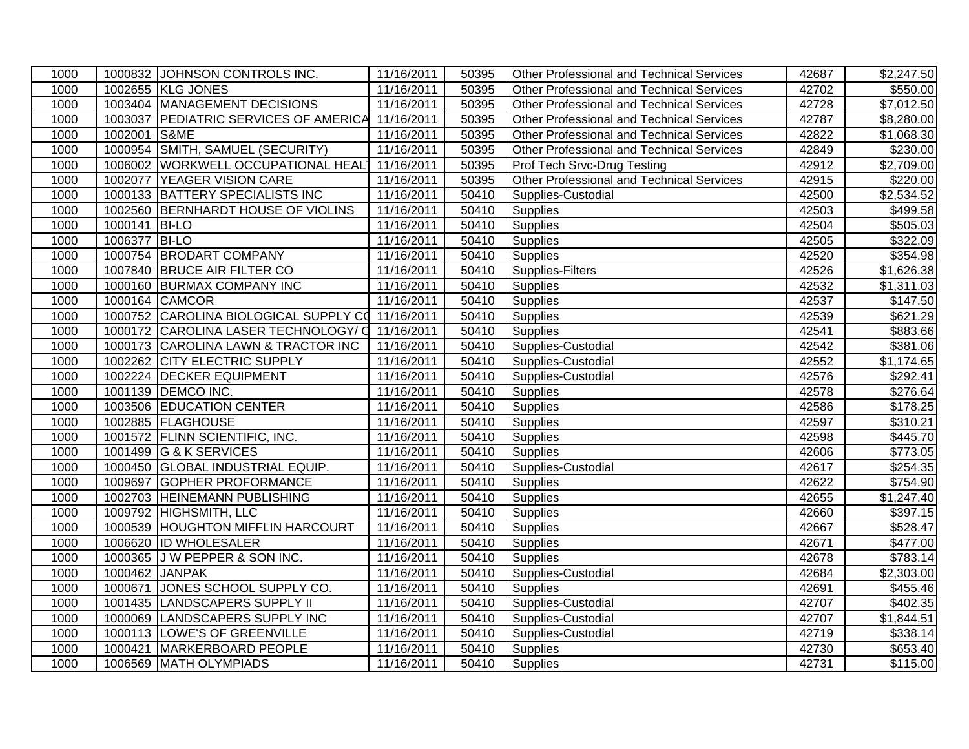| 1000 |                | 1000832 JOHNSON CONTROLS INC.                    | 11/16/2011 | 50395 | Other Professional and Technical Services        | 42687 | $\overline{$}2,247.50$ |
|------|----------------|--------------------------------------------------|------------|-------|--------------------------------------------------|-------|------------------------|
| 1000 |                | 1002655 KLG JONES                                | 11/16/2011 | 50395 | <b>Other Professional and Technical Services</b> | 42702 | \$550.00               |
| 1000 |                | 1003404 MANAGEMENT DECISIONS                     | 11/16/2011 | 50395 | <b>Other Professional and Technical Services</b> | 42728 | \$7,012.50             |
| 1000 |                | 1003037 PEDIATRIC SERVICES OF AMERICA            | 11/16/2011 | 50395 | Other Professional and Technical Services        | 42787 | \$8,280.00             |
| 1000 | 1002001 S&ME   |                                                  | 11/16/2011 | 50395 | Other Professional and Technical Services        | 42822 | $\overline{$1,068.30}$ |
| 1000 |                | 1000954 SMITH, SAMUEL (SECURITY)                 | 11/16/2011 | 50395 | Other Professional and Technical Services        | 42849 | \$230.00               |
| 1000 |                | 1006002 WORKWELL OCCUPATIONAL HEAL               | 11/16/2011 | 50395 | Prof Tech Srvc-Drug Testing                      | 42912 | \$2,709.00             |
| 1000 | 1002077        | YEAGER VISION CARE                               | 11/16/2011 | 50395 | Other Professional and Technical Services        | 42915 | $\sqrt{$220.00}$       |
| 1000 |                | 1000133 BATTERY SPECIALISTS INC                  | 11/16/2011 | 50410 | Supplies-Custodial                               | 42500 | $\overline{$2,534.52}$ |
| 1000 |                | 1002560 BERNHARDT HOUSE OF VIOLINS               | 11/16/2011 | 50410 | Supplies                                         | 42503 | \$499.58               |
| 1000 | 1000141 BI-LO  |                                                  | 11/16/2011 | 50410 | <b>Supplies</b>                                  | 42504 | $\overline{$}505.03$   |
| 1000 | 1006377        | <b>BI-LO</b>                                     | 11/16/2011 | 50410 | <b>Supplies</b>                                  | 42505 | \$322.09               |
| 1000 |                | 1000754 BRODART COMPANY                          | 11/16/2011 | 50410 | <b>Supplies</b>                                  | 42520 | \$354.98               |
| 1000 |                | 1007840 BRUCE AIR FILTER CO                      | 11/16/2011 | 50410 | Supplies-Filters                                 | 42526 | \$1,626.38             |
| 1000 |                | 1000160 BURMAX COMPANY INC                       | 11/16/2011 | 50410 | Supplies                                         | 42532 | \$1,311.03             |
| 1000 |                | 1000164 CAMCOR                                   | 11/16/2011 | 50410 | <b>Supplies</b>                                  | 42537 | \$147.50               |
| 1000 |                | 1000752 CAROLINA BIOLOGICAL SUPPLY CO 11/16/2011 |            | 50410 | <b>Supplies</b>                                  | 42539 | \$621.29               |
| 1000 |                | 1000172 CAROLINA LASER TECHNOLOGY/ Q 11/16/2011  |            | 50410 | <b>Supplies</b>                                  | 42541 | \$883.66               |
| 1000 |                | 1000173 CAROLINA LAWN & TRACTOR INC              | 11/16/2011 | 50410 | Supplies-Custodial                               | 42542 | $\overline{$}381.06$   |
| 1000 |                | 1002262 CITY ELECTRIC SUPPLY                     | 11/16/2011 | 50410 | Supplies-Custodial                               | 42552 | \$1,174.65             |
| 1000 | 1002224        | <b>DECKER EQUIPMENT</b>                          | 11/16/2011 | 50410 | Supplies-Custodial                               | 42576 | \$292.41               |
| 1000 |                | 1001139 DEMCO INC.                               | 11/16/2011 | 50410 | <b>Supplies</b>                                  | 42578 | \$276.64               |
| 1000 |                | 1003506 EDUCATION CENTER                         | 11/16/2011 | 50410 | Supplies                                         | 42586 | $\overline{$}178.25$   |
| 1000 |                | 1002885 FLAGHOUSE                                | 11/16/2011 | 50410 | <b>Supplies</b>                                  | 42597 | $\overline{$}310.21$   |
| 1000 |                | 1001572 FLINN SCIENTIFIC, INC.                   | 11/16/2011 | 50410 | Supplies                                         | 42598 | $\sqrt{445.70}$        |
| 1000 |                | 1001499 G & K SERVICES                           | 11/16/2011 | 50410 | <b>Supplies</b>                                  | 42606 | \$773.05               |
| 1000 |                | 1000450 GLOBAL INDUSTRIAL EQUIP.                 | 11/16/2011 | 50410 | Supplies-Custodial                               | 42617 | $\overline{$}254.35$   |
| 1000 |                | 1009697 GOPHER PROFORMANCE                       | 11/16/2011 | 50410 | <b>Supplies</b>                                  | 42622 | \$754.90               |
| 1000 |                | 1002703 HEINEMANN PUBLISHING                     | 11/16/2011 | 50410 | <b>Supplies</b>                                  | 42655 | \$1,247.40             |
| 1000 |                | 1009792 HIGHSMITH, LLC                           | 11/16/2011 | 50410 | Supplies                                         | 42660 | \$397.15               |
| 1000 |                | 1000539 HOUGHTON MIFFLIN HARCOURT                | 11/16/2011 | 50410 | <b>Supplies</b>                                  | 42667 | \$528.47               |
| 1000 |                | 1006620 ID WHOLESALER                            | 11/16/2011 | 50410 | <b>Supplies</b>                                  | 42671 | \$477.00               |
| 1000 |                | 1000365 J W PEPPER & SON INC.                    | 11/16/2011 | 50410 | <b>Supplies</b>                                  | 42678 | \$783.14               |
| 1000 | 1000462 JANPAK |                                                  | 11/16/2011 | 50410 | Supplies-Custodial                               | 42684 | \$2,303.00             |
| 1000 | 1000671        | JONES SCHOOL SUPPLY CO.                          | 11/16/2011 | 50410 | <b>Supplies</b>                                  | 42691 | \$455.46               |
| 1000 |                | 1001435 LANDSCAPERS SUPPLY II                    | 11/16/2011 | 50410 | Supplies-Custodial                               | 42707 | \$402.35               |
| 1000 |                | 1000069 LANDSCAPERS SUPPLY INC                   | 11/16/2011 | 50410 | Supplies-Custodial                               | 42707 | \$1,844.51             |
| 1000 |                | 1000113 LOWE'S OF GREENVILLE                     | 11/16/2011 | 50410 | Supplies-Custodial                               | 42719 | \$338.14               |
| 1000 | 1000421        | MARKERBOARD PEOPLE                               | 11/16/2011 | 50410 | <b>Supplies</b>                                  | 42730 | \$653.40               |
| 1000 |                | 1006569 MATH OLYMPIADS                           | 11/16/2011 | 50410 | <b>Supplies</b>                                  | 42731 | \$115.00               |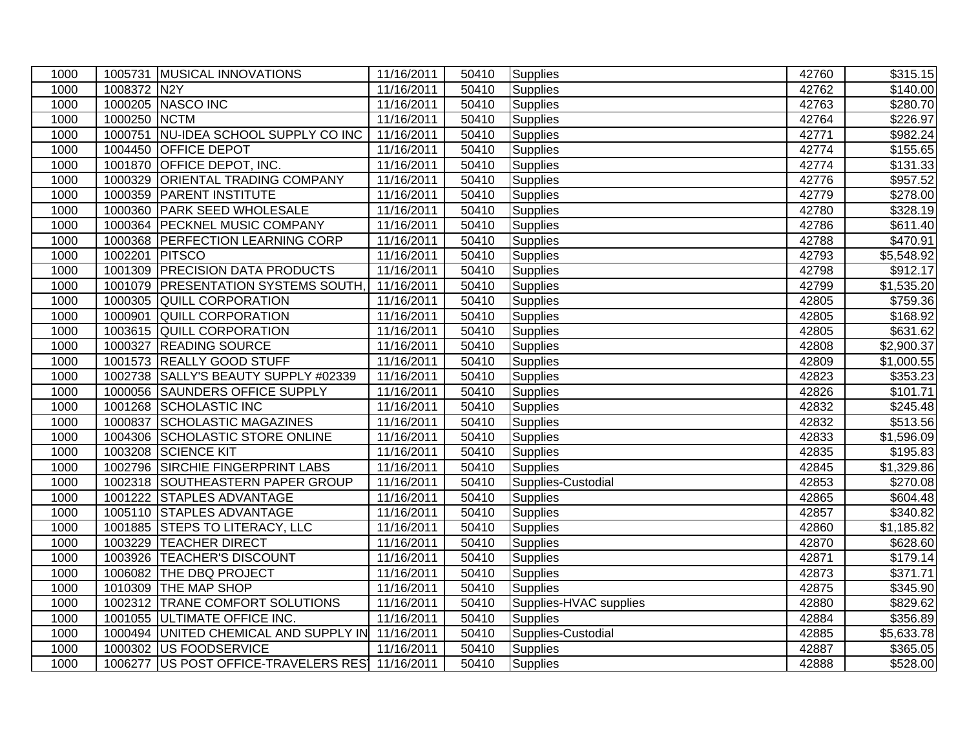| 1000 |                | 1005731 MUSICAL INNOVATIONS                     | 11/16/2011 | 50410 | Supplies               | 42760 | \$315.15               |
|------|----------------|-------------------------------------------------|------------|-------|------------------------|-------|------------------------|
| 1000 | 1008372 N2Y    |                                                 | 11/16/2011 | 50410 | <b>Supplies</b>        | 42762 | $\overline{$}140.00$   |
| 1000 |                | 1000205 NASCO INC                               | 11/16/2011 | 50410 | <b>Supplies</b>        | 42763 | \$280.70               |
| 1000 | 1000250 NCTM   |                                                 | 11/16/2011 | 50410 | Supplies               | 42764 | $\overline{$}226.97$   |
| 1000 | 1000751        | NU-IDEA SCHOOL SUPPLY CO INC                    | 11/16/2011 | 50410 | Supplies               | 42771 | \$982.24               |
| 1000 | 1004450        | <b>OFFICE DEPOT</b>                             | 11/16/2011 | 50410 | Supplies               | 42774 | \$155.65               |
| 1000 | 1001870        | <b>OFFICE DEPOT, INC.</b>                       | 11/16/2011 | 50410 | <b>Supplies</b>        | 42774 | \$131.33               |
| 1000 | 1000329        | <b>ORIENTAL TRADING COMPANY</b>                 | 11/16/2011 | 50410 | <b>Supplies</b>        | 42776 | \$957.52               |
| 1000 | 1000359        | <b>PARENT INSTITUTE</b>                         | 11/16/2011 | 50410 | <b>Supplies</b>        | 42779 | \$278.00               |
| 1000 |                | 1000360 PARK SEED WHOLESALE                     | 11/16/2011 | 50410 | <b>Supplies</b>        | 42780 | \$328.19               |
| 1000 |                | 1000364 PECKNEL MUSIC COMPANY                   | 11/16/2011 | 50410 | <b>Supplies</b>        | 42786 | \$611.40               |
| 1000 |                | 1000368 PERFECTION LEARNING CORP                | 11/16/2011 | 50410 | Supplies               | 42788 | \$470.91               |
| 1000 | 1002201 PITSCO |                                                 | 11/16/2011 | 50410 | <b>Supplies</b>        | 42793 | \$5,548.92             |
| 1000 |                | 1001309 PRECISION DATA PRODUCTS                 | 11/16/2011 | 50410 | <b>Supplies</b>        | 42798 | \$912.17               |
| 1000 |                | 1001079 PRESENTATION SYSTEMS SOUTH,             | 11/16/2011 | 50410 | <b>Supplies</b>        | 42799 | \$1,535.20             |
| 1000 |                | 1000305 QUILL CORPORATION                       | 11/16/2011 | 50410 | <b>Supplies</b>        | 42805 | \$759.36               |
| 1000 |                | 1000901 QUILL CORPORATION                       | 11/16/2011 | 50410 | Supplies               | 42805 | \$168.92               |
| 1000 |                | 1003615 QUILL CORPORATION                       | 11/16/2011 | 50410 | <b>Supplies</b>        | 42805 | \$631.62               |
| 1000 |                | 1000327 READING SOURCE                          | 11/16/2011 | 50410 | Supplies               | 42808 | \$2,900.37             |
| 1000 |                | 1001573 REALLY GOOD STUFF                       | 11/16/2011 | 50410 | <b>Supplies</b>        | 42809 | \$1,000.55             |
| 1000 |                | 1002738 SALLY'S BEAUTY SUPPLY #02339            | 11/16/2011 | 50410 | <b>Supplies</b>        | 42823 | \$353.23               |
| 1000 | 1000056        | <b>SAUNDERS OFFICE SUPPLY</b>                   | 11/16/2011 | 50410 | <b>Supplies</b>        | 42826 | \$101.71               |
| 1000 |                | 1001268 SCHOLASTIC INC                          | 11/16/2011 | 50410 | Supplies               | 42832 | $\sqrt{$245.48}$       |
| 1000 |                | 1000837 SCHOLASTIC MAGAZINES                    | 11/16/2011 | 50410 | <b>Supplies</b>        | 42832 | \$513.56               |
| 1000 |                | 1004306 SCHOLASTIC STORE ONLINE                 | 11/16/2011 | 50410 | <b>Supplies</b>        | 42833 | \$1,596.09             |
| 1000 |                | 1003208 SCIENCE KIT                             | 11/16/2011 | 50410 | Supplies               | 42835 | \$195.83               |
| 1000 |                | 1002796 SIRCHIE FINGERPRINT LABS                | 11/16/2011 | 50410 | <b>Supplies</b>        | 42845 | \$1,329.86             |
| 1000 |                | 1002318 SOUTHEASTERN PAPER GROUP                | 11/16/2011 | 50410 | Supplies-Custodial     | 42853 | \$270.08               |
| 1000 |                | 1001222 STAPLES ADVANTAGE                       | 11/16/2011 | 50410 | <b>Supplies</b>        | 42865 | \$604.48               |
| 1000 |                | 1005110 STAPLES ADVANTAGE                       | 11/16/2011 | 50410 | Supplies               | 42857 | \$340.82               |
| 1000 |                | 1001885 STEPS TO LITERACY, LLC                  | 11/16/2011 | 50410 | <b>Supplies</b>        | 42860 | \$1,185.82             |
| 1000 |                | 1003229 TEACHER DIRECT                          | 11/16/2011 | 50410 | <b>Supplies</b>        | 42870 | \$628.60               |
| 1000 |                | 1003926 TEACHER'S DISCOUNT                      | 11/16/2011 | 50410 | <b>Supplies</b>        | 42871 | $\overline{$179.14}$   |
| 1000 |                | 1006082 THE DBQ PROJECT                         | 11/16/2011 | 50410 | <b>Supplies</b>        | 42873 | \$371.71               |
| 1000 |                | 1010309 THE MAP SHOP                            | 11/16/2011 | 50410 | <b>Supplies</b>        | 42875 | \$345.90               |
| 1000 |                | 1002312 TRANE COMFORT SOLUTIONS                 | 11/16/2011 | 50410 | Supplies-HVAC supplies | 42880 | \$829.62               |
| 1000 |                | 1001055 ULTIMATE OFFICE INC.                    | 11/16/2011 | 50410 | <b>Supplies</b>        | 42884 | \$356.89               |
| 1000 |                | 1000494 UNITED CHEMICAL AND SUPPLY IN           | 11/16/2011 | 50410 | Supplies-Custodial     | 42885 | $\overline{$}5,633.78$ |
| 1000 |                | 1000302 US FOODSERVICE                          | 11/16/2011 | 50410 | <b>Supplies</b>        | 42887 | \$365.05               |
| 1000 |                | 1006277 US POST OFFICE-TRAVELERS RES 11/16/2011 |            | 50410 | Supplies               | 42888 | \$528.00               |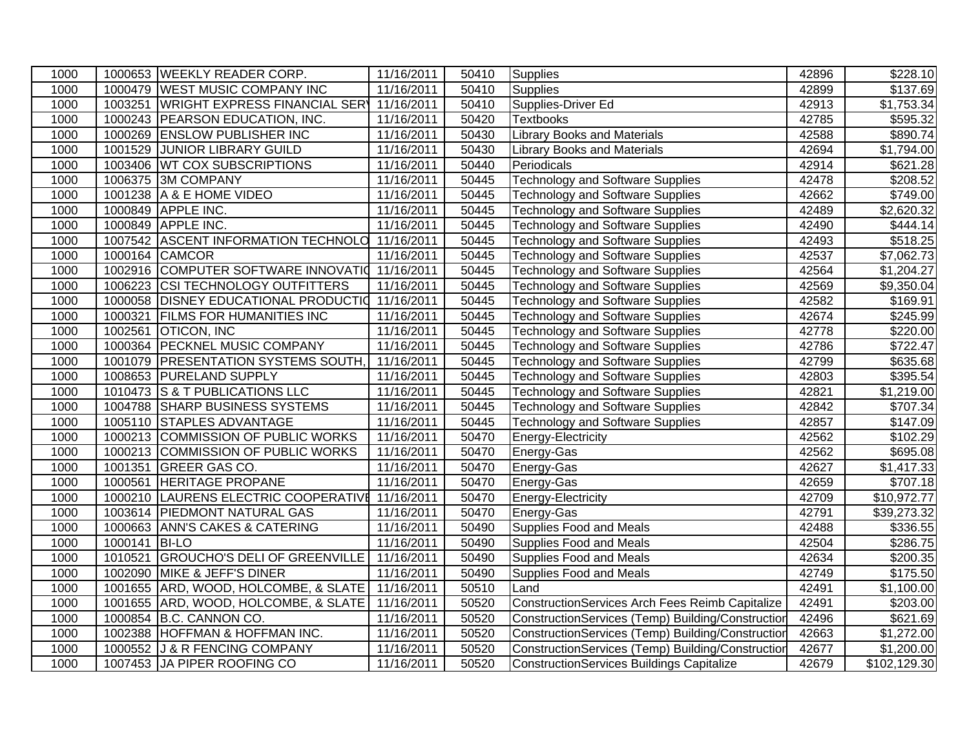| 1000 |               | 1000653 WEEKLY READER CORP.           | 11/16/2011              | 50410 | <b>Supplies</b>                                        | 42896 | \$228.10                |
|------|---------------|---------------------------------------|-------------------------|-------|--------------------------------------------------------|-------|-------------------------|
| 1000 |               | 1000479 WEST MUSIC COMPANY INC        | 11/16/2011              | 50410 | <b>Supplies</b>                                        | 42899 | \$137.69                |
| 1000 |               | 1003251 WRIGHT EXPRESS FINANCIAL SERY | 11/16/2011              | 50410 | Supplies-Driver Ed                                     | 42913 | \$1,753.34              |
| 1000 |               | 1000243 PEARSON EDUCATION, INC.       | 11/16/2011              | 50420 | <b>Textbooks</b>                                       | 42785 | \$595.32                |
| 1000 |               | 1000269 ENSLOW PUBLISHER INC          | 11/16/2011              | 50430 | <b>Library Books and Materials</b>                     | 42588 | \$890.74                |
| 1000 | 1001529       | <b>JUNIOR LIBRARY GUILD</b>           | 11/16/2011              | 50430 | <b>Library Books and Materials</b>                     | 42694 | \$1,794.00              |
| 1000 | 1003406       | <b>WT COX SUBSCRIPTIONS</b>           | 11/16/2011              | 50440 | Periodicals                                            | 42914 | \$621.28                |
| 1000 | 1006375       | <b>3M COMPANY</b>                     | 11/16/2011              | 50445 | <b>Technology and Software Supplies</b>                | 42478 | \$208.52                |
| 1000 |               | 1001238 A & E HOME VIDEO              | 11/16/2011              | 50445 | <b>Technology and Software Supplies</b>                | 42662 | \$749.00                |
| 1000 | 1000849       | APPLE INC.                            | 11/16/2011              | 50445 | <b>Technology and Software Supplies</b>                | 42489 | \$2,620.32              |
| 1000 |               | 1000849 APPLE INC.                    | 11/16/2011              | 50445 | <b>Technology and Software Supplies</b>                | 42490 | \$444.14                |
| 1000 |               | 1007542 ASCENT INFORMATION TECHNOLO   | 11/16/2011              | 50445 | <b>Technology and Software Supplies</b>                | 42493 | \$518.25                |
| 1000 |               | 1000164 CAMCOR                        | 11/16/2011              | 50445 | <b>Technology and Software Supplies</b>                | 42537 | \$7,062.73              |
| 1000 |               | 1002916 COMPUTER SOFTWARE INNOVATIO   | 11/16/2011              | 50445 | <b>Technology and Software Supplies</b>                | 42564 | \$1,204.27              |
| 1000 |               | 1006223 CSI TECHNOLOGY OUTFITTERS     | 11/16/2011              | 50445 | <b>Technology and Software Supplies</b>                | 42569 | \$9,350.04              |
| 1000 |               | 1000058 DISNEY EDUCATIONAL PRODUCTIO  | 11/16/2011              | 50445 | Technology and Software Supplies                       | 42582 | \$169.91                |
| 1000 | 1000321       | <b>FILMS FOR HUMANITIES INC</b>       | 11/16/2011              | 50445 | <b>Technology and Software Supplies</b>                | 42674 | $\overline{$}245.99$    |
| 1000 |               | 1002561 OTICON, INC                   | 11/16/2011              | 50445 | <b>Technology and Software Supplies</b>                | 42778 | \$220.00                |
| 1000 |               | 1000364 PECKNEL MUSIC COMPANY         | 11/16/2011              | 50445 | <b>Technology and Software Supplies</b>                | 42786 | \$722.47                |
| 1000 | 1001079       | <b>PRESENTATION SYSTEMS SOUTH,</b>    | 11/16/2011              | 50445 | <b>Technology and Software Supplies</b>                | 42799 | \$635.68                |
| 1000 | 1008653       | <b>PURELAND SUPPLY</b>                | 11/16/2011              | 50445 | <b>Technology and Software Supplies</b>                | 42803 | \$395.54                |
| 1000 | 1010473       | <b>S &amp; T PUBLICATIONS LLC</b>     | 11/16/2011              | 50445 | <b>Technology and Software Supplies</b>                | 42821 | \$1,219.00              |
| 1000 | 1004788       | <b>SHARP BUSINESS SYSTEMS</b>         | 11/16/2011              | 50445 | <b>Technology and Software Supplies</b>                | 42842 | \$707.34                |
| 1000 |               | 1005110 STAPLES ADVANTAGE             | 11/16/2011              | 50445 | <b>Technology and Software Supplies</b>                | 42857 | \$147.09                |
| 1000 |               | 1000213 COMMISSION OF PUBLIC WORKS    | 11/16/2011              | 50470 | Energy-Electricity                                     | 42562 | \$102.29                |
| 1000 |               | 1000213 COMMISSION OF PUBLIC WORKS    | 11/16/2011              | 50470 | Energy-Gas                                             | 42562 | \$695.08                |
| 1000 |               | 1001351 GREER GAS CO.                 | 11/16/2011              | 50470 | Energy-Gas                                             | 42627 | \$1,417.33              |
| 1000 | 1000561       | <b>HERITAGE PROPANE</b>               | 11/16/2011              | 50470 | Energy-Gas                                             | 42659 | \$707.18                |
| 1000 | 1000210       | LAURENS ELECTRIC COOPERATIVE          | 11/16/2011              | 50470 | Energy-Electricity                                     | 42709 | \$10,972.77             |
| 1000 |               | 1003614 PIEDMONT NATURAL GAS          | 11/16/2011              | 50470 | Energy-Gas                                             | 42791 | $\overline{$}39,273.32$ |
| 1000 |               | 1000663 ANN'S CAKES & CATERING        | 11/16/2011              | 50490 | Supplies Food and Meals                                | 42488 | \$336.55                |
| 1000 | 1000141 BI-LO |                                       | 11/16/2011              | 50490 | Supplies Food and Meals                                | 42504 | $\overline{$}286.75$    |
| 1000 | 1010521       | <b>GROUCHO'S DELI OF GREENVILLE</b>   | $\overline{11/16/2011}$ | 50490 | Supplies Food and Meals                                | 42634 | \$200.35                |
| 1000 |               | 1002090 MIKE & JEFF'S DINER           | 11/16/2011              | 50490 | Supplies Food and Meals                                | 42749 | \$175.50                |
| 1000 |               | 1001655 ARD, WOOD, HOLCOMBE, & SLATE  | 11/16/2011              | 50510 | Land                                                   | 42491 | \$1,100.00              |
| 1000 | 1001655       | ARD, WOOD, HOLCOMBE, & SLATE          | 11/16/2011              | 50520 | <b>ConstructionServices Arch Fees Reimb Capitalize</b> | 42491 | \$203.00                |
| 1000 |               | 1000854 B.C. CANNON CO.               | 11/16/2011              | 50520 | ConstructionServices (Temp) Building/Construction      | 42496 | \$621.69                |
| 1000 | 1002388       | HOFFMAN & HOFFMAN INC.                | 11/16/2011              | 50520 | ConstructionServices (Temp) Building/Construction      | 42663 | \$1,272.00              |
| 1000 |               | 1000552 J & R FENCING COMPANY         | 11/16/2011              | 50520 | ConstructionServices (Temp) Building/Construction      | 42677 | \$1,200.00              |
| 1000 |               | 1007453 JJA PIPER ROOFING CO          | 11/16/2011              | 50520 | ConstructionServices Buildings Capitalize              | 42679 | \$102,129.30            |
|      |               |                                       |                         |       |                                                        |       |                         |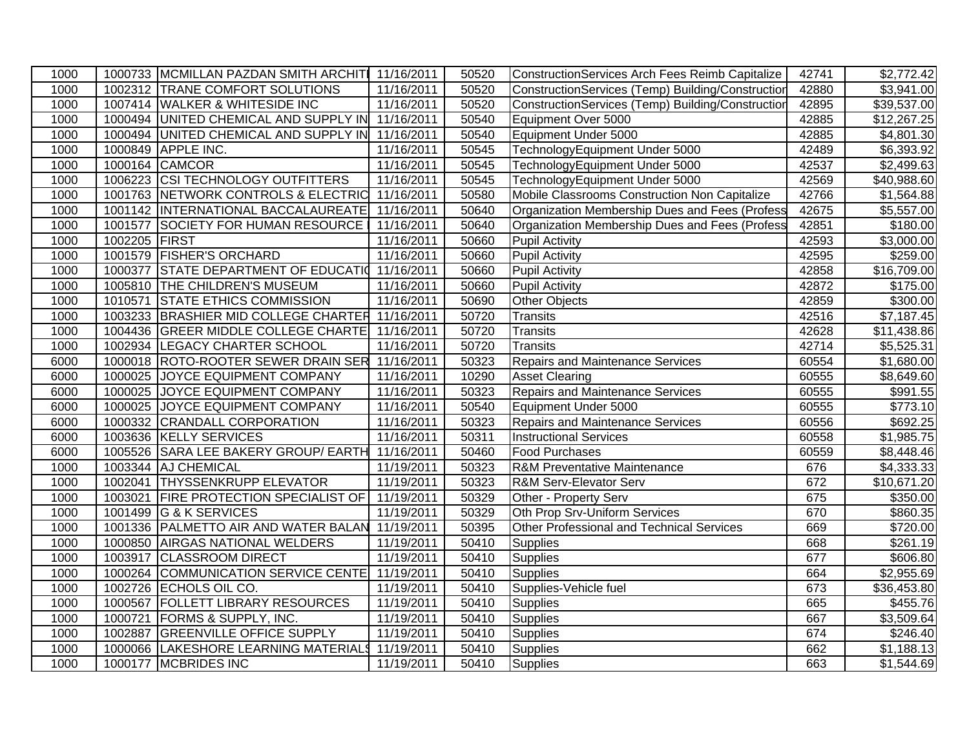| 1000 |               | 1000733 MCMILLAN PAZDAN SMITH ARCHITI 11/16/2011 |            | 50520 | ConstructionServices Arch Fees Reimb Capitalize   | 42741 | \$2,772.42             |
|------|---------------|--------------------------------------------------|------------|-------|---------------------------------------------------|-------|------------------------|
| 1000 |               | 1002312 TRANE COMFORT SOLUTIONS                  | 11/16/2011 | 50520 | ConstructionServices (Temp) Building/Construction | 42880 | $\overline{$3,941.00}$ |
| 1000 |               | 1007414 WALKER & WHITESIDE INC                   | 11/16/2011 | 50520 | ConstructionServices (Temp) Building/Construction | 42895 | \$39,537.00            |
| 1000 |               | 1000494 UNITED CHEMICAL AND SUPPLY IN 11/16/2011 |            | 50540 | Equipment Over 5000                               | 42885 | \$12,267.25            |
| 1000 |               | 1000494 UNITED CHEMICAL AND SUPPLY IN 11/16/2011 |            | 50540 | Equipment Under 5000                              | 42885 | \$4,801.30             |
| 1000 | 1000849       | <b>APPLE INC.</b>                                | 11/16/2011 | 50545 | TechnologyEquipment Under 5000                    | 42489 | \$6,393.92             |
| 1000 |               | 1000164 CAMCOR                                   | 11/16/2011 | 50545 | TechnologyEquipment Under 5000                    | 42537 | \$2,499.63             |
| 1000 |               | 1006223 CSI TECHNOLOGY OUTFITTERS                | 11/16/2011 | 50545 | TechnologyEquipment Under 5000                    | 42569 | \$40,988.60            |
| 1000 |               | 1001763 NETWORK CONTROLS & ELECTRIC 11/16/2011   |            | 50580 | Mobile Classrooms Construction Non Capitalize     | 42766 | \$1,564.88             |
| 1000 |               | 1001142  INTERNATIONAL BACCALAUREATE 11/16/2011  |            | 50640 | Organization Membership Dues and Fees (Profess    | 42675 | \$5,557.00             |
| 1000 |               | 1001577 SOCIETY FOR HUMAN RESOURCE               | 11/16/2011 | 50640 | Organization Membership Dues and Fees (Profess    | 42851 | \$180.00               |
| 1000 | 1002205 FIRST |                                                  | 11/16/2011 | 50660 | Pupil Activity                                    | 42593 | \$3,000.00             |
| 1000 |               | 1001579 FISHER'S ORCHARD                         | 11/16/2011 | 50660 | <b>Pupil Activity</b>                             | 42595 | \$259.00               |
| 1000 | 1000377       | STATE DEPARTMENT OF EDUCATIO 11/16/2011          |            | 50660 | Pupil Activity                                    | 42858 | \$16,709.00            |
| 1000 |               | 1005810 THE CHILDREN'S MUSEUM                    | 11/16/2011 | 50660 | Pupil Activity                                    | 42872 | \$175.00               |
| 1000 | 1010571       | <b>STATE ETHICS COMMISSION</b>                   | 11/16/2011 | 50690 | Other Objects                                     | 42859 | \$300.00               |
| 1000 |               | 1003233 BRASHIER MID COLLEGE CHARTER 11/16/2011  |            | 50720 | Transits                                          | 42516 | $\overline{$7,187.45}$ |
| 1000 |               | 1004436 GREER MIDDLE COLLEGE CHARTE 11/16/2011   |            | 50720 | Transits                                          | 42628 | \$11,438.86            |
| 1000 |               | 1002934 LEGACY CHARTER SCHOOL                    | 11/16/2011 | 50720 | Transits                                          | 42714 | \$5,525.31             |
| 6000 |               | 1000018 ROTO-ROOTER SEWER DRAIN SER              | 11/16/2011 | 50323 | <b>Repairs and Maintenance Services</b>           | 60554 | \$1,680.00             |
| 6000 | 1000025       | JOYCE EQUIPMENT COMPANY                          | 11/16/2011 | 10290 | <b>Asset Clearing</b>                             | 60555 | \$8,649.60             |
| 6000 | 1000025       | JOYCE EQUIPMENT COMPANY                          | 11/16/2011 | 50323 | <b>Repairs and Maintenance Services</b>           | 60555 | $\overline{$991.55}$   |
| 6000 | 1000025       | JOYCE EQUIPMENT COMPANY                          | 11/16/2011 | 50540 | Equipment Under 5000                              | 60555 | \$773.10               |
| 6000 | 1000332       | <b>CRANDALL CORPORATION</b>                      | 11/16/2011 | 50323 | <b>Repairs and Maintenance Services</b>           | 60556 | \$692.25               |
| 6000 |               | 1003636 KELLY SERVICES                           | 11/16/2011 | 50311 | <b>Instructional Services</b>                     | 60558 | $\overline{$1,985.75}$ |
| 6000 |               | 1005526 SARA LEE BAKERY GROUP/ EARTH             | 11/16/2011 | 50460 | <b>Food Purchases</b>                             | 60559 | \$8,448.46             |
| 1000 |               | 1003344 AJ CHEMICAL                              | 11/19/2011 | 50323 | <b>R&amp;M Preventative Maintenance</b>           | 676   | \$4,333.33             |
| 1000 | 1002041       | <b>THYSSENKRUPP ELEVATOR</b>                     | 11/19/2011 | 50323 | <b>R&amp;M Serv-Elevator Serv</b>                 | 672   | \$10,671.20            |
| 1000 | 1003021       | <b>FIRE PROTECTION SPECIALIST OF</b>             | 11/19/2011 | 50329 | Other - Property Serv                             | 675   | \$350.00               |
| 1000 | 1001499       | <b>G &amp; K SERVICES</b>                        | 11/19/2011 | 50329 | Oth Prop Srv-Uniform Services                     | 670   | \$860.35               |
| 1000 |               | 1001336 PALMETTO AIR AND WATER BALAN 11/19/2011  |            | 50395 | Other Professional and Technical Services         | 669   | \$720.00               |
| 1000 |               | 1000850 AIRGAS NATIONAL WELDERS                  | 11/19/2011 | 50410 | Supplies                                          | 668   | \$261.19               |
| 1000 |               | 1003917 CLASSROOM DIRECT                         | 11/19/2011 | 50410 | <b>Supplies</b>                                   | 677   | \$606.80               |
| 1000 |               | 1000264 COMMUNICATION SERVICE CENTE 11/19/2011   |            | 50410 | <b>Supplies</b>                                   | 664   | \$2,955.69             |
| 1000 | 1002726       | ECHOLS OIL CO.                                   | 11/19/2011 | 50410 | Supplies-Vehicle fuel                             | 673   | \$36,453.80            |
| 1000 | 1000567       | <b>FOLLETT LIBRARY RESOURCES</b>                 | 11/19/2011 | 50410 | <b>Supplies</b>                                   | 665   | \$455.76               |
| 1000 | 1000721       | <b>FORMS &amp; SUPPLY, INC.</b>                  | 11/19/2011 | 50410 | <b>Supplies</b>                                   | 667   | \$3,509.64             |
| 1000 | 1002887       | <b>GREENVILLE OFFICE SUPPLY</b>                  | 11/19/2011 | 50410 | <b>Supplies</b>                                   | 674   | \$246.40               |
| 1000 | 1000066       | LAKESHORE LEARNING MATERIALS                     | 11/19/2011 | 50410 | Supplies                                          | 662   | \$1,188.13             |
| 1000 |               | 1000177 MCBRIDES INC                             | 11/19/2011 | 50410 | Supplies                                          | 663   | \$1,544.69             |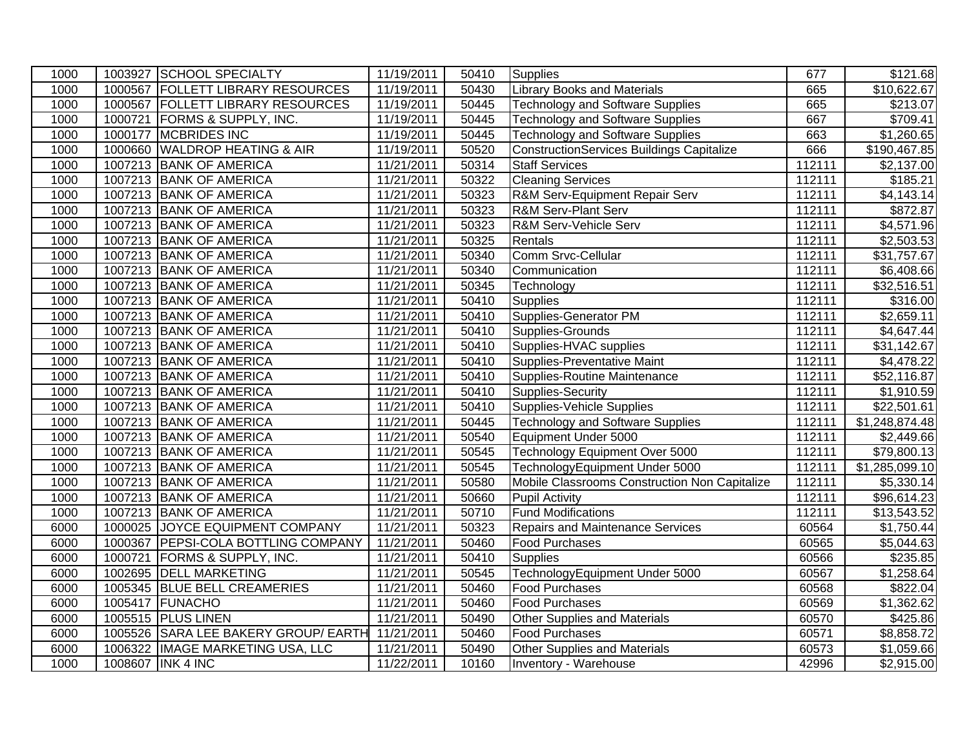| 1000 |         | 1003927 SCHOOL SPECIALTY             | 11/19/2011 | 50410 | Supplies                                         | 677    | \$121.68               |
|------|---------|--------------------------------------|------------|-------|--------------------------------------------------|--------|------------------------|
| 1000 |         | 1000567 FOLLETT LIBRARY RESOURCES    | 11/19/2011 | 50430 | <b>Library Books and Materials</b>               | 665    | \$10,622.67            |
| 1000 |         | 1000567 FOLLETT LIBRARY RESOURCES    | 11/19/2011 | 50445 | <b>Technology and Software Supplies</b>          | 665    | \$213.07               |
| 1000 |         | 1000721 FORMS & SUPPLY, INC.         | 11/19/2011 | 50445 | <b>Technology and Software Supplies</b>          | 667    | \$709.41               |
| 1000 | 1000177 | <b>MCBRIDES INC</b>                  | 11/19/2011 | 50445 | <b>Technology and Software Supplies</b>          | 663    | \$1,260.65             |
| 1000 | 1000660 | <b>WALDROP HEATING &amp; AIR</b>     | 11/19/2011 | 50520 | <b>ConstructionServices Buildings Capitalize</b> | 666    | \$190,467.85           |
| 1000 |         | 1007213 BANK OF AMERICA              | 11/21/2011 | 50314 | <b>Staff Services</b>                            | 112111 | \$2,137.00             |
| 1000 |         | 1007213 BANK OF AMERICA              | 11/21/2011 | 50322 | <b>Cleaning Services</b>                         | 112111 | \$185.21               |
| 1000 |         | 1007213 BANK OF AMERICA              | 11/21/2011 | 50323 | R&M Serv-Equipment Repair Serv                   | 112111 | \$4,143.14             |
| 1000 |         | 1007213 BANK OF AMERICA              | 11/21/2011 | 50323 | <b>R&amp;M Serv-Plant Serv</b>                   | 112111 | $\overline{$872.87}$   |
| 1000 |         | 1007213 BANK OF AMERICA              | 11/21/2011 | 50323 | R&M Serv-Vehicle Serv                            | 112111 | \$4,571.96             |
| 1000 |         | 1007213 BANK OF AMERICA              | 11/21/2011 | 50325 | Rentals                                          | 112111 | \$2,503.53             |
| 1000 |         | 1007213 BANK OF AMERICA              | 11/21/2011 | 50340 | Comm Srvc-Cellular                               | 112111 | \$31,757.67            |
| 1000 |         | 1007213 BANK OF AMERICA              | 11/21/2011 | 50340 | Communication                                    | 112111 | \$6,408.66             |
| 1000 |         | 1007213 BANK OF AMERICA              | 11/21/2011 | 50345 | Technology                                       | 112111 | \$32,516.51            |
| 1000 |         | 1007213 BANK OF AMERICA              | 11/21/2011 | 50410 | <b>Supplies</b>                                  | 112111 | \$316.00               |
| 1000 |         | 1007213 BANK OF AMERICA              | 11/21/2011 | 50410 | <b>Supplies-Generator PM</b>                     | 112111 | \$2,659.11             |
| 1000 |         | 1007213 BANK OF AMERICA              | 11/21/2011 | 50410 | Supplies-Grounds                                 | 112111 | \$4,647.44             |
| 1000 |         | 1007213 BANK OF AMERICA              | 11/21/2011 | 50410 | Supplies-HVAC supplies                           | 112111 | \$31,142.67            |
| 1000 |         | 1007213 BANK OF AMERICA              | 11/21/2011 | 50410 | <b>Supplies-Preventative Maint</b>               | 112111 | \$4,478.22             |
| 1000 |         | 1007213 BANK OF AMERICA              | 11/21/2011 | 50410 | Supplies-Routine Maintenance                     | 112111 | \$52,116.87            |
| 1000 |         | 1007213 BANK OF AMERICA              | 11/21/2011 | 50410 | Supplies-Security                                | 112111 | \$1,910.59             |
| 1000 |         | 1007213 BANK OF AMERICA              | 11/21/2011 | 50410 | <b>Supplies-Vehicle Supplies</b>                 | 112111 | \$22,501.61            |
| 1000 |         | 1007213 BANK OF AMERICA              | 11/21/2011 | 50445 | <b>Technology and Software Supplies</b>          | 112111 | \$1,248,874.48         |
| 1000 |         | 1007213 BANK OF AMERICA              | 11/21/2011 | 50540 | Equipment Under 5000                             | 112111 | \$2,449.66             |
| 1000 |         | 1007213 BANK OF AMERICA              | 11/21/2011 | 50545 | Technology Equipment Over 5000                   | 112111 | \$79,800.13            |
| 1000 |         | 1007213 BANK OF AMERICA              | 11/21/2011 | 50545 | TechnologyEquipment Under 5000                   | 112111 | \$1,285,099.10         |
| 1000 |         | 1007213 BANK OF AMERICA              | 11/21/2011 | 50580 | Mobile Classrooms Construction Non Capitalize    | 112111 | \$5,330.14             |
| 1000 |         | 1007213 BANK OF AMERICA              | 11/21/2011 | 50660 | <b>Pupil Activity</b>                            | 112111 | \$96,614.23            |
| 1000 |         | 1007213 BANK OF AMERICA              | 11/21/2011 | 50710 | <b>Fund Modifications</b>                        | 112111 | \$13,543.52            |
| 6000 |         | 1000025 JOYCE EQUIPMENT COMPANY      | 11/21/2011 | 50323 | <b>Repairs and Maintenance Services</b>          | 60564  | $\overline{$1,750.44}$ |
| 6000 |         | 1000367 PEPSI-COLA BOTTLING COMPANY  | 11/21/2011 | 50460 | <b>Food Purchases</b>                            | 60565  | \$5,044.63             |
| 6000 | 1000721 | <b>FORMS &amp; SUPPLY, INC.</b>      | 11/21/2011 | 50410 | <b>Supplies</b>                                  | 60566  | \$235.85               |
| 6000 |         | 1002695 DELL MARKETING               | 11/21/2011 | 50545 | TechnologyEquipment Under 5000                   | 60567  | $\overline{$}1,258.64$ |
| 6000 |         | 1005345 BLUE BELL CREAMERIES         | 11/21/2011 | 50460 | <b>Food Purchases</b>                            | 60568  | \$822.04               |
| 6000 | 1005417 | FUNACHO                              | 11/21/2011 | 50460 | Food Purchases                                   | 60569  | \$1,362.62             |
| 6000 |         | 1005515 PLUS LINEN                   | 11/21/2011 | 50490 | Other Supplies and Materials                     | 60570  | \$425.86               |
| 6000 |         | 1005526 SARA LEE BAKERY GROUP/ EARTH | 11/21/2011 | 50460 | <b>Food Purchases</b>                            | 60571  | \$8,858.72             |
| 6000 | 1006322 | <b>IMAGE MARKETING USA, LLC</b>      | 11/21/2011 | 50490 | Other Supplies and Materials                     | 60573  | \$1,059.66             |
| 1000 |         | 1008607 INK 4 INC                    | 11/22/2011 | 10160 | Inventory - Warehouse                            | 42996  | \$2,915.00             |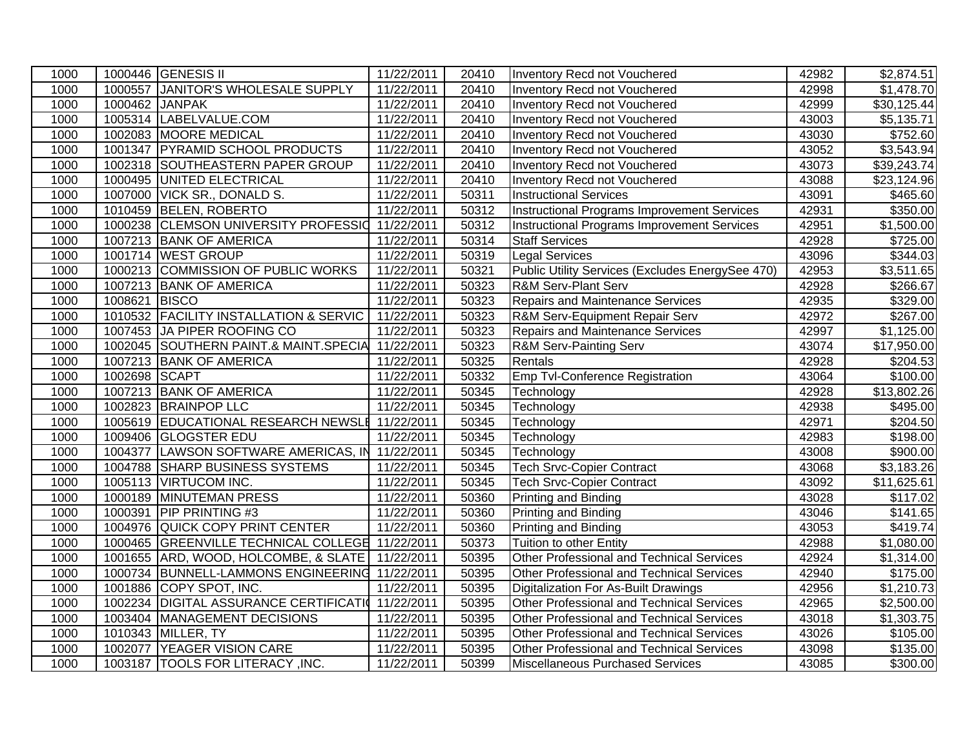| 1000 |                | 1000446 GENESIS II                                | 11/22/2011 | 20410 | Inventory Recd not Vouchered                     | 42982 | \$2,874.51             |
|------|----------------|---------------------------------------------------|------------|-------|--------------------------------------------------|-------|------------------------|
| 1000 |                | 1000557 JANITOR'S WHOLESALE SUPPLY                | 11/22/2011 | 20410 | Inventory Recd not Vouchered                     | 42998 | \$1,478.70             |
| 1000 | 1000462 JANPAK |                                                   | 11/22/2011 | 20410 | Inventory Recd not Vouchered                     | 42999 | \$30,125.44            |
| 1000 |                | 1005314 LABELVALUE.COM                            | 11/22/2011 | 20410 | <b>Inventory Recd not Vouchered</b>              | 43003 | \$5,135.71             |
| 1000 |                | 1002083 MOORE MEDICAL                             | 11/22/2011 | 20410 | Inventory Recd not Vouchered                     | 43030 | \$752.60               |
| 1000 |                | 1001347 PYRAMID SCHOOL PRODUCTS                   | 11/22/2011 | 20410 | Inventory Recd not Vouchered                     | 43052 | \$3,543.94             |
| 1000 |                | 1002318 SOUTHEASTERN PAPER GROUP                  | 11/22/2011 | 20410 | Inventory Recd not Vouchered                     | 43073 | \$39,243.74            |
| 1000 |                | 1000495 UNITED ELECTRICAL                         | 11/22/2011 | 20410 | <b>Inventory Recd not Vouchered</b>              | 43088 | \$23,124.96            |
| 1000 |                | 1007000 VICK SR., DONALD S.                       | 11/22/2011 | 50311 | <b>Instructional Services</b>                    | 43091 | \$465.60               |
| 1000 |                | 1010459 BELEN, ROBERTO                            | 11/22/2011 | 50312 | Instructional Programs Improvement Services      | 42931 | \$350.00               |
| 1000 |                | 1000238 CLEMSON UNIVERSITY PROFESSIO 11/22/2011   |            | 50312 | Instructional Programs Improvement Services      | 42951 | \$1,500.00             |
| 1000 |                | 1007213 BANK OF AMERICA                           | 11/22/2011 | 50314 | <b>Staff Services</b>                            | 42928 | \$725.00               |
| 1000 |                | 1001714 WEST GROUP                                | 11/22/2011 | 50319 | <b>Legal Services</b>                            | 43096 | \$344.03               |
| 1000 |                | 1000213 COMMISSION OF PUBLIC WORKS                | 11/22/2011 | 50321 | Public Utility Services (Excludes EnergySee 470) | 42953 | $\overline{$}3,511.65$ |
| 1000 |                | 1007213 BANK OF AMERICA                           | 11/22/2011 | 50323 | R&M Serv-Plant Serv                              | 42928 | \$266.67               |
| 1000 | 1008621 BISCO  |                                                   | 11/22/2011 | 50323 | Repairs and Maintenance Services                 | 42935 | \$329.00               |
| 1000 |                | 1010532 FACILITY INSTALLATION & SERVIC            | 11/22/2011 | 50323 | R&M Serv-Equipment Repair Serv                   | 42972 | \$267.00               |
| 1000 |                | 1007453 JA PIPER ROOFING CO                       | 11/22/2011 | 50323 | <b>Repairs and Maintenance Services</b>          | 42997 | $\overline{$}1,125.00$ |
| 1000 |                | 1002045 SOUTHERN PAINT.& MAINT.SPECIA             | 11/22/2011 | 50323 | R&M Serv-Painting Serv                           | 43074 | \$17,950.00            |
| 1000 |                | 1007213 BANK OF AMERICA                           | 11/22/2011 | 50325 | Rentals                                          | 42928 | $\overline{$}204.53$   |
| 1000 | 1002698 SCAPT  |                                                   | 11/22/2011 | 50332 | Emp Tvl-Conference Registration                  | 43064 | \$100.00               |
| 1000 |                | 1007213 BANK OF AMERICA                           | 11/22/2011 | 50345 | Technology                                       | 42928 | \$13,802.26            |
| 1000 |                | 1002823 BRAINPOP LLC                              | 11/22/2011 | 50345 | Technology                                       | 42938 | \$495.00               |
| 1000 |                | 1005619 EDUCATIONAL RESEARCH NEWSLE               | 11/22/2011 | 50345 | Technology                                       | 42971 | \$204.50               |
| 1000 |                | 1009406 GLOGSTER EDU                              | 11/22/2011 | 50345 | Technology                                       | 42983 | \$198.00               |
| 1000 |                | 1004377 LAWSON SOFTWARE AMERICAS, IN 11/22/2011   |            | 50345 | Technology                                       | 43008 | \$900.00               |
| 1000 |                | 1004788 SHARP BUSINESS SYSTEMS                    | 11/22/2011 | 50345 | <b>Tech Srvc-Copier Contract</b>                 | 43068 | \$3,183.26             |
| 1000 |                | 1005113 VIRTUCOM INC.                             | 11/22/2011 | 50345 | <b>Tech Srvc-Copier Contract</b>                 | 43092 | \$11,625.61            |
| 1000 | 1000189        | <b>MINUTEMAN PRESS</b>                            | 11/22/2011 | 50360 | Printing and Binding                             | 43028 | \$117.02               |
| 1000 | 1000391        | <b>PIP PRINTING #3</b>                            | 11/22/2011 | 50360 | Printing and Binding                             | 43046 | \$141.65               |
| 1000 |                | 1004976 QUICK COPY PRINT CENTER                   | 11/22/2011 | 50360 | Printing and Binding                             | 43053 | \$419.74               |
| 1000 |                | 1000465 GREENVILLE TECHNICAL COLLEGE 11/22/2011   |            | 50373 | Tuition to other Entity                          | 42988 | \$1,080.00             |
| 1000 |                | 1001655 ARD, WOOD, HOLCOMBE, & SLATE   11/22/2011 |            | 50395 | Other Professional and Technical Services        | 42924 | $\overline{$}1,314.00$ |
| 1000 |                | 1000734 BUNNELL-LAMMONS ENGINEERING 11/22/2011    |            | 50395 | <b>Other Professional and Technical Services</b> | 42940 | \$175.00               |
| 1000 |                | 1001886 COPY SPOT, INC.                           | 11/22/2011 | 50395 | Digitalization For As-Built Drawings             | 42956 | \$1,210.73             |
| 1000 | 1002234        | <b>DIGITAL ASSURANCE CERTIFICATION</b>            | 11/22/2011 | 50395 | <b>Other Professional and Technical Services</b> | 42965 | \$2,500.00             |
| 1000 |                | 1003404 MANAGEMENT DECISIONS                      | 11/22/2011 | 50395 | Other Professional and Technical Services        | 43018 | \$1,303.75             |
| 1000 |                | 1010343 MILLER, TY                                | 11/22/2011 | 50395 | Other Professional and Technical Services        | 43026 | \$105.00               |
| 1000 | 1002077        | YEAGER VISION CARE                                | 11/22/2011 | 50395 | Other Professional and Technical Services        | 43098 | \$135.00               |
| 1000 |                | 1003187  TOOLS FOR LITERACY, INC.                 | 11/22/2011 | 50399 | Miscellaneous Purchased Services                 | 43085 | \$300.00               |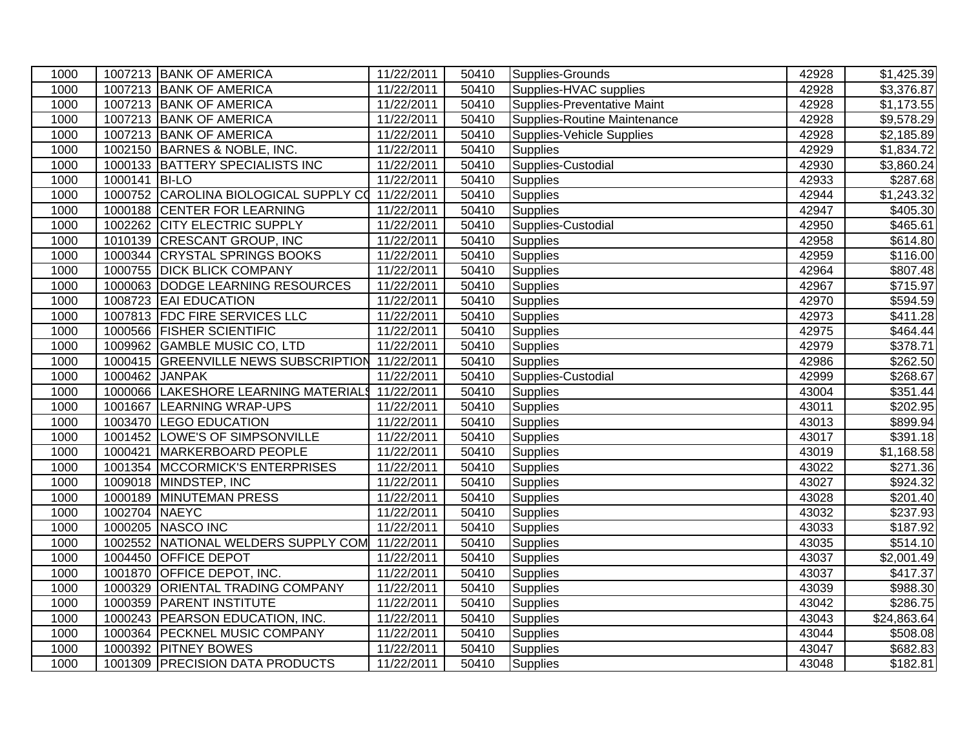| 1000 |               | 1007213 BANK OF AMERICA                          | 11/22/2011 | 50410 | Supplies-Grounds             | 42928 | \$1,425.39             |
|------|---------------|--------------------------------------------------|------------|-------|------------------------------|-------|------------------------|
| 1000 |               | 1007213 BANK OF AMERICA                          | 11/22/2011 | 50410 | Supplies-HVAC supplies       | 42928 | $\overline{$3,376.87}$ |
| 1000 |               | 1007213 BANK OF AMERICA                          | 11/22/2011 | 50410 | Supplies-Preventative Maint  | 42928 | \$1,173.55             |
| 1000 |               | 1007213 BANK OF AMERICA                          | 11/22/2011 | 50410 | Supplies-Routine Maintenance | 42928 | \$9,578.29             |
| 1000 |               | 1007213 BANK OF AMERICA                          | 11/22/2011 | 50410 | Supplies-Vehicle Supplies    | 42928 | \$2,185.89             |
| 1000 |               | 1002150 BARNES & NOBLE, INC.                     | 11/22/2011 | 50410 | <b>Supplies</b>              | 42929 | \$1,834.72             |
| 1000 |               | 1000133 BATTERY SPECIALISTS INC                  | 11/22/2011 | 50410 | Supplies-Custodial           | 42930 | \$3,860.24             |
| 1000 | 1000141 BI-LO |                                                  | 11/22/2011 | 50410 | <b>Supplies</b>              | 42933 | 3287.68                |
| 1000 |               | 1000752 CAROLINA BIOLOGICAL SUPPLY CO 11/22/2011 |            | 50410 | <b>Supplies</b>              | 42944 | \$1,243.32             |
| 1000 |               | 1000188 CENTER FOR LEARNING                      | 11/22/2011 | 50410 | <b>Supplies</b>              | 42947 | \$405.30               |
| 1000 |               | 1002262 CITY ELECTRIC SUPPLY                     | 11/22/2011 | 50410 | Supplies-Custodial           | 42950 | \$465.61               |
| 1000 |               | 1010139 CRESCANT GROUP, INC                      | 11/22/2011 | 50410 | <b>Supplies</b>              | 42958 | \$614.80               |
| 1000 |               | 1000344 CRYSTAL SPRINGS BOOKS                    | 11/22/2011 | 50410 | Supplies                     | 42959 | \$116.00               |
| 1000 |               | 1000755 DICK BLICK COMPANY                       | 11/22/2011 | 50410 | Supplies                     | 42964 | \$807.48               |
| 1000 |               | 1000063 DODGE LEARNING RESOURCES                 | 11/22/2011 | 50410 | <b>Supplies</b>              | 42967 | \$715.97               |
| 1000 |               | 1008723 EAI EDUCATION                            | 11/22/2011 | 50410 | <b>Supplies</b>              | 42970 | \$594.59               |
| 1000 |               | 1007813 FDC FIRE SERVICES LLC                    | 11/22/2011 | 50410 | <b>Supplies</b>              | 42973 | $\overline{$}411.28$   |
| 1000 |               | 1000566 FISHER SCIENTIFIC                        | 11/22/2011 | 50410 | <b>Supplies</b>              | 42975 | \$464.44               |
| 1000 |               | 1009962 GAMBLE MUSIC CO, LTD                     | 11/22/2011 | 50410 | <b>Supplies</b>              | 42979 | \$378.71               |
| 1000 |               | 1000415 GREENVILLE NEWS SUBSCRIPTION 11/22/2011  |            | 50410 | <b>Supplies</b>              | 42986 | $\overline{$}262.50$   |
| 1000 |               | 1000462 JANPAK                                   | 11/22/2011 | 50410 | Supplies-Custodial           | 42999 | \$268.67               |
| 1000 | 1000066       | LAKESHORE LEARNING MATERIALS                     | 11/22/2011 | 50410 | <b>Supplies</b>              | 43004 | $\overline{$}351.44$   |
| 1000 | 1001667       | LEARNING WRAP-UPS                                | 11/22/2011 | 50410 | <b>Supplies</b>              | 43011 | \$202.95               |
| 1000 |               | 1003470 LEGO EDUCATION                           | 11/22/2011 | 50410 | <b>Supplies</b>              | 43013 | \$899.94               |
| 1000 |               | 1001452 LOWE'S OF SIMPSONVILLE                   | 11/22/2011 | 50410 | <b>Supplies</b>              | 43017 | \$391.18               |
| 1000 |               | 1000421 MARKERBOARD PEOPLE                       | 11/22/2011 | 50410 | <b>Supplies</b>              | 43019 | \$1,168.58             |
| 1000 |               | 1001354 MCCORMICK'S ENTERPRISES                  | 11/22/2011 | 50410 | Supplies                     | 43022 | $\overline{$271.36}$   |
| 1000 |               | 1009018 MINDSTEP, INC                            | 11/22/2011 | 50410 | <b>Supplies</b>              | 43027 | \$924.32               |
| 1000 |               | 1000189 MINUTEMAN PRESS                          | 11/22/2011 | 50410 | <b>Supplies</b>              | 43028 | \$201.40               |
| 1000 | 1002704 NAEYC |                                                  | 11/22/2011 | 50410 | <b>Supplies</b>              | 43032 | \$237.93               |
| 1000 |               | 1000205 NASCO INC                                | 11/22/2011 | 50410 | <b>Supplies</b>              | 43033 | \$187.92               |
| 1000 |               | 1002552 NATIONAL WELDERS SUPPLY COM              | 11/22/2011 | 50410 | <b>Supplies</b>              | 43035 | \$514.10               |
| 1000 |               | 1004450 OFFICE DEPOT                             | 11/22/2011 | 50410 | <b>Supplies</b>              | 43037 | \$2,001.49             |
| 1000 |               | 1001870 OFFICE DEPOT, INC.                       | 11/22/2011 | 50410 | <b>Supplies</b>              | 43037 | $\overline{$}417.37$   |
| 1000 |               | 1000329 ORIENTAL TRADING COMPANY                 | 11/22/2011 | 50410 | <b>Supplies</b>              | 43039 | \$988.30               |
| 1000 |               | 1000359 PARENT INSTITUTE                         | 11/22/2011 | 50410 | <b>Supplies</b>              | 43042 | \$286.75               |
| 1000 |               | 1000243 PEARSON EDUCATION, INC.                  | 11/22/2011 | 50410 | <b>Supplies</b>              | 43043 | \$24,863.64            |
| 1000 |               | 1000364 PECKNEL MUSIC COMPANY                    | 11/22/2011 | 50410 | Supplies                     | 43044 | \$508.08               |
| 1000 |               | 1000392 PITNEY BOWES                             | 11/22/2011 | 50410 | <b>Supplies</b>              | 43047 | \$682.83               |
| 1000 |               | 1001309 PRECISION DATA PRODUCTS                  | 11/22/2011 | 50410 | <b>Supplies</b>              | 43048 | \$182.81               |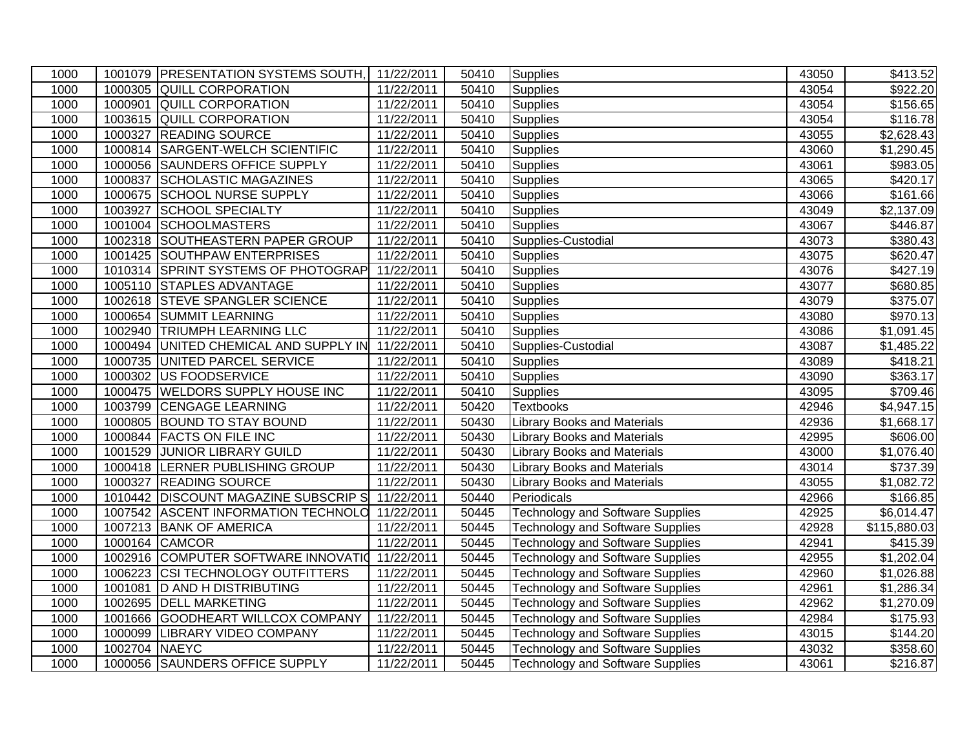| 1000 |               | 1001079 PRESENTATION SYSTEMS SOUTH,            | 11/22/2011 | 50410 | Supplies                                | 43050 | \$413.52                 |
|------|---------------|------------------------------------------------|------------|-------|-----------------------------------------|-------|--------------------------|
| 1000 | 1000305       | <b>QUILL CORPORATION</b>                       | 11/22/2011 | 50410 | <b>Supplies</b>                         | 43054 | \$922.20                 |
| 1000 | 1000901       | <b>QUILL CORPORATION</b>                       | 11/22/2011 | 50410 | Supplies                                | 43054 | \$156.65                 |
| 1000 | 1003615       | <b>QUILL CORPORATION</b>                       | 11/22/2011 | 50410 | <b>Supplies</b>                         | 43054 | \$116.78                 |
| 1000 | 1000327       | <b>READING SOURCE</b>                          | 11/22/2011 | 50410 | <b>Supplies</b>                         | 43055 | \$2,628.43               |
| 1000 | 1000814       | SARGENT-WELCH SCIENTIFIC                       | 11/22/2011 | 50410 | <b>Supplies</b>                         | 43060 | \$1,290.45               |
| 1000 | 1000056       | <b>SAUNDERS OFFICE SUPPLY</b>                  | 11/22/2011 | 50410 | <b>Supplies</b>                         | 43061 | \$983.05                 |
| 1000 | 1000837       | SCHOLASTIC MAGAZINES                           | 11/22/2011 | 50410 | <b>Supplies</b>                         | 43065 | \$420.17                 |
| 1000 | 1000675       | <b>SCHOOL NURSE SUPPLY</b>                     | 11/22/2011 | 50410 | <b>Supplies</b>                         | 43066 | $\overline{$}161.66$     |
| 1000 | 1003927       | SCHOOL SPECIALTY                               | 11/22/2011 | 50410 | <b>Supplies</b>                         | 43049 | $\overline{$}2,137.09$   |
| 1000 |               | 1001004 SCHOOLMASTERS                          | 11/22/2011 | 50410 | <b>Supplies</b>                         | 43067 | \$446.87                 |
| 1000 |               | 1002318 SOUTHEASTERN PAPER GROUP               | 11/22/2011 | 50410 | Supplies-Custodial                      | 43073 | \$380.43                 |
| 1000 |               | 1001425 SOUTHPAW ENTERPRISES                   | 11/22/2011 | 50410 | Supplies                                | 43075 | $\overline{$}620.47$     |
| 1000 |               | 1010314 SPRINT SYSTEMS OF PHOTOGRAP            | 11/22/2011 | 50410 | <b>Supplies</b>                         | 43076 | \$427.19                 |
| 1000 |               | 1005110 STAPLES ADVANTAGE                      | 11/22/2011 | 50410 | <b>Supplies</b>                         | 43077 | \$680.85                 |
| 1000 |               | 1002618 STEVE SPANGLER SCIENCE                 | 11/22/2011 | 50410 | <b>Supplies</b>                         | 43079 | \$375.07                 |
| 1000 |               | 1000654 SUMMIT LEARNING                        | 11/22/2011 | 50410 | Supplies                                | 43080 | \$970.13                 |
| 1000 |               | 1002940 TRIUMPH LEARNING LLC                   | 11/22/2011 | 50410 | <b>Supplies</b>                         | 43086 | $\overline{$}1,091.45$   |
| 1000 |               | 1000494 UNITED CHEMICAL AND SUPPLY IN          | 11/22/2011 | 50410 | Supplies-Custodial                      | 43087 | \$1,485.22               |
| 1000 |               | 1000735 UNITED PARCEL SERVICE                  | 11/22/2011 | 50410 | <b>Supplies</b>                         | 43089 | \$418.21                 |
| 1000 | 1000302       | US FOODSERVICE                                 | 11/22/2011 | 50410 | <b>Supplies</b>                         | 43090 | \$363.17                 |
| 1000 |               | 1000475 WELDORS SUPPLY HOUSE INC               | 11/22/2011 | 50410 | <b>Supplies</b>                         | 43095 | \$709.46                 |
| 1000 | 1003799       | <b>CENGAGE LEARNING</b>                        | 11/22/2011 | 50420 | Textbooks                               | 42946 | \$4,947.15               |
| 1000 |               | 1000805 BOUND TO STAY BOUND                    | 11/22/2011 | 50430 | <b>Library Books and Materials</b>      | 42936 | \$1,668.17               |
| 1000 |               | 1000844 FACTS ON FILE INC                      | 11/22/2011 | 50430 | <b>Library Books and Materials</b>      | 42995 | \$606.00                 |
| 1000 |               | 1001529 JUNIOR LIBRARY GUILD                   | 11/22/2011 | 50430 | <b>Library Books and Materials</b>      | 43000 | \$1,076.40               |
| 1000 |               | 1000418 LERNER PUBLISHING GROUP                | 11/22/2011 | 50430 | <b>Library Books and Materials</b>      | 43014 | \$737.39                 |
| 1000 |               | 1000327 READING SOURCE                         | 11/22/2011 | 50430 | <b>Library Books and Materials</b>      | 43055 | \$1,082.72               |
| 1000 | 1010442       | <b>DISCOUNT MAGAZINE SUBSCRIP S</b>            | 11/22/2011 | 50440 | Periodicals                             | 42966 | \$166.85                 |
| 1000 |               | 1007542 ASCENT INFORMATION TECHNOLO            | 11/22/2011 | 50445 | <b>Technology and Software Supplies</b> | 42925 | \$6,014.47               |
| 1000 |               | 1007213 BANK OF AMERICA                        | 11/22/2011 | 50445 | <b>Technology and Software Supplies</b> | 42928 | $\overline{$115,880.03}$ |
| 1000 |               | 1000164 CAMCOR                                 | 11/22/2011 | 50445 | <b>Technology and Software Supplies</b> | 42941 | \$415.39                 |
| 1000 |               | 1002916 COMPUTER SOFTWARE INNOVATIO 11/22/2011 |            | 50445 | <b>Technology and Software Supplies</b> | 42955 | \$1,202.04               |
| 1000 |               | 1006223 CSI TECHNOLOGY OUTFITTERS              | 11/22/2011 | 50445 | <b>Technology and Software Supplies</b> | 42960 | \$1,026.88               |
| 1000 |               | 1001081  D AND H DISTRIBUTING                  | 11/22/2011 | 50445 | <b>Technology and Software Supplies</b> | 42961 | \$1,286.34               |
| 1000 | 1002695       | <b>DELL MARKETING</b>                          | 11/22/2011 | 50445 | <b>Technology and Software Supplies</b> | 42962 | \$1,270.09               |
| 1000 |               | 1001666 GOODHEART WILLCOX COMPANY              | 11/22/2011 | 50445 | <b>Technology and Software Supplies</b> | 42984 | \$175.93                 |
| 1000 | 1000099       | <b>LIBRARY VIDEO COMPANY</b>                   | 11/22/2011 | 50445 | <b>Technology and Software Supplies</b> | 43015 | $\overline{$}144.20$     |
| 1000 | 1002704 NAEYC |                                                | 11/22/2011 | 50445 | <b>Technology and Software Supplies</b> | 43032 | \$358.60                 |
| 1000 |               | 1000056 SAUNDERS OFFICE SUPPLY                 | 11/22/2011 | 50445 | Technology and Software Supplies        | 43061 | \$216.87                 |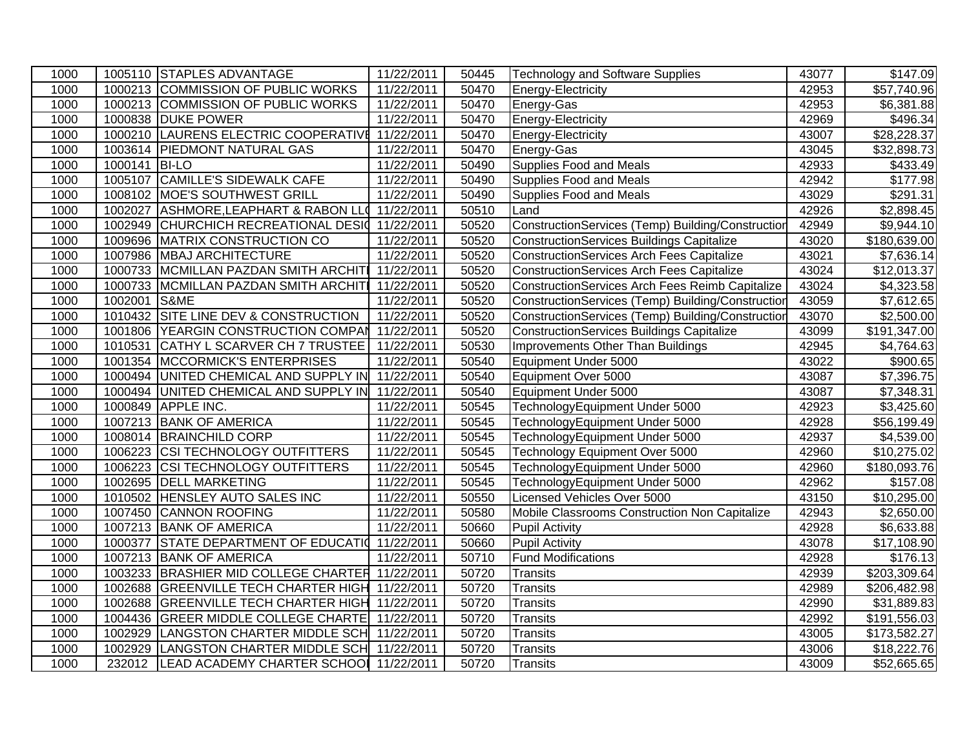| 1000 |               | 1005110 STAPLES ADVANTAGE                        | 11/22/2011 | 50445 | Technology and Software Supplies                  | 43077 | \$147.09               |
|------|---------------|--------------------------------------------------|------------|-------|---------------------------------------------------|-------|------------------------|
| 1000 |               | 1000213 COMMISSION OF PUBLIC WORKS               | 11/22/2011 | 50470 | Energy-Electricity                                | 42953 | \$57,740.96            |
| 1000 |               | 1000213 COMMISSION OF PUBLIC WORKS               | 11/22/2011 | 50470 | Energy-Gas                                        | 42953 | $\overline{$6,381.88}$ |
| 1000 |               | 1000838 DUKE POWER                               | 11/22/2011 | 50470 | Energy-Electricity                                | 42969 | \$496.34               |
| 1000 |               | 1000210 LAURENS ELECTRIC COOPERATIVE 11/22/2011  |            | 50470 | Energy-Electricity                                | 43007 | \$28,228.37            |
| 1000 | 1003614       | <b>PIEDMONT NATURAL GAS</b>                      | 11/22/2011 | 50470 | Energy-Gas                                        | 43045 | \$32,898.73            |
| 1000 | 1000141 BI-LO |                                                  | 11/22/2011 | 50490 | <b>Supplies Food and Meals</b>                    | 42933 | \$433.49               |
| 1000 |               | 1005107 CAMILLE'S SIDEWALK CAFE                  | 11/22/2011 | 50490 | <b>Supplies Food and Meals</b>                    | 42942 | \$177.98               |
| 1000 | 1008102       | MOE'S SOUTHWEST GRILL                            | 11/22/2011 | 50490 | <b>Supplies Food and Meals</b>                    | 43029 | \$291.31               |
| 1000 | 1002027       | ASHMORE, LEAPHART & RABON LLO 11/22/2011         |            | 50510 | Land                                              | 42926 | \$2,898.45             |
| 1000 | 1002949       | CHURCHICH RECREATIONAL DESI 11/22/2011           |            | 50520 | ConstructionServices (Temp) Building/Construction | 42949 | \$9,944.10             |
| 1000 |               | 1009696 MATRIX CONSTRUCTION CO                   | 11/22/2011 | 50520 | ConstructionServices Buildings Capitalize         | 43020 | \$180,639.00           |
| 1000 |               | 1007986 MBAJ ARCHITECTURE                        | 11/22/2011 | 50520 | <b>ConstructionServices Arch Fees Capitalize</b>  | 43021 | \$7,636.14             |
| 1000 |               | 1000733 MCMILLAN PAZDAN SMITH ARCHITI 11/22/2011 |            | 50520 | <b>ConstructionServices Arch Fees Capitalize</b>  | 43024 | \$12,013.37            |
| 1000 |               | 1000733 MCMILLAN PAZDAN SMITH ARCHITI            | 11/22/2011 | 50520 | ConstructionServices Arch Fees Reimb Capitalize   | 43024 | \$4,323.58             |
| 1000 | 1002001 S&ME  |                                                  | 11/22/2011 | 50520 | ConstructionServices (Temp) Building/Construction | 43059 | \$7,612.65             |
| 1000 |               | 1010432 SITE LINE DEV & CONSTRUCTION             | 11/22/2011 | 50520 | ConstructionServices (Temp) Building/Construction | 43070 | \$2,500.00             |
| 1000 | 1001806       | YEARGIN CONSTRUCTION COMPAN 11/22/2011           |            | 50520 | ConstructionServices Buildings Capitalize         | 43099 | \$191,347.00           |
| 1000 | 1010531       | CATHY L SCARVER CH 7 TRUSTEE                     | 11/22/2011 | 50530 | Improvements Other Than Buildings                 | 42945 | \$4,764.63             |
| 1000 | 1001354       | <b>MCCORMICK'S ENTERPRISES</b>                   | 11/22/2011 | 50540 | Equipment Under 5000                              | 43022 | \$900.65               |
| 1000 | 1000494       | UNITED CHEMICAL AND SUPPLY IN 11/22/2011         |            | 50540 | Equipment Over 5000                               | 43087 | \$7,396.75             |
| 1000 | 1000494       | UNITED CHEMICAL AND SUPPLY IN 11/22/2011         |            | 50540 | Equipment Under 5000                              | 43087 | \$7,348.31             |
| 1000 | 1000849       | APPLE INC.                                       | 11/22/2011 | 50545 | TechnologyEquipment Under 5000                    | 42923 | \$3,425.60             |
| 1000 |               | 1007213 BANK OF AMERICA                          | 11/22/2011 | 50545 | TechnologyEquipment Under 5000                    | 42928 | \$56,199.49            |
| 1000 |               | 1008014 BRAINCHILD CORP                          | 11/22/2011 | 50545 | TechnologyEquipment Under 5000                    | 42937 | \$4,539.00             |
| 1000 | 1006223       | <b>CSI TECHNOLOGY OUTFITTERS</b>                 | 11/22/2011 | 50545 | Technology Equipment Over 5000                    | 42960 | \$10,275.02            |
| 1000 | 1006223       | <b>CSI TECHNOLOGY OUTFITTERS</b>                 | 11/22/2011 | 50545 | TechnologyEquipment Under 5000                    | 42960 | \$180,093.76           |
| 1000 | 1002695       | <b>DELL MARKETING</b>                            | 11/22/2011 | 50545 | TechnologyEquipment Under 5000                    | 42962 | $\overline{$157.08}$   |
| 1000 | 1010502       | <b>HENSLEY AUTO SALES INC</b>                    | 11/22/2011 | 50550 | Licensed Vehicles Over 5000                       | 43150 | \$10,295.00            |
| 1000 | 1007450       | <b>CANNON ROOFING</b>                            | 11/22/2011 | 50580 | Mobile Classrooms Construction Non Capitalize     | 42943 | \$2,650.00             |
| 1000 |               | 1007213 BANK OF AMERICA                          | 11/22/2011 | 50660 | Pupil Activity                                    | 42928 | \$6,633.88             |
| 1000 | 1000377       | STATE DEPARTMENT OF EDUCATIO 11/22/2011          |            | 50660 | Pupil Activity                                    | 43078 | \$17,108.90            |
| 1000 |               | 1007213 BANK OF AMERICA                          | 11/22/2011 | 50710 | Fund Modifications                                | 42928 | \$176.13               |
| 1000 |               | 1003233 BRASHIER MID COLLEGE CHARTER 11/22/2011  |            | 50720 | <b>Transits</b>                                   | 42939 | \$203,309.64           |
| 1000 | 1002688       | GREENVILLE TECH CHARTER HIGH 11/22/2011          |            | 50720 | <b>Transits</b>                                   | 42989 | \$206,482.98           |
| 1000 | 1002688       | GREENVILLE TECH CHARTER HIGH 11/22/2011          |            | 50720 | <b>Transits</b>                                   | 42990 | \$31,889.83            |
| 1000 | 1004436       | GREER MIDDLE COLLEGE CHARTE 11/22/2011           |            | 50720 | Transits                                          | 42992 | \$191,556.03           |
| 1000 | 1002929       | LANGSTON CHARTER MIDDLE SCH 11/22/2011           |            | 50720 | <b>Transits</b>                                   | 43005 | \$173,582.27           |
| 1000 | 1002929       | LANGSTON CHARTER MIDDLE SCH 11/22/2011           |            | 50720 | <b>Transits</b>                                   | 43006 | \$18,222.76            |
| 1000 | 232012        | LEAD ACADEMY CHARTER SCHOOL 11/22/2011           |            | 50720 | <b>Transits</b>                                   | 43009 | \$52,665.65            |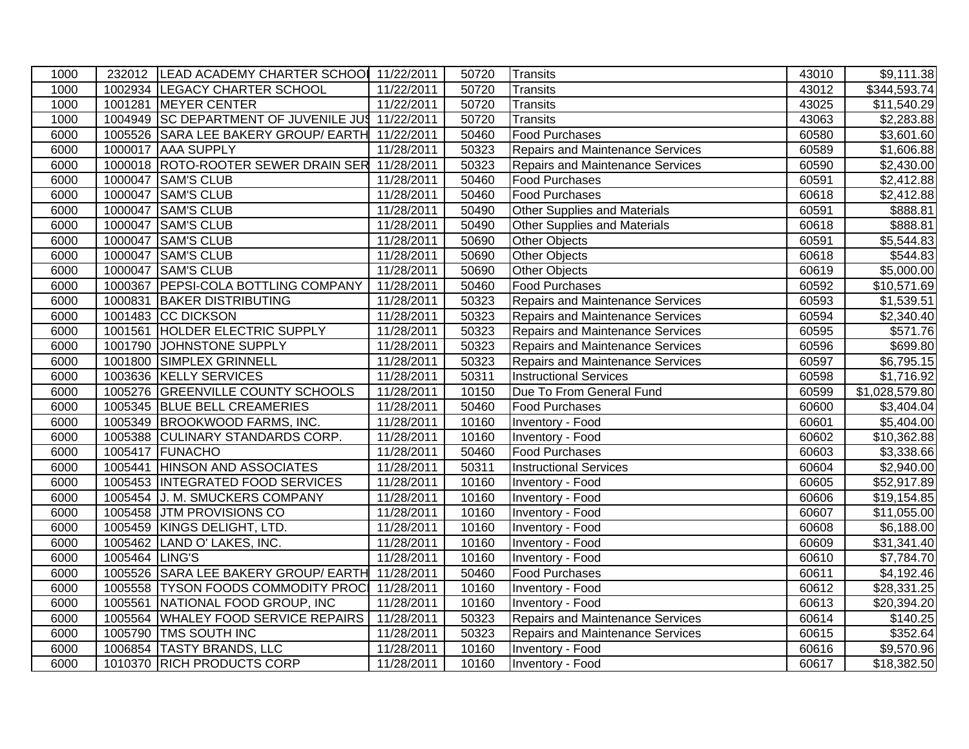| 1000 |                | 232012 LEAD ACADEMY CHARTER SCHOOL 11/22/2011    |            | 50720 | Transits                                | 43010 | \$9,111.38               |
|------|----------------|--------------------------------------------------|------------|-------|-----------------------------------------|-------|--------------------------|
| 1000 |                | 1002934 LEGACY CHARTER SCHOOL                    | 11/22/2011 | 50720 | Transits                                | 43012 | $\overline{$}344,593.74$ |
| 1000 |                | 1001281 MEYER CENTER                             | 11/22/2011 | 50720 | Transits                                | 43025 | \$11,540.29              |
| 1000 |                | 1004949 SC DEPARTMENT OF JUVENILE JUS 11/22/2011 |            | 50720 | Transits                                | 43063 | \$2,283.88               |
| 6000 |                | 1005526 SARA LEE BAKERY GROUP/ EARTH 11/22/2011  |            | 50460 | <b>Food Purchases</b>                   | 60580 | \$3,601.60               |
| 6000 | 1000017        | <b>AAA SUPPLY</b>                                | 11/28/2011 | 50323 | Repairs and Maintenance Services        | 60589 | \$1,606.88               |
| 6000 |                | 1000018 ROTO-ROOTER SEWER DRAIN SER 11/28/2011   |            | 50323 | Repairs and Maintenance Services        | 60590 | \$2,430.00               |
| 6000 |                | 1000047 SAM'S CLUB                               | 11/28/2011 | 50460 | <b>Food Purchases</b>                   | 60591 | \$2,412.88               |
| 6000 | 1000047        | <b>SAM'S CLUB</b>                                | 11/28/2011 | 50460 | <b>Food Purchases</b>                   | 60618 | \$2,412.88               |
| 6000 |                | 1000047 SAM'S CLUB                               | 11/28/2011 | 50490 | <b>Other Supplies and Materials</b>     | 60591 | \$888.81                 |
| 6000 |                | 1000047 SAM'S CLUB                               | 11/28/2011 | 50490 | <b>Other Supplies and Materials</b>     | 60618 | \$888.81                 |
| 6000 |                | 1000047 SAM'S CLUB                               | 11/28/2011 | 50690 | Other Objects                           | 60591 | \$5,544.83               |
| 6000 |                | 1000047 SAM'S CLUB                               | 11/28/2011 | 50690 | <b>Other Objects</b>                    | 60618 | $\overline{$}544.83$     |
| 6000 |                | 1000047 SAM'S CLUB                               | 11/28/2011 | 50690 | Other Objects                           | 60619 | \$5,000.00               |
| 6000 |                | 1000367 PEPSI-COLA BOTTLING COMPANY              | 11/28/2011 | 50460 | <b>Food Purchases</b>                   | 60592 | \$10,571.69              |
| 6000 |                | 1000831 BAKER DISTRIBUTING                       | 11/28/2011 | 50323 | Repairs and Maintenance Services        | 60593 | \$1,539.51               |
| 6000 |                | 1001483 CC DICKSON                               | 11/28/2011 | 50323 | Repairs and Maintenance Services        | 60594 | \$2,340.40               |
| 6000 |                | 1001561 HOLDER ELECTRIC SUPPLY                   | 11/28/2011 | 50323 | <b>Repairs and Maintenance Services</b> | 60595 | \$571.76                 |
| 6000 |                | 1001790 JOHNSTONE SUPPLY                         | 11/28/2011 | 50323 | Repairs and Maintenance Services        | 60596 | \$699.80                 |
| 6000 |                | 1001800 SIMPLEX GRINNELL                         | 11/28/2011 | 50323 | Repairs and Maintenance Services        | 60597 | \$6,795.15               |
| 6000 |                | 1003636 KELLY SERVICES                           | 11/28/2011 | 50311 | <b>Instructional Services</b>           | 60598 | \$1,716.92               |
| 6000 |                | 1005276 GREENVILLE COUNTY SCHOOLS                | 11/28/2011 | 10150 | Due To From General Fund                | 60599 | \$1,028,579.80           |
| 6000 |                | 1005345 BLUE BELL CREAMERIES                     | 11/28/2011 | 50460 | <b>Food Purchases</b>                   | 60600 | \$3,404.04               |
| 6000 |                | 1005349 BROOKWOOD FARMS, INC.                    | 11/28/2011 | 10160 | Inventory - Food                        | 60601 | \$5,404.00               |
| 6000 |                | 1005388 CULINARY STANDARDS CORP.                 | 11/28/2011 | 10160 | <b>Inventory - Food</b>                 | 60602 | \$10,362.88              |
| 6000 |                | 1005417 FUNACHO                                  | 11/28/2011 | 50460 | <b>Food Purchases</b>                   | 60603 | \$3,338.66               |
| 6000 |                | 1005441 HINSON AND ASSOCIATES                    | 11/28/2011 | 50311 | <b>Instructional Services</b>           | 60604 | \$2,940.00               |
| 6000 |                | 1005453 INTEGRATED FOOD SERVICES                 | 11/28/2011 | 10160 | Inventory - Food                        | 60605 | \$52,917.89              |
| 6000 |                | 1005454 J. M. SMUCKERS COMPANY                   | 11/28/2011 | 10160 | Inventory - Food                        | 60606 | \$19,154.85              |
| 6000 |                | 1005458 JTM PROVISIONS CO                        | 11/28/2011 | 10160 | Inventory - Food                        | 60607 | \$11,055.00              |
| 6000 |                | 1005459 KINGS DELIGHT, LTD.                      | 11/28/2011 | 10160 | Inventory - Food                        | 60608 | \$6,188.00               |
| 6000 |                | 1005462 LAND O' LAKES, INC.                      | 11/28/2011 | 10160 | Inventory - Food                        | 60609 | \$31,341.40              |
| 6000 | 1005464 LING'S |                                                  | 11/28/2011 | 10160 | Inventory - Food                        | 60610 | \$7,784.70               |
| 6000 |                | 1005526 SARA LEE BAKERY GROUP/ EARTH             | 11/28/2011 | 50460 | <b>Food Purchases</b>                   | 60611 | \$4,192.46               |
| 6000 |                | 1005558 TYSON FOODS COMMODITY PROC               | 11/28/2011 | 10160 | Inventory - Food                        | 60612 | \$28,331.25              |
| 6000 | 1005561        | NATIONAL FOOD GROUP, INC                         | 11/28/2011 | 10160 | Inventory - Food                        | 60613 | \$20,394.20              |
| 6000 |                | 1005564 WHALEY FOOD SERVICE REPAIRS              | 11/28/2011 | 50323 | <b>Repairs and Maintenance Services</b> | 60614 | \$140.25                 |
| 6000 |                | 1005790 TMS SOUTH INC                            | 11/28/2011 | 50323 | <b>Repairs and Maintenance Services</b> | 60615 | \$352.64                 |
| 6000 |                | 1006854 TASTY BRANDS, LLC                        | 11/28/2011 | 10160 | Inventory - Food                        | 60616 | \$9,570.96               |
| 6000 |                | 1010370 RICH PRODUCTS CORP                       | 11/28/2011 | 10160 | Inventory - Food                        | 60617 | \$18,382.50              |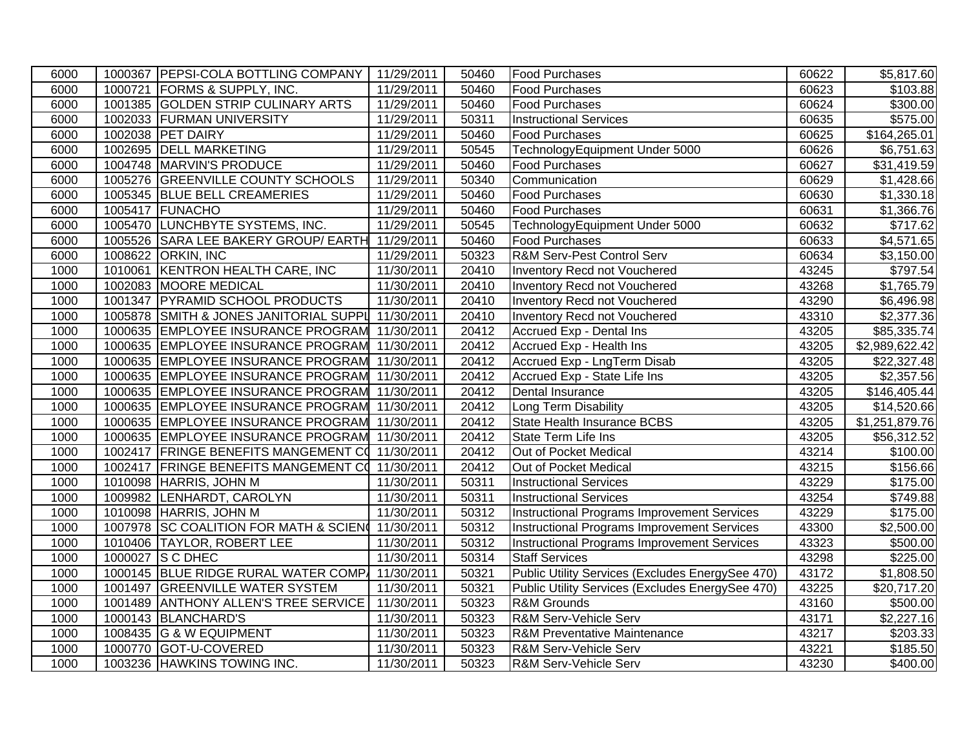| 6000 | 1000367 PEPSI-COLA BOTTLING COMPANY               | 11/29/2011 | 50460 | <b>Food Purchases</b>                              | 60622 | \$5,817.60             |
|------|---------------------------------------------------|------------|-------|----------------------------------------------------|-------|------------------------|
| 6000 | 1000721 FORMS & SUPPLY, INC.                      | 11/29/2011 | 50460 | <b>Food Purchases</b>                              | 60623 | \$103.88               |
| 6000 | 1001385 GOLDEN STRIP CULINARY ARTS                | 11/29/2011 | 50460 | <b>Food Purchases</b>                              | 60624 | \$300.00               |
| 6000 | 1002033 FURMAN UNIVERSITY                         | 11/29/2011 | 50311 | <b>Instructional Services</b>                      | 60635 | \$575.00               |
| 6000 | 1002038 PET DAIRY                                 | 11/29/2011 | 50460 | <b>Food Purchases</b>                              | 60625 | \$164,265.01           |
| 6000 | 1002695 DELL MARKETING                            | 11/29/2011 | 50545 | TechnologyEquipment Under 5000                     | 60626 | \$6,751.63             |
| 6000 | 1004748 MARVIN'S PRODUCE                          | 11/29/2011 | 50460 | Food Purchases                                     | 60627 | \$31,419.59            |
| 6000 | 1005276 GREENVILLE COUNTY SCHOOLS                 | 11/29/2011 | 50340 | Communication                                      | 60629 | \$1,428.66             |
| 6000 | 1005345 BLUE BELL CREAMERIES                      | 11/29/2011 | 50460 | Food Purchases                                     | 60630 | \$1,330.18             |
| 6000 | 1005417 FUNACHO                                   | 11/29/2011 | 50460 | <b>Food Purchases</b>                              | 60631 | \$1,366.76             |
| 6000 | 1005470 LUNCHBYTE SYSTEMS, INC.                   | 11/29/2011 | 50545 | TechnologyEquipment Under 5000                     | 60632 | $\overline{$}717.62$   |
| 6000 | 1005526 SARA LEE BAKERY GROUP/ EARTH 11/29/2011   |            | 50460 | <b>Food Purchases</b>                              | 60633 | \$4,571.65             |
| 6000 | 1008622 ORKIN, INC                                | 11/29/2011 | 50323 | R&M Serv-Pest Control Serv                         | 60634 | \$3,150.00             |
| 1000 | 1010061 KENTRON HEALTH CARE, INC                  | 11/30/2011 | 20410 | Inventory Recd not Vouchered                       | 43245 | \$797.54               |
| 1000 | 1002083 MOORE MEDICAL                             | 11/30/2011 | 20410 | Inventory Recd not Vouchered                       | 43268 | \$1,765.79             |
| 1000 | 1001347 PYRAMID SCHOOL PRODUCTS                   | 11/30/2011 | 20410 | Inventory Recd not Vouchered                       | 43290 | \$6,496.98             |
| 1000 | 1005878 SMITH & JONES JANITORIAL SUPPL 11/30/2011 |            | 20410 | Inventory Recd not Vouchered                       | 43310 | \$2,377.36             |
| 1000 | 1000635 EMPLOYEE INSURANCE PROGRAM 11/30/2011     |            | 20412 | Accrued Exp - Dental Ins                           | 43205 | \$85,335.74            |
| 1000 | 1000635 EMPLOYEE INSURANCE PROGRAM 11/30/2011     |            | 20412 | Accrued Exp - Health Ins                           | 43205 | \$2,989,622.42         |
| 1000 | 1000635 EMPLOYEE INSURANCE PROGRAM 11/30/2011     |            | 20412 | Accrued Exp - LngTerm Disab                        | 43205 | \$22,327.48            |
| 1000 | 1000635 EMPLOYEE INSURANCE PROGRAM 11/30/2011     |            | 20412 | Accrued Exp - State Life Ins                       | 43205 | \$2,357.56             |
| 1000 | 1000635 EMPLOYEE INSURANCE PROGRAM 11/30/2011     |            | 20412 | Dental Insurance                                   | 43205 | \$146,405.44           |
| 1000 | 1000635 EMPLOYEE INSURANCE PROGRAM 11/30/2011     |            | 20412 | Long Term Disability                               | 43205 | \$14,520.66            |
| 1000 | 1000635 EMPLOYEE INSURANCE PROGRAM 11/30/2011     |            | 20412 | State Health Insurance BCBS                        | 43205 | \$1,251,879.76         |
| 1000 | 1000635 EMPLOYEE INSURANCE PROGRAM 11/30/2011     |            | 20412 | State Term Life Ins                                | 43205 | \$56,312.52            |
| 1000 | 1002417 FRINGE BENEFITS MANGEMENT CO 11/30/2011   |            | 20412 | Out of Pocket Medical                              | 43214 | \$100.00               |
| 1000 | 1002417 FRINGE BENEFITS MANGEMENT CO 11/30/2011   |            | 20412 | Out of Pocket Medical                              | 43215 | $\overline{$}156.66$   |
| 1000 | 1010098 HARRIS, JOHN M                            | 11/30/2011 | 50311 | <b>Instructional Services</b>                      | 43229 | \$175.00               |
| 1000 | 1009982 LENHARDT, CAROLYN                         | 11/30/2011 | 50311 | <b>Instructional Services</b>                      | 43254 | \$749.88               |
| 1000 | 1010098 HARRIS, JOHN M                            | 11/30/2011 | 50312 | <b>Instructional Programs Improvement Services</b> | 43229 | \$175.00               |
| 1000 | 1007978 SC COALITION FOR MATH & SCIEN 41/30/2011  |            | 50312 | Instructional Programs Improvement Services        | 43300 | $\overline{$}2,500.00$ |
| 1000 | 1010406 TAYLOR, ROBERT LEE                        | 11/30/2011 | 50312 | <b>Instructional Programs Improvement Services</b> | 43323 | \$500.00               |
| 1000 | 1000027 S C DHEC                                  | 11/30/2011 | 50314 | <b>Staff Services</b>                              | 43298 | \$225.00               |
| 1000 | 1000145 BLUE RIDGE RURAL WATER COMP 11/30/2011    |            | 50321 | Public Utility Services (Excludes EnergySee 470)   | 43172 | \$1,808.50             |
| 1000 | 1001497 GREENVILLE WATER SYSTEM                   | 11/30/2011 | 50321 | Public Utility Services (Excludes EnergySee 470)   | 43225 | \$20,717.20            |
| 1000 | 1001489 ANTHONY ALLEN'S TREE SERVICE              | 11/30/2011 | 50323 | <b>R&amp;M Grounds</b>                             | 43160 | \$500.00               |
| 1000 | 1000143 BLANCHARD'S                               | 11/30/2011 | 50323 | R&M Serv-Vehicle Serv                              | 43171 | \$2,227.16             |
| 1000 | 1008435 G & W EQUIPMENT                           | 11/30/2011 | 50323 | R&M Preventative Maintenance                       | 43217 | \$203.33               |
| 1000 | 1000770 GOT-U-COVERED                             | 11/30/2011 | 50323 | R&M Serv-Vehicle Serv                              | 43221 | \$185.50               |
| 1000 | 1003236 HAWKINS TOWING INC.                       | 11/30/2011 | 50323 | R&M Serv-Vehicle Serv                              | 43230 | \$400.00               |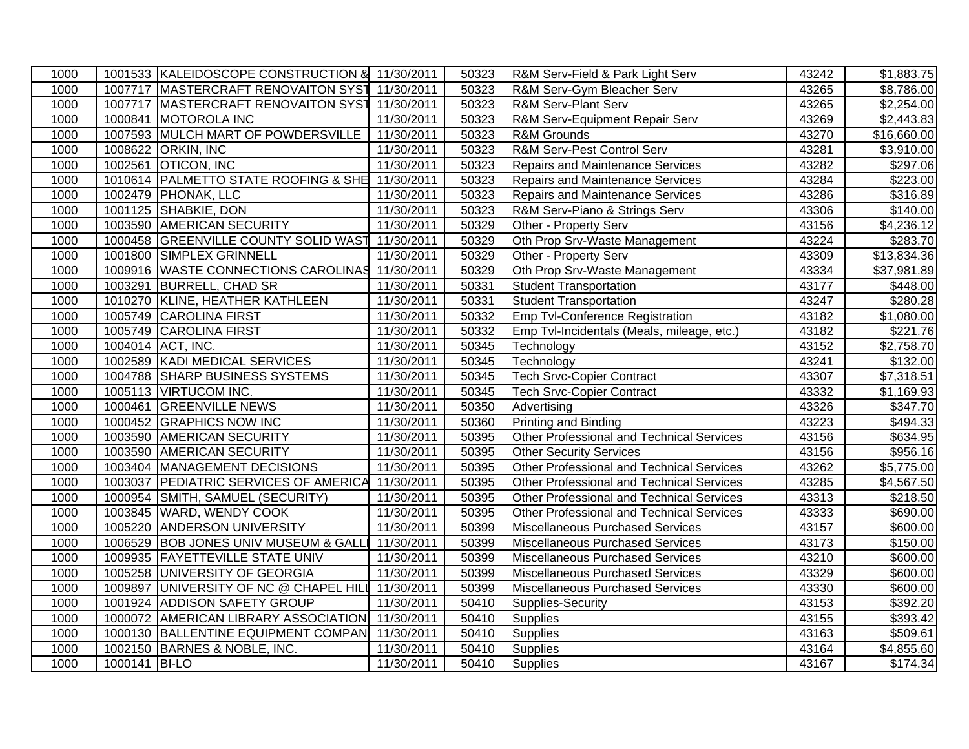| 1000 |               | 1001533 KALEIDOSCOPE CONSTRUCTION & 11/30/2011   |            | 50323 | R&M Serv-Field & Park Light Serv                 | 43242 | \$1,883.75              |
|------|---------------|--------------------------------------------------|------------|-------|--------------------------------------------------|-------|-------------------------|
| 1000 |               | 1007717 MASTERCRAFT RENOVAITON SYST 11/30/2011   |            | 50323 | R&M Serv-Gym Bleacher Serv                       | 43265 | \$8,786.00              |
| 1000 |               | 1007717   MASTERCRAFT RENOVAITON SYST 11/30/2011 |            | 50323 | <b>R&amp;M Serv-Plant Serv</b>                   | 43265 | \$2,254.00              |
| 1000 |               | 1000841 MOTOROLA INC                             | 11/30/2011 | 50323 | R&M Serv-Equipment Repair Serv                   | 43269 | \$2,443.83              |
| 1000 |               | 1007593 MULCH MART OF POWDERSVILLE               | 11/30/2011 | 50323 | R&M Grounds                                      | 43270 | \$16,660.00             |
| 1000 |               | 1008622 ORKIN, INC                               | 11/30/2011 | 50323 | R&M Serv-Pest Control Serv                       | 43281 | \$3,910.00              |
| 1000 | 1002561       | <b>OTICON, INC</b>                               | 11/30/2011 | 50323 | <b>Repairs and Maintenance Services</b>          | 43282 | \$297.06                |
| 1000 |               | 1010614 PALMETTO STATE ROOFING & SHE             | 11/30/2011 | 50323 | Repairs and Maintenance Services                 | 43284 | \$223.00                |
| 1000 |               | 1002479   PHONAK, LLC                            | 11/30/2011 | 50323 | Repairs and Maintenance Services                 | 43286 | \$316.89                |
| 1000 |               | 1001125 SHABKIE, DON                             | 11/30/2011 | 50323 | R&M Serv-Piano & Strings Serv                    | 43306 | \$140.00                |
| 1000 |               | 1003590 AMERICAN SECURITY                        | 11/30/2011 | 50329 | Other - Property Serv                            | 43156 | \$4,236.12              |
| 1000 |               | 1000458 GREENVILLE COUNTY SOLID WAST             | 11/30/2011 | 50329 | Oth Prop Srv-Waste Management                    | 43224 | \$283.70                |
| 1000 |               | 1001800 SIMPLEX GRINNELL                         | 11/30/2011 | 50329 | Other - Property Serv                            | 43309 | \$13,834.36             |
| 1000 |               | 1009916 WASTE CONNECTIONS CAROLINAS 11/30/2011   |            | 50329 | Oth Prop Srv-Waste Management                    | 43334 | \$37,981.89             |
| 1000 |               | 1003291 BURRELL, CHAD SR                         | 11/30/2011 | 50331 | <b>Student Transportation</b>                    | 43177 | \$448.00                |
| 1000 |               | 1010270 KLINE, HEATHER KATHLEEN                  | 11/30/2011 | 50331 | <b>Student Transportation</b>                    | 43247 | $\sqrt{$280.28}$        |
| 1000 |               | 1005749 CAROLINA FIRST                           | 11/30/2011 | 50332 | Emp Tvl-Conference Registration                  | 43182 | \$1,080.00              |
| 1000 |               | 1005749 CAROLINA FIRST                           | 11/30/2011 | 50332 | Emp Tvl-Incidentals (Meals, mileage, etc.)       | 43182 | \$221.76                |
| 1000 |               | 1004014 ACT, INC.                                | 11/30/2011 | 50345 | Technology                                       | 43152 | \$2,758.70              |
| 1000 |               | 1002589 KADI MEDICAL SERVICES                    | 11/30/2011 | 50345 | Technology                                       | 43241 | \$132.00                |
| 1000 |               | 1004788 SHARP BUSINESS SYSTEMS                   | 11/30/2011 | 50345 | <b>Tech Srvc-Copier Contract</b>                 | 43307 | \$7,318.51              |
| 1000 |               | 1005113 VIRTUCOM INC.                            | 11/30/2011 | 50345 | <b>Tech Srvc-Copier Contract</b>                 | 43332 | $\overline{31,169.93}$  |
| 1000 | 1000461       | <b>GREENVILLE NEWS</b>                           | 11/30/2011 | 50350 | Advertising                                      | 43326 | 347.70                  |
| 1000 |               | 1000452 GRAPHICS NOW INC                         | 11/30/2011 | 50360 | <b>Printing and Binding</b>                      | 43223 | 3494.33                 |
| 1000 |               | 1003590 AMERICAN SECURITY                        | 11/30/2011 | 50395 | Other Professional and Technical Services        | 43156 | \$634.95                |
| 1000 |               | 1003590 AMERICAN SECURITY                        | 11/30/2011 | 50395 | <b>Other Security Services</b>                   | 43156 | \$956.16                |
| 1000 |               | 1003404 MANAGEMENT DECISIONS                     | 11/30/2011 | 50395 | Other Professional and Technical Services        | 43262 | \$5,775.00              |
| 1000 |               | 1003037 PEDIATRIC SERVICES OF AMERICA            | 11/30/2011 | 50395 | <b>Other Professional and Technical Services</b> | 43285 | $\overline{\$4,567.50}$ |
| 1000 |               | 1000954 SMITH, SAMUEL (SECURITY)                 | 11/30/2011 | 50395 | Other Professional and Technical Services        | 43313 | \$218.50                |
| 1000 |               | 1003845 WARD, WENDY COOK                         | 11/30/2011 | 50395 | Other Professional and Technical Services        | 43333 | \$690.00                |
| 1000 |               | 1005220 ANDERSON UNIVERSITY                      | 11/30/2011 | 50399 | Miscellaneous Purchased Services                 | 43157 | \$600.00                |
| 1000 |               | 1006529 BOB JONES UNIV MUSEUM & GALLI            | 11/30/2011 | 50399 | Miscellaneous Purchased Services                 | 43173 | \$150.00                |
| 1000 |               | 1009935 FAYETTEVILLE STATE UNIV                  | 11/30/2011 | 50399 | Miscellaneous Purchased Services                 | 43210 | \$600.00                |
| 1000 |               | 1005258 UNIVERSITY OF GEORGIA                    | 11/30/2011 | 50399 | Miscellaneous Purchased Services                 | 43329 | \$600.00                |
| 1000 |               | 1009897 UNIVERSITY OF NC @ CHAPEL HILL           | 11/30/2011 | 50399 | Miscellaneous Purchased Services                 | 43330 | \$600.00                |
| 1000 |               | 1001924 ADDISON SAFETY GROUP                     | 11/30/2011 | 50410 | Supplies-Security                                | 43153 | \$392.20                |
| 1000 |               | 1000072 AMERICAN LIBRARY ASSOCIATION             | 11/30/2011 | 50410 | <b>Supplies</b>                                  | 43155 | \$393.42                |
| 1000 |               | 1000130 BALLENTINE EQUIPMENT COMPAN              | 11/30/2011 | 50410 | <b>Supplies</b>                                  | 43163 | \$509.61                |
| 1000 |               | 1002150 BARNES & NOBLE, INC.                     | 11/30/2011 | 50410 | <b>Supplies</b>                                  | 43164 | \$4,855.60              |
| 1000 | 1000141 BI-LO |                                                  | 11/30/2011 | 50410 | <b>Supplies</b>                                  | 43167 | \$174.34                |
|      |               |                                                  |            |       |                                                  |       |                         |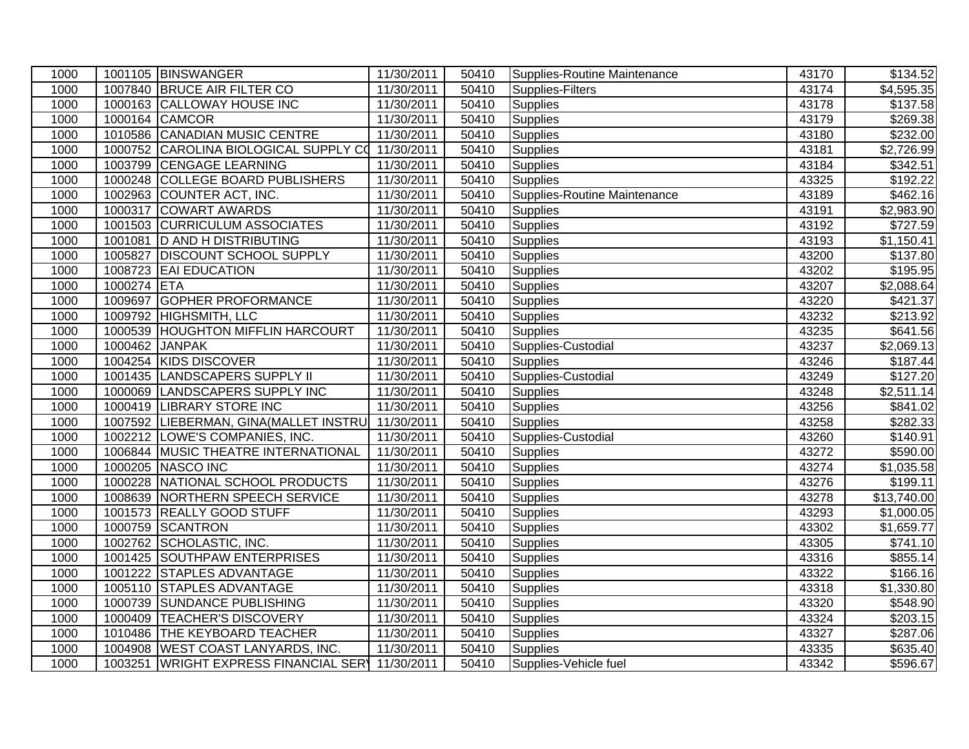| 1000 |             | 1001105 BINSWANGER                      | 11/30/2011 | 50410 | Supplies-Routine Maintenance | 43170 | \$134.52                |
|------|-------------|-----------------------------------------|------------|-------|------------------------------|-------|-------------------------|
| 1000 |             | 1007840 BRUCE AIR FILTER CO             | 11/30/2011 | 50410 | Supplies-Filters             | 43174 | \$4,595.35              |
| 1000 |             | 1000163 CALLOWAY HOUSE INC              | 11/30/2011 | 50410 | <b>Supplies</b>              | 43178 | $\overline{$}137.58$    |
| 1000 |             | 1000164 CAMCOR                          | 11/30/2011 | 50410 | Supplies                     | 43179 | \$269.38                |
| 1000 |             | 1010586 CANADIAN MUSIC CENTRE           | 11/30/2011 | 50410 | <b>Supplies</b>              | 43180 | \$232.00                |
| 1000 | 1000752     | CAROLINA BIOLOGICAL SUPPLY CO           | 11/30/2011 | 50410 | <b>Supplies</b>              | 43181 | \$2,726.99              |
| 1000 | 1003799     | <b>CENGAGE LEARNING</b>                 | 11/30/2011 | 50410 | <b>Supplies</b>              | 43184 | \$342.51                |
| 1000 |             | 1000248 COLLEGE BOARD PUBLISHERS        | 11/30/2011 | 50410 | <b>Supplies</b>              | 43325 | \$192.22                |
| 1000 |             | 1002963 COUNTER ACT, INC.               | 11/30/2011 | 50410 | Supplies-Routine Maintenance | 43189 | \$462.16                |
| 1000 | 1000317     | <b>COWART AWARDS</b>                    | 11/30/2011 | 50410 | Supplies                     | 43191 | \$2,983.90              |
| 1000 |             | 1001503 CURRICULUM ASSOCIATES           | 11/30/2011 | 50410 | Supplies                     | 43192 | \$727.59                |
| 1000 |             | 1001081 D AND H DISTRIBUTING            | 11/30/2011 | 50410 | Supplies                     | 43193 | \$1,150.41              |
| 1000 | 1005827     | <b>DISCOUNT SCHOOL SUPPLY</b>           | 11/30/2011 | 50410 | Supplies                     | 43200 | $\overline{$}137.80$    |
| 1000 |             | 1008723 EAI EDUCATION                   | 11/30/2011 | 50410 | <b>Supplies</b>              | 43202 | $\overline{$}195.95$    |
| 1000 | 1000274 ETA |                                         | 11/30/2011 | 50410 | <b>Supplies</b>              | 43207 | \$2,088.64              |
| 1000 | 1009697     | <b>GOPHER PROFORMANCE</b>               | 11/30/2011 | 50410 | <b>Supplies</b>              | 43220 | \$421.37                |
| 1000 | 1009792     | HIGHSMITH, LLC                          | 11/30/2011 | 50410 | <b>Supplies</b>              | 43232 | \$213.92                |
| 1000 |             | 1000539 HOUGHTON MIFFLIN HARCOURT       | 11/30/2011 | 50410 | <b>Supplies</b>              | 43235 | $\overline{$}641.56$    |
| 1000 |             | 1000462 JANPAK                          | 11/30/2011 | 50410 | Supplies-Custodial           | 43237 | \$2,069.13              |
| 1000 |             | 1004254 KIDS DISCOVER                   | 11/30/2011 | 50410 | <b>Supplies</b>              | 43246 | \$187.44                |
| 1000 | 1001435     | <b>LANDSCAPERS SUPPLY II</b>            | 11/30/2011 | 50410 | Supplies-Custodial           | 43249 | \$127.20                |
| 1000 | 1000069     | <b>LANDSCAPERS SUPPLY INC</b>           | 11/30/2011 | 50410 | <b>Supplies</b>              | 43248 | \$2,511.14              |
| 1000 | 1000419     | <b>LIBRARY STORE INC</b>                | 11/30/2011 | 50410 | <b>Supplies</b>              | 43256 | \$841.02                |
| 1000 |             | 1007592 LIEBERMAN, GINA (MALLET INSTRUI | 11/30/2011 | 50410 | <b>Supplies</b>              | 43258 | \$282.33                |
| 1000 |             | 1002212 LOWE'S COMPANIES, INC.          | 11/30/2011 | 50410 | Supplies-Custodial           | 43260 | \$140.91                |
| 1000 |             | 1006844 MUSIC THEATRE INTERNATIONAL     | 11/30/2011 | 50410 | Supplies                     | 43272 | \$590.00                |
| 1000 |             | 1000205 NASCO INC                       | 11/30/2011 | 50410 | <b>Supplies</b>              | 43274 | $\overline{\$1,035.58}$ |
| 1000 |             | 1000228 NATIONAL SCHOOL PRODUCTS        | 11/30/2011 | 50410 | <b>Supplies</b>              | 43276 | \$199.11                |
| 1000 | 1008639     | NORTHERN SPEECH SERVICE                 | 11/30/2011 | 50410 | <b>Supplies</b>              | 43278 | \$13,740.00             |
| 1000 |             | 1001573 REALLY GOOD STUFF               | 11/30/2011 | 50410 | <b>Supplies</b>              | 43293 | \$1,000.05              |
| 1000 | 1000759     | <b>SCANTRON</b>                         | 11/30/2011 | 50410 | Supplies                     | 43302 | \$1,659.77              |
| 1000 |             | 1002762 SCHOLASTIC, INC.                | 11/30/2011 | 50410 | <b>Supplies</b>              | 43305 | \$741.10                |
| 1000 |             | 1001425 SOUTHPAW ENTERPRISES            | 11/30/2011 | 50410 | <b>Supplies</b>              | 43316 | \$855.14                |
| 1000 |             | 1001222 STAPLES ADVANTAGE               | 11/30/2011 | 50410 | Supplies                     | 43322 | \$166.16                |
| 1000 |             | 1005110 STAPLES ADVANTAGE               | 11/30/2011 | 50410 | <b>Supplies</b>              | 43318 | \$1,330.80              |
| 1000 | 1000739     | <b>SUNDANCE PUBLISHING</b>              | 11/30/2011 | 50410 | Supplies                     | 43320 | \$548.90                |
| 1000 | 1000409     | <b>TEACHER'S DISCOVERY</b>              | 11/30/2011 | 50410 | <b>Supplies</b>              | 43324 | \$203.15                |
| 1000 | 1010486     | <b>THE KEYBOARD TEACHER</b>             | 11/30/2011 | 50410 | Supplies                     | 43327 | \$287.06                |
| 1000 |             | 1004908 WEST COAST LANYARDS, INC.       | 11/30/2011 | 50410 | <b>Supplies</b>              | 43335 | \$635.40                |
| 1000 |             | 1003251 WRIGHT EXPRESS FINANCIAL SERY   | 11/30/2011 | 50410 | Supplies-Vehicle fuel        | 43342 | \$596.67                |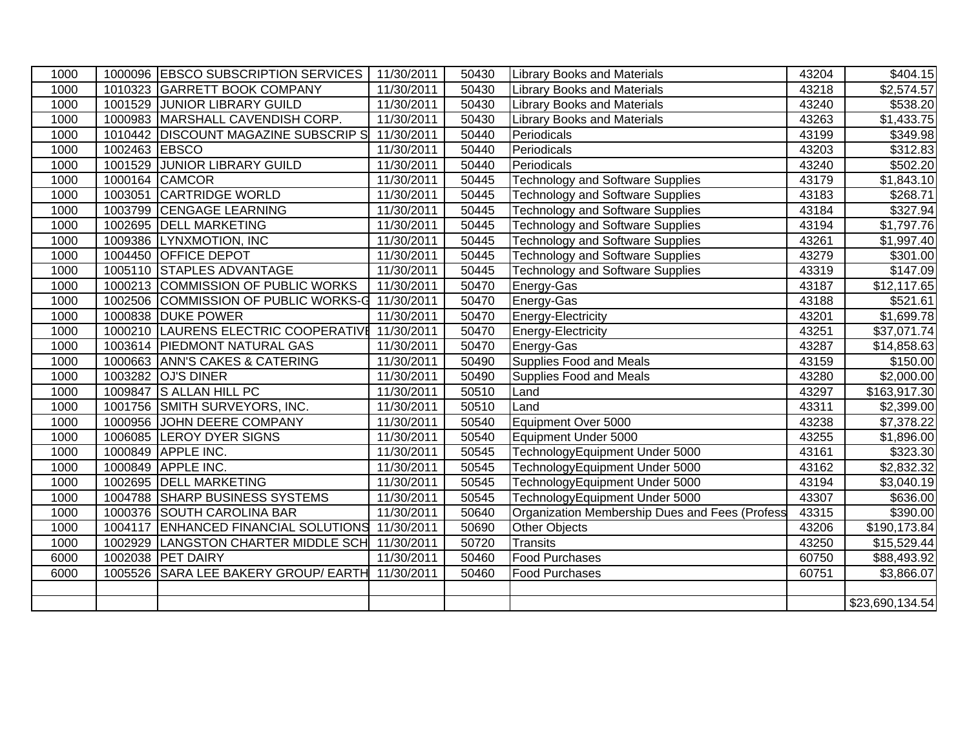| 1000 |               | 1000096 EBSCO SUBSCRIPTION SERVICES             | 11/30/2011 | 50430 | <b>Library Books and Materials</b>             | 43204 | \$404.15             |
|------|---------------|-------------------------------------------------|------------|-------|------------------------------------------------|-------|----------------------|
| 1000 |               | 1010323 GARRETT BOOK COMPANY                    | 11/30/2011 | 50430 | <b>Library Books and Materials</b>             | 43218 | \$2,574.57           |
| 1000 |               | 1001529 JUNIOR LIBRARY GUILD                    | 11/30/2011 | 50430 | <b>Library Books and Materials</b>             | 43240 | $\overline{$}538.20$ |
| 1000 |               | 1000983 MARSHALL CAVENDISH CORP.                | 11/30/2011 | 50430 | <b>Library Books and Materials</b>             | 43263 | \$1,433.75           |
| 1000 |               | 1010442 DISCOUNT MAGAZINE SUBSCRIP S            | 11/30/2011 | 50440 | Periodicals                                    | 43199 | \$349.98             |
| 1000 | 1002463 EBSCO |                                                 | 11/30/2011 | 50440 | Periodicals                                    | 43203 | \$312.83             |
| 1000 |               | 1001529 JUNIOR LIBRARY GUILD                    | 11/30/2011 | 50440 | Periodicals                                    | 43240 | \$502.20             |
| 1000 |               | 1000164 CAMCOR                                  | 11/30/2011 | 50445 | <b>Technology and Software Supplies</b>        | 43179 | \$1,843.10           |
| 1000 |               | 1003051 CARTRIDGE WORLD                         | 11/30/2011 | 50445 | <b>Technology and Software Supplies</b>        | 43183 | \$268.71             |
| 1000 |               | 1003799 CENGAGE LEARNING                        | 11/30/2011 | 50445 | <b>Technology and Software Supplies</b>        | 43184 | \$327.94             |
| 1000 |               | 1002695 DELL MARKETING                          | 11/30/2011 | 50445 | <b>Technology and Software Supplies</b>        | 43194 | \$1,797.76           |
| 1000 |               | 1009386 LYNXMOTION, INC                         | 11/30/2011 | 50445 | <b>Technology and Software Supplies</b>        | 43261 | \$1,997.40           |
| 1000 |               | 1004450 OFFICE DEPOT                            | 11/30/2011 | 50445 | <b>Technology and Software Supplies</b>        | 43279 | \$301.00             |
| 1000 |               | 1005110 STAPLES ADVANTAGE                       | 11/30/2011 | 50445 | <b>Technology and Software Supplies</b>        | 43319 | \$147.09             |
| 1000 |               | 1000213 COMMISSION OF PUBLIC WORKS              | 11/30/2011 | 50470 | Energy-Gas                                     | 43187 | \$12,117.65          |
| 1000 |               | 1002506 COMMISSION OF PUBLIC WORKS-G            | 11/30/2011 | 50470 | Energy-Gas                                     | 43188 | \$521.61             |
| 1000 |               | 1000838 DUKE POWER                              | 11/30/2011 | 50470 | Energy-Electricity                             | 43201 | \$1,699.78           |
| 1000 |               | 1000210 LAURENS ELECTRIC COOPERATIVE            | 11/30/2011 | 50470 | Energy-Electricity                             | 43251 | \$37,071.74          |
| 1000 |               | 1003614 PIEDMONT NATURAL GAS                    | 11/30/2011 | 50470 | Energy-Gas                                     | 43287 | \$14,858.63          |
| 1000 |               | 1000663 ANN'S CAKES & CATERING                  | 11/30/2011 | 50490 | Supplies Food and Meals                        | 43159 | \$150.00             |
| 1000 |               | 1003282 OJ'S DINER                              | 11/30/2011 | 50490 | <b>Supplies Food and Meals</b>                 | 43280 | \$2,000.00           |
| 1000 |               | 1009847 S ALLAN HILL PC                         | 11/30/2011 | 50510 | Land                                           | 43297 | \$163,917.30         |
| 1000 |               | 1001756 SMITH SURVEYORS, INC.                   | 11/30/2011 | 50510 | $L$ and                                        | 43311 | \$2,399.00           |
| 1000 |               | 1000956 JOHN DEERE COMPANY                      | 11/30/2011 | 50540 | Equipment Over 5000                            | 43238 | \$7,378.22           |
| 1000 |               | 1006085 LEROY DYER SIGNS                        | 11/30/2011 | 50540 | Equipment Under 5000                           | 43255 | \$1,896.00           |
| 1000 |               | 1000849 APPLE INC.                              | 11/30/2011 | 50545 | TechnologyEquipment Under 5000                 | 43161 | \$323.30             |
| 1000 |               | 1000849 APPLE INC.                              | 11/30/2011 | 50545 | TechnologyEquipment Under 5000                 | 43162 | \$2,832.32           |
| 1000 | 1002695       | <b>DELL MARKETING</b>                           | 11/30/2011 | 50545 | TechnologyEquipment Under 5000                 | 43194 | \$3,040.19           |
| 1000 |               | 1004788 SHARP BUSINESS SYSTEMS                  | 11/30/2011 | 50545 | TechnologyEquipment Under 5000                 | 43307 | \$636.00             |
| 1000 |               | 1000376 SOUTH CAROLINA BAR                      | 11/30/2011 | 50640 | Organization Membership Dues and Fees (Profess | 43315 | \$390.00             |
| 1000 |               | 1004117 ENHANCED FINANCIAL SOLUTIONS 11/30/2011 |            | 50690 | Other Objects                                  | 43206 | \$190,173.84         |
| 1000 |               | 1002929 LANGSTON CHARTER MIDDLE SCH 11/30/2011  |            | 50720 | Transits                                       | 43250 | \$15,529.44          |
| 6000 |               | 1002038 PET DAIRY                               | 11/30/2011 | 50460 | <b>Food Purchases</b>                          | 60750 | \$88,493.92          |
| 6000 |               | 1005526 SARA LEE BAKERY GROUP/ EARTH 11/30/2011 |            | 50460 | <b>Food Purchases</b>                          | 60751 | \$3,866.07           |
|      |               |                                                 |            |       |                                                |       |                      |
|      |               |                                                 |            |       |                                                |       | \$23,690,134.54      |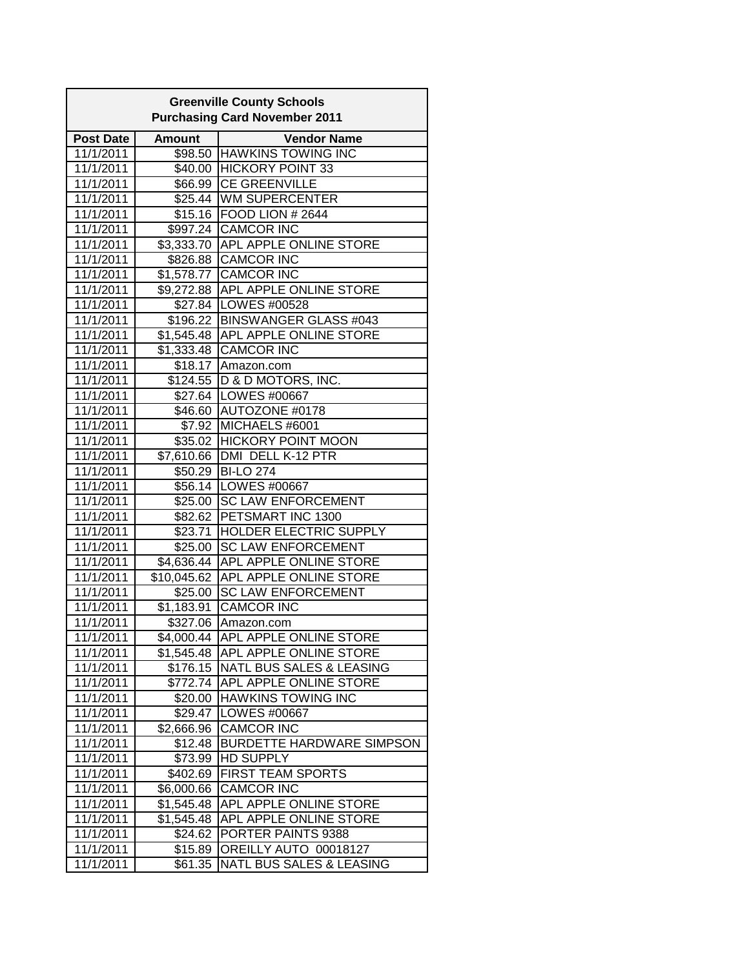| <b>Greenville County Schools</b><br><b>Purchasing Card November 2011</b> |               |                                     |  |  |  |
|--------------------------------------------------------------------------|---------------|-------------------------------------|--|--|--|
| <b>Post Date</b>                                                         | <b>Amount</b> | <b>Vendor Name</b>                  |  |  |  |
| 11/1/2011                                                                |               | \$98.50 HAWKINS TOWING INC          |  |  |  |
| 11/1/2011                                                                |               | \$40.00 HICKORY POINT 33            |  |  |  |
| 11/1/2011                                                                |               | \$66.99 CE GREENVILLE               |  |  |  |
| 11/1/2011                                                                |               | \$25.44 WM SUPERCENTER              |  |  |  |
| 11/1/2011                                                                |               | \$15.16   FOOD LION # 2644          |  |  |  |
| 11/1/2011                                                                |               | \$997.24 CAMCOR INC                 |  |  |  |
| 11/1/2011                                                                |               | \$3,333.70 APL APPLE ONLINE STORE   |  |  |  |
| 11/1/2011                                                                |               | \$826.88 CAMCOR INC                 |  |  |  |
| 11/1/2011                                                                |               | \$1,578.77 CAMCOR INC               |  |  |  |
| 11/1/2011                                                                |               | \$9,272.88 APL APPLE ONLINE STORE   |  |  |  |
| 11/1/2011                                                                |               | \$27.84   LOWES #00528              |  |  |  |
| 11/1/2011                                                                |               | \$196.22 BINSWANGER GLASS #043      |  |  |  |
| 11/1/2011                                                                |               | \$1,545.48 APL APPLE ONLINE STORE   |  |  |  |
| 11/1/2011                                                                |               | \$1,333.48 CAMCOR INC               |  |  |  |
| 11/1/2011                                                                | \$18.17       | Amazon.com                          |  |  |  |
| 11/1/2011                                                                |               | \$124.55   D & D MOTORS, INC.       |  |  |  |
| 11/1/2011                                                                |               | \$27.64   LOWES #00667              |  |  |  |
| 11/1/2011                                                                |               | \$46.60 AUTOZONE #0178              |  |  |  |
| 11/1/2011                                                                | \$7.92        | MICHAELS #6001                      |  |  |  |
| 11/1/2011                                                                |               | \$35.02 HICKORY POINT MOON          |  |  |  |
| 11/1/2011                                                                |               | \$7,610.66   DMI DELL K-12 PTR      |  |  |  |
| 11/1/2011                                                                |               | \$50.29 BI-LO 274                   |  |  |  |
| 11/1/2011                                                                |               | \$56.14   LOWES #00667              |  |  |  |
| 11/1/2011                                                                |               | \$25.00 SC LAW ENFORCEMENT          |  |  |  |
| 11/1/2011                                                                |               | \$82.62 PETSMART INC 1300           |  |  |  |
| 11/1/2011                                                                | \$23.71       | HOLDER ELECTRIC SUPPLY              |  |  |  |
| 11/1/2011                                                                | \$25.00       | <b>SC LAW ENFORCEMENT</b>           |  |  |  |
| 11/1/2011                                                                |               | \$4,636.44 APL APPLE ONLINE STORE   |  |  |  |
| 11/1/2011                                                                |               | \$10,045.62 APL APPLE ONLINE STORE  |  |  |  |
| 11/1/2011                                                                | \$25.00       | <b>SC LAW ENFORCEMENT</b>           |  |  |  |
| 11/1/2011                                                                | \$1,183.91    | <b>CAMCOR INC</b>                   |  |  |  |
| 11/1/2011                                                                | \$327.06      | Amazon.com                          |  |  |  |
| 11/1/2011                                                                |               | \$4,000.44 APL APPLE ONLINE STORE   |  |  |  |
| 11/1/2011                                                                | \$1,545.48    | APL APPLE ONLINE STORE              |  |  |  |
| 11/1/2011                                                                | \$176.15      | NATL BUS SALES & LEASING            |  |  |  |
| 11/1/2011                                                                | \$772.74      | APL APPLE ONLINE STORE              |  |  |  |
| 11/1/2011                                                                | \$20.00       | <b>HAWKINS TOWING INC</b>           |  |  |  |
| 11/1/2011                                                                | \$29.47       | LOWES #00667                        |  |  |  |
| 11/1/2011                                                                | \$2,666.96    | <b>CAMCOR INC</b>                   |  |  |  |
| 11/1/2011                                                                | \$12.48       | <b>BURDETTE HARDWARE SIMPSON</b>    |  |  |  |
| 11/1/2011                                                                | \$73.99       | <b>HD SUPPLY</b>                    |  |  |  |
| 11/1/2011                                                                | \$402.69      | <b>FIRST TEAM SPORTS</b>            |  |  |  |
| 11/1/2011                                                                | \$6,000.66    | <b>CAMCOR INC</b>                   |  |  |  |
| 11/1/2011                                                                | \$1,545.48    | APL APPLE ONLINE STORE              |  |  |  |
| 11/1/2011                                                                | \$1,545.48    | APL APPLE ONLINE STORE              |  |  |  |
| 11/1/2011                                                                | \$24.62       | PORTER PAINTS 9388                  |  |  |  |
| 11/1/2011                                                                | \$15.89       | OREILLY AUTO 00018127               |  |  |  |
| 11/1/2011                                                                | \$61.35       | <b>NATL BUS SALES &amp; LEASING</b> |  |  |  |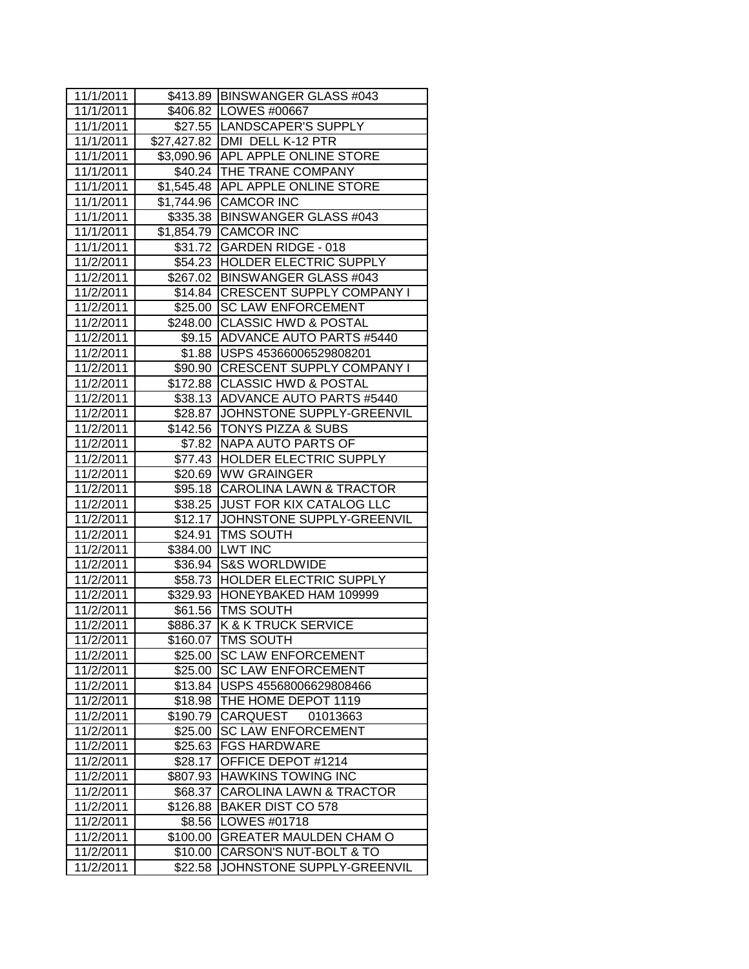| 11/1/2011 |          | \$413.89 BINSWANGER GLASS #043     |
|-----------|----------|------------------------------------|
| 11/1/2011 |          | \$406.82 LOWES #00667              |
| 11/1/2011 |          | \$27.55  LANDSCAPER'S SUPPLY       |
| 11/1/2011 |          | \$27,427.82 DMI DELL K-12 PTR      |
| 11/1/2011 |          | \$3,090.96 APL APPLE ONLINE STORE  |
| 11/1/2011 |          | \$40.24 THE TRANE COMPANY          |
| 11/1/2011 |          | \$1,545.48 APL APPLE ONLINE STORE  |
| 11/1/2011 |          | \$1,744.96 CAMCOR INC              |
| 11/1/2011 |          | \$335.38 BINSWANGER GLASS #043     |
| 11/1/2011 |          | \$1,854.79 CAMCOR INC              |
| 11/1/2011 |          | \$31.72 GARDEN RIDGE - 018         |
| 11/2/2011 |          | \$54.23 HOLDER ELECTRIC SUPPLY     |
| 11/2/2011 |          | \$267.02 BINSWANGER GLASS #043     |
| 11/2/2011 |          | \$14.84 CRESCENT SUPPLY COMPANY I  |
| 11/2/2011 |          | \$25.00 SC LAW ENFORCEMENT         |
| 11/2/2011 |          | \$248.00 CLASSIC HWD & POSTAL      |
| 11/2/2011 |          | \$9.15 ADVANCE AUTO PARTS #5440    |
| 11/2/2011 |          | \$1.88 USPS 45366006529808201      |
| 11/2/2011 |          | \$90.90 CRESCENT SUPPLY COMPANY I  |
| 11/2/2011 |          | \$172.88 CLASSIC HWD & POSTAL      |
| 11/2/2011 |          | \$38.13 ADVANCE AUTO PARTS #5440   |
| 11/2/2011 |          | \$28.87 JJOHNSTONE SUPPLY-GREENVIL |
| 11/2/2011 |          | \$142.56 TONYS PIZZA & SUBS        |
| 11/2/2011 |          | \$7.82 INAPA AUTO PARTS OF         |
| 11/2/2011 |          | \$77.43 HOLDER ELECTRIC SUPPLY     |
| 11/2/2011 |          | \$20.69 WW GRAINGER                |
| 11/2/2011 |          | \$95.18 CAROLINA LAWN & TRACTOR    |
| 11/2/2011 |          | \$38.25 JUST FOR KIX CATALOG LLC   |
| 11/2/2011 |          | \$12.17 JOHNSTONE SUPPLY-GREENVIL  |
| 11/2/2011 |          | \$24.91   TMS SOUTH                |
| 11/2/2011 |          | \$384.00 LWT INC                   |
| 11/2/2011 |          | \$36.94 S&S WORLDWIDE              |
| 11/2/2011 |          | \$58.73 HOLDER ELECTRIC SUPPLY     |
| 11/2/2011 |          | \$329.93  HONEYBAKED HAM 109999    |
| 11/2/2011 |          | \$61.56   TMS SOUTH                |
| 11/2/2011 |          | \$886.37 K & K TRUCK SERVICE       |
| 11/2/2011 | \$160.07 | TMS SOUTH                          |
| 11/2/2011 | \$25.00  | <b>SC LAW ENFORCEMENT</b>          |
| 11/2/2011 | \$25.00  | <b>SC LAW ENFORCEMENT</b>          |
| 11/2/2011 | \$13.84  | USPS 45568006629808466             |
| 11/2/2011 | \$18.98  | THE HOME DEPOT 1119                |
| 11/2/2011 | \$190.79 | CARQUEST<br>01013663               |
| 11/2/2011 | \$25.00  | <b>SC LAW ENFORCEMENT</b>          |
| 11/2/2011 | \$25.63  | <b>FGS HARDWARE</b>                |
| 11/2/2011 | \$28.17  | OFFICE DEPOT #1214                 |
| 11/2/2011 | \$807.93 | <b>HAWKINS TOWING INC</b>          |
| 11/2/2011 | \$68.37  | <b>CAROLINA LAWN &amp; TRACTOR</b> |
| 11/2/2011 | \$126.88 | <b>BAKER DIST CO 578</b>           |
| 11/2/2011 | \$8.56   | LOWES #01718                       |
| 11/2/2011 | \$100.00 | <b>GREATER MAULDEN CHAM O</b>      |
| 11/2/2011 | \$10.00  | CARSON'S NUT-BOLT & TO             |
| 11/2/2011 | \$22.58  | JOHNSTONE SUPPLY-GREENVIL          |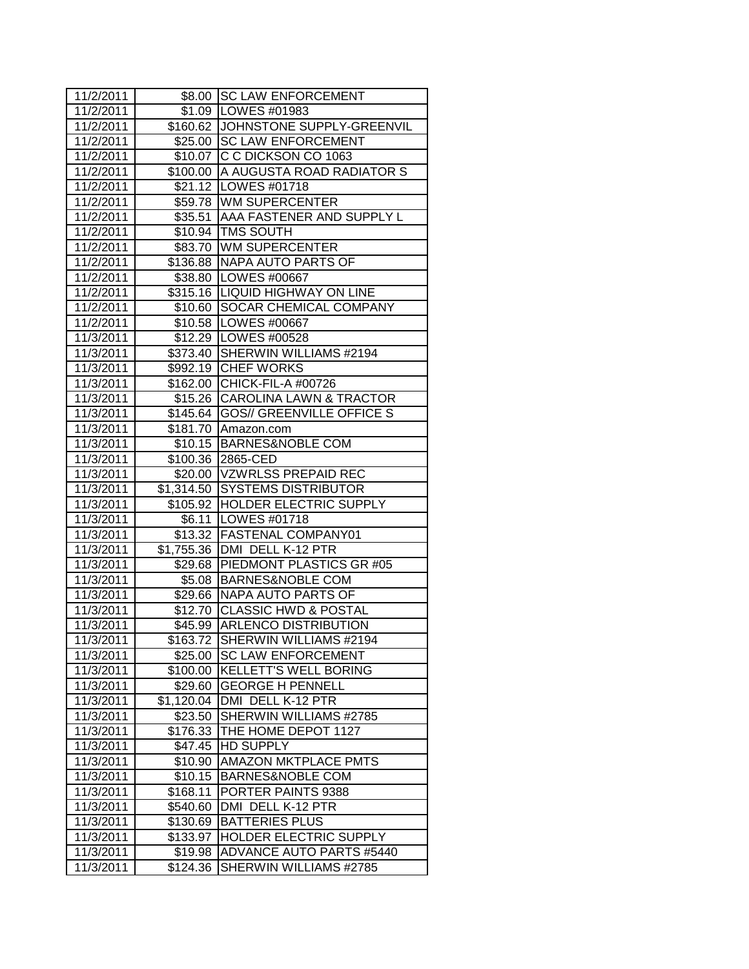| 11/2/2011 |                    | \$8.00 SC LAW ENFORCEMENT          |
|-----------|--------------------|------------------------------------|
| 11/2/2011 |                    | \$1.09   LOWES #01983              |
| 11/2/2011 |                    | \$160.62 JOHNSTONE SUPPLY-GREENVIL |
| 11/2/2011 |                    | \$25.00 SC LAW ENFORCEMENT         |
| 11/2/2011 |                    | \$10.07 C C DICKSON CO 1063        |
| 11/2/2011 |                    | \$100.00 A AUGUSTA ROAD RADIATOR S |
| 11/2/2011 |                    | \$21.12   LOWES #01718             |
| 11/2/2011 |                    | \$59.78 WM SUPERCENTER             |
| 11/2/2011 |                    | \$35.51 AAA FASTENER AND SUPPLY L  |
| 11/2/2011 |                    | \$10.94 TMS SOUTH                  |
| 11/2/2011 |                    | \$83.70 WM SUPERCENTER             |
| 11/2/2011 |                    | \$136.88 NAPA AUTO PARTS OF        |
| 11/2/2011 |                    | \$38.80 LOWES #00667               |
| 11/2/2011 |                    | \$315.16   LIQUID HIGHWAY ON LINE  |
| 11/2/2011 | \$10.60            | <b>SOCAR CHEMICAL COMPANY</b>      |
| 11/2/2011 |                    | \$10.58   LOWES #00667             |
| 11/3/2011 |                    | \$12.29   LOWES #00528             |
| 11/3/2011 | \$373.40           | SHERWIN WILLIAMS #2194             |
| 11/3/2011 |                    | \$992.19 CHEF WORKS                |
| 11/3/2011 |                    | \$162.00 CHICK-FIL-A #00726        |
| 11/3/2011 |                    | \$15.26 CAROLINA LAWN & TRACTOR    |
| 11/3/2011 |                    | \$145.64 GOS// GREENVILLE OFFICE S |
| 11/3/2011 |                    | \$181.70 Amazon.com                |
| 11/3/2011 |                    | \$10.15 BARNES&NOBLE COM           |
| 11/3/2011 |                    | \$100.36 2865-CED                  |
| 11/3/2011 |                    | \$20.00 VZWRLSS PREPAID REC        |
| 11/3/2011 |                    | \$1,314.50 SYSTEMS DISTRIBUTOR     |
| 11/3/2011 |                    | \$105.92 HOLDER ELECTRIC SUPPLY    |
| 11/3/2011 | $\overline{$}6.11$ | LOWES #01718                       |
| 11/3/2011 |                    | \$13.32 FASTENAL COMPANY01         |
| 11/3/2011 |                    | \$1,755.36 DMI DELL K-12 PTR       |
| 11/3/2011 |                    | \$29.68 PIEDMONT PLASTICS GR #05   |
| 11/3/2011 |                    | \$5.08 BARNES&NOBLE COM            |
| 11/3/2011 |                    | \$29.66 NAPA AUTO PARTS OF         |
| 11/3/2011 | \$12.70            | <b>CLASSIC HWD &amp; POSTAL</b>    |
| 11/3/2011 | \$45.99            | <b>ARLENCO DISTRIBUTION</b>        |
| 11/3/2011 | \$163.72           | SHERWIN WILLIAMS #2194             |
| 11/3/2011 | \$25.00            | <b>SC LAW ENFORCEMENT</b>          |
| 11/3/2011 | \$100.00           | KELLETT'S WELL BORING              |
| 11/3/2011 | \$29.60            | <b>GEORGE H PENNELL</b>            |
| 11/3/2011 | \$1,120.04         | DMI DELL K-12 PTR                  |
| 11/3/2011 | \$23.50            | SHERWIN WILLIAMS #2785             |
| 11/3/2011 | \$176.33           | THE HOME DEPOT 1127                |
| 11/3/2011 | \$47.45            | <b>HD SUPPLY</b>                   |
| 11/3/2011 | \$10.90            | <b>AMAZON MKTPLACE PMTS</b>        |
| 11/3/2011 | \$10.15            | <b>BARNES&amp;NOBLE COM</b>        |
| 11/3/2011 | \$168.11           | PORTER PAINTS 9388                 |
| 11/3/2011 | \$540.60           | DMI DELL K-12 PTR                  |
| 11/3/2011 | \$130.69           | <b>BATTERIES PLUS</b>              |
| 11/3/2011 | \$133.97           | HOLDER ELECTRIC SUPPLY             |
| 11/3/2011 | \$19.98            | ADVANCE AUTO PARTS #5440           |
| 11/3/2011 | \$124.36           | SHERWIN WILLIAMS #2785             |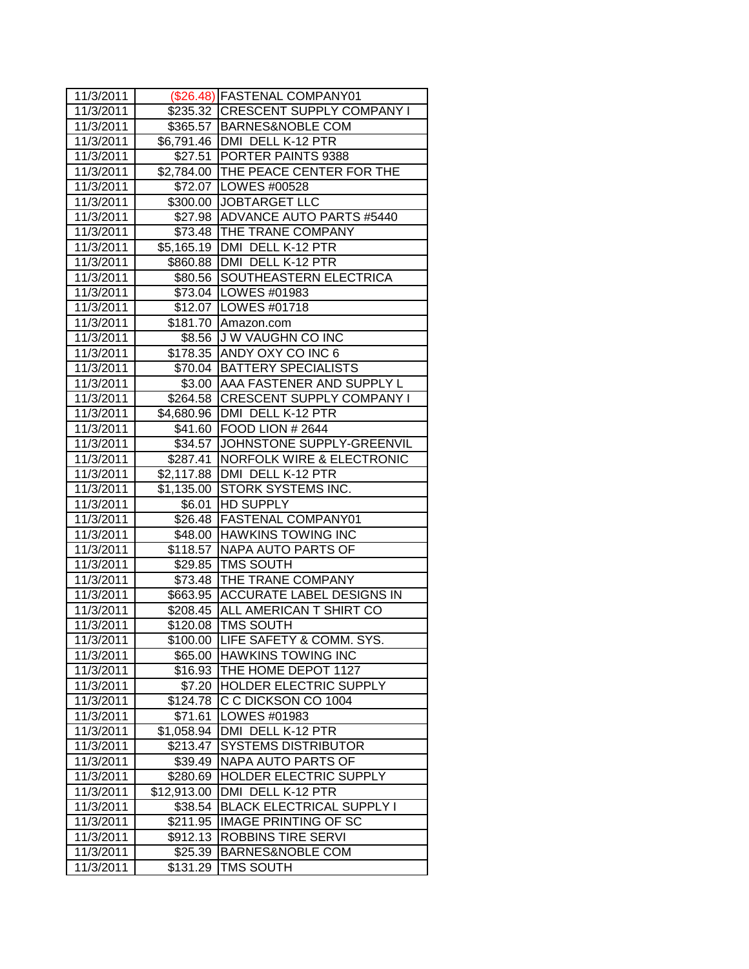| 11/3/2011 |                  | (\$26.48) FASTENAL COMPANY01         |
|-----------|------------------|--------------------------------------|
| 11/3/2011 |                  | \$235.32 CRESCENT SUPPLY COMPANY I   |
| 11/3/2011 |                  | \$365.57   BARNES&NOBLE COM          |
| 11/3/2011 |                  | \$6,791.46   DMI DELL K-12 PTR       |
| 11/3/2011 |                  | \$27.51 PORTER PAINTS 9388           |
| 11/3/2011 |                  | \$2,784.00 THE PEACE CENTER FOR THE  |
| 11/3/2011 |                  | \$72.07   LOWES #00528               |
| 11/3/2011 |                  | \$300.00 JOBTARGET LLC               |
| 11/3/2011 |                  | \$27.98 ADVANCE AUTO PARTS #5440     |
| 11/3/2011 |                  | \$73.48   THE TRANE COMPANY          |
| 11/3/2011 |                  | \$5,165.19   DMI DELL K-12 PTR       |
| 11/3/2011 |                  | \$860.88 DMI DELL K-12 PTR           |
| 11/3/2011 |                  | \$80.56 SOUTHEASTERN ELECTRICA       |
| 11/3/2011 |                  | \$73.04   LOWES #01983               |
| 11/3/2011 |                  | \$12.07   LOWES #01718               |
| 11/3/2011 |                  | \$181.70 Amazon.com                  |
| 11/3/2011 |                  | \$8.56 JJ W VAUGHN CO INC            |
| 11/3/2011 |                  | \$178.35 ANDY OXY CO INC 6           |
| 11/3/2011 |                  | \$70.04 BATTERY SPECIALISTS          |
| 11/3/2011 |                  | \$3.00   AAA FASTENER AND SUPPLY L   |
| 11/3/2011 |                  | \$264.58 CRESCENT SUPPLY COMPANY I   |
| 11/3/2011 |                  | \$4,680.96   DMI DELL K-12 PTR       |
| 11/3/2011 |                  | \$41.60 FOOD LION # 2644             |
| 11/3/2011 |                  | \$34.57 JJOHNSTONE SUPPLY-GREENVIL   |
| 11/3/2011 | \$287.41         | <b>NORFOLK WIRE &amp; ELECTRONIC</b> |
| 11/3/2011 |                  | \$2,117.88   DMI DELL K-12 PTR       |
| 11/3/2011 | \$1,135.00       | <b>STORK SYSTEMS INC.</b>            |
| 11/3/2011 | \$6.01           | <b>HD SUPPLY</b>                     |
| 11/3/2011 |                  | \$26.48 FASTENAL COMPANY01           |
| 11/3/2011 |                  | \$48.00 HAWKINS TOWING INC           |
| 11/3/2011 |                  | \$118.57 NAPA AUTO PARTS OF          |
| 11/3/2011 |                  | \$29.85 TMS SOUTH                    |
| 11/3/2011 |                  | \$73.48 THE TRANE COMPANY            |
| 11/3/2011 |                  | \$663.95 ACCURATE LABEL DESIGNS IN   |
| 11/3/2011 | \$208.45         | ALL AMERICAN T SHIRT CO              |
| 11/3/2011 | \$120.08         | <b>TMS SOUTH</b>                     |
| 11/3/2011 | $\sqrt{3}100.00$ | LIFE SAFETY & COMM. SYS.             |
| 11/3/2011 | \$65.00          | <b>HAWKINS TOWING INC</b>            |
| 11/3/2011 | \$16.93          | THE HOME DEPOT 1127                  |
| 11/3/2011 | \$7.20           | HOLDER ELECTRIC SUPPLY               |
| 11/3/2011 | \$124.78         | C C DICKSON CO 1004                  |
| 11/3/2011 | \$71.61          | LOWES #01983                         |
| 11/3/2011 | \$1,058.94       | DMI DELL K-12 PTR                    |
| 11/3/2011 | \$213.47         | <b>SYSTEMS DISTRIBUTOR</b>           |
| 11/3/2011 | \$39.49          | NAPA AUTO PARTS OF                   |
| 11/3/2011 | \$280.69         | HOLDER ELECTRIC SUPPLY               |
| 11/3/2011 | \$12,913.00      | DMI DELL K-12 PTR                    |
| 11/3/2011 | \$38.54          | <b>BLACK ELECTRICAL SUPPLY I</b>     |
| 11/3/2011 | \$211.95         | <b>IMAGE PRINTING OF SC</b>          |
| 11/3/2011 | \$912.13         | <b>ROBBINS TIRE SERVI</b>            |
| 11/3/2011 | \$25.39          | <b>BARNES&amp;NOBLE COM</b>          |
| 11/3/2011 | \$131.29         | TMS SOUTH                            |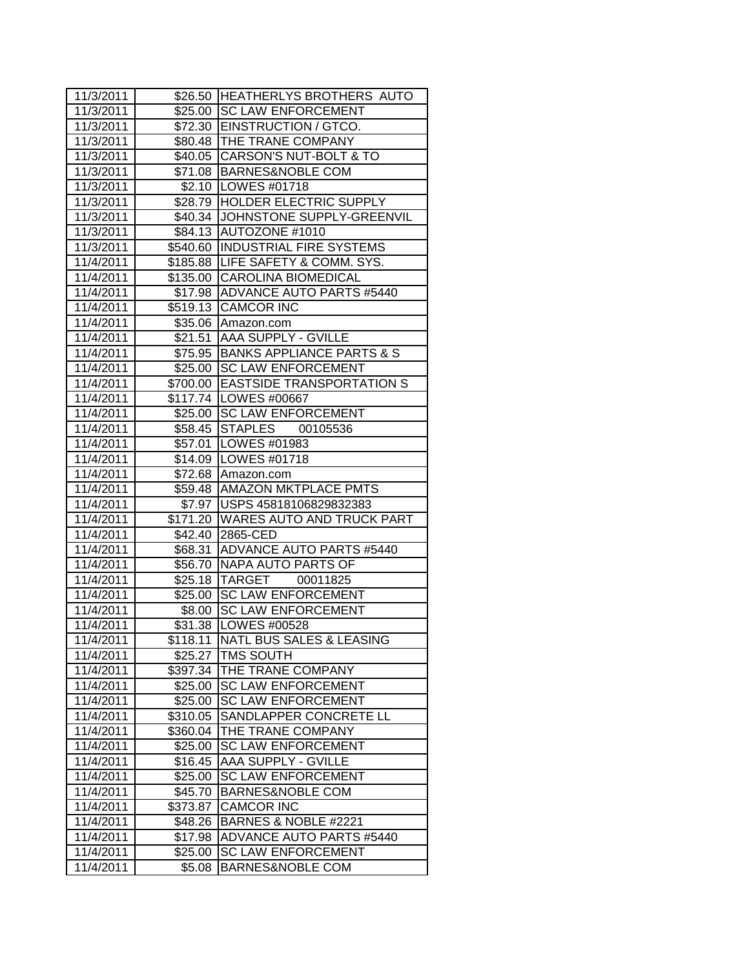| 11/3/2011              |                      | \$26.50 HEATHERLYS BROTHERS AUTO              |
|------------------------|----------------------|-----------------------------------------------|
| 11/3/2011              |                      | \$25.00 SC LAW ENFORCEMENT                    |
| 11/3/2011              |                      | \$72.30   EINSTRUCTION / GTCO.                |
| 11/3/2011              |                      | \$80.48   THE TRANE COMPANY                   |
| 11/3/2011              |                      | \$40.05 CARSON'S NUT-BOLT & TO                |
| 11/3/2011              |                      | \$71.08 BARNES&NOBLE COM                      |
| 11/3/2011              |                      | \$2.10   LOWES #01718                         |
| 11/3/2011              |                      | \$28.79 HOLDER ELECTRIC SUPPLY                |
| 11/3/2011              |                      | \$40.34 JJOHNSTONE SUPPLY-GREENVIL            |
| 11/3/2011              |                      | \$84.13 AUTOZONE #1010                        |
| 11/3/2011              |                      | \$540.60 INDUSTRIAL FIRE SYSTEMS              |
| 11/4/2011              |                      | \$185.88 LIFE SAFETY & COMM. SYS.             |
| 11/4/2011              |                      | \$135.00 CAROLINA BIOMEDICAL                  |
| 11/4/2011              |                      | \$17.98 ADVANCE AUTO PARTS #5440              |
| 11/4/2011              |                      | \$519.13 CAMCOR INC                           |
| 11/4/2011              |                      | \$35.06 Amazon.com                            |
| 11/4/2011              |                      | \$21.51 AAA SUPPLY - GVILLE                   |
| 11/4/2011              |                      | \$75.95 BANKS APPLIANCE PARTS & S             |
| 11/4/2011              |                      | \$25.00 SC LAW ENFORCEMENT                    |
| 11/4/2011              | \$700.00             | <b>EASTSIDE TRANSPORTATION S</b>              |
| 11/4/2011              |                      | \$117.74   LOWES #00667                       |
| 11/4/2011              |                      | \$25.00 SC LAW ENFORCEMENT                    |
| 11/4/2011              |                      | \$58.45 STAPLES<br>00105536                   |
| 11/4/2011              |                      | \$57.01   LOWES #01983                        |
| 11/4/2011              |                      | \$14.09   LOWES #01718                        |
| 11/4/2011              |                      | \$72.68 Amazon.com                            |
| 11/4/2011              |                      | \$59.48 AMAZON MKTPLACE PMTS                  |
| 11/4/2011              |                      | \$7.97 USPS 45818106829832383                 |
| 11/4/2011              |                      | \$171.20 WARES AUTO AND TRUCK PART            |
| 11/4/2011              |                      | \$42.40 2865-CED                              |
| 11/4/2011              | \$68.31              | <b>ADVANCE AUTO PARTS #5440</b>               |
| 11/4/2011              |                      | \$56.70 NAPA AUTO PARTS OF                    |
| 11/4/2011              |                      | \$25.18 TARGET 00011825                       |
| 11/4/2011              |                      | \$25.00 SC LAW ENFORCEMENT                    |
| 11/4/2011              |                      |                                               |
|                        |                      | \$8.00 SC LAW ENFORCEMENT                     |
| 11/4/2011              |                      | \$31.38   LOWES #00528                        |
| 11/4/2011              | $\overline{$118.11}$ | <b>NATL BUS SALES &amp; LEASING</b>           |
| 11/4/2011              | \$25.27              | TMS SOUTH                                     |
| 11/4/2011              | \$397.34             | THE TRANE COMPANY                             |
| 11/4/2011              | \$25.00              | <b>SC LAW ENFORCEMENT</b>                     |
| 11/4/2011              | \$25.00              | <b>SC LAW ENFORCEMENT</b>                     |
| 11/4/2011              | \$310.05             | SANDLAPPER CONCRETE LL                        |
| 11/4/2011              | \$360.04             | THE TRANE COMPANY                             |
| 11/4/2011              | \$25.00              | <b>SC LAW ENFORCEMENT</b>                     |
| 11/4/2011              | \$16.45              | AAA SUPPLY - GVILLE                           |
| 11/4/2011              | \$25.00              | <b>SC LAW ENFORCEMENT</b>                     |
| 11/4/2011              | \$45.70              | <b>BARNES&amp;NOBLE COM</b>                   |
| 11/4/2011              | \$373.87             | <b>CAMCOR INC</b>                             |
| 11/4/2011              | \$48.26              | BARNES & NOBLE #2221                          |
| 11/4/2011              | \$17.98              | ADVANCE AUTO PARTS #5440                      |
| 11/4/2011<br>11/4/2011 | \$25.00              | <b>SC LAW ENFORCEMENT</b><br>BARNES&NOBLE COM |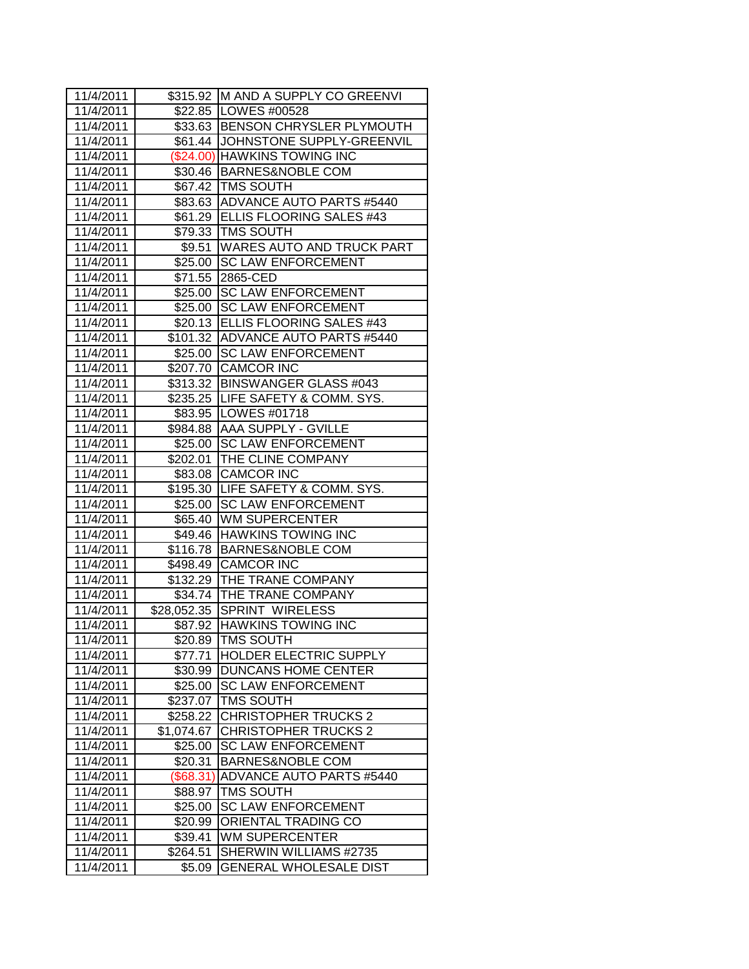| 11/4/2011 |            | \$315.92 M AND A SUPPLY CO GREENVI |
|-----------|------------|------------------------------------|
| 11/4/2011 |            | \$22.85   LOWES #00528             |
| 11/4/2011 |            | \$33.63 BENSON CHRYSLER PLYMOUTH   |
| 11/4/2011 |            | \$61.44 JJOHNSTONE SUPPLY-GREENVIL |
| 11/4/2011 |            | (\$24.00) HAWKINS TOWING INC       |
| 11/4/2011 |            | \$30.46 BARNES&NOBLE COM           |
| 11/4/2011 |            | \$67.42   TMS SOUTH                |
| 11/4/2011 |            | \$83.63 ADVANCE AUTO PARTS #5440   |
| 11/4/2011 |            | \$61.29 ELLIS FLOORING SALES #43   |
| 11/4/2011 |            | \$79.33 TMS SOUTH                  |
| 11/4/2011 |            | \$9.51 WARES AUTO AND TRUCK PART   |
| 11/4/2011 |            | \$25.00 SC LAW ENFORCEMENT         |
| 11/4/2011 | \$71.55    | 2865-CED                           |
| 11/4/2011 | \$25.00    | <b>SC LAW ENFORCEMENT</b>          |
| 11/4/2011 | \$25.00    | <b>SC LAW ENFORCEMENT</b>          |
| 11/4/2011 |            | \$20.13 ELLIS FLOORING SALES #43   |
| 11/4/2011 |            | \$101.32 ADVANCE AUTO PARTS #5440  |
| 11/4/2011 | \$25.00    | <b>SC LAW ENFORCEMENT</b>          |
| 11/4/2011 | \$207.70   | <b>CAMCOR INC</b>                  |
| 11/4/2011 |            | \$313.32 BINSWANGER GLASS #043     |
| 11/4/2011 |            | \$235.25 LIFE SAFETY & COMM. SYS.  |
| 11/4/2011 |            | \$83.95   LOWES #01718             |
| 11/4/2011 |            | \$984.88 AAA SUPPLY - GVILLE       |
| 11/4/2011 |            | \$25.00 SC LAW ENFORCEMENT         |
| 11/4/2011 |            | \$202.01 THE CLINE COMPANY         |
| 11/4/2011 |            | \$83.08 CAMCOR INC                 |
| 11/4/2011 |            | \$195.30 LIFE SAFETY & COMM. SYS.  |
| 11/4/2011 | \$25.00    | <b>SC LAW ENFORCEMENT</b>          |
| 11/4/2011 |            | \$65.40 WM SUPERCENTER             |
| 11/4/2011 |            | \$49.46 HAWKINS TOWING INC         |
| 11/4/2011 |            | \$116.78 BARNES&NOBLE COM          |
| 11/4/2011 |            | \$498.49 CAMCOR INC                |
| 11/4/2011 |            | \$132.29 THE TRANE COMPANY         |
| 11/4/2011 |            | \$34.74   THE TRANE COMPANY        |
| 11/4/2011 |            | \$28,052.35 SPRINT WIRELESS        |
| 11/4/2011 | \$87.92    | <b>HAWKINS TOWING INC</b>          |
| 11/4/2011 | \$20.89    | <b>TMS SOUTH</b>                   |
| 11/4/2011 | \$77.71    | <b>HOLDER ELECTRIC SUPPLY</b>      |
| 11/4/2011 | \$30.99    | <b>DUNCANS HOME CENTER</b>         |
| 11/4/2011 | \$25.00    | <b>SC LAW ENFORCEMENT</b>          |
| 11/4/2011 | \$237.07   | TMS SOUTH                          |
| 11/4/2011 | \$258.22   | <b>CHRISTOPHER TRUCKS 2</b>        |
| 11/4/2011 | \$1,074.67 | <b>CHRISTOPHER TRUCKS 2</b>        |
| 11/4/2011 | \$25.00    | <b>SC LAW ENFORCEMENT</b>          |
| 11/4/2011 | \$20.31    | <b>BARNES&amp;NOBLE COM</b>        |
| 11/4/2011 | (\$68.31)  | ADVANCE AUTO PARTS #5440           |
| 11/4/2011 | \$88.97    | <b>TMS SOUTH</b>                   |
| 11/4/2011 | \$25.00    | <b>SC LAW ENFORCEMENT</b>          |
| 11/4/2011 | \$20.99    | ORIENTAL TRADING CO                |
| 11/4/2011 | \$39.41    | <b>WM SUPERCENTER</b>              |
| 11/4/2011 | \$264.51   | SHERWIN WILLIAMS #2735             |
| 11/4/2011 | \$5.09     | <b>GENERAL WHOLESALE DIST</b>      |
|           |            |                                    |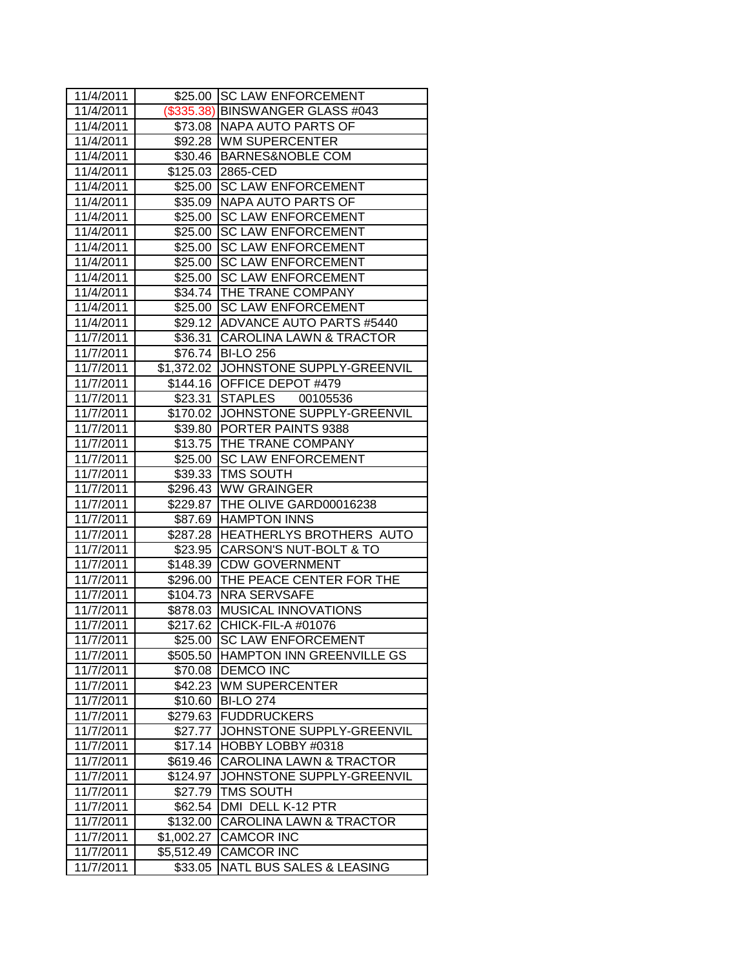| 11/4/2011 |            | \$25.00 SC LAW ENFORCEMENT            |
|-----------|------------|---------------------------------------|
| 11/4/2011 |            | (\$335.38) BINSWANGER GLASS #043      |
| 11/4/2011 |            | \$73.08  NAPA AUTO PARTS OF           |
| 11/4/2011 |            | \$92.28   WM SUPERCENTER              |
| 11/4/2011 |            | \$30.46 BARNES&NOBLE COM              |
| 11/4/2011 |            | \$125.03 2865-CED                     |
| 11/4/2011 |            | \$25.00 SC LAW ENFORCEMENT            |
| 11/4/2011 |            | \$35.09 NAPA AUTO PARTS OF            |
| 11/4/2011 |            | \$25.00 SC LAW ENFORCEMENT            |
| 11/4/2011 |            | \$25.00 SC LAW ENFORCEMENT            |
| 11/4/2011 |            | \$25.00 SC LAW ENFORCEMENT            |
| 11/4/2011 |            | \$25.00 SC LAW ENFORCEMENT            |
| 11/4/2011 | \$25.00    | <b>SC LAW ENFORCEMENT</b>             |
| 11/4/2011 |            | \$34.74 THE TRANE COMPANY             |
| 11/4/2011 |            | \$25.00 SC LAW ENFORCEMENT            |
| 11/4/2011 |            | \$29.12 ADVANCE AUTO PARTS #5440      |
| 11/7/2011 |            | \$36.31 CAROLINA LAWN & TRACTOR       |
| 11/7/2011 |            | \$76.74 BI-LO 256                     |
| 11/7/2011 |            | \$1,372.02 JJOHNSTONE SUPPLY-GREENVIL |
| 11/7/2011 |            | \$144.16 OFFICE DEPOT #479            |
| 11/7/2011 |            | \$23.31 STAPLES<br>00105536           |
| 11/7/2011 |            | \$170.02 JJOHNSTONE SUPPLY-GREENVIL   |
| 11/7/2011 |            | \$39.80 PORTER PAINTS 9388            |
| 11/7/2011 |            | \$13.75 THE TRANE COMPANY             |
| 11/7/2011 |            | \$25.00 SC LAW ENFORCEMENT            |
| 11/7/2011 |            | \$39.33   TMS SOUTH                   |
| 11/7/2011 |            | \$296.43 WW GRAINGER                  |
| 11/7/2011 |            | \$229.87 THE OLIVE GARD00016238       |
| 11/7/2011 |            | \$87.69 HAMPTON INNS                  |
| 11/7/2011 |            | \$287.28 HEATHERLYS BROTHERS AUTO     |
| 11/7/2011 |            | \$23.95 CARSON'S NUT-BOLT & TO        |
| 11/7/2011 |            | \$148.39 CDW GOVERNMENT               |
| 11/7/2011 |            | \$296.00 THE PEACE CENTER FOR THE     |
| 11/7/2011 |            | \$104.73 NRA SERVSAFE                 |
| 11/7/2011 |            | \$878.03 MUSICAL INNOVATIONS          |
| 11/7/2011 | \$217.62   | CHICK-FIL-A #01076                    |
| 11/7/2011 | \$25.00    | <b>SC LAW ENFORCEMENT</b>             |
| 11/7/2011 | \$505.50   | <b>HAMPTON INN GREENVILLE GS</b>      |
| 11/7/2011 | \$70.08    | <b>DEMCO INC</b>                      |
| 11/7/2011 | \$42.23    | <b>WM SUPERCENTER</b>                 |
| 11/7/2011 | \$10.60    | <b>BI-LO 274</b>                      |
| 11/7/2011 | \$279.63   | <b>FUDDRUCKERS</b>                    |
| 11/7/2011 | \$27.77    | JOHNSTONE SUPPLY-GREENVIL             |
| 11/7/2011 | \$17.14    | HOBBY LOBBY #0318                     |
| 11/7/2011 | \$619.46   | <b>CAROLINA LAWN &amp; TRACTOR</b>    |
| 11/7/2011 | \$124.97   | JOHNSTONE SUPPLY-GREENVIL             |
| 11/7/2011 | \$27.79    | TMS SOUTH                             |
| 11/7/2011 | \$62.54    | DMI DELL K-12 PTR                     |
| 11/7/2011 | \$132.00   | <b>CAROLINA LAWN &amp; TRACTOR</b>    |
| 11/7/2011 | \$1,002.27 | <b>CAMCOR INC</b>                     |
| 11/7/2011 | \$5,512.49 | <b>CAMCOR INC</b>                     |
| 11/7/2011 | \$33.05    | NATL BUS SALES & LEASING              |
|           |            |                                       |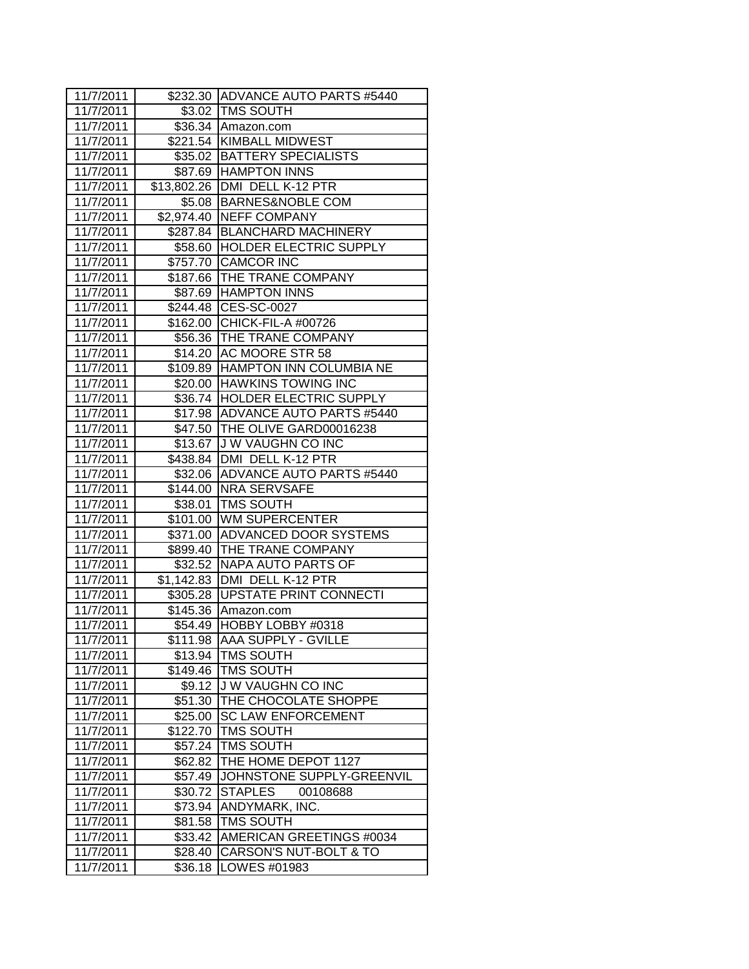| 11/7/2011              |          | \$232.30 ADVANCE AUTO PARTS #5440  |
|------------------------|----------|------------------------------------|
| 11/7/2011              |          | \$3.02 TMS SOUTH                   |
| 11/7/2011              |          | \$36.34 Amazon.com                 |
| 11/7/2011              |          | \$221.54 KIMBALL MIDWEST           |
| 11/7/2011              |          | \$35.02   BATTERY SPECIALISTS      |
| 11/7/2011              |          | \$87.69 HAMPTON INNS               |
| 11/7/2011              |          | \$13,802.26 DMI DELL K-12 PTR      |
| 11/7/2011              |          | \$5.08 BARNES&NOBLE COM            |
| 11/7/2011              |          | \$2,974.40 NEFF COMPANY            |
| 11/7/2011              |          | \$287.84 BLANCHARD MACHINERY       |
| 11/7/2011              |          | \$58.60 HOLDER ELECTRIC SUPPLY     |
| 11/7/2011              |          | \$757.70 CAMCOR INC                |
| 11/7/2011              |          | \$187.66 THE TRANE COMPANY         |
| 11/7/2011              |          | \$87.69 HAMPTON INNS               |
| 11/7/2011              |          | \$244.48 CES-SC-0027               |
| 11/7/2011              |          | \$162.00 CHICK-FIL-A #00726        |
| 11/7/2011              |          | \$56.36   THE TRANE COMPANY        |
| 11/7/2011              |          | \$14.20 AC MOORE STR 58            |
| 11/7/2011              |          | \$109.89 HAMPTON INN COLUMBIA NE   |
| 11/7/2011              |          | \$20.00 HAWKINS TOWING INC         |
| 11/7/2011              |          | \$36.74 HOLDER ELECTRIC SUPPLY     |
| 11/7/2011              |          | \$17.98   ADVANCE AUTO PARTS #5440 |
| 11/7/2011              |          | \$47.50   THE OLIVE GARD00016238   |
| 11/7/2011              |          | \$13.67 J W VAUGHN CO INC          |
| 11/7/2011              |          | \$438.84   DMI DELL K-12 PTR       |
| 11/7/2011              |          | \$32.06 ADVANCE AUTO PARTS #5440   |
| 11/7/2011              |          | \$144.00 NRA SERVSAFE              |
| 11/7/2011              |          | \$38.01 TMS SOUTH                  |
| 11/7/2011              |          | \$101.00 WM SUPERCENTER            |
| 11/7/2011              |          | \$371.00 ADVANCED DOOR SYSTEMS     |
| 11/7/2011              |          | \$899.40 THE TRANE COMPANY         |
| 11/7/2011              |          | \$32.52 NAPA AUTO PARTS OF         |
| 11/7/2011              |          | \$1,142.83   DMI DELL K-12 PTR     |
| 11/7/2011              |          | \$305.28   UPSTATE PRINT CONNECTI  |
| 11/7/2011              |          | \$145.36 Amazon.com                |
| 11/7/2011              |          | \$54.49 HOBBY LOBBY #0318          |
| 11/7/2011              |          | \$111.98  AAA SUPPLY - GVILLE      |
| 11/7/2011              | \$13.94  | TMS SOUTH                          |
| 11/7/2011              | \$149.46 | TMS SOUTH                          |
| 11/7/2011              | \$9.12   | J W VAUGHN CO INC                  |
| 11/7/2011              | \$51.30  | THE CHOCOLATE SHOPPE               |
| 11/7/2011              | \$25.00  | <b>SC LAW ENFORCEMENT</b>          |
| 11/7/2011              | \$122.70 | <b>TMS SOUTH</b>                   |
| 11/7/2011              | \$57.24  | <b>TMS SOUTH</b>                   |
| 11/7/2011<br>11/7/2011 | \$62.82  | THE HOME DEPOT 1127                |
|                        | \$57.49  | JOHNSTONE SUPPLY-GREENVIL          |
| 11/7/2011<br>11/7/2011 | \$30.72  | <b>STAPLES</b><br>00108688         |
|                        | \$73.94  | ANDYMARK, INC.<br><b>TMS SOUTH</b> |
| 11/7/2011<br>11/7/2011 | \$81.58  |                                    |
| 11/7/2011              | \$33.42  | AMERICAN GREETINGS #0034           |
| 11/7/2011              | \$28.40  | CARSON'S NUT-BOLT & TO             |
|                        | \$36.18  | LOWES #01983                       |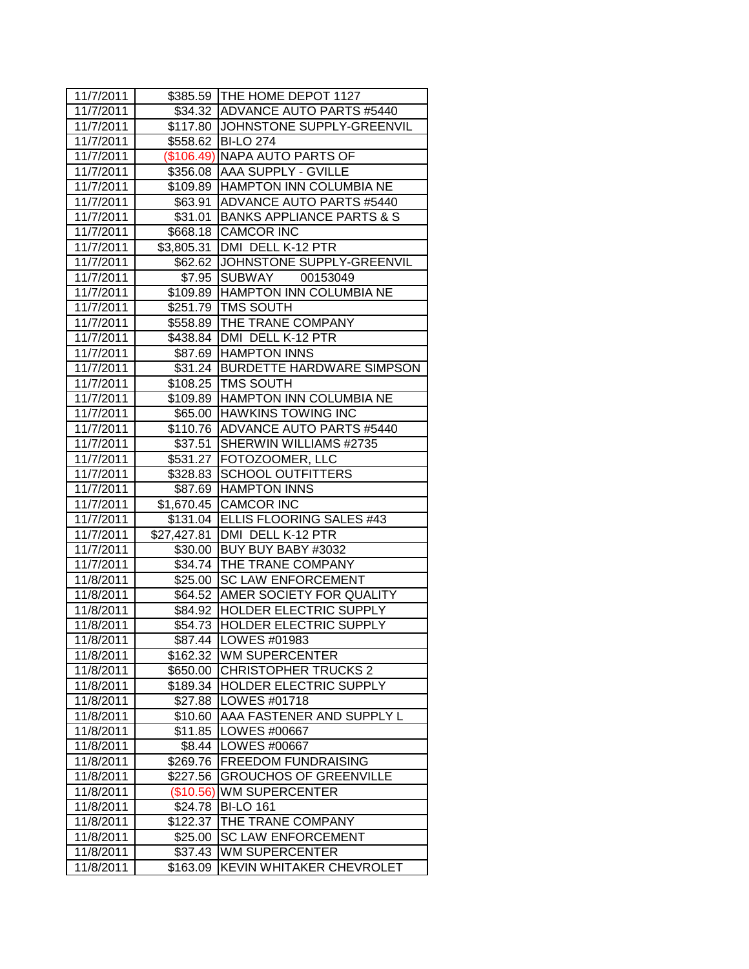| 11/7/2011 |             | \$385.59 THE HOME DEPOT 1127        |
|-----------|-------------|-------------------------------------|
| 11/7/2011 |             | \$34.32 ADVANCE AUTO PARTS #5440    |
| 11/7/2011 |             | \$117.80 JJOHNSTONE SUPPLY-GREENVIL |
| 11/7/2011 |             | \$558.62 BI-LO 274                  |
| 11/7/2011 |             | (\$106.49) NAPA AUTO PARTS OF       |
| 11/7/2011 |             | \$356.08   AAA SUPPLY - GVILLE      |
| 11/7/2011 |             | \$109.89 HAMPTON INN COLUMBIA NE    |
| 11/7/2011 |             | \$63.91 ADVANCE AUTO PARTS #5440    |
| 11/7/2011 |             | \$31.01 BANKS APPLIANCE PARTS & S   |
| 11/7/2011 |             | \$668.18 CAMCOR INC                 |
| 11/7/2011 |             | \$3,805.31 DMI DELL K-12 PTR        |
| 11/7/2011 |             | \$62.62 JOHNSTONE SUPPLY-GREENVIL   |
| 11/7/2011 | \$7.95      | SUBWAY 00153049                     |
| 11/7/2011 |             | \$109.89 HAMPTON INN COLUMBIA NE    |
| 11/7/2011 |             | \$251.79   TMS SOUTH                |
| 11/7/2011 |             | \$558.89   THE TRANE COMPANY        |
| 11/7/2011 |             | \$438.84   DMI DELL K-12 PTR        |
| 11/7/2011 |             | \$87.69 HAMPTON INNS                |
| 11/7/2011 |             | \$31.24 BURDETTE HARDWARE SIMPSON   |
| 11/7/2011 |             | \$108.25   TMS SOUTH                |
| 11/7/2011 |             | \$109.89 HAMPTON INN COLUMBIA NE    |
| 11/7/2011 |             | \$65.00 HAWKINS TOWING INC          |
| 11/7/2011 |             | \$110.76 ADVANCE AUTO PARTS #5440   |
| 11/7/2011 | \$37.51     | SHERWIN WILLIAMS #2735              |
| 11/7/2011 |             | \$531.27   FOTOZOOMER, LLC          |
| 11/7/2011 | \$328.83    | <b>SCHOOL OUTFITTERS</b>            |
| 11/7/2011 |             | \$87.69 HAMPTON INNS                |
| 11/7/2011 | \$1,670.45  | <b>CAMCOR INC</b>                   |
| 11/7/2011 | \$131.04    | <b>ELLIS FLOORING SALES #43</b>     |
| 11/7/2011 |             | \$27,427.81   DMI DELL K-12 PTR     |
| 11/7/2011 |             | \$30.00 BUY BUY BABY #3032          |
| 11/7/2011 |             | \$34.74 THE TRANE COMPANY           |
| 11/8/2011 |             | \$25.00 SC LAW ENFORCEMENT          |
| 11/8/2011 |             | \$64.52 AMER SOCIETY FOR QUALITY    |
| 11/8/2011 |             | \$84.92 HOLDER ELECTRIC SUPPLY      |
| 11/8/2011 |             | \$54.73 HOLDER ELECTRIC SUPPLY      |
| 11/8/2011 |             | \$87.44 ILOWES #01983               |
| 11/8/2011 | \$162.32    | <b>WM SUPERCENTER</b>               |
| 11/8/2011 | \$650.00    | <b>CHRISTOPHER TRUCKS 2</b>         |
| 11/8/2011 | \$189.34    | HOLDER ELECTRIC SUPPLY              |
| 11/8/2011 | \$27.88     | LOWES #01718                        |
| 11/8/2011 | \$10.60     | AAA FASTENER AND SUPPLY L           |
| 11/8/2011 | \$11.85     | LOWES #00667                        |
| 11/8/2011 | \$8.44      | LOWES #00667                        |
| 11/8/2011 | \$269.76    | <b>FREEDOM FUNDRAISING</b>          |
| 11/8/2011 | \$227.56    | <b>GROUCHOS OF GREENVILLE</b>       |
| 11/8/2011 | $(\$10.56)$ | <b>WM SUPERCENTER</b>               |
| 11/8/2011 | \$24.78     | <b>BI-LO 161</b>                    |
| 11/8/2011 | \$122.37    | THE TRANE COMPANY                   |
| 11/8/2011 | \$25.00     | <b>SC LAW ENFORCEMENT</b>           |
| 11/8/2011 | \$37.43     | <b>WM SUPERCENTER</b>               |
| 11/8/2011 | \$163.09    | <b>KEVIN WHITAKER CHEVROLET</b>     |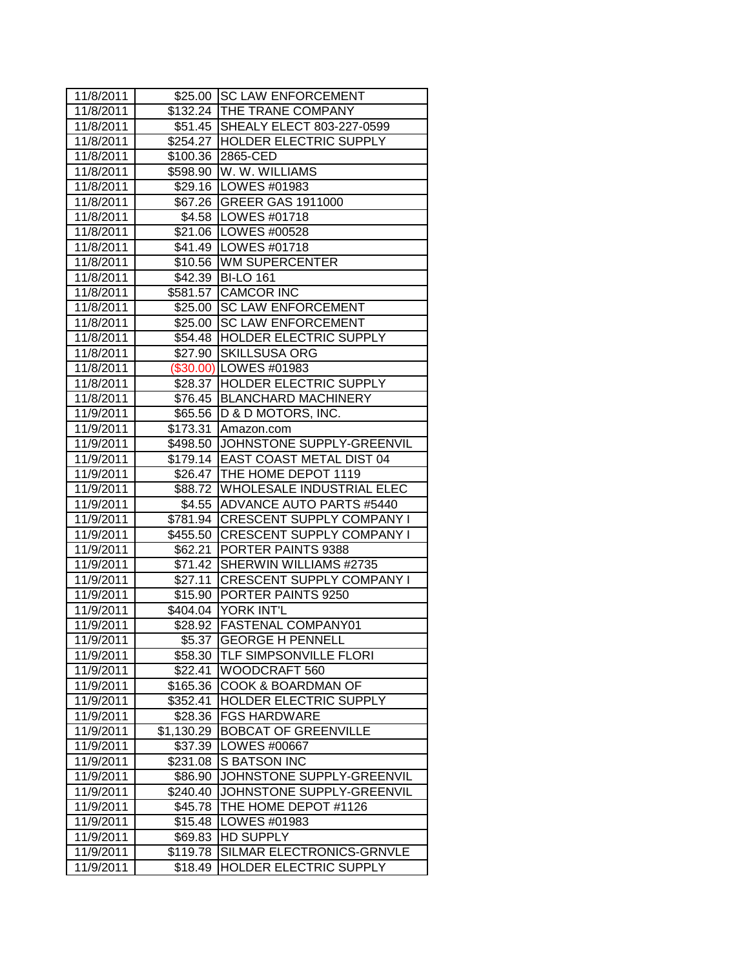| 11/8/2011 |            | \$25.00 SC LAW ENFORCEMENT          |
|-----------|------------|-------------------------------------|
| 11/8/2011 |            | \$132.24 THE TRANE COMPANY          |
| 11/8/2011 |            | \$51.45 SHEALY ELECT 803-227-0599   |
| 11/8/2011 |            | \$254.27 HOLDER ELECTRIC SUPPLY     |
| 11/8/2011 |            | \$100.36 2865-CED                   |
| 11/8/2011 |            | \$598.90   W. W. WILLIAMS           |
| 11/8/2011 |            | \$29.16   LOWES #01983              |
| 11/8/2011 |            | \$67.26 GREER GAS 1911000           |
| 11/8/2011 |            | \$4.58   LOWES #01718               |
| 11/8/2011 |            | \$21.06   LOWES #00528              |
| 11/8/2011 |            | \$41.49   LOWES #01718              |
| 11/8/2011 |            | \$10.56 WM SUPERCENTER              |
| 11/8/2011 |            | \$42.39 BI-LO 161                   |
| 11/8/2011 |            | \$581.57 CAMCOR INC                 |
| 11/8/2011 |            | \$25.00 SC LAW ENFORCEMENT          |
| 11/8/2011 |            | \$25.00 SC LAW ENFORCEMENT          |
| 11/8/2011 |            | \$54.48  HOLDER ELECTRIC SUPPLY     |
| 11/8/2011 | \$27.90    | <b>SKILLSUSA ORG</b>                |
| 11/8/2011 |            | (\$30.00) LOWES #01983              |
| 11/8/2011 |            | \$28.37  HOLDER ELECTRIC SUPPLY     |
| 11/8/2011 |            | \$76.45   BLANCHARD MACHINERY       |
| 11/9/2011 |            | \$65.56   D & D MOTORS, INC.        |
| 11/9/2011 |            | \$173.31 Amazon.com                 |
| 11/9/2011 |            | \$498.50 JJOHNSTONE SUPPLY-GREENVIL |
| 11/9/2011 |            | \$179.14 EAST COAST METAL DIST 04   |
| 11/9/2011 |            | \$26.47 THE HOME DEPOT 1119         |
| 11/9/2011 | \$88.72    | <b>WHOLESALE INDUSTRIAL ELEC</b>    |
| 11/9/2011 | \$4.55     | <b>ADVANCE AUTO PARTS #5440</b>     |
| 11/9/2011 | \$781.94   | <b>CRESCENT SUPPLY COMPANY I</b>    |
| 11/9/2011 |            | \$455.50 CRESCENT SUPPLY COMPANY I  |
| 11/9/2011 |            | \$62.21 PORTER PAINTS 9388          |
| 11/9/2011 |            | \$71.42 SHERWIN WILLIAMS #2735      |
| 11/9/2011 |            | \$27.11 CRESCENT SUPPLY COMPANY I   |
| 11/9/2011 |            | \$15.90 PORTER PAINTS 9250          |
| 11/9/2011 |            | \$404.04 YORK INT'L                 |
| 11/9/2011 |            | \$28.92 FASTENAL COMPANY01          |
|           |            |                                     |
| 11/9/2011 | \$5.37     | <b>JGEORGE H PENNELL</b>            |
| 11/9/2011 | \$58.30    | TLF SIMPSONVILLE FLORI              |
| 11/9/2011 | \$22.41    | WOODCRAFT 560                       |
| 11/9/2011 | \$165.36   | COOK & BOARDMAN OF                  |
| 11/9/2011 | \$352.41   | HOLDER ELECTRIC SUPPLY              |
| 11/9/2011 | \$28.36    | <b>FGS HARDWARE</b>                 |
| 11/9/2011 | \$1,130.29 | <b>BOBCAT OF GREENVILLE</b>         |
| 11/9/2011 | \$37.39    | LOWES #00667                        |
| 11/9/2011 | \$231.08   | S BATSON INC                        |
| 11/9/2011 | \$86.90    | JOHNSTONE SUPPLY-GREENVIL           |
| 11/9/2011 | \$240.40   | JOHNSTONE SUPPLY-GREENVIL           |
| 11/9/2011 | \$45.78    | THE HOME DEPOT #1126                |
| 11/9/2011 | \$15.48    | LOWES #01983                        |
| 11/9/2011 | \$69.83    | <b>HD SUPPLY</b>                    |
| 11/9/2011 | \$119.78   | SILMAR ELECTRONICS-GRNVLE           |
| 11/9/2011 | \$18.49    | HOLDER ELECTRIC SUPPLY              |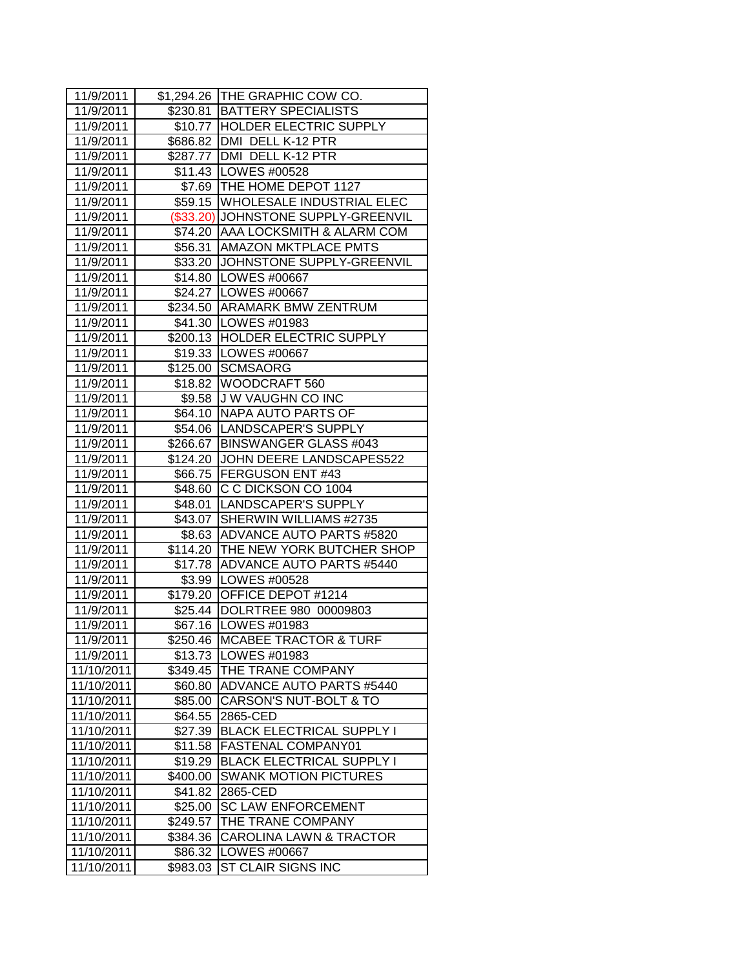| 11/9/2011  |          | \$1,294.26 THE GRAPHIC COW CO.      |
|------------|----------|-------------------------------------|
| 11/9/2011  |          | \$230.81 BATTERY SPECIALISTS        |
| 11/9/2011  |          | \$10.77  HOLDER ELECTRIC SUPPLY     |
| 11/9/2011  |          | \$686.82 DMI DELL K-12 PTR          |
| 11/9/2011  |          | \$287.77   DMI DELL K-12 PTR        |
| 11/9/2011  |          | \$11.43   LOWES #00528              |
| 11/9/2011  |          | \$7.69 THE HOME DEPOT 1127          |
| 11/9/2011  |          | \$59.15 WHOLESALE INDUSTRIAL ELEC   |
| 11/9/2011  |          | (\$33.20) JOHNSTONE SUPPLY-GREENVIL |
| 11/9/2011  |          | \$74.20   AAA LOCKSMITH & ALARM COM |
| 11/9/2011  |          | \$56.31 AMAZON MKTPLACE PMTS        |
| 11/9/2011  |          | \$33.20 JJOHNSTONE SUPPLY-GREENVIL  |
| 11/9/2011  |          | \$14.80 LOWES #00667                |
| 11/9/2011  |          | \$24.27   LOWES #00667              |
| 11/9/2011  |          | \$234.50 ARAMARK BMW ZENTRUM        |
| 11/9/2011  |          | \$41.30   LOWES #01983              |
| 11/9/2011  |          | \$200.13 HOLDER ELECTRIC SUPPLY     |
| 11/9/2011  |          | \$19.33   LOWES #00667              |
| 11/9/2011  |          | \$125.00 SCMSAORG                   |
| 11/9/2011  |          | \$18.82   WOODCRAFT 560             |
| 11/9/2011  |          | \$9.58 J W VAUGHN CO INC            |
| 11/9/2011  |          | \$64.10 NAPA AUTO PARTS OF          |
| 11/9/2011  |          | \$54.06   LANDSCAPER'S SUPPLY       |
| 11/9/2011  |          | \$266.67 BINSWANGER GLASS #043      |
| 11/9/2011  |          | \$124.20 JJOHN DEERE LANDSCAPES522  |
| 11/9/2011  |          | \$66.75 FERGUSON ENT #43            |
| 11/9/2011  |          | \$48.60 C C DICKSON CO 1004         |
| 11/9/2011  |          | \$48.01 LANDSCAPER'S SUPPLY         |
| 11/9/2011  | \$43.07  | SHERWIN WILLIAMS #2735              |
| 11/9/2011  |          | \$8.63 ADVANCE AUTO PARTS #5820     |
| 11/9/2011  |          | \$114.20 THE NEW YORK BUTCHER SHOP  |
| 11/9/2011  |          | \$17.78 ADVANCE AUTO PARTS #5440    |
| 11/9/2011  |          | \$3.99   LOWES #00528               |
| 11/9/2011  |          | \$179.20 OFFICE DEPOT #1214         |
| 11/9/2011  |          | \$25.44  DOLRTREE 980 00009803      |
| 11/9/2011  |          | \$67.16   LOWES #01983              |
| 11/9/2011  | \$250.46 | IMCABEE TRACTOR & TURF              |
| 11/9/2011  | \$13.73  | LOWES #01983                        |
| 11/10/2011 | \$349.45 | THE TRANE COMPANY                   |
| 11/10/2011 | \$60.80  | <b>ADVANCE AUTO PARTS #5440</b>     |
| 11/10/2011 | \$85.00  | CARSON'S NUT-BOLT & TO              |
| 11/10/2011 | \$64.55  | 2865-CED                            |
| 11/10/2011 | \$27.39  | <b>BLACK ELECTRICAL SUPPLY I</b>    |
| 11/10/2011 | \$11.58  | FASTENAL COMPANY01                  |
| 11/10/2011 | \$19.29  | <b>BLACK ELECTRICAL SUPPLY I</b>    |
| 11/10/2011 | \$400.00 | <b>SWANK MOTION PICTURES</b>        |
| 11/10/2011 | \$41.82  | 2865-CED                            |
| 11/10/2011 | \$25.00  | <b>SC LAW ENFORCEMENT</b>           |
| 11/10/2011 | \$249.57 | THE TRANE COMPANY                   |
| 11/10/2011 | \$384.36 | CAROLINA LAWN & TRACTOR             |
| 11/10/2011 | \$86.32  | LOWES #00667                        |
| 11/10/2011 | \$983.03 | ST CLAIR SIGNS INC                  |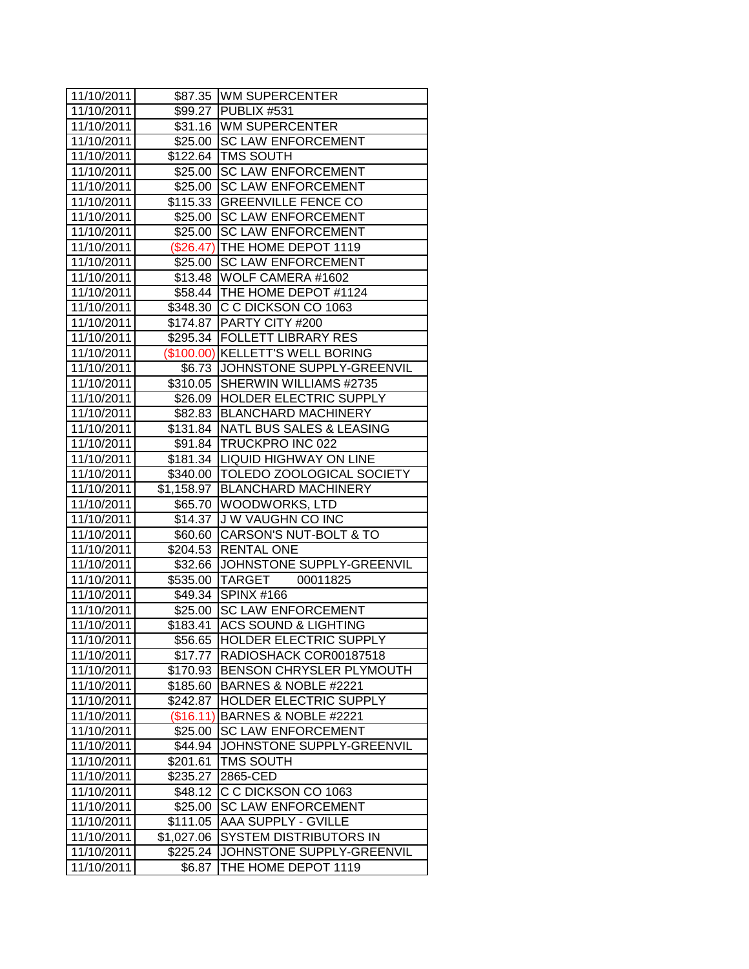| 11/10/2011 |            | \$87.35 WM SUPERCENTER             |
|------------|------------|------------------------------------|
| 11/10/2011 |            | \$99.27 PUBLIX #531                |
| 11/10/2011 |            | \$31.16 WM SUPERCENTER             |
| 11/10/2011 |            | \$25.00 ISC LAW ENFORCEMENT        |
| 11/10/2011 |            | \$122.64 TMS SOUTH                 |
| 11/10/2011 |            | \$25.00 SC LAW ENFORCEMENT         |
| 11/10/2011 |            | \$25.00 SC LAW ENFORCEMENT         |
| 11/10/2011 |            | \$115.33 GREENVILLE FENCE CO       |
| 11/10/2011 |            | \$25.00 SC LAW ENFORCEMENT         |
| 11/10/2011 |            | \$25.00 SC LAW ENFORCEMENT         |
| 11/10/2011 |            | (\$26.47) THE HOME DEPOT 1119      |
| 11/10/2011 | \$25.00    | <b>SC LAW ENFORCEMENT</b>          |
| 11/10/2011 |            | \$13.48 WOLF CAMERA #1602          |
| 11/10/2011 |            | \$58.44   THE HOME DEPOT #1124     |
| 11/10/2011 |            | \$348.30 C C DICKSON CO 1063       |
| 11/10/2011 |            | \$174.87   PARTY CITY #200         |
| 11/10/2011 |            | \$295.34   FOLLETT LIBRARY RES     |
| 11/10/2011 |            | (\$100.00) KELLETT'S WELL BORING   |
| 11/10/2011 |            | \$6.73 JJOHNSTONE SUPPLY-GREENVIL  |
| 11/10/2011 |            | \$310.05 SHERWIN WILLIAMS #2735    |
| 11/10/2011 |            | \$26.09 HOLDER ELECTRIC SUPPLY     |
| 11/10/2011 |            | \$82.83   BLANCHARD MACHINERY      |
| 11/10/2011 |            | \$131.84 NATL BUS SALES & LEASING  |
| 11/10/2011 |            | \$91.84 TRUCKPRO INC 022           |
| 11/10/2011 |            | \$181.34   LIQUID HIGHWAY ON LINE  |
| 11/10/2011 |            | \$340.00 TOLEDO ZOOLOGICAL SOCIETY |
| 11/10/2011 |            | \$1,158.97 BLANCHARD MACHINERY     |
| 11/10/2011 |            | \$65.70 WOODWORKS, LTD             |
| 11/10/2011 |            | \$14.37 J W VAUGHN CO INC          |
| 11/10/2011 |            | \$60.60 CARSON'S NUT-BOLT & TO     |
| 11/10/2011 |            | \$204.53 RENTAL ONE                |
| 11/10/2011 |            | \$32.66 JJOHNSTONE SUPPLY-GREENVIL |
| 11/10/2011 |            | 00011825<br>\$535.00 TARGET        |
| 11/10/2011 |            | \$49.34 SPINX #166                 |
| 11/10/2011 |            | \$25.00 SC LAW ENFORCEMENT         |
| 11/10/2011 | \$183.41   | ACS SOUND & LIGHTING               |
| 11/10/2011 | \$56.65    | <b>HOLDER ELECTRIC SUPPLY</b>      |
| 11/10/2011 | \$17.77    | RADIOSHACK COR00187518             |
| 11/10/2011 | \$170.93   | BENSON CHRYSLER PLYMOUTH           |
| 11/10/2011 | \$185.60   | BARNES & NOBLE #2221               |
| 11/10/2011 | \$242.87   | HOLDER ELECTRIC SUPPLY             |
| 11/10/2011 | (\$16.11)  | BARNES & NOBLE #2221               |
| 11/10/2011 | \$25.00    | <b>SC LAW ENFORCEMENT</b>          |
| 11/10/2011 | \$44.94    | JOHNSTONE SUPPLY-GREENVIL          |
| 11/10/2011 | \$201.61   | TMS SOUTH                          |
| 11/10/2011 | \$235.27   | 2865-CED                           |
| 11/10/2011 | \$48.12    | C C DICKSON CO 1063                |
| 11/10/2011 | \$25.00    | <b>SC LAW ENFORCEMENT</b>          |
| 11/10/2011 | \$111.05   | <b>AAA SUPPLY - GVILLE</b>         |
| 11/10/2011 | \$1,027.06 | <b>SYSTEM DISTRIBUTORS IN</b>      |
| 11/10/2011 | \$225.24   | JOHNSTONE SUPPLY-GREENVIL          |
| 11/10/2011 | \$6.87     | THE HOME DEPOT 1119                |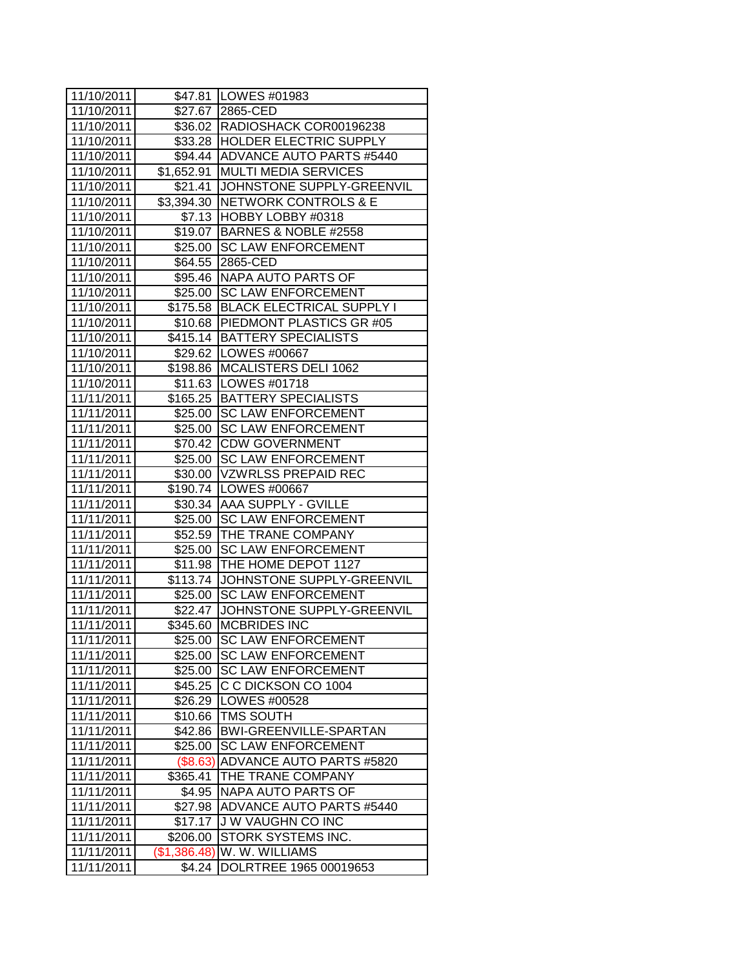| 11/10/2011 |              | \$47.81   LOWES #01983             |
|------------|--------------|------------------------------------|
| 11/10/2011 |              | \$27.67 2865-CED                   |
| 11/10/2011 |              | \$36.02   RADIOSHACK COR00196238   |
| 11/10/2011 |              | \$33.28  HOLDER ELECTRIC SUPPLY    |
| 11/10/2011 |              | \$94.44 ADVANCE AUTO PARTS #5440   |
| 11/10/2011 |              | \$1,652.91   MULTI MEDIA SERVICES  |
| 11/10/2011 |              | \$21.41 JOHNSTONE SUPPLY-GREENVIL  |
| 11/10/2011 |              | \$3,394.30 NETWORK CONTROLS & E    |
| 11/10/2011 |              | \$7.13 HOBBY LOBBY #0318           |
| 11/10/2011 |              | \$19.07 BARNES & NOBLE #2558       |
| 11/10/2011 |              | \$25.00 SC LAW ENFORCEMENT         |
| 11/10/2011 | \$64.55      | 2865-CED                           |
| 11/10/2011 |              | \$95.46 NAPA AUTO PARTS OF         |
| 11/10/2011 |              | \$25.00 SC LAW ENFORCEMENT         |
| 11/10/2011 |              | \$175.58 BLACK ELECTRICAL SUPPLY I |
| 11/10/2011 |              | \$10.68 PIEDMONT PLASTICS GR #05   |
| 11/10/2011 |              | \$415.14 BATTERY SPECIALISTS       |
| 11/10/2011 |              | \$29.62   LOWES #00667             |
| 11/10/2011 |              | \$198.86   MCALISTERS DELI 1062    |
| 11/10/2011 |              | \$11.63   LOWES #01718             |
| 11/11/2011 |              | \$165.25 BATTERY SPECIALISTS       |
| 11/11/2011 |              | \$25.00 SC LAW ENFORCEMENT         |
| 11/11/2011 |              | \$25.00 SC LAW ENFORCEMENT         |
| 11/11/2011 |              | \$70.42 CDW GOVERNMENT             |
| 11/11/2011 |              | \$25.00 SC LAW ENFORCEMENT         |
| 11/11/2011 |              | \$30.00 VZWRLSS PREPAID REC        |
| 11/11/2011 |              | \$190.74   LOWES #00667            |
| 11/11/2011 |              | \$30.34 AAA SUPPLY - GVILLE        |
| 11/11/2011 | \$25.00      | <b>SC LAW ENFORCEMENT</b>          |
| 11/11/2011 |              | \$52.59 THE TRANE COMPANY          |
| 11/11/2011 | \$25.00      | <b>SC LAW ENFORCEMENT</b>          |
| 11/11/2011 |              | \$11.98 THE HOME DEPOT 1127        |
| 11/11/2011 | \$113.74     | JOHNSTONE SUPPLY-GREENVIL          |
| 11/11/2011 | \$25.00      | <b>SC LAW ENFORCEMENT</b>          |
| 11/11/2011 | \$22.47      | JOHNSTONE SUPPLY-GREENVIL          |
| 11/11/2011 | \$345.60     | <b>MCBRIDES INC</b>                |
| 11/11/2011 |              | \$25.00  SC LAW ENFORCEMENT        |
| 11/11/2011 | \$25.00      | <b>SC LAW ENFORCEMENT</b>          |
| 11/11/2011 | \$25.00      | <b>SC LAW ENFORCEMENT</b>          |
| 11/11/2011 | \$45.25      | C C DICKSON CO 1004                |
| 11/11/2011 | \$26.29      | LOWES #00528                       |
| 11/11/2011 | \$10.66      | <b>TMS SOUTH</b>                   |
| 11/11/2011 | \$42.86      | BWI-GREENVILLE-SPARTAN             |
| 11/11/2011 | \$25.00      | <b>SC LAW ENFORCEMENT</b>          |
| 11/11/2011 | $($ \$8.63)  | <b>ADVANCE AUTO PARTS #5820</b>    |
| 11/11/2011 | \$365.41     | THE TRANE COMPANY                  |
| 11/11/2011 | \$4.95       | NAPA AUTO PARTS OF                 |
| 11/11/2011 | \$27.98      | <b>ADVANCE AUTO PARTS #5440</b>    |
| 11/11/2011 | \$17.17      | <b>J W VAUGHN CO INC</b>           |
| 11/11/2011 | \$206.00     | STORK SYSTEMS INC.                 |
| 11/11/2011 | (\$1,386.48) | W. W. WILLIAMS                     |
| 11/11/2011 | \$4.24       | DOLRTREE 1965 00019653             |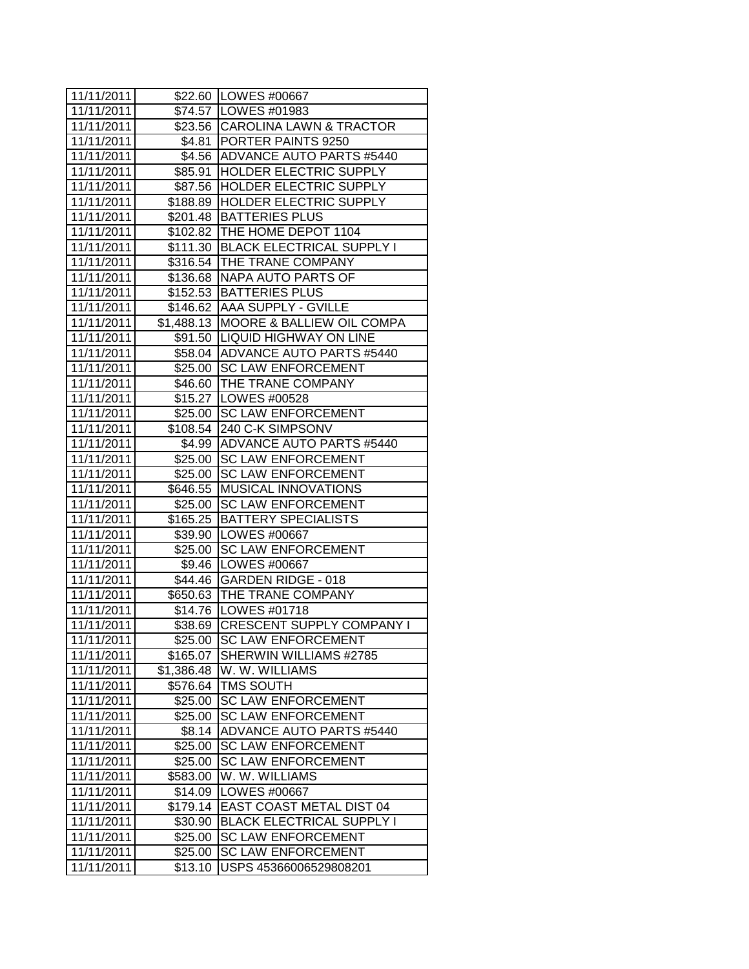| 11/11/2011 |            | \$22.60 LOWES #00667                 |
|------------|------------|--------------------------------------|
| 11/11/2011 |            | \$74.57 LOWES #01983                 |
| 11/11/2011 |            | \$23.56 CAROLINA LAWN & TRACTOR      |
| 11/11/2011 |            | \$4.81   PORTER PAINTS 9250          |
| 11/11/2011 |            | \$4.56 ADVANCE AUTO PARTS #5440      |
| 11/11/2011 |            | \$85.91  HOLDER ELECTRIC SUPPLY      |
| 11/11/2011 |            | \$87.56 HOLDER ELECTRIC SUPPLY       |
| 11/11/2011 |            | \$188.89 HOLDER ELECTRIC SUPPLY      |
| 11/11/2011 |            | \$201.48   BATTERIES PLUS            |
| 11/11/2011 |            | \$102.82 THE HOME DEPOT 1104         |
| 11/11/2011 |            | \$111.30 BLACK ELECTRICAL SUPPLY I   |
| 11/11/2011 |            | \$316.54 THE TRANE COMPANY           |
| 11/11/2011 |            | \$136.68 NAPA AUTO PARTS OF          |
| 11/11/2011 |            | \$152.53 BATTERIES PLUS              |
| 11/11/2011 |            | \$146.62 AAA SUPPLY - GVILLE         |
| 11/11/2011 |            | \$1,488.13 MOORE & BALLIEW OIL COMPA |
| 11/11/2011 |            | \$91.50 LIQUID HIGHWAY ON LINE       |
| 11/11/2011 |            | \$58.04 ADVANCE AUTO PARTS #5440     |
| 11/11/2011 |            | \$25.00 SC LAW ENFORCEMENT           |
| 11/11/2011 |            | \$46.60 THE TRANE COMPANY            |
| 11/11/2011 |            | \$15.27   LOWES #00528               |
| 11/11/2011 |            | \$25.00 SC LAW ENFORCEMENT           |
| 11/11/2011 |            | \$108.54 240 C-K SIMPSONV            |
| 11/11/2011 |            | \$4.99 ADVANCE AUTO PARTS #5440      |
| 11/11/2011 |            | \$25.00 SC LAW ENFORCEMENT           |
| 11/11/2011 | \$25.00    | <b>SC LAW ENFORCEMENT</b>            |
| 11/11/2011 |            | \$646.55 MUSICAL INNOVATIONS         |
| 11/11/2011 | \$25.00    | <b>SC LAW ENFORCEMENT</b>            |
| 11/11/2011 | \$165.25   | <b>BATTERY SPECIALISTS</b>           |
| 11/11/2011 |            | \$39.90 LOWES #00667                 |
| 11/11/2011 |            | \$25.00 SC LAW ENFORCEMENT           |
| 11/11/2011 |            | \$9.46   LOWES #00667                |
| 11/11/2011 |            | \$44.46 GARDEN RIDGE - 018           |
| 11/11/2011 |            | \$650.63 THE TRANE COMPANY           |
| 11/11/2011 |            | \$14.76   LOWES #01718               |
| 11/11/2011 | \$38.69    | <b>CRESCENT SUPPLY COMPANY I</b>     |
| 11/11/2011 | \$25.00    | <b>ISC LAW ENFORCEMENT</b>           |
| 11/11/2011 | \$165.07   | SHERWIN WILLIAMS #2785               |
| 11/11/2011 | \$1,386.48 | W. W. WILLIAMS                       |
| 11/11/2011 | \$576.64   | <b>TMS SOUTH</b>                     |
| 11/11/2011 | \$25.00    | <b>SC LAW ENFORCEMENT</b>            |
| 11/11/2011 | \$25.00    | <b>SC LAW ENFORCEMENT</b>            |
| 11/11/2011 | \$8.14     | <b>ADVANCE AUTO PARTS #5440</b>      |
| 11/11/2011 | \$25.00    | <b>SC LAW ENFORCEMENT</b>            |
| 11/11/2011 | \$25.00    | <b>SC LAW ENFORCEMENT</b>            |
| 11/11/2011 | \$583.00   | W. W. WILLIAMS                       |
| 11/11/2011 | \$14.09    | LOWES #00667                         |
| 11/11/2011 | \$179.14   | EAST COAST METAL DIST 04             |
| 11/11/2011 | \$30.90    | <b>BLACK ELECTRICAL SUPPLY I</b>     |
| 11/11/2011 | \$25.00    | <b>SC LAW ENFORCEMENT</b>            |
| 11/11/2011 | \$25.00    | <b>SC LAW ENFORCEMENT</b>            |
| 11/11/2011 | \$13.10    | USPS 45366006529808201               |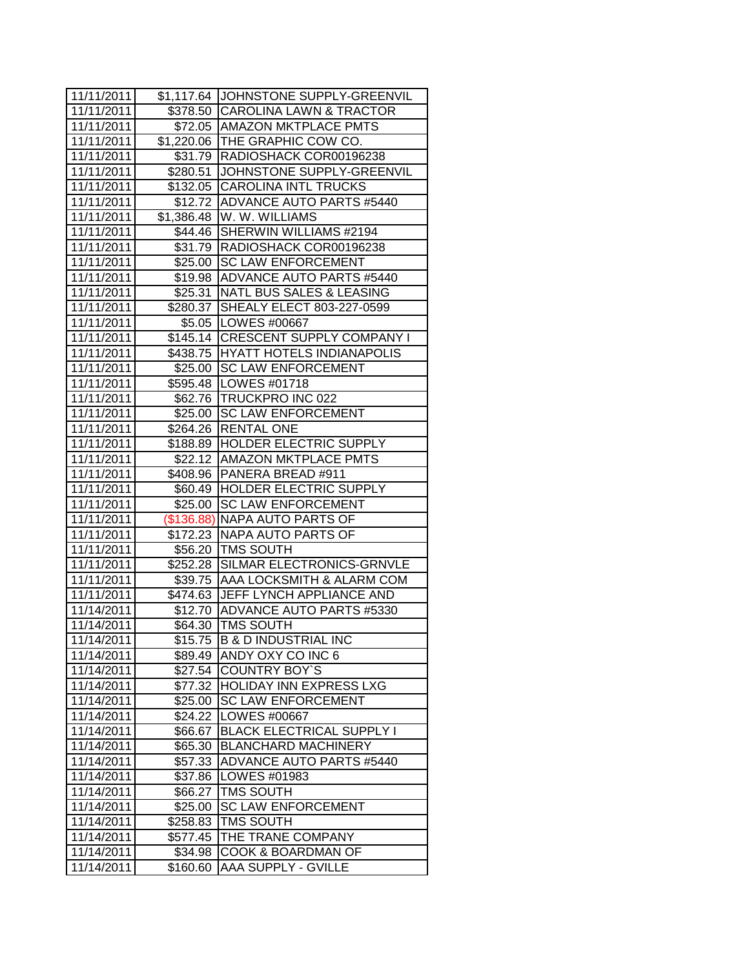| 11/11/2011 |            | \$1,117.64 JOHNSTONE SUPPLY-GREENVIL |
|------------|------------|--------------------------------------|
| 11/11/2011 |            | \$378.50 CAROLINA LAWN & TRACTOR     |
| 11/11/2011 |            | \$72.05   AMAZON MKTPLACE PMTS       |
| 11/11/2011 |            | \$1,220.06 THE GRAPHIC COW CO.       |
| 11/11/2011 |            | \$31.79 RADIOSHACK COR00196238       |
| 11/11/2011 |            | \$280.51 JOHNSTONE SUPPLY-GREENVIL   |
| 11/11/2011 |            | \$132.05 CAROLINA INTL TRUCKS        |
| 11/11/2011 |            | \$12.72 ADVANCE AUTO PARTS #5440     |
| 11/11/2011 |            | \$1,386.48 W. W. WILLIAMS            |
| 11/11/2011 |            | \$44.46 SHERWIN WILLIAMS #2194       |
| 11/11/2011 |            | \$31.79  RADIOSHACK COR00196238      |
| 11/11/2011 | \$25.00    | <b>SC LAW ENFORCEMENT</b>            |
| 11/11/2011 | \$19.98    | ADVANCE AUTO PARTS #5440             |
| 11/11/2011 |            | \$25.31   NATL BUS SALES & LEASING   |
| 11/11/2011 |            | \$280.37 SHEALY ELECT 803-227-0599   |
| 11/11/2011 |            | \$5.05   LOWES #00667                |
| 11/11/2011 |            | \$145.14   CRESCENT SUPPLY COMPANY I |
| 11/11/2011 |            | \$438.75 HYATT HOTELS INDIANAPOLIS   |
| 11/11/2011 | \$25.00    | <b>SC LAW ENFORCEMENT</b>            |
| 11/11/2011 |            | \$595.48   LOWES #01718              |
| 11/11/2011 |            | \$62.76   TRUCKPRO INC 022           |
| 11/11/2011 |            | \$25.00 SC LAW ENFORCEMENT           |
| 11/11/2011 |            | \$264.26   RENTAL ONE                |
| 11/11/2011 |            | \$188.89 HOLDER ELECTRIC SUPPLY      |
| 11/11/2011 |            | \$22.12   AMAZON MKTPLACE PMTS       |
| 11/11/2011 |            | \$408.96 PANERA BREAD #911           |
| 11/11/2011 | \$60.49    | <b>HOLDER ELECTRIC SUPPLY</b>        |
| 11/11/2011 | \$25.00    | <b>SC LAW ENFORCEMENT</b>            |
| 11/11/2011 | (\$136.88) | <b>NAPA AUTO PARTS OF</b>            |
| 11/11/2011 | \$172.23   | NAPA AUTO PARTS OF                   |
| 11/11/2011 |            | \$56.20 TMS SOUTH                    |
| 11/11/2011 |            | \$252.28 SILMAR ELECTRONICS-GRNVLE   |
| 11/11/2011 |            | \$39.75 AAA LOCKSMITH & ALARM COM    |
| 11/11/2011 |            | \$474.63 JJEFF LYNCH APPLIANCE AND   |
| 11/14/2011 |            | \$12.70 ADVANCE AUTO PARTS #5330     |
| 11/14/2011 |            | \$64.30   TMS SOUTH                  |
| 11/14/2011 | \$15.75    | <b>B &amp; D INDUSTRIAL INC</b>      |
| 11/14/2011 | \$89.49    | ANDY OXY CO INC 6                    |
| 11/14/2011 | \$27.54    | <b>COUNTRY BOY'S</b>                 |
| 11/14/2011 | \$77.32    | <b>HOLIDAY INN EXPRESS LXG</b>       |
| 11/14/2011 | \$25.00    | <b>SC LAW ENFORCEMENT</b>            |
| 11/14/2011 | \$24.22    | LOWES #00667                         |
| 11/14/2011 | \$66.67    | <b>BLACK ELECTRICAL SUPPLY I</b>     |
| 11/14/2011 | \$65.30    | <b>BLANCHARD MACHINERY</b>           |
| 11/14/2011 | \$57.33    | ADVANCE AUTO PARTS #5440             |
| 11/14/2011 | \$37.86    | LOWES #01983                         |
| 11/14/2011 | \$66.27    | <b>TMS SOUTH</b>                     |
| 11/14/2011 | \$25.00    | <b>SC LAW ENFORCEMENT</b>            |
| 11/14/2011 | \$258.83   | TMS SOUTH                            |
| 11/14/2011 | \$577.45   | THE TRANE COMPANY                    |
| 11/14/2011 | \$34.98    | COOK & BOARDMAN OF                   |
| 11/14/2011 | \$160.60   | AAA SUPPLY - GVILLE                  |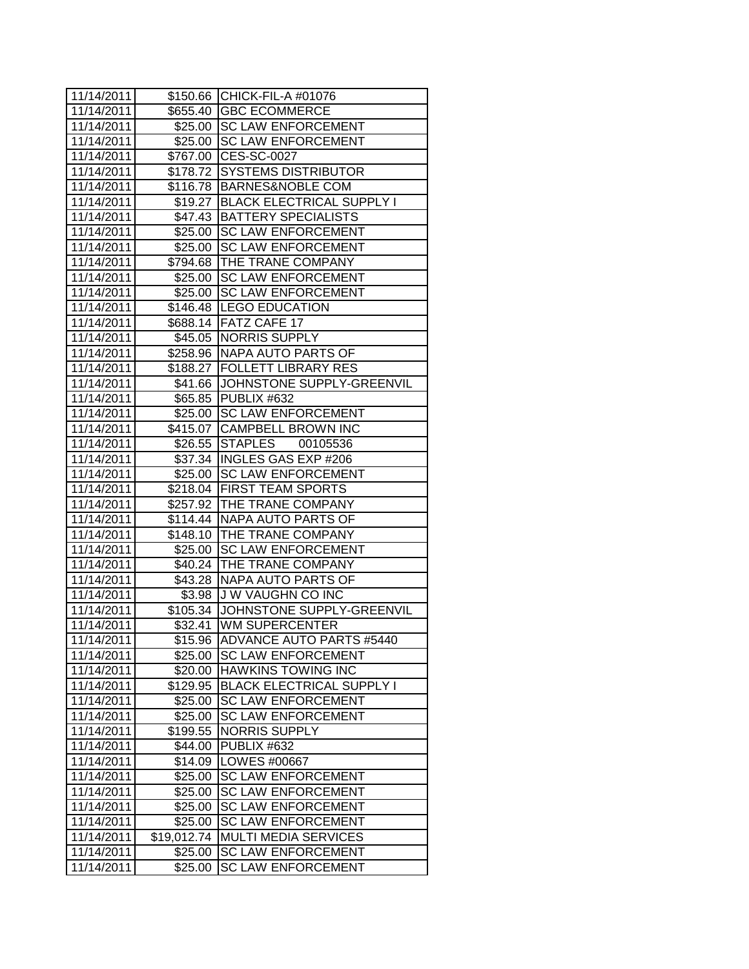| 11/14/2011 |             | \$150.66 CHICK-FIL-A #01076         |
|------------|-------------|-------------------------------------|
| 11/14/2011 |             | \$655.40 GBC ECOMMERCE              |
| 11/14/2011 |             | \$25.00 SC LAW ENFORCEMENT          |
| 11/14/2011 |             | \$25.00 SC LAW ENFORCEMENT          |
| 11/14/2011 |             | \$767.00 CES-SC-0027                |
| 11/14/2011 |             | \$178.72 SYSTEMS DISTRIBUTOR        |
| 11/14/2011 |             | \$116.78 BARNES&NOBLE COM           |
| 11/14/2011 |             | \$19.27   BLACK ELECTRICAL SUPPLY I |
| 11/14/2011 |             | \$47.43   BATTERY SPECIALISTS       |
| 11/14/2011 |             | \$25.00 SC LAW ENFORCEMENT          |
| 11/14/2011 |             | \$25.00 SC LAW ENFORCEMENT          |
| 11/14/2011 |             | \$794.68 THE TRANE COMPANY          |
| 11/14/2011 |             | \$25.00 SC LAW ENFORCEMENT          |
| 11/14/2011 |             | \$25.00 SC LAW ENFORCEMENT          |
| 11/14/2011 |             | \$146.48  LEGO EDUCATION            |
| 11/14/2011 |             | \$688.14 FATZ CAFE 17               |
| 11/14/2011 |             | \$45.05 NORRIS SUPPLY               |
| 11/14/2011 |             | \$258.96 NAPA AUTO PARTS OF         |
| 11/14/2011 |             | \$188.27   FOLLETT LIBRARY RES      |
| 11/14/2011 |             | \$41.66 JJOHNSTONE SUPPLY-GREENVIL  |
| 11/14/2011 |             | \$65.85 PUBLIX #632                 |
| 11/14/2011 |             | \$25.00 SC LAW ENFORCEMENT          |
| 11/14/2011 |             | \$415.07 CAMPBELL BROWN INC         |
| 11/14/2011 |             | \$26.55 STAPLES<br>00105536         |
| 11/14/2011 |             | \$37.34 INGLES GAS EXP #206         |
| 11/14/2011 |             | \$25.00 SC LAW ENFORCEMENT          |
| 11/14/2011 |             | \$218.04 FIRST TEAM SPORTS          |
| 11/14/2011 |             | \$257.92 THE TRANE COMPANY          |
| 11/14/2011 |             | \$114.44 NAPA AUTO PARTS OF         |
| 11/14/2011 |             | \$148.10 THE TRANE COMPANY          |
| 11/14/2011 |             | \$25.00 SC LAW ENFORCEMENT          |
| 11/14/2011 |             | \$40.24 THE TRANE COMPANY           |
| 11/14/2011 |             | \$43.28 NAPA AUTO PARTS OF          |
| 11/14/2011 |             | \$3.98 J W VAUGHN CO INC            |
| 11/14/2011 |             | \$105.34 JOHNSTONE SUPPLY-GREENVIL  |
| 11/14/2011 |             | \$32.41 WM SUPERCENTER              |
| 11/14/2011 | \$15.96     | IADVANCE AUTO PARTS #5440           |
| 11/14/2011 | \$25.00     | <b>SC LAW ENFORCEMENT</b>           |
| 11/14/2011 | \$20.00     | <b>HAWKINS TOWING INC</b>           |
| 11/14/2011 | \$129.95    | <b>BLACK ELECTRICAL SUPPLY I</b>    |
| 11/14/2011 | \$25.00     | <b>SC LAW ENFORCEMENT</b>           |
| 11/14/2011 | \$25.00     | <b>SC LAW ENFORCEMENT</b>           |
| 11/14/2011 | \$199.55    | <b>NORRIS SUPPLY</b>                |
| 11/14/2011 | \$44.00     | PUBLIX #632                         |
| 11/14/2011 | \$14.09     | LOWES #00667                        |
| 11/14/2011 | \$25.00     | <b>SC LAW ENFORCEMENT</b>           |
| 11/14/2011 | \$25.00     | <b>SC LAW ENFORCEMENT</b>           |
| 11/14/2011 | \$25.00     | <b>SC LAW ENFORCEMENT</b>           |
| 11/14/2011 | \$25.00     | <b>SC LAW ENFORCEMENT</b>           |
| 11/14/2011 | \$19,012.74 | <b>MULTI MEDIA SERVICES</b>         |
| 11/14/2011 | \$25.00     | <b>SC LAW ENFORCEMENT</b>           |
| 11/14/2011 | \$25.00     | <b>SC LAW ENFORCEMENT</b>           |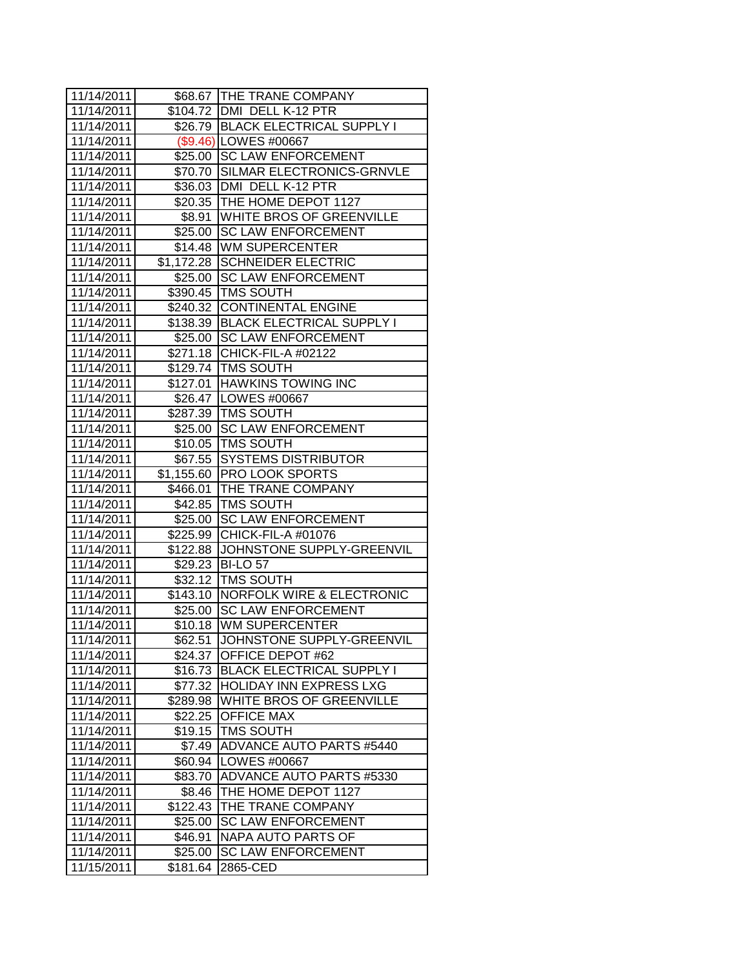| 11/14/2011 |                      | \$68.67 THE TRANE COMPANY          |
|------------|----------------------|------------------------------------|
| 11/14/2011 |                      | \$104.72 DMI DELL K-12 PTR         |
| 11/14/2011 |                      | \$26.79 BLACK ELECTRICAL SUPPLY I  |
| 11/14/2011 |                      | (\$9.46) LOWES #00667              |
| 11/14/2011 |                      | \$25.00 SC LAW ENFORCEMENT         |
| 11/14/2011 |                      | \$70.70 SILMAR ELECTRONICS-GRNVLE  |
| 11/14/2011 |                      | \$36.03 DMI DELL K-12 PTR          |
| 11/14/2011 |                      | \$20.35   THE HOME DEPOT 1127      |
| 11/14/2011 |                      | \$8.91 WHITE BROS OF GREENVILLE    |
| 11/14/2011 |                      | \$25.00 SC LAW ENFORCEMENT         |
| 11/14/2011 |                      | \$14.48 WM SUPERCENTER             |
| 11/14/2011 |                      | \$1,172.28 SCHNEIDER ELECTRIC      |
| 11/14/2011 | \$25.00              | <b>SC LAW ENFORCEMENT</b>          |
| 11/14/2011 | \$390.45             | <b>TMS SOUTH</b>                   |
| 11/14/2011 | \$240.32             | <b>CONTINENTAL ENGINE</b>          |
| 11/14/2011 |                      | \$138.39 BLACK ELECTRICAL SUPPLY I |
| 11/14/2011 |                      | \$25.00 SC LAW ENFORCEMENT         |
| 11/14/2011 | \$271.18             | CHICK-FIL-A #02122                 |
| 11/14/2011 |                      | \$129.74   TMS SOUTH               |
| 11/14/2011 |                      | \$127.01 HAWKINS TOWING INC        |
| 11/14/2011 |                      | \$26.47   LOWES #00667             |
| 11/14/2011 |                      | \$287.39   TMS SOUTH               |
| 11/14/2011 |                      | \$25.00 SC LAW ENFORCEMENT         |
| 11/14/2011 |                      | \$10.05 TMS SOUTH                  |
| 11/14/2011 |                      | \$67.55 SYSTEMS DISTRIBUTOR        |
| 11/14/2011 |                      | \$1,155.60 PRO LOOK SPORTS         |
| 11/14/2011 | \$466.01             | THE TRANE COMPANY                  |
| 11/14/2011 |                      | \$42.85   TMS SOUTH                |
| 11/14/2011 | \$25.00              | <b>SC LAW ENFORCEMENT</b>          |
| 11/14/2011 | $\overline{$}225.99$ | CHICK-FIL-A #01076                 |
| 11/14/2011 | \$122.88             | JOHNSTONE SUPPLY-GREENVIL          |
| 11/14/2011 |                      | \$29.23 BI-LO 57                   |
| 11/14/2011 |                      | \$32.12 TMS SOUTH                  |
| 11/14/2011 |                      | \$143.10 NORFOLK WIRE & ELECTRONIC |
| 11/14/2011 | \$25.00              | <b>SC LAW ENFORCEMENT</b>          |
| 11/14/2011 | \$10.18              | <b>WM SUPERCENTER</b>              |
| 11/14/2011 | \$62.51              | JOHNSTONE SUPPLY-GREENVIL          |
| 11/14/2011 | \$24.37              | OFFICE DEPOT #62                   |
| 11/14/2011 | \$16.73              | <b>BLACK ELECTRICAL SUPPLY I</b>   |
| 11/14/2011 | \$77.32              | <b>HOLIDAY INN EXPRESS LXG</b>     |
| 11/14/2011 | \$289.98             | WHITE BROS OF GREENVILLE           |
| 11/14/2011 | \$22.25              | <b>OFFICE MAX</b>                  |
| 11/14/2011 | \$19.15              | TMS SOUTH                          |
| 11/14/2011 | \$7.49               | <b>ADVANCE AUTO PARTS #5440</b>    |
| 11/14/2011 | \$60.94              | LOWES #00667                       |
| 11/14/2011 | \$83.70              | ADVANCE AUTO PARTS #5330           |
| 11/14/2011 | \$8.46               | THE HOME DEPOT 1127                |
| 11/14/2011 | \$122.43             | THE TRANE COMPANY                  |
| 11/14/2011 | \$25.00              | <b>SC LAW ENFORCEMENT</b>          |
| 11/14/2011 | \$46.91              | NAPA AUTO PARTS OF                 |
| 11/14/2011 | \$25.00              | <b>SC LAW ENFORCEMENT</b>          |
| 11/15/2011 | \$181.64             | 2865-CED                           |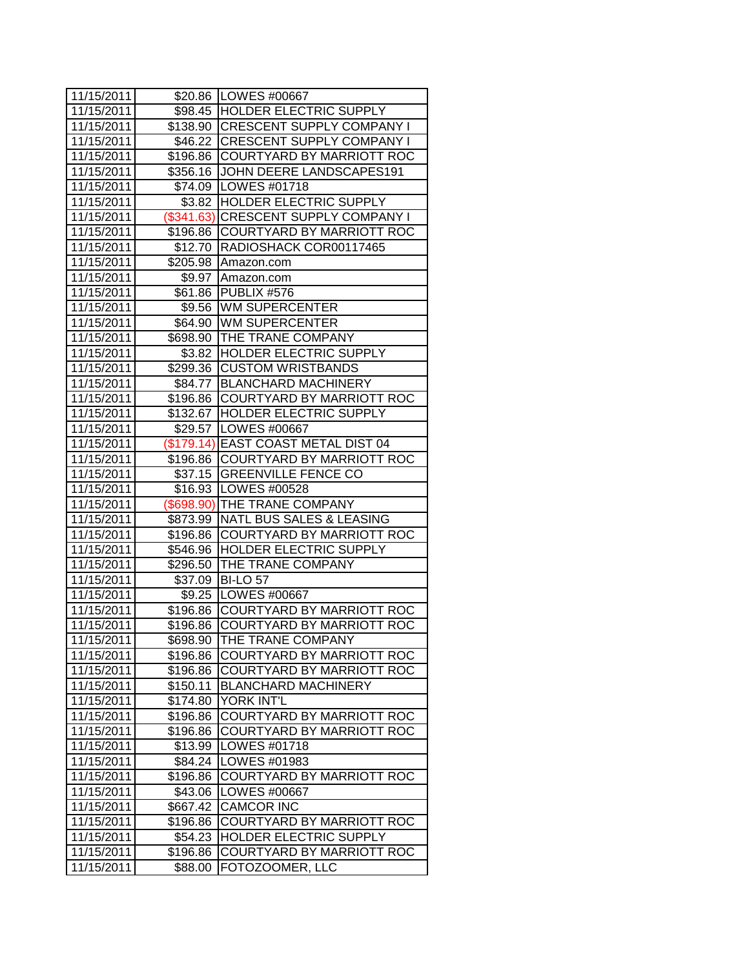| 11/15/2011               |                     | \$20.86 LOWES #00667                         |
|--------------------------|---------------------|----------------------------------------------|
| 11/15/2011               |                     | \$98.45 HOLDER ELECTRIC SUPPLY               |
| 11/15/2011               |                     | \$138.90 CRESCENT SUPPLY COMPANY I           |
| 11/15/2011               |                     | \$46.22 CRESCENT SUPPLY COMPANY I            |
| 11/15/2011               |                     | \$196.86 COURTYARD BY MARRIOTT ROC           |
| 11/15/2011               |                     | \$356.16 JOHN DEERE LANDSCAPES191            |
| 11/15/2011               |                     | \$74.09   LOWES #01718                       |
| 11/15/2011               |                     | \$3.82 HOLDER ELECTRIC SUPPLY                |
| 11/15/2011               |                     | (\$341.63) CRESCENT SUPPLY COMPANY I         |
| 11/15/2011               |                     | \$196.86 COURTYARD BY MARRIOTT ROC           |
| 11/15/2011               |                     | \$12.70   RADIOSHACK COR00117465             |
| 11/15/2011               |                     | \$205.98 Amazon.com                          |
| 11/15/2011               | \$9.97              | Amazon.com                                   |
| 11/15/2011               | \$61.86             | <b>PUBLIX #576</b>                           |
| 11/15/2011               |                     | \$9.56 JWM SUPERCENTER                       |
| 11/15/2011               |                     | \$64.90 WM SUPERCENTER                       |
| 11/15/2011               |                     | \$698.90 THE TRANE COMPANY                   |
| 11/15/2011               |                     | \$3.82 HOLDER ELECTRIC SUPPLY                |
| 11/15/2011               | \$299.36            | <b>CUSTOM WRISTBANDS</b>                     |
| 11/15/2011               | \$84.77             | <b>BLANCHARD MACHINERY</b>                   |
| 11/15/2011               | \$196.86            | COURTYARD BY MARRIOTT ROC                    |
| 11/15/2011               |                     | \$132.67 HOLDER ELECTRIC SUPPLY              |
| 11/15/2011               |                     | \$29.57   LOWES #00667                       |
| 11/15/2011               |                     | (\$179.14) EAST COAST METAL DIST 04          |
| 11/15/2011               |                     | \$196.86 COURTYARD BY MARRIOTT ROC           |
| 11/15/2011               |                     | \$37.15 GREENVILLE FENCE CO                  |
| 11/15/2011               |                     | \$16.93 LOWES #00528                         |
| 11/15/2011               |                     | (\$698.90) THE TRANE COMPANY                 |
| 11/15/2011               | \$873.99            | NATL BUS SALES & LEASING                     |
| 11/15/2011               | \$196.86            | COURTYARD BY MARRIOTT ROC                    |
|                          |                     |                                              |
| 11/15/2011               | \$546.96            | <b>HOLDER ELECTRIC SUPPLY</b>                |
| 11/15/2011               | \$296.50            | <b>THE TRANE COMPANY</b>                     |
| 11/15/2011               | \$37.09             | <b>BI-LO 57</b>                              |
| 11/15/2011               |                     | \$9.25   LOWES #00667                        |
| 11/15/2011               | \$196.86            | COURTYARD BY MARRIOTT ROC                    |
| 11/15/2011               | \$196.86            | COURTYARD BY MARRIOTT ROC                    |
| 11/15/2011               | \$698.90            | THE TRANE COMPANY                            |
| 11/15/2011               | \$196.86            | COURTYARD BY MARRIOTT ROC                    |
| 11/15/2011               | \$196.86            | COURTYARD BY MARRIOTT ROC                    |
| 11/15/2011               | \$150.11            | <b>BLANCHARD MACHINERY</b>                   |
| 11/15/2011               | \$174.80            | YORK INT'L                                   |
| 11/15/2011               | \$196.86            | COURTYARD BY MARRIOTT ROC                    |
| 11/15/2011               | \$196.86            | COURTYARD BY MARRIOTT ROC                    |
| 11/15/2011               | \$13.99             | LOWES #01718                                 |
| 11/15/2011               | \$84.24             | LOWES #01983                                 |
| 11/15/2011               | \$196.86            | COURTYARD BY MARRIOTT ROC                    |
| 11/15/2011               | \$43.06             | LOWES #00667                                 |
| 11/15/2011               | \$667.42            | <b>CAMCOR INC</b>                            |
| 11/15/2011               | \$196.86            | COURTYARD BY MARRIOTT ROC                    |
| 11/15/2011               | \$54.23             | HOLDER ELECTRIC SUPPLY                       |
| 11/15/2011<br>11/15/2011 | \$196.86<br>\$88.00 | COURTYARD BY MARRIOTT ROC<br>FOTOZOOMER, LLC |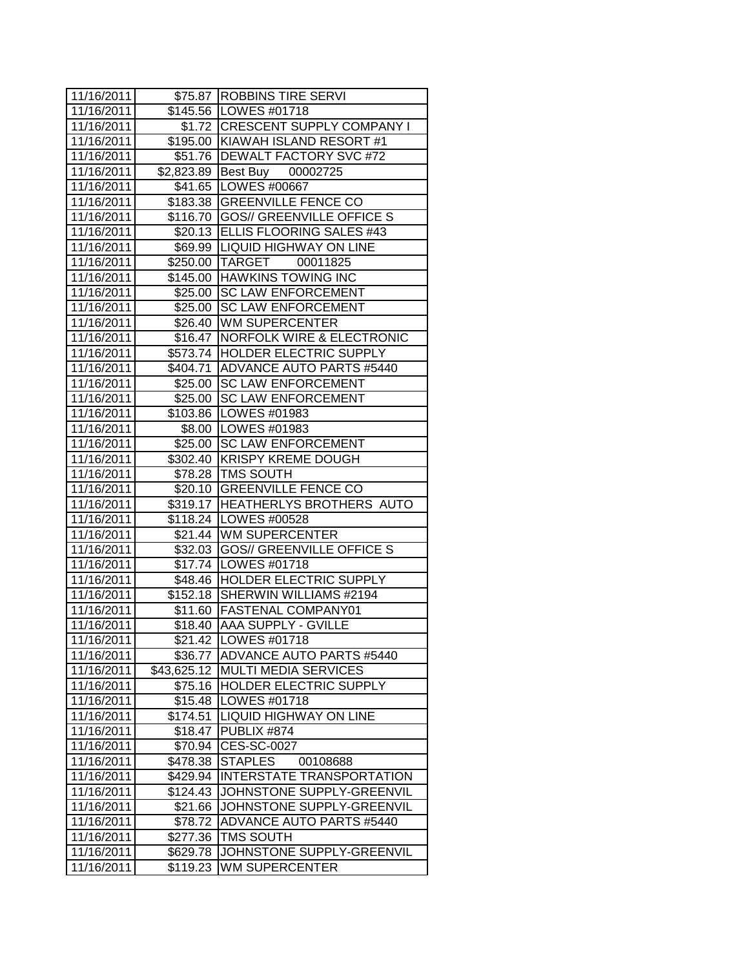| 11/16/2011 |             | \$75.87 ROBBINS TIRE SERVI         |
|------------|-------------|------------------------------------|
| 11/16/2011 |             | \$145.56   LOWES #01718            |
| 11/16/2011 |             | \$1.72   CRESCENT SUPPLY COMPANY I |
| 11/16/2011 |             | \$195.00 KIAWAH ISLAND RESORT #1   |
| 11/16/2011 |             | \$51.76   DEWALT FACTORY SVC #72   |
| 11/16/2011 |             | \$2,823.89 Best Buy 00002725       |
| 11/16/2011 |             | \$41.65 LOWES #00667               |
| 11/16/2011 |             | \$183.38 GREENVILLE FENCE CO       |
| 11/16/2011 |             | \$116.70 GOS// GREENVILLE OFFICE S |
| 11/16/2011 |             | \$20.13 ELLIS FLOORING SALES #43   |
| 11/16/2011 |             | \$69.99  LIQUID HIGHWAY ON LINE    |
| 11/16/2011 |             | \$250.00 TARGET 00011825           |
| 11/16/2011 |             | \$145.00 HAWKINS TOWING INC        |
| 11/16/2011 |             | \$25.00 SC LAW ENFORCEMENT         |
| 11/16/2011 |             | \$25.00 SC LAW ENFORCEMENT         |
| 11/16/2011 |             | \$26.40 WM SUPERCENTER             |
| 11/16/2011 |             | \$16.47 NORFOLK WIRE & ELECTRONIC  |
| 11/16/2011 |             | \$573.74  HOLDER ELECTRIC SUPPLY   |
| 11/16/2011 |             | \$404.71 ADVANCE AUTO PARTS #5440  |
| 11/16/2011 |             | \$25.00 SC LAW ENFORCEMENT         |
| 11/16/2011 |             | \$25.00 SC LAW ENFORCEMENT         |
| 11/16/2011 |             | \$103.86 LOWES #01983              |
| 11/16/2011 |             | \$8.00   LOWES #01983              |
| 11/16/2011 |             | \$25.00 SC LAW ENFORCEMENT         |
| 11/16/2011 |             | \$302.40 KRISPY KREME DOUGH        |
| 11/16/2011 |             | \$78.28 TMS SOUTH                  |
| 11/16/2011 |             | \$20.10 GREENVILLE FENCE CO        |
| 11/16/2011 |             | \$319.17 HEATHERLYS BROTHERS AUTO  |
| 11/16/2011 |             | \$118.24   LOWES #00528            |
| 11/16/2011 |             | \$21.44 WM SUPERCENTER             |
| 11/16/2011 |             | \$32.03 GOS// GREENVILLE OFFICE S  |
| 11/16/2011 |             | \$17.74   LOWES #01718             |
| 11/16/2011 |             | \$48.46 HOLDER ELECTRIC SUPPLY     |
| 11/16/2011 |             | \$152.18 SHERWIN WILLIAMS #2194    |
| 11/16/2011 |             | \$11.60   FASTENAL COMPANY01       |
| 11/16/2011 |             | \$18.40 AAA SUPPLY - GVILLE        |
| 11/16/2011 |             | \$21.42  LOWES #01718              |
| 11/16/2011 | \$36.77     | ADVANCE AUTO PARTS #5440           |
| 11/16/2011 | \$43,625.12 | <b>MULTI MEDIA SERVICES</b>        |
| 11/16/2011 | \$75.16     | HOLDER ELECTRIC SUPPLY             |
| 11/16/2011 | \$15.48     | LOWES #01718                       |
| 11/16/2011 | \$174.51    | <b>LIQUID HIGHWAY ON LINE</b>      |
| 11/16/2011 | \$18.47     | PUBLIX #874                        |
| 11/16/2011 | \$70.94     | <b>CES-SC-0027</b>                 |
| 11/16/2011 | \$478.38    | <b>STAPLES</b><br>00108688         |
| 11/16/2011 | \$429.94    | <b>INTERSTATE TRANSPORTATION</b>   |
| 11/16/2011 | \$124.43    | JOHNSTONE SUPPLY-GREENVIL          |
| 11/16/2011 | \$21.66     | JOHNSTONE SUPPLY-GREENVIL          |
| 11/16/2011 | \$78.72     | <b>ADVANCE AUTO PARTS #5440</b>    |
| 11/16/2011 | \$277.36    | TMS SOUTH                          |
| 11/16/2011 | \$629.78    | JOHNSTONE SUPPLY-GREENVIL          |
| 11/16/2011 | \$119.23    | WM SUPERCENTER                     |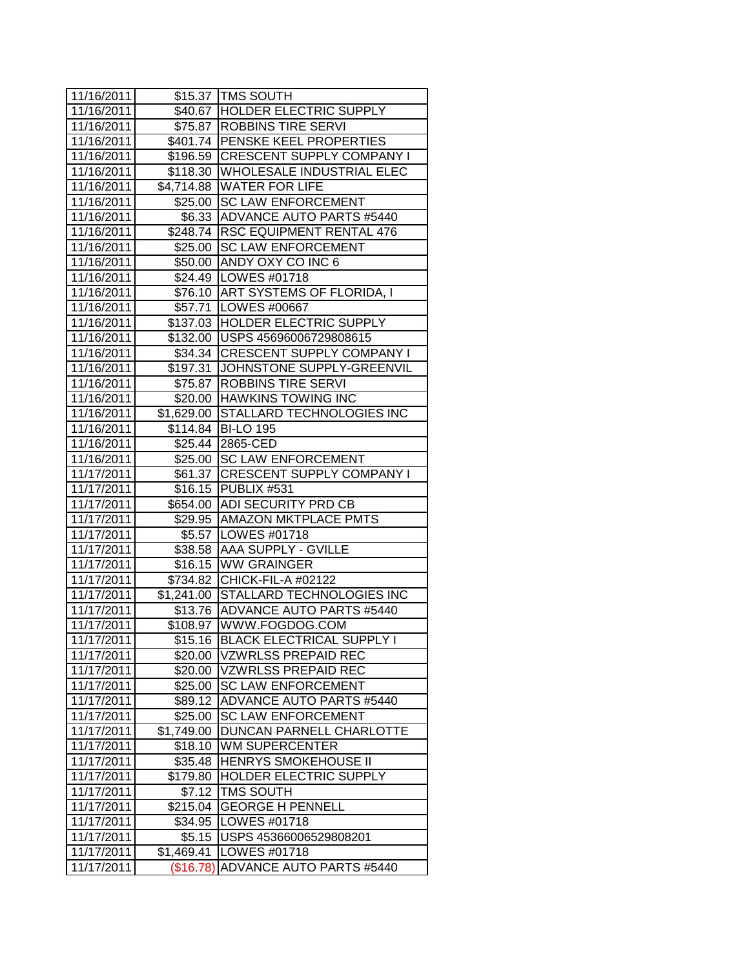| 11/16/2011 |            | \$15.37 TMS SOUTH                    |
|------------|------------|--------------------------------------|
| 11/16/2011 |            | \$40.67 HOLDER ELECTRIC SUPPLY       |
| 11/16/2011 |            | \$75.87   ROBBINS TIRE SERVI         |
| 11/16/2011 |            | \$401.74   PENSKE KEEL PROPERTIES    |
| 11/16/2011 |            | \$196.59 CRESCENT SUPPLY COMPANY I   |
| 11/16/2011 |            | \$118.30 WHOLESALE INDUSTRIAL ELEC   |
| 11/16/2011 |            | \$4,714.88 WATER FOR LIFE            |
| 11/16/2011 |            | \$25.00 SC LAW ENFORCEMENT           |
| 11/16/2011 |            | \$6.33 ADVANCE AUTO PARTS #5440      |
| 11/16/2011 |            | \$248.74 RSC EQUIPMENT RENTAL 476    |
| 11/16/2011 |            | \$25.00 SC LAW ENFORCEMENT           |
| 11/16/2011 |            | \$50.00 ANDY OXY CO INC 6            |
| 11/16/2011 |            | \$24.49   LOWES #01718               |
| 11/16/2011 |            | \$76.10 ART SYSTEMS OF FLORIDA, I    |
| 11/16/2011 |            | \$57.71   LOWES #00667               |
| 11/16/2011 |            | \$137.03 HOLDER ELECTRIC SUPPLY      |
| 11/16/2011 |            | \$132.00 USPS 45696006729808615      |
| 11/16/2011 |            | \$34.34 CRESCENT SUPPLY COMPANY I    |
| 11/16/2011 |            | \$197.31 JOHNSTONE SUPPLY-GREENVIL   |
| 11/16/2011 |            | \$75.87   ROBBINS TIRE SERVI         |
| 11/16/2011 |            | \$20.00 HAWKINS TOWING INC           |
| 11/16/2011 |            | \$1,629.00 STALLARD TECHNOLOGIES INC |
| 11/16/2011 |            | \$114.84 BI-LO 195                   |
| 11/16/2011 |            | \$25.44 2865-CED                     |
| 11/16/2011 |            | \$25.00 SC LAW ENFORCEMENT           |
| 11/17/2011 | \$61.37    | <b>CRESCENT SUPPLY COMPANY I</b>     |
| 11/17/2011 | \$16.15    | PUBLIX #531                          |
| 11/17/2011 |            | \$654.00 ADI SECURITY PRD CB         |
| 11/17/2011 |            | \$29.95 AMAZON MKTPLACE PMTS         |
| 11/17/2011 |            | \$5.57 LOWES #01718                  |
|            |            |                                      |
| 11/17/2011 |            | \$38.58 AAA SUPPLY - GVILLE          |
| 11/17/2011 |            | \$16.15 WW GRAINGER                  |
| 11/17/2011 | \$734.82   | CHICK-FIL-A #02122                   |
| 11/17/2011 | \$1,241.00 | <b>STALLARD TECHNOLOGIES INC</b>     |
| 11/17/2011 |            | \$13.76 ADVANCE AUTO PARTS #5440     |
| 11/17/2011 | \$108.97   | WWW.FOGDOG.COM                       |
| 11/17/2011 | \$15.16    | <b>BLACK ELECTRICAL SUPPLY I</b>     |
| 11/17/2011 | \$20.00    | <b>VZWRLSS PREPAID REC</b>           |
| 11/17/2011 | \$20.00    | <b>VZWRLSS PREPAID REC</b>           |
| 11/17/2011 | \$25.00    | <b>SC LAW ENFORCEMENT</b>            |
| 11/17/2011 | \$89.12    | ADVANCE AUTO PARTS #5440             |
| 11/17/2011 | \$25.00    | <b>SC LAW ENFORCEMENT</b>            |
| 11/17/2011 | \$1,749.00 | DUNCAN PARNELL CHARLOTTE             |
| 11/17/2011 | \$18.10    | <b>WM SUPERCENTER</b>                |
| 11/17/2011 | \$35.48    | <b>HENRYS SMOKEHOUSE II</b>          |
| 11/17/2011 | \$179.80   | HOLDER ELECTRIC SUPPLY               |
| 11/17/2011 | \$7.12     | TMS SOUTH                            |
| 11/17/2011 | \$215.04   | <b>GEORGE H PENNELL</b>              |
| 11/17/2011 | \$34.95    | LOWES #01718                         |
| 11/17/2011 | \$5.15     | USPS 45366006529808201               |
| 11/17/2011 | \$1,469.41 | LOWES #01718                         |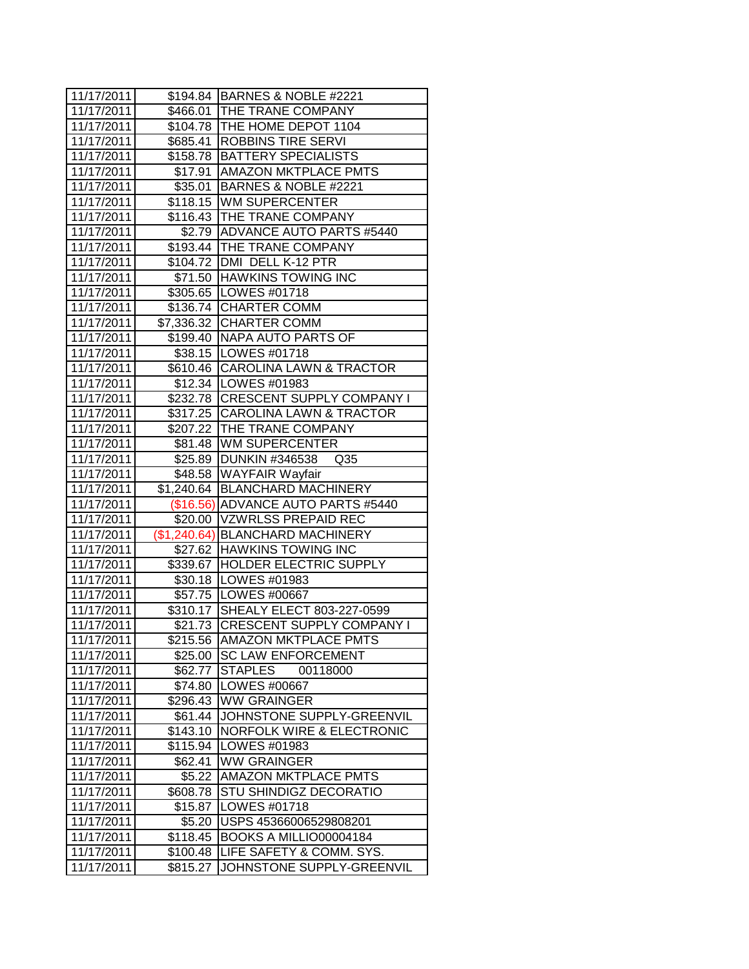| 11/17/2011<br>\$466.01 THE TRANE COMPANY<br>\$104.78   THE HOME DEPOT 1104<br>11/17/2011<br>\$685.41   ROBBINS TIRE SERVI<br>11/17/2011<br>\$158.78   BATTERY SPECIALISTS<br>11/17/2011<br>11/17/2011<br>\$17.91   AMAZON MKTPLACE PMTS<br>\$35.01 BARNES & NOBLE #2221<br>11/17/2011<br>\$118.15 WM SUPERCENTER<br>11/17/2011<br>\$116.43 THE TRANE COMPANY<br>11/17/2011<br>\$2.79 ADVANCE AUTO PARTS #5440<br>11/17/2011<br>\$193.44 THE TRANE COMPANY<br>11/17/2011<br>\$104.72 DMI DELL K-12 PTR<br>11/17/2011<br>\$71.50 HAWKINS TOWING INC<br>11/17/2011<br>\$305.65 LOWES #01718<br>11/17/2011<br>11/17/2011<br>\$136.74 CHARTER COMM<br>11/17/2011<br>\$7,336.32 CHARTER COMM<br>11/17/2011<br>\$199.40 NAPA AUTO PARTS OF<br>11/17/2011<br>\$38.15   LOWES #01718<br>\$610.46 CAROLINA LAWN & TRACTOR<br>11/17/2011<br>11/17/2011<br>\$12.34   LOWES #01983<br>\$232.78 CRESCENT SUPPLY COMPANY I<br>11/17/2011<br>11/17/2011<br>\$317.25 CAROLINA LAWN & TRACTOR<br>\$207.22 THE TRANE COMPANY<br>11/17/2011<br>11/17/2011<br>\$81.48 WM SUPERCENTER<br>11/17/2011<br>\$25.89 DUNKIN #346538 Q35<br>11/17/2011<br>\$48.58 WAYFAIR Wayfair<br>\$1,240.64 BLANCHARD MACHINERY<br>11/17/2011<br>11/17/2011<br>(\$16.56) ADVANCE AUTO PARTS #5440<br>\$20.00 VZWRLSS PREPAID REC<br>11/17/2011<br>(\$1,240.64) BLANCHARD MACHINERY<br>11/17/2011<br>11/17/2011<br>\$27.62 HAWKINS TOWING INC<br>\$339.67 HOLDER ELECTRIC SUPPLY<br>11/17/2011<br>11/17/2011<br>\$30.18   LOWES #01983<br>11/17/2011<br>\$57.75   LOWES #00667<br>11/17/2011<br>\$310.17 SHEALY ELECT 803-227-0599<br>11/17/2011<br>\$21.73 CRESCENT SUPPLY COMPANY I<br>11/17/2011<br>\$215.56<br><b>JAMAZON MKTPLACE PMTS</b><br>11/17/2011<br><b>SC LAW ENFORCEMENT</b><br>\$25.00<br><b>STAPLES</b><br>00118000<br>11/17/2011<br>\$62.77<br>11/17/2011<br>LOWES #00667<br>\$74.80<br>11/17/2011<br>\$296.43<br><b>WW GRAINGER</b><br>11/17/2011<br>JOHNSTONE SUPPLY-GREENVIL<br>\$61.44<br>11/17/2011<br><b>NORFOLK WIRE &amp; ELECTRONIC</b><br>\$143.10<br>11/17/2011<br>\$115.94<br>LOWES #01983<br>11/17/2011<br><b>WW GRAINGER</b><br>\$62.41<br>11/17/2011<br><b>AMAZON MKTPLACE PMTS</b><br>\$5.22<br>11/17/2011<br><b>STU SHINDIGZ DECORATIO</b><br>\$608.78<br>11/17/2011<br>LOWES #01718<br>\$15.87<br>11/17/2011<br>\$5.20<br>USPS 45366006529808201<br>11/17/2011<br>\$118.45<br><b>BOOKS A MILLIO00004184</b><br>11/17/2011<br>LIFE SAFETY & COMM. SYS.<br>\$100.48<br>11/17/2011<br>JOHNSTONE SUPPLY-GREENVIL<br>\$815.27 | 11/17/2011 | \$194.84 BARNES & NOBLE #2221 |
|-------------------------------------------------------------------------------------------------------------------------------------------------------------------------------------------------------------------------------------------------------------------------------------------------------------------------------------------------------------------------------------------------------------------------------------------------------------------------------------------------------------------------------------------------------------------------------------------------------------------------------------------------------------------------------------------------------------------------------------------------------------------------------------------------------------------------------------------------------------------------------------------------------------------------------------------------------------------------------------------------------------------------------------------------------------------------------------------------------------------------------------------------------------------------------------------------------------------------------------------------------------------------------------------------------------------------------------------------------------------------------------------------------------------------------------------------------------------------------------------------------------------------------------------------------------------------------------------------------------------------------------------------------------------------------------------------------------------------------------------------------------------------------------------------------------------------------------------------------------------------------------------------------------------------------------------------------------------------------------------------------------------------------------------------------------------------------------------------------------------------------------------------------------------------------------------------------------------------------------------------------------------------------------------------------------------------------------------------------------------------------------------------------------------------------------------------------------------------------------------------------------------|------------|-------------------------------|
|                                                                                                                                                                                                                                                                                                                                                                                                                                                                                                                                                                                                                                                                                                                                                                                                                                                                                                                                                                                                                                                                                                                                                                                                                                                                                                                                                                                                                                                                                                                                                                                                                                                                                                                                                                                                                                                                                                                                                                                                                                                                                                                                                                                                                                                                                                                                                                                                                                                                                                                   |            |                               |
|                                                                                                                                                                                                                                                                                                                                                                                                                                                                                                                                                                                                                                                                                                                                                                                                                                                                                                                                                                                                                                                                                                                                                                                                                                                                                                                                                                                                                                                                                                                                                                                                                                                                                                                                                                                                                                                                                                                                                                                                                                                                                                                                                                                                                                                                                                                                                                                                                                                                                                                   |            |                               |
|                                                                                                                                                                                                                                                                                                                                                                                                                                                                                                                                                                                                                                                                                                                                                                                                                                                                                                                                                                                                                                                                                                                                                                                                                                                                                                                                                                                                                                                                                                                                                                                                                                                                                                                                                                                                                                                                                                                                                                                                                                                                                                                                                                                                                                                                                                                                                                                                                                                                                                                   |            |                               |
|                                                                                                                                                                                                                                                                                                                                                                                                                                                                                                                                                                                                                                                                                                                                                                                                                                                                                                                                                                                                                                                                                                                                                                                                                                                                                                                                                                                                                                                                                                                                                                                                                                                                                                                                                                                                                                                                                                                                                                                                                                                                                                                                                                                                                                                                                                                                                                                                                                                                                                                   |            |                               |
|                                                                                                                                                                                                                                                                                                                                                                                                                                                                                                                                                                                                                                                                                                                                                                                                                                                                                                                                                                                                                                                                                                                                                                                                                                                                                                                                                                                                                                                                                                                                                                                                                                                                                                                                                                                                                                                                                                                                                                                                                                                                                                                                                                                                                                                                                                                                                                                                                                                                                                                   |            |                               |
|                                                                                                                                                                                                                                                                                                                                                                                                                                                                                                                                                                                                                                                                                                                                                                                                                                                                                                                                                                                                                                                                                                                                                                                                                                                                                                                                                                                                                                                                                                                                                                                                                                                                                                                                                                                                                                                                                                                                                                                                                                                                                                                                                                                                                                                                                                                                                                                                                                                                                                                   |            |                               |
|                                                                                                                                                                                                                                                                                                                                                                                                                                                                                                                                                                                                                                                                                                                                                                                                                                                                                                                                                                                                                                                                                                                                                                                                                                                                                                                                                                                                                                                                                                                                                                                                                                                                                                                                                                                                                                                                                                                                                                                                                                                                                                                                                                                                                                                                                                                                                                                                                                                                                                                   |            |                               |
|                                                                                                                                                                                                                                                                                                                                                                                                                                                                                                                                                                                                                                                                                                                                                                                                                                                                                                                                                                                                                                                                                                                                                                                                                                                                                                                                                                                                                                                                                                                                                                                                                                                                                                                                                                                                                                                                                                                                                                                                                                                                                                                                                                                                                                                                                                                                                                                                                                                                                                                   |            |                               |
|                                                                                                                                                                                                                                                                                                                                                                                                                                                                                                                                                                                                                                                                                                                                                                                                                                                                                                                                                                                                                                                                                                                                                                                                                                                                                                                                                                                                                                                                                                                                                                                                                                                                                                                                                                                                                                                                                                                                                                                                                                                                                                                                                                                                                                                                                                                                                                                                                                                                                                                   |            |                               |
|                                                                                                                                                                                                                                                                                                                                                                                                                                                                                                                                                                                                                                                                                                                                                                                                                                                                                                                                                                                                                                                                                                                                                                                                                                                                                                                                                                                                                                                                                                                                                                                                                                                                                                                                                                                                                                                                                                                                                                                                                                                                                                                                                                                                                                                                                                                                                                                                                                                                                                                   |            |                               |
|                                                                                                                                                                                                                                                                                                                                                                                                                                                                                                                                                                                                                                                                                                                                                                                                                                                                                                                                                                                                                                                                                                                                                                                                                                                                                                                                                                                                                                                                                                                                                                                                                                                                                                                                                                                                                                                                                                                                                                                                                                                                                                                                                                                                                                                                                                                                                                                                                                                                                                                   |            |                               |
|                                                                                                                                                                                                                                                                                                                                                                                                                                                                                                                                                                                                                                                                                                                                                                                                                                                                                                                                                                                                                                                                                                                                                                                                                                                                                                                                                                                                                                                                                                                                                                                                                                                                                                                                                                                                                                                                                                                                                                                                                                                                                                                                                                                                                                                                                                                                                                                                                                                                                                                   |            |                               |
|                                                                                                                                                                                                                                                                                                                                                                                                                                                                                                                                                                                                                                                                                                                                                                                                                                                                                                                                                                                                                                                                                                                                                                                                                                                                                                                                                                                                                                                                                                                                                                                                                                                                                                                                                                                                                                                                                                                                                                                                                                                                                                                                                                                                                                                                                                                                                                                                                                                                                                                   |            |                               |
|                                                                                                                                                                                                                                                                                                                                                                                                                                                                                                                                                                                                                                                                                                                                                                                                                                                                                                                                                                                                                                                                                                                                                                                                                                                                                                                                                                                                                                                                                                                                                                                                                                                                                                                                                                                                                                                                                                                                                                                                                                                                                                                                                                                                                                                                                                                                                                                                                                                                                                                   |            |                               |
|                                                                                                                                                                                                                                                                                                                                                                                                                                                                                                                                                                                                                                                                                                                                                                                                                                                                                                                                                                                                                                                                                                                                                                                                                                                                                                                                                                                                                                                                                                                                                                                                                                                                                                                                                                                                                                                                                                                                                                                                                                                                                                                                                                                                                                                                                                                                                                                                                                                                                                                   |            |                               |
|                                                                                                                                                                                                                                                                                                                                                                                                                                                                                                                                                                                                                                                                                                                                                                                                                                                                                                                                                                                                                                                                                                                                                                                                                                                                                                                                                                                                                                                                                                                                                                                                                                                                                                                                                                                                                                                                                                                                                                                                                                                                                                                                                                                                                                                                                                                                                                                                                                                                                                                   |            |                               |
|                                                                                                                                                                                                                                                                                                                                                                                                                                                                                                                                                                                                                                                                                                                                                                                                                                                                                                                                                                                                                                                                                                                                                                                                                                                                                                                                                                                                                                                                                                                                                                                                                                                                                                                                                                                                                                                                                                                                                                                                                                                                                                                                                                                                                                                                                                                                                                                                                                                                                                                   |            |                               |
|                                                                                                                                                                                                                                                                                                                                                                                                                                                                                                                                                                                                                                                                                                                                                                                                                                                                                                                                                                                                                                                                                                                                                                                                                                                                                                                                                                                                                                                                                                                                                                                                                                                                                                                                                                                                                                                                                                                                                                                                                                                                                                                                                                                                                                                                                                                                                                                                                                                                                                                   |            |                               |
|                                                                                                                                                                                                                                                                                                                                                                                                                                                                                                                                                                                                                                                                                                                                                                                                                                                                                                                                                                                                                                                                                                                                                                                                                                                                                                                                                                                                                                                                                                                                                                                                                                                                                                                                                                                                                                                                                                                                                                                                                                                                                                                                                                                                                                                                                                                                                                                                                                                                                                                   |            |                               |
|                                                                                                                                                                                                                                                                                                                                                                                                                                                                                                                                                                                                                                                                                                                                                                                                                                                                                                                                                                                                                                                                                                                                                                                                                                                                                                                                                                                                                                                                                                                                                                                                                                                                                                                                                                                                                                                                                                                                                                                                                                                                                                                                                                                                                                                                                                                                                                                                                                                                                                                   |            |                               |
|                                                                                                                                                                                                                                                                                                                                                                                                                                                                                                                                                                                                                                                                                                                                                                                                                                                                                                                                                                                                                                                                                                                                                                                                                                                                                                                                                                                                                                                                                                                                                                                                                                                                                                                                                                                                                                                                                                                                                                                                                                                                                                                                                                                                                                                                                                                                                                                                                                                                                                                   |            |                               |
|                                                                                                                                                                                                                                                                                                                                                                                                                                                                                                                                                                                                                                                                                                                                                                                                                                                                                                                                                                                                                                                                                                                                                                                                                                                                                                                                                                                                                                                                                                                                                                                                                                                                                                                                                                                                                                                                                                                                                                                                                                                                                                                                                                                                                                                                                                                                                                                                                                                                                                                   |            |                               |
|                                                                                                                                                                                                                                                                                                                                                                                                                                                                                                                                                                                                                                                                                                                                                                                                                                                                                                                                                                                                                                                                                                                                                                                                                                                                                                                                                                                                                                                                                                                                                                                                                                                                                                                                                                                                                                                                                                                                                                                                                                                                                                                                                                                                                                                                                                                                                                                                                                                                                                                   |            |                               |
|                                                                                                                                                                                                                                                                                                                                                                                                                                                                                                                                                                                                                                                                                                                                                                                                                                                                                                                                                                                                                                                                                                                                                                                                                                                                                                                                                                                                                                                                                                                                                                                                                                                                                                                                                                                                                                                                                                                                                                                                                                                                                                                                                                                                                                                                                                                                                                                                                                                                                                                   |            |                               |
|                                                                                                                                                                                                                                                                                                                                                                                                                                                                                                                                                                                                                                                                                                                                                                                                                                                                                                                                                                                                                                                                                                                                                                                                                                                                                                                                                                                                                                                                                                                                                                                                                                                                                                                                                                                                                                                                                                                                                                                                                                                                                                                                                                                                                                                                                                                                                                                                                                                                                                                   |            |                               |
|                                                                                                                                                                                                                                                                                                                                                                                                                                                                                                                                                                                                                                                                                                                                                                                                                                                                                                                                                                                                                                                                                                                                                                                                                                                                                                                                                                                                                                                                                                                                                                                                                                                                                                                                                                                                                                                                                                                                                                                                                                                                                                                                                                                                                                                                                                                                                                                                                                                                                                                   |            |                               |
|                                                                                                                                                                                                                                                                                                                                                                                                                                                                                                                                                                                                                                                                                                                                                                                                                                                                                                                                                                                                                                                                                                                                                                                                                                                                                                                                                                                                                                                                                                                                                                                                                                                                                                                                                                                                                                                                                                                                                                                                                                                                                                                                                                                                                                                                                                                                                                                                                                                                                                                   |            |                               |
|                                                                                                                                                                                                                                                                                                                                                                                                                                                                                                                                                                                                                                                                                                                                                                                                                                                                                                                                                                                                                                                                                                                                                                                                                                                                                                                                                                                                                                                                                                                                                                                                                                                                                                                                                                                                                                                                                                                                                                                                                                                                                                                                                                                                                                                                                                                                                                                                                                                                                                                   |            |                               |
|                                                                                                                                                                                                                                                                                                                                                                                                                                                                                                                                                                                                                                                                                                                                                                                                                                                                                                                                                                                                                                                                                                                                                                                                                                                                                                                                                                                                                                                                                                                                                                                                                                                                                                                                                                                                                                                                                                                                                                                                                                                                                                                                                                                                                                                                                                                                                                                                                                                                                                                   |            |                               |
|                                                                                                                                                                                                                                                                                                                                                                                                                                                                                                                                                                                                                                                                                                                                                                                                                                                                                                                                                                                                                                                                                                                                                                                                                                                                                                                                                                                                                                                                                                                                                                                                                                                                                                                                                                                                                                                                                                                                                                                                                                                                                                                                                                                                                                                                                                                                                                                                                                                                                                                   |            |                               |
|                                                                                                                                                                                                                                                                                                                                                                                                                                                                                                                                                                                                                                                                                                                                                                                                                                                                                                                                                                                                                                                                                                                                                                                                                                                                                                                                                                                                                                                                                                                                                                                                                                                                                                                                                                                                                                                                                                                                                                                                                                                                                                                                                                                                                                                                                                                                                                                                                                                                                                                   |            |                               |
|                                                                                                                                                                                                                                                                                                                                                                                                                                                                                                                                                                                                                                                                                                                                                                                                                                                                                                                                                                                                                                                                                                                                                                                                                                                                                                                                                                                                                                                                                                                                                                                                                                                                                                                                                                                                                                                                                                                                                                                                                                                                                                                                                                                                                                                                                                                                                                                                                                                                                                                   |            |                               |
|                                                                                                                                                                                                                                                                                                                                                                                                                                                                                                                                                                                                                                                                                                                                                                                                                                                                                                                                                                                                                                                                                                                                                                                                                                                                                                                                                                                                                                                                                                                                                                                                                                                                                                                                                                                                                                                                                                                                                                                                                                                                                                                                                                                                                                                                                                                                                                                                                                                                                                                   |            |                               |
|                                                                                                                                                                                                                                                                                                                                                                                                                                                                                                                                                                                                                                                                                                                                                                                                                                                                                                                                                                                                                                                                                                                                                                                                                                                                                                                                                                                                                                                                                                                                                                                                                                                                                                                                                                                                                                                                                                                                                                                                                                                                                                                                                                                                                                                                                                                                                                                                                                                                                                                   |            |                               |
|                                                                                                                                                                                                                                                                                                                                                                                                                                                                                                                                                                                                                                                                                                                                                                                                                                                                                                                                                                                                                                                                                                                                                                                                                                                                                                                                                                                                                                                                                                                                                                                                                                                                                                                                                                                                                                                                                                                                                                                                                                                                                                                                                                                                                                                                                                                                                                                                                                                                                                                   |            |                               |
|                                                                                                                                                                                                                                                                                                                                                                                                                                                                                                                                                                                                                                                                                                                                                                                                                                                                                                                                                                                                                                                                                                                                                                                                                                                                                                                                                                                                                                                                                                                                                                                                                                                                                                                                                                                                                                                                                                                                                                                                                                                                                                                                                                                                                                                                                                                                                                                                                                                                                                                   |            |                               |
|                                                                                                                                                                                                                                                                                                                                                                                                                                                                                                                                                                                                                                                                                                                                                                                                                                                                                                                                                                                                                                                                                                                                                                                                                                                                                                                                                                                                                                                                                                                                                                                                                                                                                                                                                                                                                                                                                                                                                                                                                                                                                                                                                                                                                                                                                                                                                                                                                                                                                                                   |            |                               |
|                                                                                                                                                                                                                                                                                                                                                                                                                                                                                                                                                                                                                                                                                                                                                                                                                                                                                                                                                                                                                                                                                                                                                                                                                                                                                                                                                                                                                                                                                                                                                                                                                                                                                                                                                                                                                                                                                                                                                                                                                                                                                                                                                                                                                                                                                                                                                                                                                                                                                                                   |            |                               |
|                                                                                                                                                                                                                                                                                                                                                                                                                                                                                                                                                                                                                                                                                                                                                                                                                                                                                                                                                                                                                                                                                                                                                                                                                                                                                                                                                                                                                                                                                                                                                                                                                                                                                                                                                                                                                                                                                                                                                                                                                                                                                                                                                                                                                                                                                                                                                                                                                                                                                                                   |            |                               |
|                                                                                                                                                                                                                                                                                                                                                                                                                                                                                                                                                                                                                                                                                                                                                                                                                                                                                                                                                                                                                                                                                                                                                                                                                                                                                                                                                                                                                                                                                                                                                                                                                                                                                                                                                                                                                                                                                                                                                                                                                                                                                                                                                                                                                                                                                                                                                                                                                                                                                                                   |            |                               |
|                                                                                                                                                                                                                                                                                                                                                                                                                                                                                                                                                                                                                                                                                                                                                                                                                                                                                                                                                                                                                                                                                                                                                                                                                                                                                                                                                                                                                                                                                                                                                                                                                                                                                                                                                                                                                                                                                                                                                                                                                                                                                                                                                                                                                                                                                                                                                                                                                                                                                                                   |            |                               |
|                                                                                                                                                                                                                                                                                                                                                                                                                                                                                                                                                                                                                                                                                                                                                                                                                                                                                                                                                                                                                                                                                                                                                                                                                                                                                                                                                                                                                                                                                                                                                                                                                                                                                                                                                                                                                                                                                                                                                                                                                                                                                                                                                                                                                                                                                                                                                                                                                                                                                                                   |            |                               |
|                                                                                                                                                                                                                                                                                                                                                                                                                                                                                                                                                                                                                                                                                                                                                                                                                                                                                                                                                                                                                                                                                                                                                                                                                                                                                                                                                                                                                                                                                                                                                                                                                                                                                                                                                                                                                                                                                                                                                                                                                                                                                                                                                                                                                                                                                                                                                                                                                                                                                                                   |            |                               |
|                                                                                                                                                                                                                                                                                                                                                                                                                                                                                                                                                                                                                                                                                                                                                                                                                                                                                                                                                                                                                                                                                                                                                                                                                                                                                                                                                                                                                                                                                                                                                                                                                                                                                                                                                                                                                                                                                                                                                                                                                                                                                                                                                                                                                                                                                                                                                                                                                                                                                                                   |            |                               |
|                                                                                                                                                                                                                                                                                                                                                                                                                                                                                                                                                                                                                                                                                                                                                                                                                                                                                                                                                                                                                                                                                                                                                                                                                                                                                                                                                                                                                                                                                                                                                                                                                                                                                                                                                                                                                                                                                                                                                                                                                                                                                                                                                                                                                                                                                                                                                                                                                                                                                                                   |            |                               |
|                                                                                                                                                                                                                                                                                                                                                                                                                                                                                                                                                                                                                                                                                                                                                                                                                                                                                                                                                                                                                                                                                                                                                                                                                                                                                                                                                                                                                                                                                                                                                                                                                                                                                                                                                                                                                                                                                                                                                                                                                                                                                                                                                                                                                                                                                                                                                                                                                                                                                                                   |            |                               |
|                                                                                                                                                                                                                                                                                                                                                                                                                                                                                                                                                                                                                                                                                                                                                                                                                                                                                                                                                                                                                                                                                                                                                                                                                                                                                                                                                                                                                                                                                                                                                                                                                                                                                                                                                                                                                                                                                                                                                                                                                                                                                                                                                                                                                                                                                                                                                                                                                                                                                                                   |            |                               |
|                                                                                                                                                                                                                                                                                                                                                                                                                                                                                                                                                                                                                                                                                                                                                                                                                                                                                                                                                                                                                                                                                                                                                                                                                                                                                                                                                                                                                                                                                                                                                                                                                                                                                                                                                                                                                                                                                                                                                                                                                                                                                                                                                                                                                                                                                                                                                                                                                                                                                                                   |            |                               |
|                                                                                                                                                                                                                                                                                                                                                                                                                                                                                                                                                                                                                                                                                                                                                                                                                                                                                                                                                                                                                                                                                                                                                                                                                                                                                                                                                                                                                                                                                                                                                                                                                                                                                                                                                                                                                                                                                                                                                                                                                                                                                                                                                                                                                                                                                                                                                                                                                                                                                                                   |            |                               |
|                                                                                                                                                                                                                                                                                                                                                                                                                                                                                                                                                                                                                                                                                                                                                                                                                                                                                                                                                                                                                                                                                                                                                                                                                                                                                                                                                                                                                                                                                                                                                                                                                                                                                                                                                                                                                                                                                                                                                                                                                                                                                                                                                                                                                                                                                                                                                                                                                                                                                                                   |            |                               |
|                                                                                                                                                                                                                                                                                                                                                                                                                                                                                                                                                                                                                                                                                                                                                                                                                                                                                                                                                                                                                                                                                                                                                                                                                                                                                                                                                                                                                                                                                                                                                                                                                                                                                                                                                                                                                                                                                                                                                                                                                                                                                                                                                                                                                                                                                                                                                                                                                                                                                                                   |            |                               |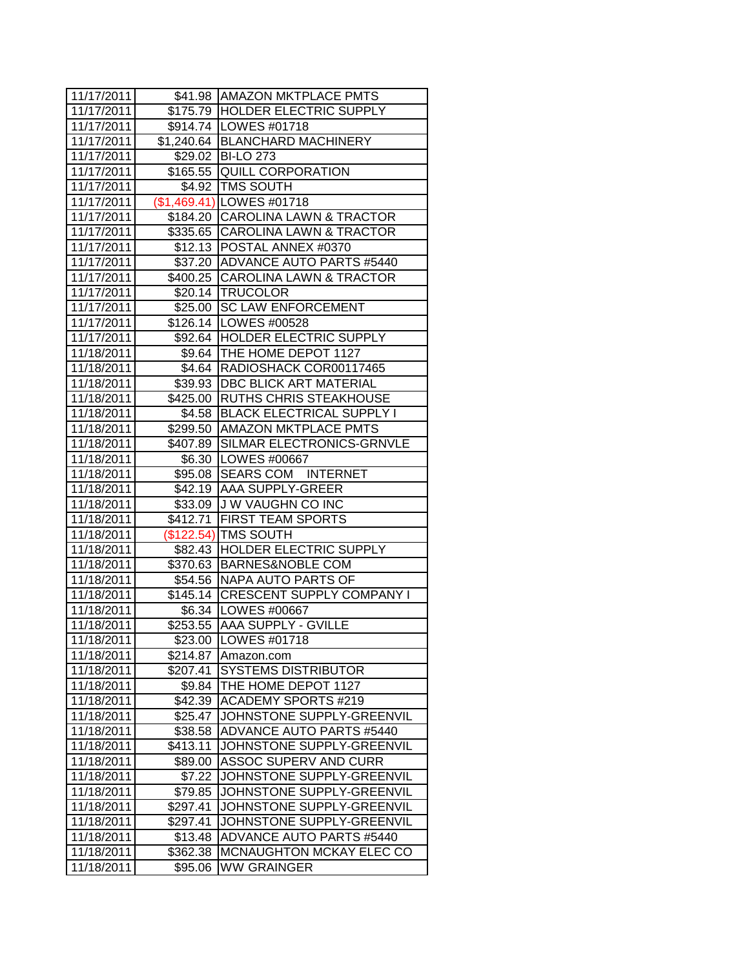| 11/17/2011 |          | \$41.98 AMAZON MKTPLACE PMTS       |
|------------|----------|------------------------------------|
| 11/17/2011 |          | \$175.79 HOLDER ELECTRIC SUPPLY    |
| 11/17/2011 |          | \$914.74   LOWES #01718            |
| 11/17/2011 |          | \$1,240.64   BLANCHARD MACHINERY   |
| 11/17/2011 |          | \$29.02 BI-LO 273                  |
| 11/17/2011 |          | \$165.55 QUILL CORPORATION         |
| 11/17/2011 |          | \$4.92 TMS SOUTH                   |
| 11/17/2011 |          | (\$1,469.41) LOWES #01718          |
| 11/17/2011 |          | \$184.20 CAROLINA LAWN & TRACTOR   |
| 11/17/2011 |          | \$335.65 CAROLINA LAWN & TRACTOR   |
| 11/17/2011 |          | \$12.13 POSTAL ANNEX #0370         |
| 11/17/2011 |          | \$37.20 ADVANCE AUTO PARTS #5440   |
| 11/17/2011 |          | \$400.25 CAROLINA LAWN & TRACTOR   |
| 11/17/2011 |          | \$20.14 TRUCOLOR                   |
| 11/17/2011 |          | \$25.00 SC LAW ENFORCEMENT         |
| 11/17/2011 |          | \$126.14   LOWES #00528            |
| 11/17/2011 |          | \$92.64 HOLDER ELECTRIC SUPPLY     |
| 11/18/2011 |          | \$9.64   THE HOME DEPOT 1127       |
| 11/18/2011 |          | \$4.64   RADIOSHACK COR00117465    |
| 11/18/2011 |          | \$39.93 DBC BLICK ART MATERIAL     |
| 11/18/2011 |          | \$425.00 RUTHS CHRIS STEAKHOUSE    |
| 11/18/2011 |          | \$4.58 BLACK ELECTRICAL SUPPLY I   |
| 11/18/2011 |          | \$299.50 AMAZON MKTPLACE PMTS      |
| 11/18/2011 |          | \$407.89 SILMAR ELECTRONICS-GRNVLE |
| 11/18/2011 |          | \$6.30   LOWES #00667              |
| 11/18/2011 |          | \$95.08 SEARS COM INTERNET         |
| 11/18/2011 |          | \$42.19 AAA SUPPLY-GREER           |
| 11/18/2011 |          | \$33.09 J W VAUGHN CO INC          |
| 11/18/2011 | \$412.71 | <b>FIRST TEAM SPORTS</b>           |
| 11/18/2011 |          | (\$122.54) TMS SOUTH               |
| 11/18/2011 |          | \$82.43 HOLDER ELECTRIC SUPPLY     |
| 11/18/2011 |          | \$370.63 BARNES&NOBLE COM          |
| 11/18/2011 |          | \$54.56 NAPA AUTO PARTS OF         |
| 11/18/2011 |          | \$145.14 CRESCENT SUPPLY COMPANY I |
| 11/18/2011 |          | \$6.34   LOWES #00667              |
| 11/18/2011 |          | \$253.55 AAA SUPPLY - GVILLE       |
| 11/18/2011 | \$23.00  | LOWES #01718                       |
| 11/18/2011 | \$214.87 | Amazon.com                         |
| 11/18/2011 | \$207.41 | <b>SYSTEMS DISTRIBUTOR</b>         |
| 11/18/2011 | \$9.84   | THE HOME DEPOT 1127                |
| 11/18/2011 | \$42.39  | <b>ACADEMY SPORTS #219</b>         |
| 11/18/2011 | \$25.47  | JOHNSTONE SUPPLY-GREENVIL          |
| 11/18/2011 | \$38.58  | ADVANCE AUTO PARTS #5440           |
| 11/18/2011 | \$413.11 | JOHNSTONE SUPPLY-GREENVIL          |
| 11/18/2011 | \$89.00  | ASSOC SUPERV AND CURR              |
| 11/18/2011 | \$7.22   | JOHNSTONE SUPPLY-GREENVIL          |
| 11/18/2011 | \$79.85  | JOHNSTONE SUPPLY-GREENVIL          |
| 11/18/2011 | \$297.41 | JOHNSTONE SUPPLY-GREENVIL          |
| 11/18/2011 | \$297.41 | JOHNSTONE SUPPLY-GREENVIL          |
| 11/18/2011 | \$13.48  | <b>ADVANCE AUTO PARTS #5440</b>    |
| 11/18/2011 | \$362.38 | MCNAUGHTON MCKAY ELEC CO           |
| 11/18/2011 | \$95.06  | WW GRAINGER                        |
|            |          |                                    |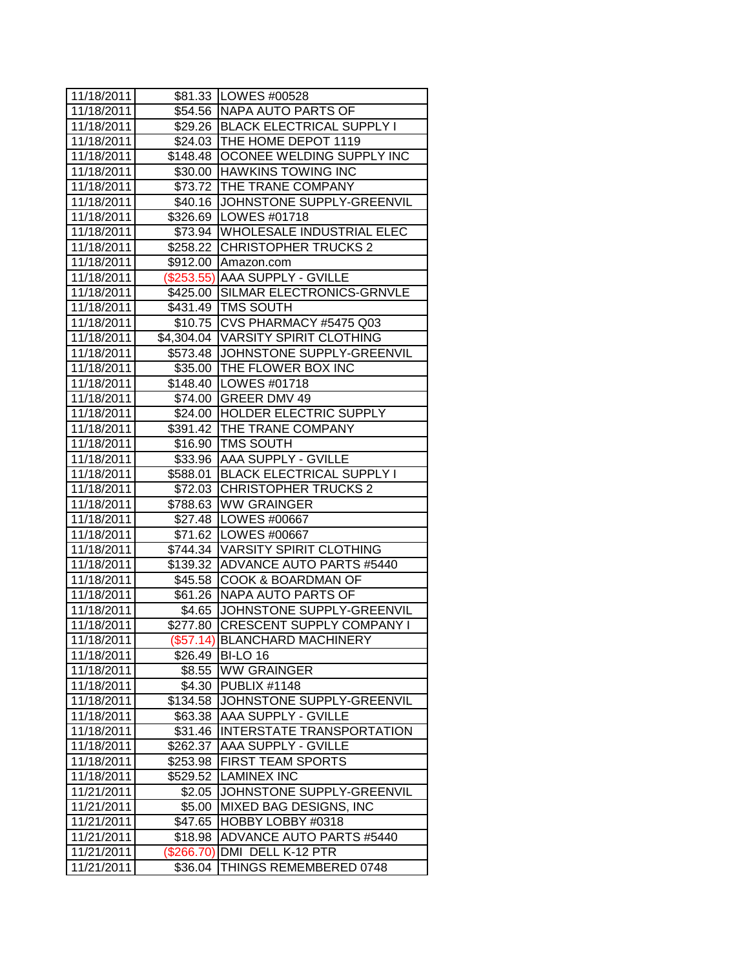| 11/18/2011 |            | \$81.33 LOWES #00528                 |
|------------|------------|--------------------------------------|
| 11/18/2011 |            | \$54.56 NAPA AUTO PARTS OF           |
| 11/18/2011 |            | \$29.26   BLACK ELECTRICAL SUPPLY I  |
| 11/18/2011 |            | \$24.03 THE HOME DEPOT 1119          |
| 11/18/2011 |            | \$148.48 OCONEE WELDING SUPPLY INC   |
| 11/18/2011 |            | \$30.00 HAWKINS TOWING INC           |
| 11/18/2011 |            | \$73.72 THE TRANE COMPANY            |
| 11/18/2011 |            | \$40.16 JOHNSTONE SUPPLY-GREENVIL    |
| 11/18/2011 |            | \$326.69 LOWES #01718                |
| 11/18/2011 |            | \$73.94 WHOLESALE INDUSTRIAL ELEC    |
| 11/18/2011 |            | \$258.22 CHRISTOPHER TRUCKS 2        |
| 11/18/2011 | \$912.00   | Amazon.com                           |
| 11/18/2011 |            | (\$253.55) AAA SUPPLY - GVILLE       |
| 11/18/2011 |            | \$425.00 SILMAR ELECTRONICS-GRNVLE   |
| 11/18/2011 |            | \$431.49   TMS SOUTH                 |
| 11/18/2011 |            | \$10.75 CVS PHARMACY #5475 Q03       |
| 11/18/2011 |            | \$4,304.04   VARSITY SPIRIT CLOTHING |
| 11/18/2011 |            | \$573.48 JOHNSTONE SUPPLY-GREENVIL   |
| 11/18/2011 |            | \$35.00 THE FLOWER BOX INC           |
| 11/18/2011 |            | \$148.40   LOWES #01718              |
| 11/18/2011 |            | \$74.00 GREER DMV 49                 |
| 11/18/2011 |            | \$24.00 HOLDER ELECTRIC SUPPLY       |
| 11/18/2011 |            | \$391.42 THE TRANE COMPANY           |
| 11/18/2011 |            | \$16.90 TMS SOUTH                    |
| 11/18/2011 |            | \$33.96 AAA SUPPLY - GVILLE          |
| 11/18/2011 | \$588.01   | <b>BLACK ELECTRICAL SUPPLY I</b>     |
| 11/18/2011 | \$72.03    | <b>CHRISTOPHER TRUCKS 2</b>          |
| 11/18/2011 | \$788.63   | <b>WW GRAINGER</b>                   |
| 11/18/2011 |            | \$27.48   LOWES #00667               |
| 11/18/2011 |            | \$71.62   LOWES #00667               |
| 11/18/2011 |            | \$744.34 VARSITY SPIRIT CLOTHING     |
| 11/18/2011 |            | \$139.32 ADVANCE AUTO PARTS #5440    |
| 11/18/2011 |            | \$45.58 COOK & BOARDMAN OF           |
| 11/18/2011 |            | \$61.26 NAPA AUTO PARTS OF           |
| 11/18/2011 | \$4.65     | JOHNSTONE SUPPLY-GREENVIL            |
| 11/18/2011 | \$277.80   | <b>CRESCENT SUPPLY COMPANY I</b>     |
| 11/18/2011 |            | (\$57.14) BLANCHARD MACHINERY        |
| 11/18/2011 | \$26.49    | <b>BI-LO 16</b>                      |
| 11/18/2011 | \$8.55     | <b>WW GRAINGER</b>                   |
| 11/18/2011 | \$4.30     | <b>PUBLIX #1148</b>                  |
| 11/18/2011 | \$134.58   | JOHNSTONE SUPPLY-GREENVIL            |
| 11/18/2011 | \$63.38    | AAA SUPPLY - GVILLE                  |
| 11/18/2011 | \$31.46    | INTERSTATE TRANSPORTATION            |
| 11/18/2011 | \$262.37   | <b>AAA SUPPLY - GVILLE</b>           |
| 11/18/2011 | \$253.98   | <b>FIRST TEAM SPORTS</b>             |
| 11/18/2011 | \$529.52   | <b>LAMINEX INC</b>                   |
| 11/21/2011 | \$2.05     | JOHNSTONE SUPPLY-GREENVIL            |
| 11/21/2011 | \$5.00     | MIXED BAG DESIGNS, INC               |
| 11/21/2011 | \$47.65    | HOBBY LOBBY #0318                    |
| 11/21/2011 | \$18.98    | ADVANCE AUTO PARTS #5440             |
| 11/21/2011 | (\$266.70) | DMI DELL K-12 PTR                    |
| 11/21/2011 | \$36.04    | THINGS REMEMBERED 0748               |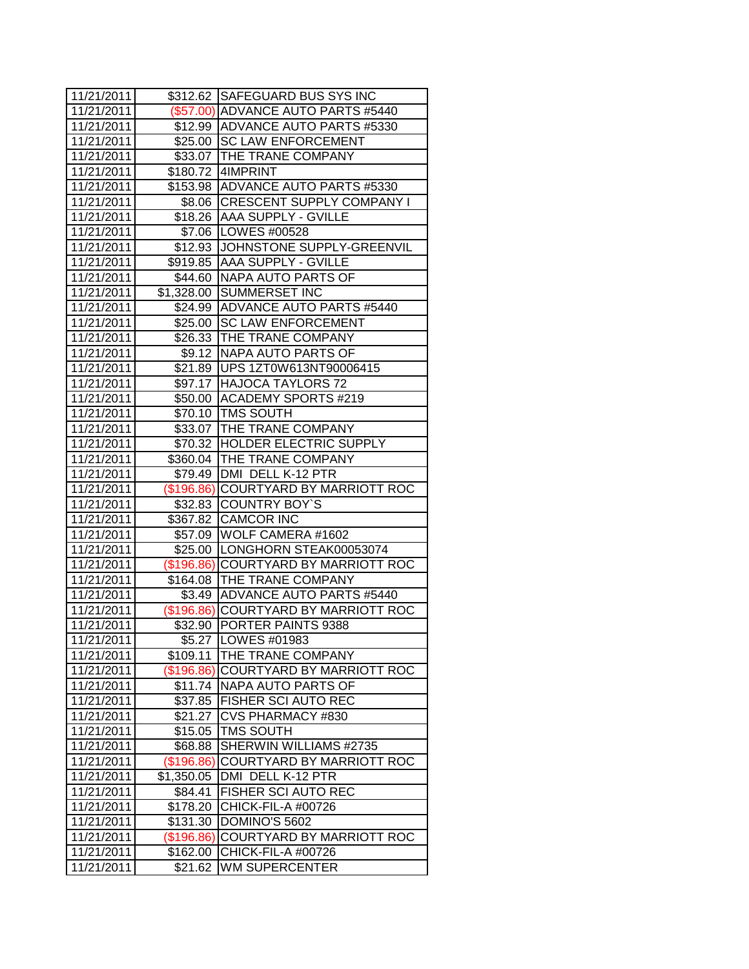| 11/21/2011 |               | \$312.62 SAFEGUARD BUS SYS INC       |
|------------|---------------|--------------------------------------|
| 11/21/2011 |               | (\$57.00) ADVANCE AUTO PARTS #5440   |
| 11/21/2011 |               | \$12.99 ADVANCE AUTO PARTS #5330     |
| 11/21/2011 |               | \$25.00 SC LAW ENFORCEMENT           |
| 11/21/2011 |               | \$33.07 THE TRANE COMPANY            |
| 11/21/2011 |               | \$180.72 4IMPRINT                    |
| 11/21/2011 |               | \$153.98 ADVANCE AUTO PARTS #5330    |
| 11/21/2011 |               | \$8.06 CRESCENT SUPPLY COMPANY I     |
| 11/21/2011 |               | \$18.26 AAA SUPPLY - GVILLE          |
| 11/21/2011 |               | \$7.06 LOWES #00528                  |
| 11/21/2011 |               | \$12.93 JJOHNSTONE SUPPLY-GREENVIL   |
| 11/21/2011 |               | \$919.85 AAA SUPPLY - GVILLE         |
| 11/21/2011 |               | \$44.60 NAPA AUTO PARTS OF           |
| 11/21/2011 |               | \$1,328.00 SUMMERSET INC             |
| 11/21/2011 |               | \$24.99 ADVANCE AUTO PARTS #5440     |
| 11/21/2011 |               | \$25.00 SC LAW ENFORCEMENT           |
| 11/21/2011 |               | \$26.33   THE TRANE COMPANY          |
| 11/21/2011 | \$9.12        | NAPA AUTO PARTS OF                   |
| 11/21/2011 |               | \$21.89   UPS 1ZT0W613NT90006415     |
| 11/21/2011 |               | \$97.17 HAJOCA TAYLORS 72            |
| 11/21/2011 |               | \$50.00 ACADEMY SPORTS #219          |
| 11/21/2011 |               | \$70.10 TMS SOUTH                    |
| 11/21/2011 |               | \$33.07 THE TRANE COMPANY            |
| 11/21/2011 |               | \$70.32 HOLDER ELECTRIC SUPPLY       |
| 11/21/2011 |               | \$360.04 THE TRANE COMPANY           |
| 11/21/2011 |               | \$79.49   DMI DELL K-12 PTR          |
| 11/21/2011 |               | (\$196.86) COURTYARD BY MARRIOTT ROC |
| 11/21/2011 | \$32.83       | <b>COUNTRY BOY'S</b>                 |
| 11/21/2011 | \$367.82      | <b>CAMCOR INC</b>                    |
| 11/21/2011 |               | \$57.09 WOLF CAMERA #1602            |
| 11/21/2011 |               | \$25.00 LONGHORN STEAK00053074       |
| 11/21/2011 |               | (\$196.86) COURTYARD BY MARRIOTT ROC |
| 11/21/2011 |               | \$164.08   THE TRANE COMPANY         |
| 11/21/2011 |               | \$3.49 ADVANCE AUTO PARTS #5440      |
| 11/21/2011 |               | (\$196.86) COURTYARD BY MARRIOTT ROC |
| 11/21/2011 |               | \$32.90 PORTER PAINTS 9388           |
| 11/21/2011 |               | \$5.27   LOWES #01983                |
| 11/21/2011 | \$109.11      | THE TRANE COMPANY                    |
| 11/21/2011 | $($ \$196.86) | COURTYARD BY MARRIOTT ROC            |
| 11/21/2011 | \$11.74       | NAPA AUTO PARTS OF                   |
| 11/21/2011 | \$37.85       | <b>FISHER SCI AUTO REC</b>           |
| 11/21/2011 | \$21.27       | CVS PHARMACY #830                    |
| 11/21/2011 | \$15.05       | <b>TMS SOUTH</b>                     |
| 11/21/2011 | \$68.88       | SHERWIN WILLIAMS #2735               |
| 11/21/2011 | (\$196.86)    | COURTYARD BY MARRIOTT ROC            |
| 11/21/2011 | \$1,350.05    | DMI DELL K-12 PTR                    |
| 11/21/2011 | \$84.41       | FISHER SCI AUTO REC                  |
| 11/21/2011 | \$178.20      | CHICK-FIL-A #00726                   |
| 11/21/2011 | \$131.30      | DOMINO'S 5602                        |
| 11/21/2011 | (\$196.86)    | COURTYARD BY MARRIOTT ROC            |
| 11/21/2011 | \$162.00      | CHICK-FIL-A #00726                   |
| 11/21/2011 | \$21.62       | WM SUPERCENTER                       |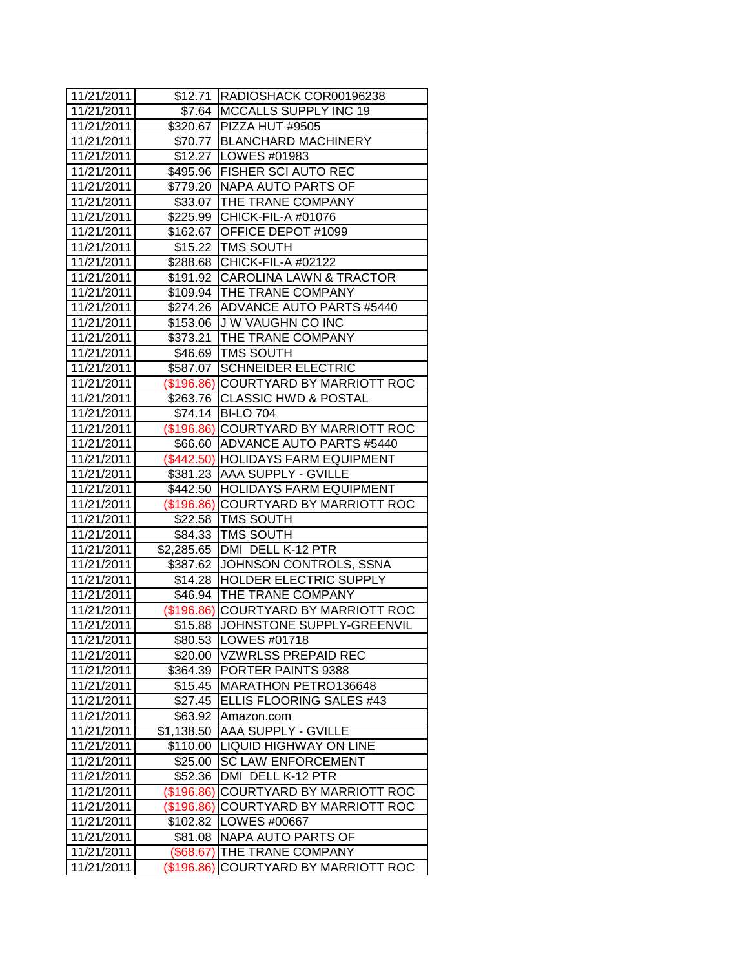| 11/21/2011 |            | \$12.71  RADIOSHACK COR00196238      |
|------------|------------|--------------------------------------|
| 11/21/2011 |            | \$7.64   MCCALLS SUPPLY INC 19       |
| 11/21/2011 |            | \$320.67   PIZZA HUT #9505           |
| 11/21/2011 |            | \$70.77 BLANCHARD MACHINERY          |
| 11/21/2011 |            | \$12.27   LOWES #01983               |
| 11/21/2011 |            | \$495.96 FISHER SCI AUTO REC         |
| 11/21/2011 |            | \$779.20 NAPA AUTO PARTS OF          |
| 11/21/2011 |            | \$33.07   THE TRANE COMPANY          |
| 11/21/2011 |            | \$225.99 CHICK-FIL-A #01076          |
| 11/21/2011 |            | \$162.67 OFFICE DEPOT #1099          |
| 11/21/2011 |            | \$15.22 TMS SOUTH                    |
| 11/21/2011 |            | \$288.68 CHICK-FIL-A #02122          |
| 11/21/2011 |            | \$191.92 CAROLINA LAWN & TRACTOR     |
| 11/21/2011 |            | \$109.94 THE TRANE COMPANY           |
| 11/21/2011 |            | \$274.26 ADVANCE AUTO PARTS #5440    |
| 11/21/2011 |            | \$153.06 J W VAUGHN CO INC           |
| 11/21/2011 |            | \$373.21   THE TRANE COMPANY         |
| 11/21/2011 |            | \$46.69 TMS SOUTH                    |
| 11/21/2011 | \$587.07   | <b>SCHNEIDER ELECTRIC</b>            |
| 11/21/2011 |            | (\$196.86) COURTYARD BY MARRIOTT ROC |
| 11/21/2011 |            | \$263.76 CLASSIC HWD & POSTAL        |
| 11/21/2011 |            | \$74.14   BI-LO 704                  |
| 11/21/2011 |            | (\$196.86) COURTYARD BY MARRIOTT ROC |
| 11/21/2011 |            | \$66.60 ADVANCE AUTO PARTS #5440     |
| 11/21/2011 |            | (\$442.50) HOLIDAYS FARM EQUIPMENT   |
| 11/21/2011 |            | \$381.23 AAA SUPPLY - GVILLE         |
| 11/21/2011 |            | \$442.50 HOLIDAYS FARM EQUIPMENT     |
| 11/21/2011 |            | (\$196.86) COURTYARD BY MARRIOTT ROC |
| 11/21/2011 | \$22.58    | <b>TMS SOUTH</b>                     |
| 11/21/2011 |            | \$84.33 TMS SOUTH                    |
| 11/21/2011 |            | \$2,285.65 DMI DELL K-12 PTR         |
| 11/21/2011 |            | \$387.62 JOHNSON CONTROLS, SSNA      |
| 11/21/2011 |            | \$14.28 HOLDER ELECTRIC SUPPLY       |
| 11/21/2011 |            | \$46.94   THE TRANE COMPANY          |
| 11/21/2011 |            | (\$196.86) COURTYARD BY MARRIOTT ROC |
| 11/21/2011 | \$15.88    | JOHNSTONE SUPPLY-GREENVIL            |
| 11/21/2011 |            | \$80.53  LOWES #01718                |
| 11/21/2011 | \$20.00    | <b>VZWRLSS PREPAID REC</b>           |
| 11/21/2011 | \$364.39   | PORTER PAINTS 9388                   |
| 11/21/2011 | \$15.45    | MARATHON PETRO136648                 |
| 11/21/2011 | \$27.45    | ELLIS FLOORING SALES #43             |
| 11/21/2011 | \$63.92    | Amazon.com                           |
| 11/21/2011 | \$1,138.50 | AAA SUPPLY - GVILLE                  |
| 11/21/2011 | \$110.00   | <b>LIQUID HIGHWAY ON LINE</b>        |
| 11/21/2011 | \$25.00    | <b>SC LAW ENFORCEMENT</b>            |
| 11/21/2011 | \$52.36    | DMI DELL K-12 PTR                    |
| 11/21/2011 | (\$196.86) | COURTYARD BY MARRIOTT ROC            |
| 11/21/2011 | (\$196.86) | COURTYARD BY MARRIOTT ROC            |
| 11/21/2011 | \$102.82   | LOWES #00667                         |
| 11/21/2011 | \$81.08    | NAPA AUTO PARTS OF                   |
| 11/21/2011 | (\$68.67)  | THE TRANE COMPANY                    |
| 11/21/2011 | (\$196.86) | COURTYARD BY MARRIOTT ROC            |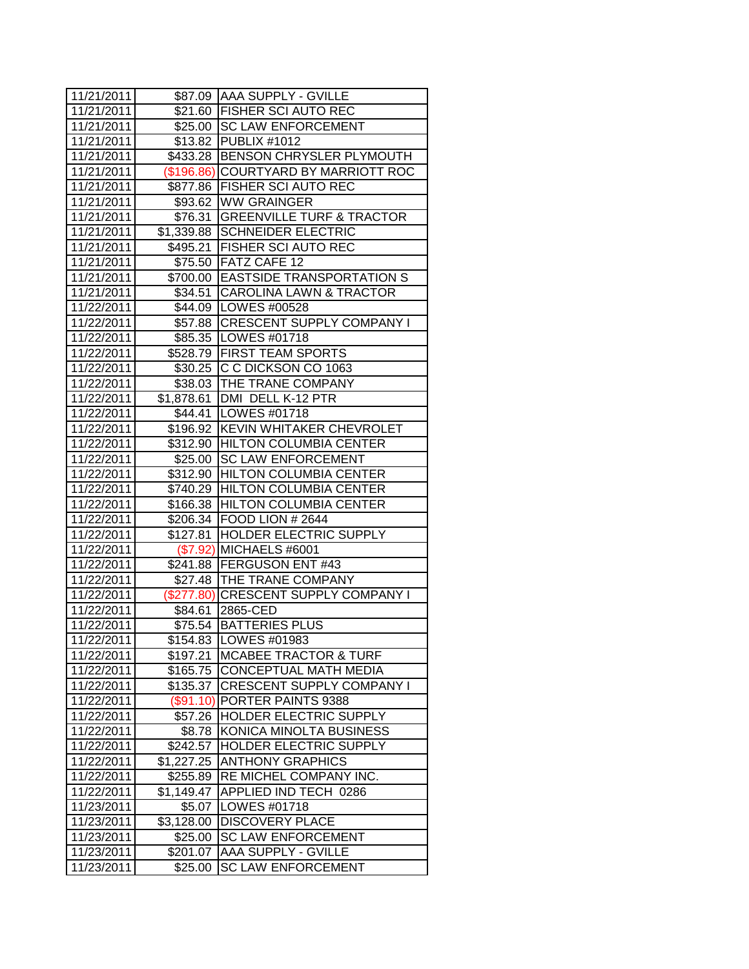| 11/21/2011 |               | \$87.09 AAA SUPPLY - GVILLE          |
|------------|---------------|--------------------------------------|
| 11/21/2011 |               | \$21.60 FISHER SCI AUTO REC          |
| 11/21/2011 | \$25.00       | <b>SC LAW ENFORCEMENT</b>            |
| 11/21/2011 | \$13.82       | <b>PUBLIX #1012</b>                  |
| 11/21/2011 | \$433.28      | BENSON CHRYSLER PLYMOUTH             |
| 11/21/2011 | $($ \$196.86) | COURTYARD BY MARRIOTT ROC            |
| 11/21/2011 |               | \$877.86   FISHER SCI AUTO REC       |
| 11/21/2011 |               | \$93.62 WW GRAINGER                  |
| 11/21/2011 |               | \$76.31 GREENVILLE TURF & TRACTOR    |
| 11/21/2011 |               | \$1,339.88 SCHNEIDER ELECTRIC        |
| 11/21/2011 |               | \$495.21 FISHER SCI AUTO REC         |
| 11/21/2011 |               | \$75.50 FATZ CAFE 12                 |
| 11/21/2011 |               | \$700.00 EASTSIDE TRANSPORTATION S   |
| 11/21/2011 |               | \$34.51 CAROLINA LAWN & TRACTOR      |
| 11/22/2011 |               | \$44.09   LOWES #00528               |
| 11/22/2011 |               | \$57.88 CRESCENT SUPPLY COMPANY I    |
| 11/22/2011 |               | \$85.35   LOWES #01718               |
| 11/22/2011 |               | \$528.79 FIRST TEAM SPORTS           |
| 11/22/2011 |               | \$30.25   C C DICKSON CO 1063        |
| 11/22/2011 |               | \$38.03   THE TRANE COMPANY          |
| 11/22/2011 |               | \$1,878.61   DMI DELL K-12 PTR       |
| 11/22/2011 |               | \$44.41   LOWES #01718               |
| 11/22/2011 |               | \$196.92 KEVIN WHITAKER CHEVROLET    |
| 11/22/2011 |               | \$312.90 HILTON COLUMBIA CENTER      |
| 11/22/2011 |               | \$25.00 SC LAW ENFORCEMENT           |
| 11/22/2011 |               | \$312.90 HILTON COLUMBIA CENTER      |
| 11/22/2011 |               | \$740.29 HILTON COLUMBIA CENTER      |
| 11/22/2011 | \$166.38      | <b>HILTON COLUMBIA CENTER</b>        |
| 11/22/2011 |               | \$206.34 FOOD LION # 2644            |
| 11/22/2011 | \$127.81      | <b>HOLDER ELECTRIC SUPPLY</b>        |
| 11/22/2011 |               | (\$7.92) MICHAELS #6001              |
| 11/22/2011 |               | \$241.88 FERGUSON ENT #43            |
| 11/22/2011 |               | \$27.48 THE TRANE COMPANY            |
| 11/22/2011 |               | (\$277.80) CRESCENT SUPPLY COMPANY I |
| 11/22/2011 | \$84.61       | 2865-CED                             |
| 11/22/2011 | \$75.54       | <b>BATTERIES PLUS</b>                |
| 11/22/2011 | \$154.83      | LOWES #01983                         |
| 11/22/2011 | \$197.21      | <b>MCABEE TRACTOR &amp; TURF</b>     |
| 11/22/2011 | \$165.75      | CONCEPTUAL MATH MEDIA                |
| 11/22/2011 | \$135.37      | <b>CRESCENT SUPPLY COMPANY I</b>     |
| 11/22/2011 | $(\$91.10)$   | PORTER PAINTS 9388                   |
| 11/22/2011 | \$57.26       | <b>HOLDER ELECTRIC SUPPLY</b>        |
| 11/22/2011 | \$8.78        | KONICA MINOLTA BUSINESS              |
| 11/22/2011 | \$242.57      | HOLDER ELECTRIC SUPPLY               |
| 11/22/2011 | \$1,227.25    | <b>ANTHONY GRAPHICS</b>              |
| 11/22/2011 | \$255.89      | RE MICHEL COMPANY INC.               |
| 11/22/2011 | \$1,149.47    | APPLIED IND TECH 0286                |
| 11/23/2011 | \$5.07        | LOWES #01718                         |
| 11/23/2011 | \$3,128.00    | <b>DISCOVERY PLACE</b>               |
| 11/23/2011 | \$25.00       | <b>SC LAW ENFORCEMENT</b>            |
| 11/23/2011 | \$201.07      | <b>AAA SUPPLY - GVILLE</b>           |
| 11/23/2011 | \$25.00       | <b>SC LAW ENFORCEMENT</b>            |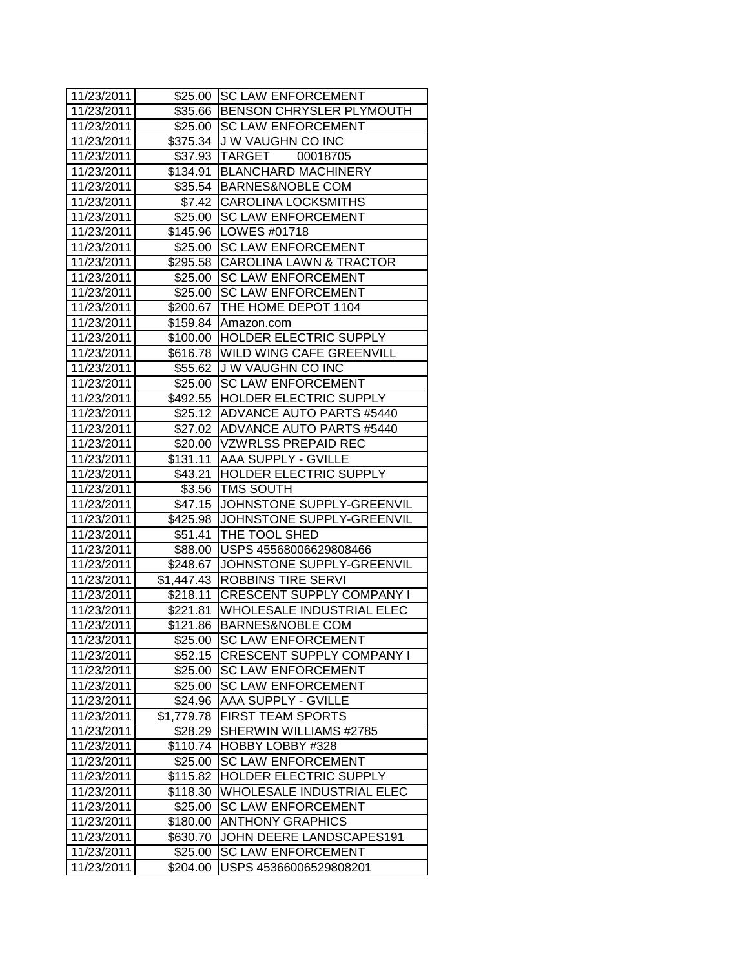| 11/23/2011 |                     | \$25.00 SC LAW ENFORCEMENT         |
|------------|---------------------|------------------------------------|
| 11/23/2011 |                     | \$35.66 BENSON CHRYSLER PLYMOUTH   |
| 11/23/2011 |                     | \$25.00 SC LAW ENFORCEMENT         |
| 11/23/2011 |                     | \$375.34 J W VAUGHN CO INC         |
| 11/23/2011 |                     | \$37.93 TARGET<br>00018705         |
| 11/23/2011 |                     | \$134.91 BLANCHARD MACHINERY       |
| 11/23/2011 |                     | \$35.54 BARNES&NOBLE COM           |
| 11/23/2011 |                     | \$7.42 CAROLINA LOCKSMITHS         |
| 11/23/2011 |                     | \$25.00 SC LAW ENFORCEMENT         |
| 11/23/2011 |                     | \$145.96 LOWES #01718              |
| 11/23/2011 |                     | \$25.00 SC LAW ENFORCEMENT         |
| 11/23/2011 |                     | \$295.58 CAROLINA LAWN & TRACTOR   |
| 11/23/2011 | $$25.00$            | <b>SC LAW ENFORCEMENT</b>          |
| 11/23/2011 |                     | \$25.00 SC LAW ENFORCEMENT         |
| 11/23/2011 |                     | \$200.67 THE HOME DEPOT 1104       |
| 11/23/2011 |                     | \$159.84 Amazon.com                |
| 11/23/2011 |                     | \$100.00 HOLDER ELECTRIC SUPPLY    |
| 11/23/2011 |                     | \$616.78 WILD WING CAFE GREENVILL  |
| 11/23/2011 |                     | \$55.62 J W VAUGHN CO INC          |
| 11/23/2011 | \$25.00             | <b>SC LAW ENFORCEMENT</b>          |
| 11/23/2011 |                     | \$492.55 HOLDER ELECTRIC SUPPLY    |
| 11/23/2011 |                     | \$25.12   ADVANCE AUTO PARTS #5440 |
| 11/23/2011 |                     | \$27.02 ADVANCE AUTO PARTS #5440   |
| 11/23/2011 |                     | \$20.00 VZWRLSS PREPAID REC        |
| 11/23/2011 |                     | \$131.11 AAA SUPPLY - GVILLE       |
| 11/23/2011 | $\overline{$}43.21$ | <b>HOLDER ELECTRIC SUPPLY</b>      |
| 11/23/2011 |                     | \$3.56 TMS SOUTH                   |
| 11/23/2011 |                     | \$47.15 JOHNSTONE SUPPLY-GREENVIL  |
| 11/23/2011 | $\sqrt{25.98}$      | JOHNSTONE SUPPLY-GREENVIL          |
| 11/23/2011 |                     | \$51.41 THE TOOL SHED              |
| 11/23/2011 |                     | \$88.00 USPS 45568006629808466     |
| 11/23/2011 |                     | \$248.67 JOHNSTONE SUPPLY-GREENVIL |
| 11/23/2011 |                     | \$1,447.43 ROBBINS TIRE SERVI      |
| 11/23/2011 |                     | \$218.11 CRESCENT SUPPLY COMPANY I |
| 11/23/2011 |                     | \$221.81 WHOLESALE INDUSTRIAL ELEC |
| 11/23/2011 | \$121.86            | <b>BARNES&amp;NOBLE COM</b>        |
| 11/23/2011 | \$25.00             | ISC LAW ENFORCEMENT                |
| 11/23/2011 | \$52.15             | <b>CRESCENT SUPPLY COMPANY I</b>   |
| 11/23/2011 | \$25.00             | <b>SC LAW ENFORCEMENT</b>          |
| 11/23/2011 | \$25.00             | <b>SC LAW ENFORCEMENT</b>          |
| 11/23/2011 | \$24.96             | <b>AAA SUPPLY - GVILLE</b>         |
| 11/23/2011 | \$1,779.78          | <b>FIRST TEAM SPORTS</b>           |
| 11/23/2011 | \$28.29             | SHERWIN WILLIAMS #2785             |
| 11/23/2011 | \$110.74            | HOBBY LOBBY #328                   |
| 11/23/2011 | \$25.00             | <b>SC LAW ENFORCEMENT</b>          |
| 11/23/2011 | \$115.82            | HOLDER ELECTRIC SUPPLY             |
| 11/23/2011 | \$118.30            | WHOLESALE INDUSTRIAL ELEC          |
| 11/23/2011 | \$25.00             | <b>SC LAW ENFORCEMENT</b>          |
| 11/23/2011 | \$180.00            | <b>ANTHONY GRAPHICS</b>            |
| 11/23/2011 | \$630.70            | JOHN DEERE LANDSCAPES191           |
| 11/23/2011 | \$25.00             | <b>SC LAW ENFORCEMENT</b>          |
| 11/23/2011 | \$204.00            | USPS 45366006529808201             |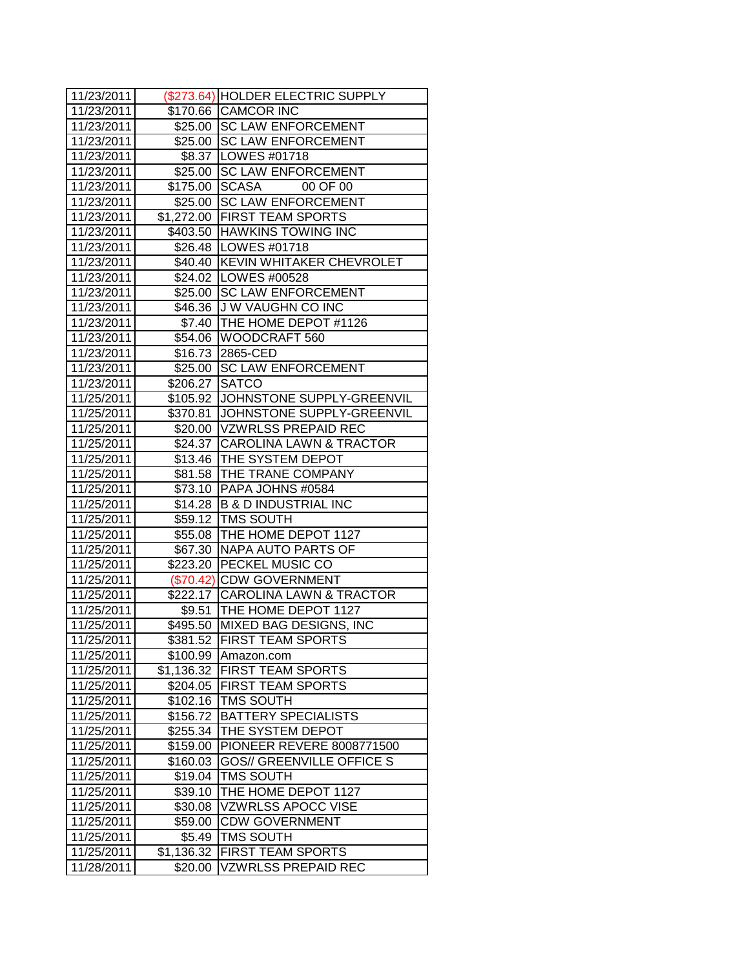| 11/23/2011 |                | (\$273.64) HOLDER ELECTRIC SUPPLY   |
|------------|----------------|-------------------------------------|
| 11/23/2011 |                | \$170.66 CAMCOR INC                 |
| 11/23/2011 |                | \$25.00 SC LAW ENFORCEMENT          |
| 11/23/2011 |                | \$25.00 SC LAW ENFORCEMENT          |
| 11/23/2011 |                | \$8.37   LOWES #01718               |
| 11/23/2011 |                | \$25.00 SC LAW ENFORCEMENT          |
| 11/23/2011 |                | \$175.00 SCASA<br>00 OF 00          |
| 11/23/2011 |                | \$25.00 SC LAW ENFORCEMENT          |
| 11/23/2011 |                | \$1,272.00 FIRST TEAM SPORTS        |
| 11/23/2011 |                | \$403.50 HAWKINS TOWING INC         |
| 11/23/2011 |                | \$26.48   LOWES #01718              |
| 11/23/2011 |                | \$40.40 KEVIN WHITAKER CHEVROLET    |
| 11/23/2011 |                | \$24.02   LOWES #00528              |
| 11/23/2011 |                | \$25.00 SC LAW ENFORCEMENT          |
| 11/23/2011 |                | \$46.36 J W VAUGHN CO INC           |
| 11/23/2011 |                | \$7.40 THE HOME DEPOT #1126         |
| 11/23/2011 |                | \$54.06   WOODCRAFT 560             |
| 11/23/2011 |                | \$16.73 2865-CED                    |
| 11/23/2011 |                | \$25.00 SC LAW ENFORCEMENT          |
| 11/23/2011 | \$206.27 SATCO |                                     |
| 11/25/2011 |                | \$105.92 JJOHNSTONE SUPPLY-GREENVIL |
| 11/25/2011 |                | \$370.81 JOHNSTONE SUPPLY-GREENVIL  |
| 11/25/2011 |                | \$20.00 VZWRLSS PREPAID REC         |
| 11/25/2011 |                | \$24.37 CAROLINA LAWN & TRACTOR     |
| 11/25/2011 |                | \$13.46 THE SYSTEM DEPOT            |
| 11/25/2011 |                | \$81.58 THE TRANE COMPANY           |
| 11/25/2011 |                | \$73.10 PAPA JOHNS #0584            |
| 11/25/2011 |                | \$14.28 B & D INDUSTRIAL INC        |
| 11/25/2011 |                | \$59.12 TMS SOUTH                   |
| 11/25/2011 |                | \$55.08 THE HOME DEPOT 1127         |
| 11/25/2011 |                | \$67.30 NAPA AUTO PARTS OF          |
| 11/25/2011 |                | \$223.20 PECKEL MUSIC CO            |
| 11/25/2011 |                | (\$70.42) CDW GOVERNMENT            |
| 11/25/2011 |                | \$222.17 CAROLINA LAWN & TRACTOR    |
| 11/25/2011 |                | \$9.51  THE HOME DEPOT 1127         |
| 11/25/2011 |                | \$495.50 MIXED BAG DESIGNS, INC     |
| 11/25/2011 |                | \$381.52  FIRST TEAM SPORTS         |
| 11/25/2011 | \$100.99       | Amazon.com                          |
| 11/25/2011 | \$1,136.32     | <b>FIRST TEAM SPORTS</b>            |
| 11/25/2011 | \$204.05       | <b>FIRST TEAM SPORTS</b>            |
| 11/25/2011 | \$102.16       | <b>TMS SOUTH</b>                    |
| 11/25/2011 | \$156.72       | <b>BATTERY SPECIALISTS</b>          |
| 11/25/2011 | \$255.34       | THE SYSTEM DEPOT                    |
| 11/25/2011 | \$159.00       | PIONEER REVERE 8008771500           |
| 11/25/2011 | \$160.03       | <b>GOS// GREENVILLE OFFICE S</b>    |
| 11/25/2011 | \$19.04        | <b>TMS SOUTH</b>                    |
| 11/25/2011 | \$39.10        | THE HOME DEPOT 1127                 |
| 11/25/2011 | \$30.08        | <b>VZWRLSS APOCC VISE</b>           |
| 11/25/2011 | \$59.00        | <b>CDW GOVERNMENT</b>               |
| 11/25/2011 | \$5.49         | TMS SOUTH                           |
| 11/25/2011 | \$1,136.32     | <b>FIRST TEAM SPORTS</b>            |
| 11/28/2011 | \$20.00        | VZWRLSS PREPAID REC                 |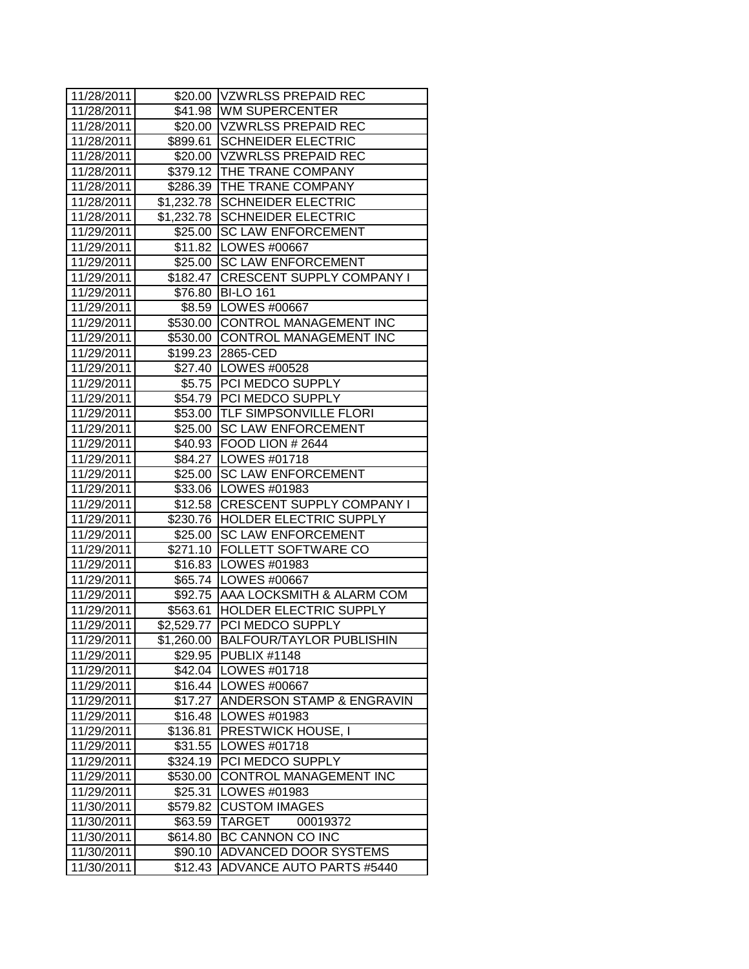| 11/28/2011 |            | \$20.00 VZWRLSS PREPAID REC         |
|------------|------------|-------------------------------------|
| 11/28/2011 |            | \$41.98 WM SUPERCENTER              |
| 11/28/2011 |            | \$20.00 VZWRLSS PREPAID REC         |
| 11/28/2011 |            | \$899.61 SCHNEIDER ELECTRIC         |
| 11/28/2011 |            | \$20.00 VZWRLSS PREPAID REC         |
| 11/28/2011 |            | \$379.12 THE TRANE COMPANY          |
| 11/28/2011 |            | \$286.39 THE TRANE COMPANY          |
| 11/28/2011 |            | \$1,232.78 SCHNEIDER ELECTRIC       |
| 11/28/2011 |            | \$1,232.78 SCHNEIDER ELECTRIC       |
| 11/29/2011 |            | \$25.00 SC LAW ENFORCEMENT          |
| 11/29/2011 |            | \$11.82   LOWES #00667              |
| 11/29/2011 |            | \$25.00 SC LAW ENFORCEMENT          |
| 11/29/2011 |            | \$182.47 CRESCENT SUPPLY COMPANY I  |
| 11/29/2011 |            | \$76.80 BI-LO 161                   |
| 11/29/2011 |            | \$8.59  LOWES #00667                |
| 11/29/2011 |            | \$530.00 CONTROL MANAGEMENT INC     |
| 11/29/2011 |            | \$530.00 CONTROL MANAGEMENT INC     |
| 11/29/2011 |            | \$199.23 2865-CED                   |
| 11/29/2011 |            | \$27.40   LOWES #00528              |
| 11/29/2011 |            | \$5.75   PCI MEDCO SUPPLY           |
| 11/29/2011 |            | \$54.79 PCI MEDCO SUPPLY            |
| 11/29/2011 |            | \$53.00 TLF SIMPSONVILLE FLORI      |
| 11/29/2011 |            | \$25.00 SC LAW ENFORCEMENT          |
| 11/29/2011 |            | \$40.93 FOOD LION # 2644            |
| 11/29/2011 |            | \$84.27   LOWES #01718              |
| 11/29/2011 |            | \$25.00 SC LAW ENFORCEMENT          |
| 11/29/2011 |            | \$33.06   LOWES #01983              |
| 11/29/2011 |            | \$12.58 CRESCENT SUPPLY COMPANY I   |
| 11/29/2011 |            | \$230.76 HOLDER ELECTRIC SUPPLY     |
| 11/29/2011 |            | \$25.00 SC LAW ENFORCEMENT          |
| 11/29/2011 |            | \$271.10 FOLLETT SOFTWARE CO        |
| 11/29/2011 |            | \$16.83   LOWES #01983              |
| 11/29/2011 |            | \$65.74   LOWES #00667              |
| 11/29/2011 |            | \$92.75   AAA LOCKSMITH & ALARM COM |
| 11/29/2011 |            | \$563.61 HOLDER ELECTRIC SUPPLY     |
| 11/29/2011 |            | \$2,529.77 PCI MEDCO SUPPLY         |
| 11/29/2011 | \$1,260.00 | <b>IBALFOUR/TAYLOR PUBLISHIN</b>    |
| 11/29/2011 | \$29.95    | <b>PUBLIX #1148</b>                 |
| 11/29/2011 | \$42.04    | LOWES #01718                        |
| 11/29/2011 | \$16.44    | LOWES #00667                        |
| 11/29/2011 | \$17.27    | ANDERSON STAMP & ENGRAVIN           |
| 11/29/2011 | \$16.48    | LOWES #01983                        |
| 11/29/2011 | \$136.81   | <b>PRESTWICK HOUSE, I</b>           |
| 11/29/2011 | \$31.55    | LOWES #01718                        |
| 11/29/2011 | \$324.19   | PCI MEDCO SUPPLY                    |
| 11/29/2011 | \$530.00   | CONTROL MANAGEMENT INC              |
| 11/29/2011 | \$25.31    | LOWES #01983                        |
| 11/30/2011 | \$579.82   | <b>CUSTOM IMAGES</b>                |
| 11/30/2011 | \$63.59    | TARGET<br>00019372                  |
| 11/30/2011 | \$614.80   | BC CANNON CO INC                    |
| 11/30/2011 | \$90.10    | ADVANCED DOOR SYSTEMS               |
| 11/30/2011 | \$12.43    | <b>ADVANCE AUTO PARTS #5440</b>     |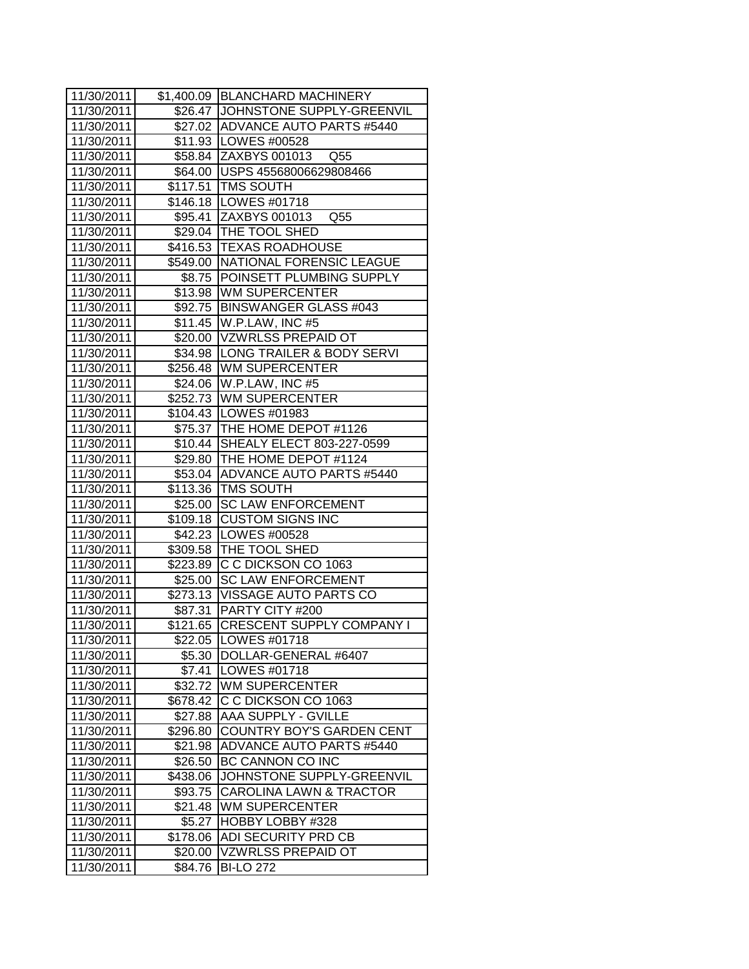| 11/30/2011 |          | \$1,400.09   BLANCHARD MACHINERY    |
|------------|----------|-------------------------------------|
| 11/30/2011 |          | \$26.47 JOHNSTONE SUPPLY-GREENVIL   |
| 11/30/2011 |          | \$27.02 ADVANCE AUTO PARTS #5440    |
| 11/30/2011 |          | \$11.93   LOWES #00528              |
| 11/30/2011 |          | \$58.84 ZAXBYS 001013 Q55           |
| 11/30/2011 |          | \$64.00   USPS 45568006629808466    |
| 11/30/2011 |          | \$117.51   TMS SOUTH                |
| 11/30/2011 |          | \$146.18   LOWES #01718             |
| 11/30/2011 |          | \$95.41 ZAXBYS 001013 Q55           |
| 11/30/2011 |          | \$29.04 THE TOOL SHED               |
| 11/30/2011 |          | \$416.53 TEXAS ROADHOUSE            |
| 11/30/2011 |          | \$549.00 NATIONAL FORENSIC LEAGUE   |
| 11/30/2011 |          | \$8.75 POINSETT PLUMBING SUPPLY     |
| 11/30/2011 |          | \$13.98 WM SUPERCENTER              |
| 11/30/2011 |          | \$92.75   BINSWANGER GLASS #043     |
| 11/30/2011 |          | \$11.45   W.P.LAW, INC #5           |
| 11/30/2011 |          | \$20.00 VZWRLSS PREPAID OT          |
| 11/30/2011 |          | \$34.98   LONG TRAILER & BODY SERVI |
| 11/30/2011 |          | \$256.48 WM SUPERCENTER             |
| 11/30/2011 |          | \$24.06   W.P.LAW, INC #5           |
| 11/30/2011 |          | \$252.73 WM SUPERCENTER             |
| 11/30/2011 |          | \$104.43 LOWES #01983               |
| 11/30/2011 |          | \$75.37 THE HOME DEPOT #1126        |
| 11/30/2011 |          | \$10.44 SHEALY ELECT 803-227-0599   |
| 11/30/2011 |          | \$29.80 THE HOME DEPOT #1124        |
| 11/30/2011 |          | \$53.04 ADVANCE AUTO PARTS #5440    |
| 11/30/2011 |          | \$113.36 TMS SOUTH                  |
| 11/30/2011 |          | \$25.00 SC LAW ENFORCEMENT          |
| 11/30/2011 | \$109.18 | <b>CUSTOM SIGNS INC</b>             |
| 11/30/2011 |          | \$42.23   LOWES #00528              |
| 11/30/2011 |          | \$309.58 THE TOOL SHED              |
| 11/30/2011 |          | \$223.89 C C DICKSON CO 1063        |
| 11/30/2011 |          | \$25.00 SC LAW ENFORCEMENT          |
| 11/30/2011 |          | \$273.13 VISSAGE AUTO PARTS CO      |
| 11/30/2011 |          | \$87.31 PARTY CITY #200             |
| 11/30/2011 | \$121.65 | <b>CRESCENT SUPPLY COMPANY I</b>    |
| 11/30/2011 |          | \$22.05   LOWES #01718              |
| 11/30/2011 | \$5.30   | DOLLAR-GENERAL #6407                |
| 11/30/2011 | \$7.41   | LOWES #01718                        |
| 11/30/2011 | \$32.72  | <b>WM SUPERCENTER</b>               |
| 11/30/2011 | \$678.42 | C C DICKSON CO 1063                 |
| 11/30/2011 | \$27.88  | AAA SUPPLY - GVILLE                 |
| 11/30/2011 | \$296.80 | COUNTRY BOY'S GARDEN CENT           |
| 11/30/2011 | \$21.98  | <b>ADVANCE AUTO PARTS #5440</b>     |
| 11/30/2011 | \$26.50  | BC CANNON CO INC                    |
| 11/30/2011 | \$438.06 | JOHNSTONE SUPPLY-GREENVIL           |
| 11/30/2011 | \$93.75  | <b>CAROLINA LAWN &amp; TRACTOR</b>  |
| 11/30/2011 | \$21.48  | <b>WM SUPERCENTER</b>               |
| 11/30/2011 | \$5.27   | HOBBY LOBBY #328                    |
| 11/30/2011 | \$178.06 | ADI SECURITY PRD CB                 |
| 11/30/2011 | \$20.00  | <b>VZWRLSS PREPAID OT</b>           |
| 11/30/2011 | \$84.76  | <b>BI-LO 272</b>                    |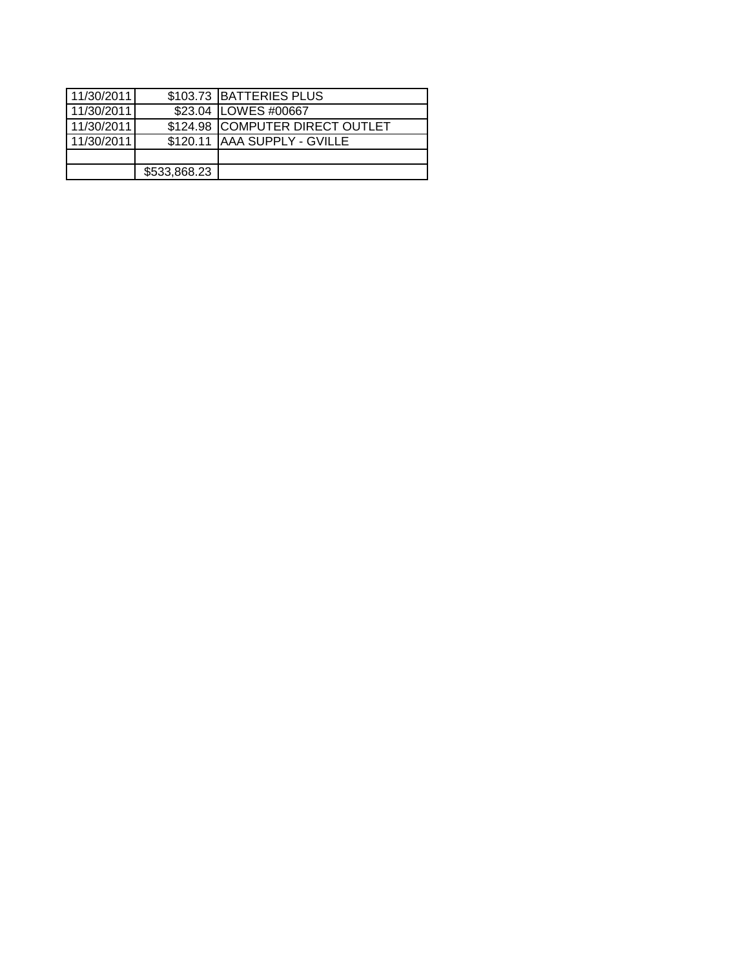| 11/30/2011 |              | \$103.73 BATTERIES PLUS         |
|------------|--------------|---------------------------------|
| 11/30/2011 |              | \$23.04 LOWES #00667            |
| 11/30/2011 |              | \$124.98 COMPUTER DIRECT OUTLET |
| 11/30/2011 |              | \$120.11   AAA SUPPLY - GVILLE  |
|            |              |                                 |
|            | \$533,868.23 |                                 |